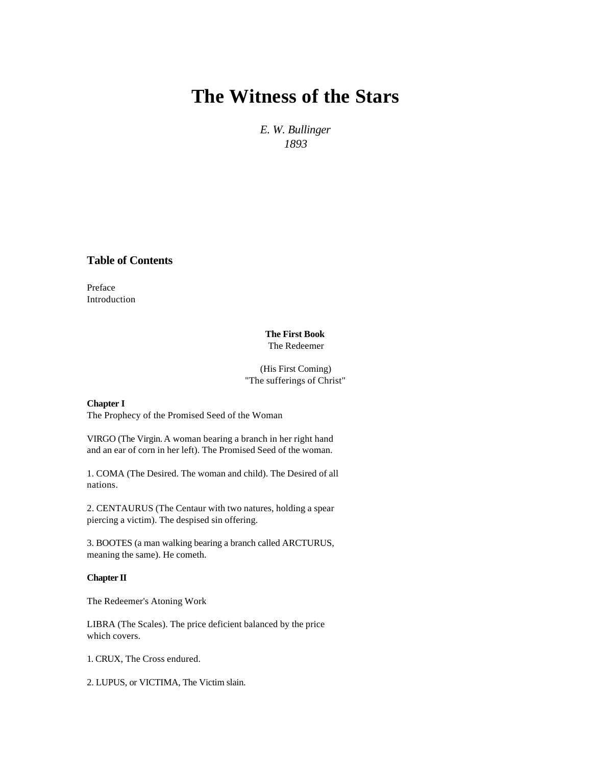# **[The Witness of the Stars](http://www.levendwater.org/)**

*E. W. Bullinger 1893*

**Table of Contents**

Preface Introduction

## **The First Book** The Redeemer

(His First Coming) "The sufferings of Christ"

**Chapter I**

The Prophecy of the Promised Seed of the Woman

VIRGO (The Virgin. A woman bearing a branch in her right hand and an ear of corn in her left). The Promised Seed of the woman.

1. COMA (The Desired. The woman and child). The Desired of all nations.

2. CENTAURUS (The Centaur with two natures, holding a spear piercing a victim). The despised sin offering.

3. BOOTES (a man walking bearing a branch called ARCTURUS, meaning the same). He cometh.

## **Chapter II**

The Redeemer's Atoning Work

LIBRA (The Scales). The price deficient balanced by the price which covers.

1. CRUX, The Cross endured.

2. LUPUS, or VICTIMA, The Victim slain.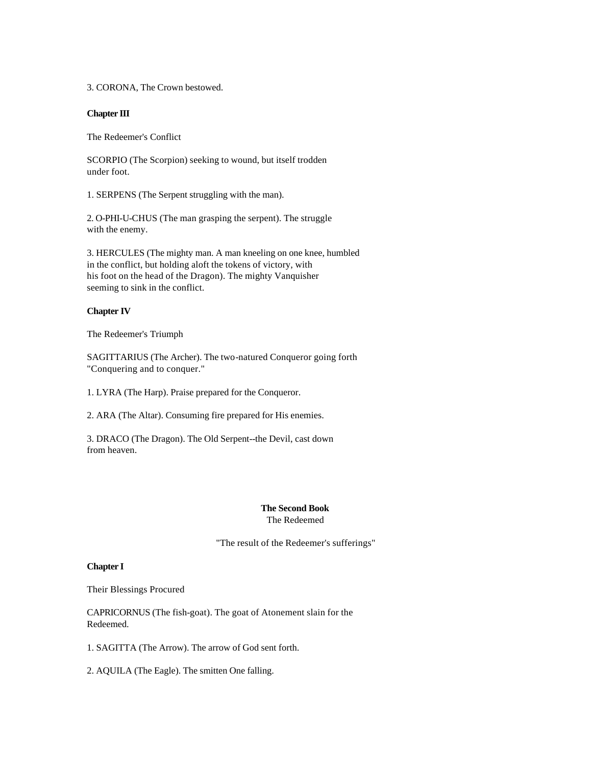3. CORONA, The Crown bestowed.

## **Chapter III**

The Redeemer's Conflict

SCORPIO (The Scorpion) seeking to wound, but itself trodden under foot.

1. SERPENS (The Serpent struggling with the man).

2. O-PHI-U-CHUS (The man grasping the serpent). The struggle with the enemy.

3. HERCULES (The mighty man. A man kneeling on one knee, humbled in the conflict, but holding aloft the tokens of victory, with his foot on the head of the Dragon). The mighty Vanquisher seeming to sink in the conflict.

### **Chapter IV**

The Redeemer's Triumph

SAGITTARIUS (The Archer). The two-natured Conqueror going forth "Conquering and to conquer."

1. LYRA (The Harp). Praise prepared for the Conqueror.

2. ARA (The Altar). Consuming fire prepared for His enemies.

3. DRACO (The Dragon). The Old Serpent--the Devil, cast down from heaven.

#### **The Second Book** The Redeemed

"The result of the Redeemer's sufferings"

#### **Chapter I**

Their Blessings Procured

CAPRICORNUS (The fish-goat). The goat of Atonement slain for the Redeemed.

1. SAGITTA (The Arrow). The arrow of God sent forth.

2. AQUILA (The Eagle). The smitten One falling.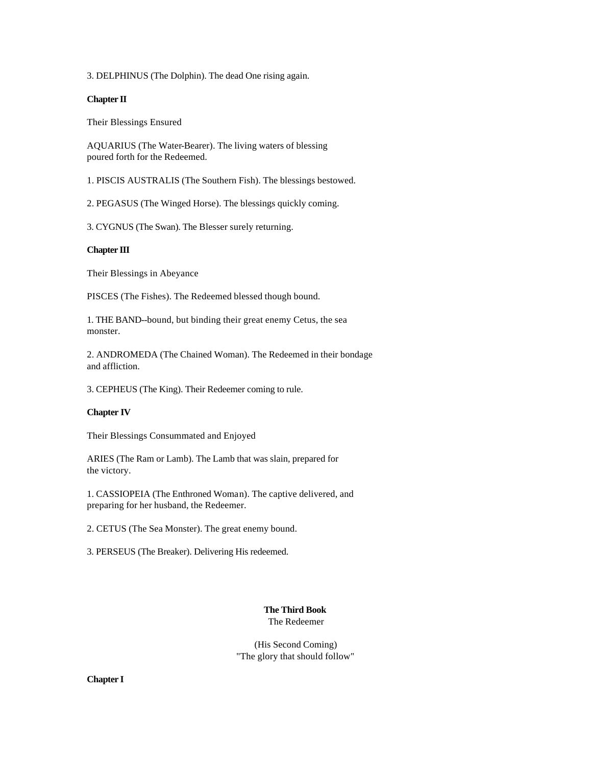3. DELPHINUS (The Dolphin). The dead One rising again.

## **Chapter II**

Their Blessings Ensured

AQUARIUS (The Water-Bearer). The living waters of blessing poured forth for the Redeemed.

1. PISCIS AUSTRALIS (The Southern Fish). The blessings bestowed.

2. PEGASUS (The Winged Horse). The blessings quickly coming.

3. CYGNUS (The Swan). The Blesser surely returning.

## **Chapter III**

Their Blessings in Abeyance

PISCES (The Fishes). The Redeemed blessed though bound.

1. THE BAND--bound, but binding their great enemy Cetus, the sea monster.

2. ANDROMEDA (The Chained Woman). The Redeemed in their bondage and affliction.

3. CEPHEUS (The King). Their Redeemer coming to rule.

## **Chapter IV**

Their Blessings Consummated and Enjoyed

ARIES (The Ram or Lamb). The Lamb that was slain, prepared for the victory.

1. CASSIOPEIA (The Enthroned Woman). The captive delivered, and preparing for her husband, the Redeemer.

2. CETUS (The Sea Monster). The great enemy bound.

3. PERSEUS (The Breaker). Delivering His redeemed.

## **The Third Book** The Redeemer

(His Second Coming) "The glory that should follow"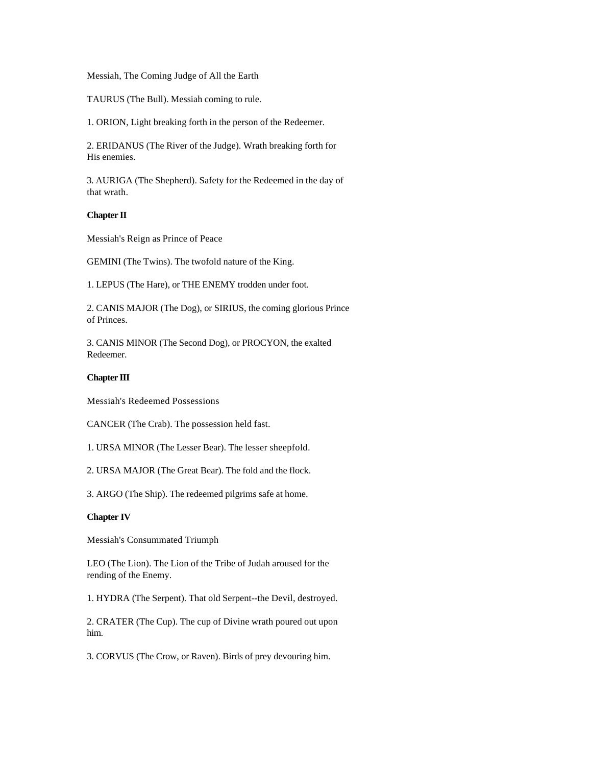Messiah, The Coming Judge of All the Earth

TAURUS (The Bull). Messiah coming to rule.

1. ORION, Light breaking forth in the person of the Redeemer.

2. ERIDANUS (The River of the Judge). Wrath breaking forth for His enemies.

3. AURIGA (The Shepherd). Safety for the Redeemed in the day of that wrath.

## **Chapter II**

Messiah's Reign as Prince of Peace

GEMINI (The Twins). The twofold nature of the King.

1. LEPUS (The Hare), or THE ENEMY trodden under foot.

2. CANIS MAJOR (The Dog), or SIRIUS, the coming glorious Prince of Princes.

3. CANIS MINOR (The Second Dog), or PROCYON, the exalted Redeemer.

### **Chapter III**

Messiah's Redeemed Possessions

CANCER (The Crab). The possession held fast.

1. URSA MINOR (The Lesser Bear). The lesser sheepfold.

2. URSA MAJOR (The Great Bear). The fold and the flock.

3. ARGO (The Ship). The redeemed pilgrims safe at home.

## **Chapter IV**

Messiah's Consummated Triumph

LEO (The Lion). The Lion of the Tribe of Judah aroused for the rending of the Enemy.

1. HYDRA (The Serpent). That old Serpent--the Devil, destroyed.

2. CRATER (The Cup). The cup of Divine wrath poured out upon him.

3. CORVUS (The Crow, or Raven). Birds of prey devouring him.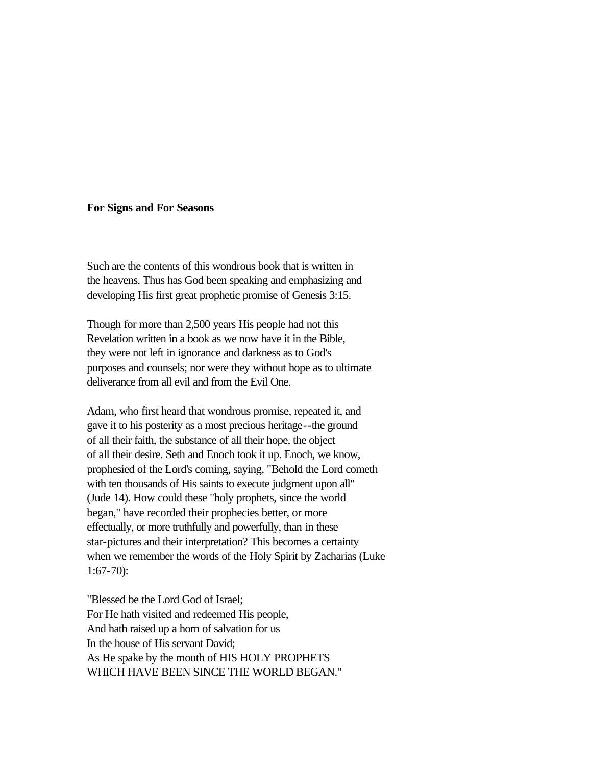## **For Signs and For Seasons**

Such are the contents of this wondrous book that is written in the heavens. Thus has God been speaking and emphasizing and developing His first great prophetic promise of Genesis 3:15.

Though for more than 2,500 years His people had not this Revelation written in a book as we now have it in the Bible, they were not left in ignorance and darkness as to God's purposes and counsels; nor were they without hope as to ultimate deliverance from all evil and from the Evil One.

Adam, who first heard that wondrous promise, repeated it, and gave it to his posterity as a most precious heritage--the ground of all their faith, the substance of all their hope, the object of all their desire. Seth and Enoch took it up. Enoch, we know, prophesied of the Lord's coming, saying, "Behold the Lord cometh with ten thousands of His saints to execute judgment upon all" (Jude 14). How could these "holy prophets, since the world began," have recorded their prophecies better, or more effectually, or more truthfully and powerfully, than in these star-pictures and their interpretation? This becomes a certainty when we remember the words of the Holy Spirit by Zacharias (Luke 1:67-70):

"Blessed be the Lord God of Israel; For He hath visited and redeemed His people, And hath raised up a horn of salvation for us In the house of His servant David; As He spake by the mouth of HIS HOLY PROPHETS WHICH HAVE BEEN SINCE THE WORLD BEGAN."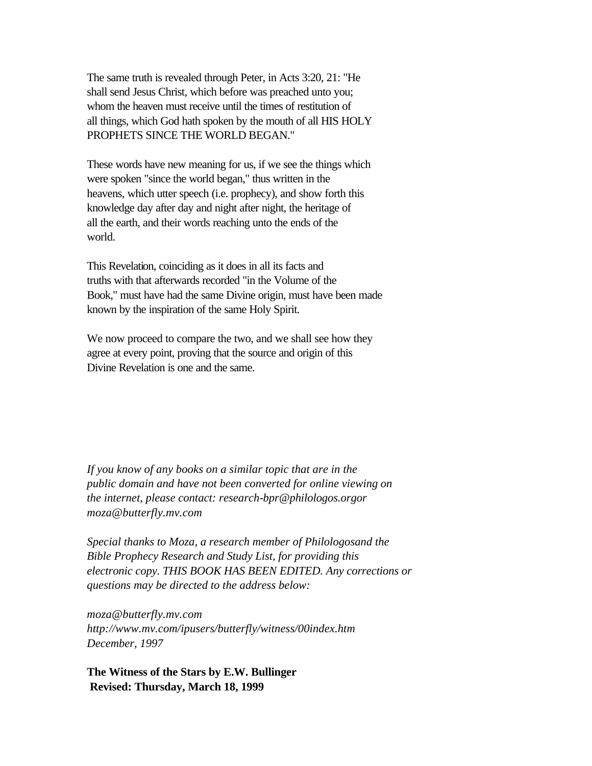The same truth is revealed through Peter, in Acts 3:20, 21: "He shall send Jesus Christ, which before was preached unto you; whom the heaven must receive until the times of restitution of all things, which God hath spoken by the mouth of all HIS HOLY PROPHETS SINCE THE WORLD BEGAN."

These words have new meaning for us, if we see the things which were spoken "since the world began," thus written in the heavens, which utter speech (i.e. prophecy), and show forth this knowledge day after day and night after night, the heritage of all the earth, and their words reaching unto the ends of the world.

This Revelation, coinciding as it does in all its facts and truths with that afterwards recorded "in the Volume of the Book," must have had the same Divine origin, must have been made known by the inspiration of the same Holy Spirit.

We now proceed to compare the two, and we shall see how they agree at every point, proving that the source and origin of this Divine Revelation is one and the same.

*If you know of any books on a similar topic that are in the public domain and have not been converted for online viewing on the internet, please contact: research-bpr@philologos.orgor moza@butterfly.mv.com*

*Special thanks to Moza, a research member of Philologosand the Bible Prophecy Research and Study List, for providing this electronic copy. THIS BOOK HAS BEEN EDITED. Any corrections or questions may be directed to the address below:*

*moza@butterfly.mv.com <http://www.mv.com/ipusers/butterfly/witness/00index.htm> December, 1997* 

**The Witness of the Stars by E.W. Bullinger Revised: Thursday, March 18, 1999**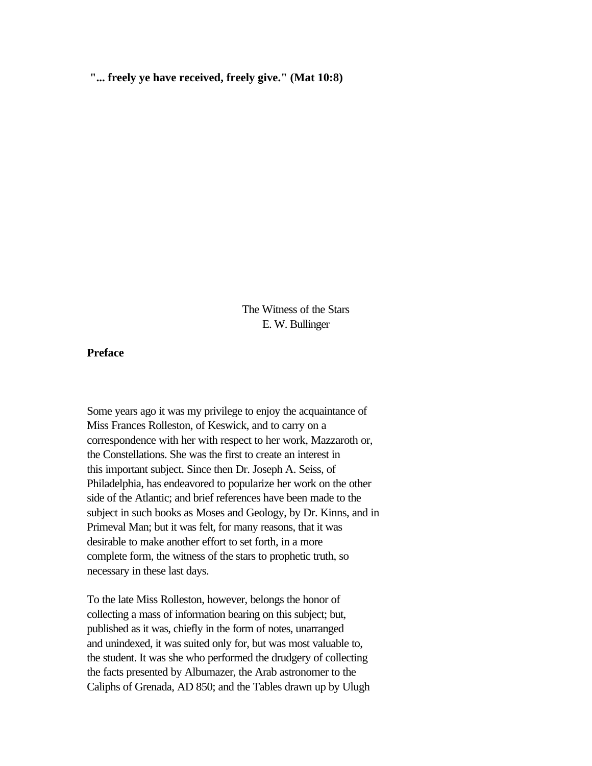**"... freely ye have received, freely give." (Mat 10:8)**

The Witness of the Stars E. W. Bullinger

**Preface** 

Some years ago it was my privilege to enjoy the acquaintance of Miss Frances Rolleston, of Keswick, and to carry on a correspondence with her with respect to her work, Mazzaroth or, the Constellations. She was the first to create an interest in this important subject. Since then Dr. Joseph A. Seiss, of Philadelphia, has endeavored to popularize her work on the other side of the Atlantic; and brief references have been made to the subject in such books as Moses and Geology, by Dr. Kinns, and in Primeval Man; but it was felt, for many reasons, that it was desirable to make another effort to set forth, in a more complete form, the witness of the stars to prophetic truth, so necessary in these last days.

To the late Miss Rolleston, however, belongs the honor of collecting a mass of information bearing on this subject; but, published as it was, chiefly in the form of notes, unarranged and unindexed, it was suited only for, but was most valuable to, the student. It was she who performed the drudgery of collecting the facts presented by Albumazer, the Arab astronomer to the Caliphs of Grenada, AD 850; and the Tables drawn up by Ulugh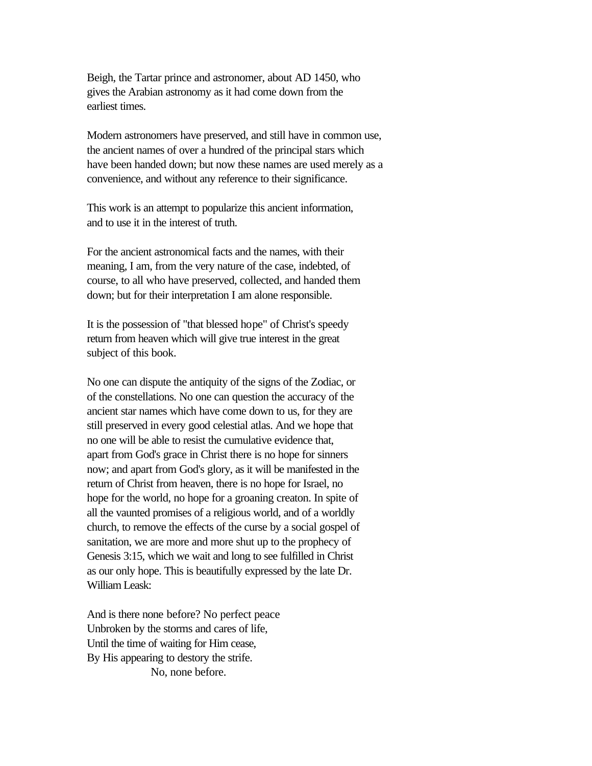Beigh, the Tartar prince and astronomer, about AD 1450, who gives the Arabian astronomy as it had come down from the earliest times.

Modern astronomers have preserved, and still have in common use, the ancient names of over a hundred of the principal stars which have been handed down; but now these names are used merely as a convenience, and without any reference to their significance.

This work is an attempt to popularize this ancient information, and to use it in the interest of truth.

For the ancient astronomical facts and the names, with their meaning, I am, from the very nature of the case, indebted, of course, to all who have preserved, collected, and handed them down; but for their interpretation I am alone responsible.

It is the possession of "that blessed hope" of Christ's speedy return from heaven which will give true interest in the great subject of this book.

No one can dispute the antiquity of the signs of the Zodiac, or of the constellations. No one can question the accuracy of the ancient star names which have come down to us, for they are still preserved in every good celestial atlas. And we hope that no one will be able to resist the cumulative evidence that, apart from God's grace in Christ there is no hope for sinners now; and apart from God's glory, as it will be manifested in the return of Christ from heaven, there is no hope for Israel, no hope for the world, no hope for a groaning creaton. In spite of all the vaunted promises of a religious world, and of a worldly church, to remove the effects of the curse by a social gospel of sanitation, we are more and more shut up to the prophecy of Genesis 3:15, which we wait and long to see fulfilled in Christ as our only hope. This is beautifully expressed by the late Dr. William Leask:

And is there none before? No perfect peace Unbroken by the storms and cares of life, Until the time of waiting for Him cease, By His appearing to destory the strife. No, none before.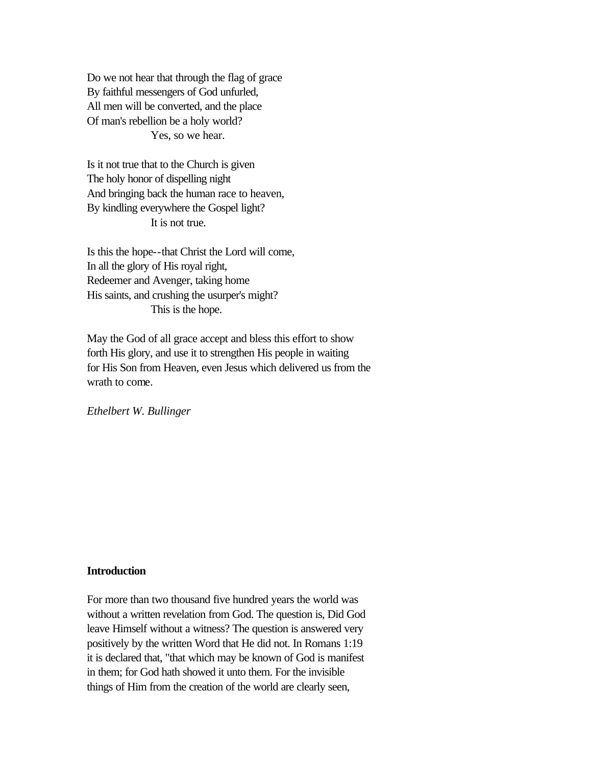Do we not hear that through the flag of grace By faithful messengers of God unfurled, All men will be converted, and the place Of man's rebellion be a holy world? Yes, so we hear.

Is it not true that to the Church is given The holy honor of dispelling night And bringing back the human race to heaven, By kindling everywhere the Gospel light? It is not true.

Is this the hope--that Christ the Lord will come, In all the glory of His royal right, Redeemer and Avenger, taking home His saints, and crushing the usurper's might? This is the hope.

May the God of all grace accept and bless this effort to show forth His glory, and use it to strengthen His people in waiting for His Son from Heaven, even Jesus which delivered us from the wrath to come.

*Ethelbert W. Bullinger* 

# **Introduction**

For more than two thousand five hundred years the world was without a written revelation from God. The question is, Did God leave Himself without a witness? The question is answered very positively by the written Word that He did not. In Romans 1:19 it is declared that, "that which may be known of God is manifest in them; for God hath showed it unto them. For the invisible things of Him from the creation of the world are clearly seen,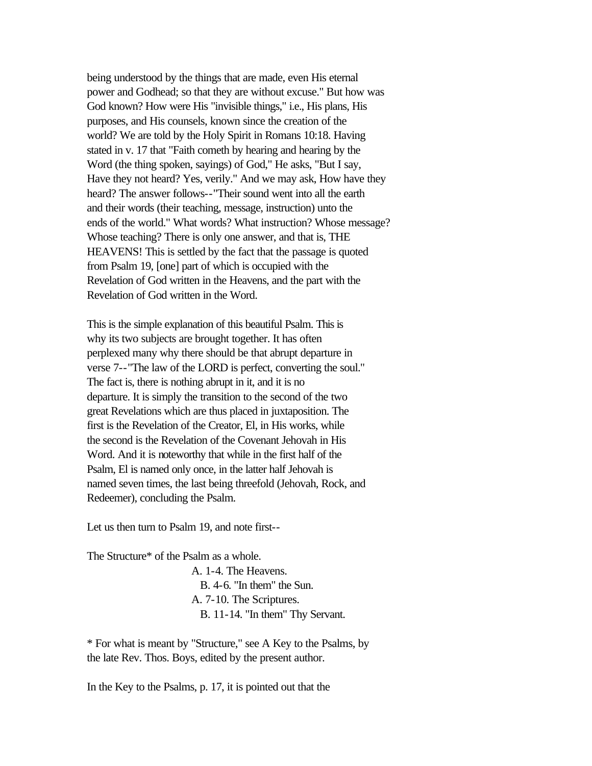being understood by the things that are made, even His eternal power and Godhead; so that they are without excuse." But how was God known? How were His "invisible things," i.e., His plans, His purposes, and His counsels, known since the creation of the world? We are told by the Holy Spirit in Romans 10:18. Having stated in v. 17 that "Faith cometh by hearing and hearing by the Word (the thing spoken, sayings) of God," He asks, "But I say, Have they not heard? Yes, verily." And we may ask, How have they heard? The answer follows--"Their sound went into all the earth and their words (their teaching, message, instruction) unto the ends of the world." What words? What instruction? Whose message? Whose teaching? There is only one answer, and that is, THE HEAVENS! This is settled by the fact that the passage is quoted from Psalm 19, [one] part of which is occupied with the Revelation of God written in the Heavens, and the part with the Revelation of God written in the Word.

This is the simple explanation of this beautiful Psalm. This is why its two subjects are brought together. It has often perplexed many why there should be that abrupt departure in verse 7--"The law of the LORD is perfect, converting the soul." The fact is, there is nothing abrupt in it, and it is no departure. It is simply the transition to the second of the two great Revelations which are thus placed in juxtaposition. The first is the Revelation of the Creator, El, in His works, while the second is the Revelation of the Covenant Jehovah in His Word. And it is noteworthy that while in the first half of the Psalm, El is named only once, in the latter half Jehovah is named seven times, the last being threefold (Jehovah, Rock, and Redeemer), concluding the Psalm.

Let us then turn to Psalm 19, and note first--

The Structure\* of the Psalm as a whole.

A. 1-4. The Heavens. B. 4-6. "In them" the Sun. A. 7-10. The Scriptures. B. 11-14. "In them" Thy Servant.

\* For what is meant by "Structure," see A Key to the Psalms, by the late Rev. Thos. Boys, edited by the present author.

In the Key to the Psalms, p. 17, it is pointed out that the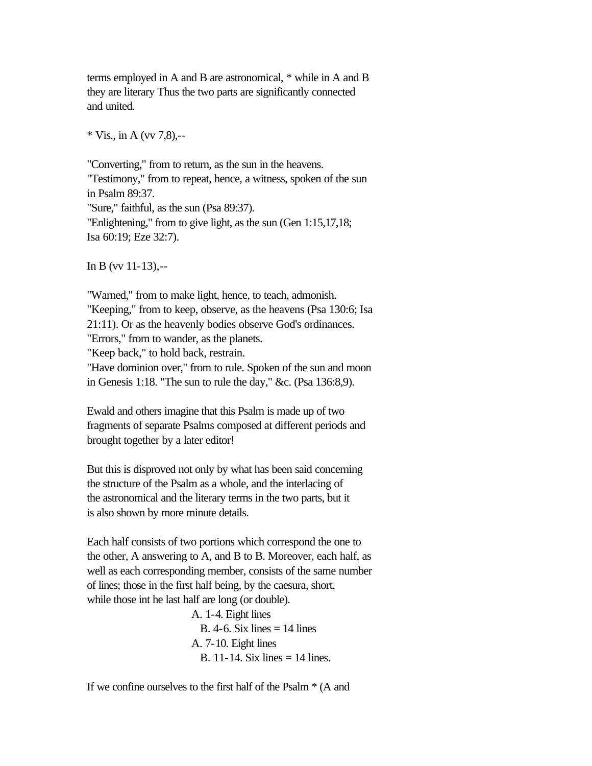terms employed in A and B are astronomical, \* while in A and B they are literary Thus the two parts are significantly connected and united.

 $*$  Vis., in A (vv 7.8).--

"Converting," from to return, as the sun in the heavens. "Testimony," from to repeat, hence, a witness, spoken of the sun in Psalm 89:37. "Sure," faithful, as the sun (Psa 89:37). "Enlightening," from to give light, as the sun (Gen 1:15,17,18; Isa 60:19; Eze 32:7).

In B (vv 11-13),--

"Warned," from to make light, hence, to teach, admonish. "Keeping," from to keep, observe, as the heavens (Psa 130:6; Isa 21:11). Or as the heavenly bodies observe God's ordinances. "Errors," from to wander, as the planets. "Keep back," to hold back, restrain. "Have dominion over," from to rule. Spoken of the sun and moon in Genesis 1:18. "The sun to rule the day," &c. (Psa 136:8,9).

Ewald and others imagine that this Psalm is made up of two fragments of separate Psalms composed at different periods and brought together by a later editor!

But this is disproved not only by what has been said concerning the structure of the Psalm as a whole, and the interlacing of the astronomical and the literary terms in the two parts, but it is also shown by more minute details.

Each half consists of two portions which correspond the one to the other, A answering to A, and B to B. Moreover, each half, as well as each corresponding member, consists of the same number of lines; those in the first half being, by the caesura, short, while those int he last half are long (or double).

> A. 1-4. Eight lines B.  $4-6$ . Six lines  $= 14$  lines A. 7-10. Eight lines B. 11-14. Six lines  $= 14$  lines.

If we confine ourselves to the first half of the Psalm \* (A and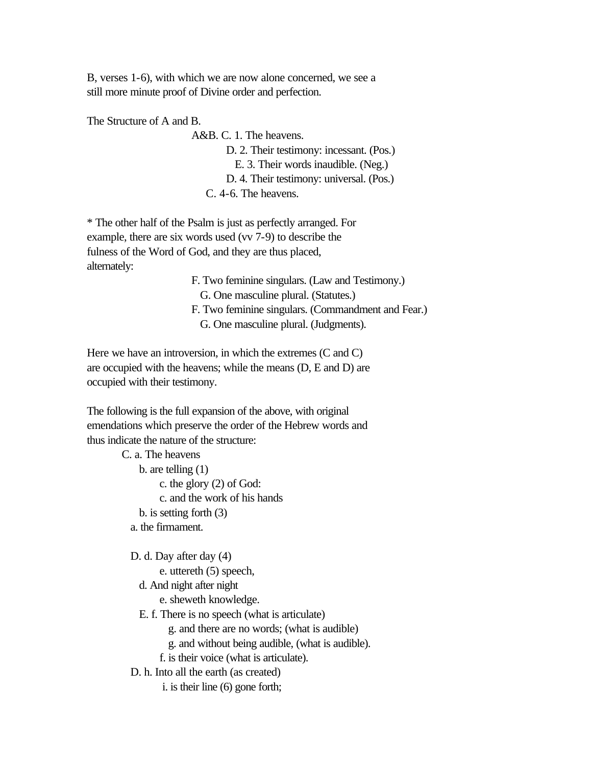B, verses 1-6), with which we are now alone concerned, we see a still more minute proof of Divine order and perfection.

The Structure of A and B.

A&B. C. 1. The heavens. D. 2. Their testimony: incessant. (Pos.) E. 3. Their words inaudible. (Neg.) D. 4. Their testimony: universal. (Pos.) C. 4-6. The heavens.

\* The other half of the Psalm is just as perfectly arranged. For example, there are six words used (vv 7-9) to describe the fulness of the Word of God, and they are thus placed, alternately:

> F. Two feminine singulars. (Law and Testimony.) G. One masculine plural. (Statutes.) F. Two feminine singulars. (Commandment and Fear.) G. One masculine plural. (Judgments).

Here we have an introversion, in which the extremes (C and C) are occupied with the heavens; while the means (D, E and D) are occupied with their testimony.

The following is the full expansion of the above, with original emendations which preserve the order of the Hebrew words and thus indicate the nature of the structure:

> C. a. The heavens b. are telling (1) c. the glory (2) of God: c. and the work of his hands b. is setting forth (3) a. the firmament.

D. d. Day after day (4)

e. uttereth (5) speech,

d. And night after night

e. sheweth knowledge.

E. f. There is no speech (what is articulate)

g. and there are no words; (what is audible)

g. and without being audible, (what is audible).

f. is their voice (what is articulate).

D. h. Into all the earth (as created)

i. is their line (6) gone forth;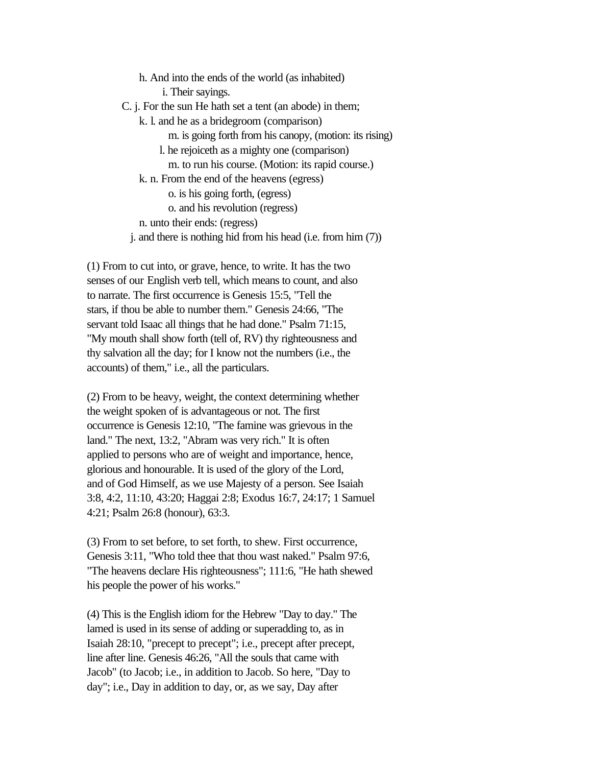h. And into the ends of the world (as inhabited) i. Their sayings. C. j. For the sun He hath set a tent (an abode) in them; k. l. and he as a bridegroom (comparison) m. is going forth from his canopy, (motion: its rising) l. he rejoiceth as a mighty one (comparison) m. to run his course. (Motion: its rapid course.) k. n. From the end of the heavens (egress) o. is his going forth, (egress) o. and his revolution (regress) n. unto their ends: (regress) j. and there is nothing hid from his head (i.e. from him (7))

(1) From to cut into, or grave, hence, to write. It has the two senses of our English verb tell, which means to count, and also to narrate. The first occurrence is Genesis 15:5, "Tell the stars, if thou be able to number them." Genesis 24:66, "The servant told Isaac all things that he had done." Psalm 71:15, "My mouth shall show forth (tell of, RV) thy righteousness and thy salvation all the day; for I know not the numbers (i.e., the accounts) of them," i.e., all the particulars.

(2) From to be heavy, weight, the context determining whether the weight spoken of is advantageous or not. The first occurrence is Genesis 12:10, "The famine was grievous in the land." The next, 13:2, "Abram was very rich." It is often applied to persons who are of weight and importance, hence, glorious and honourable. It is used of the glory of the Lord, and of God Himself, as we use Majesty of a person. See Isaiah 3:8, 4:2, 11:10, 43:20; Haggai 2:8; Exodus 16:7, 24:17; 1 Samuel 4:21; Psalm 26:8 (honour), 63:3.

(3) From to set before, to set forth, to shew. First occurrence, Genesis 3:11, "Who told thee that thou wast naked." Psalm 97:6, "The heavens declare His righteousness"; 111:6, "He hath shewed his people the power of his works."

(4) This is the English idiom for the Hebrew "Day to day." The lamed is used in its sense of adding or superadding to, as in Isaiah 28:10, "precept to precept"; i.e., precept after precept, line after line. Genesis 46:26, "All the souls that came with Jacob" (to Jacob; i.e., in addition to Jacob. So here, "Day to day"; i.e., Day in addition to day, or, as we say, Day after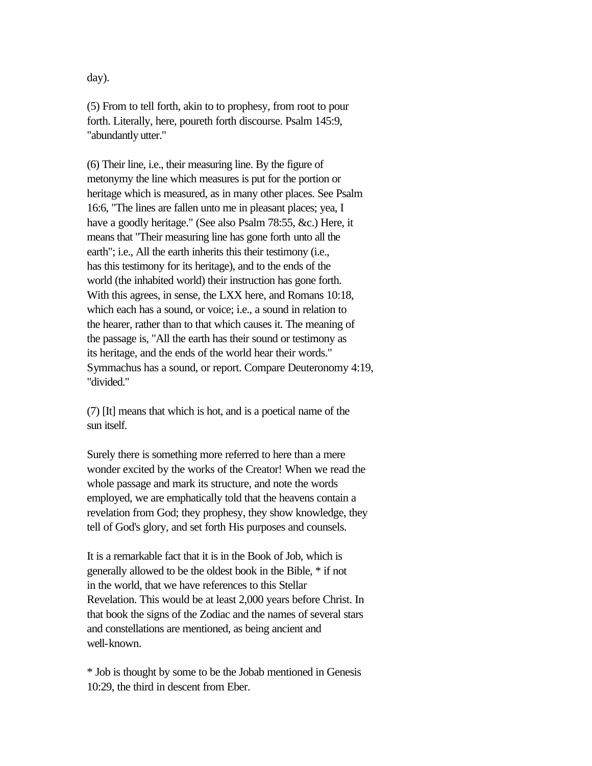day).

(5) From to tell forth, akin to to prophesy, from root to pour forth. Literally, here, poureth forth discourse. Psalm 145:9, "abundantly utter."

(6) Their line, i.e., their measuring line. By the figure of metonymy the line which measures is put for the portion or heritage which is measured, as in many other places. See Psalm 16:6, "The lines are fallen unto me in pleasant places; yea, I have a goodly heritage." (See also Psalm 78:55, &c.) Here, it means that "Their measuring line has gone forth unto all the earth"; i.e., All the earth inherits this their testimony (i.e., has this testimony for its heritage), and to the ends of the world (the inhabited world) their instruction has gone forth. With this agrees, in sense, the LXX here, and Romans 10:18, which each has a sound, or voice; i.e., a sound in relation to the hearer, rather than to that which causes it. The meaning of the passage is, "All the earth has their sound or testimony as its heritage, and the ends of the world hear their words." Symmachus has a sound, or report. Compare Deuteronomy 4:19, "divided."

(7) [It] means that which is hot, and is a poetical name of the sun itself.

Surely there is something more referred to here than a mere wonder excited by the works of the Creator! When we read the whole passage and mark its structure, and note the words employed, we are emphatically told that the heavens contain a revelation from God; they prophesy, they show knowledge, they tell of God's glory, and set forth His purposes and counsels.

It is a remarkable fact that it is in the Book of Job, which is generally allowed to be the oldest book in the Bible, \* if not in the world, that we have references to this Stellar Revelation. This would be at least 2,000 years before Christ. In that book the signs of the Zodiac and the names of several stars and constellations are mentioned, as being ancient and well-known.

\* Job is thought by some to be the Jobab mentioned in Genesis 10:29, the third in descent from Eber.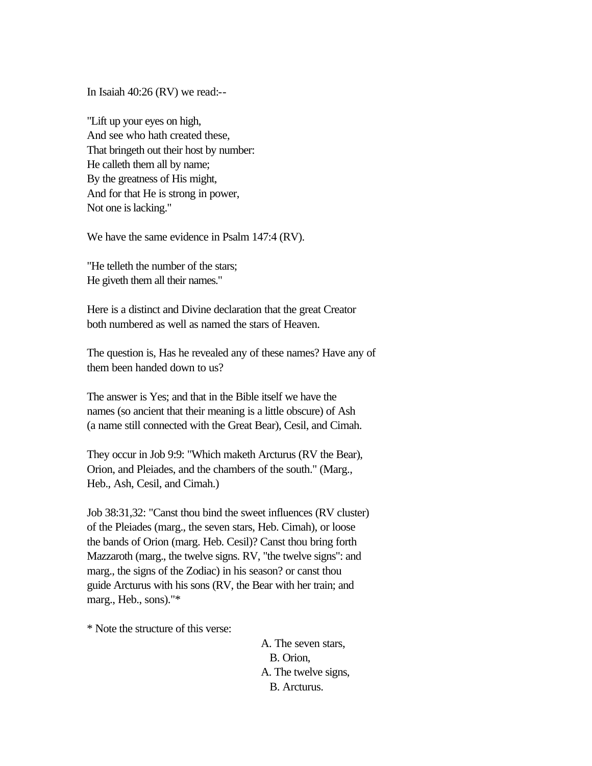In Isaiah 40:26 (RV) we read:--

"Lift up your eyes on high, And see who hath created these, That bringeth out their host by number: He calleth them all by name; By the greatness of His might, And for that He is strong in power, Not one is lacking."

We have the same evidence in Psalm 147:4 (RV).

"He telleth the number of the stars; He giveth them all their names."

Here is a distinct and Divine declaration that the great Creator both numbered as well as named the stars of Heaven.

The question is, Has he revealed any of these names? Have any of them been handed down to us?

The answer is Yes; and that in the Bible itself we have the names (so ancient that their meaning is a little obscure) of Ash (a name still connected with the Great Bear), Cesil, and Cimah.

They occur in Job 9:9: "Which maketh Arcturus (RV the Bear), Orion, and Pleiades, and the chambers of the south." (Marg., Heb., Ash, Cesil, and Cimah.)

Job 38:31,32: "Canst thou bind the sweet influences (RV cluster) of the Pleiades (marg., the seven stars, Heb. Cimah), or loose the bands of Orion (marg. Heb. Cesil)? Canst thou bring forth Mazzaroth (marg., the twelve signs. RV, "the twelve signs": and marg., the signs of the Zodiac) in his season? or canst thou guide Arcturus with his sons (RV, the Bear with her train; and marg., Heb., sons)."\*

\* Note the structure of this verse:

A. The seven stars, B. Orion, A. The twelve signs, B. Arcturus.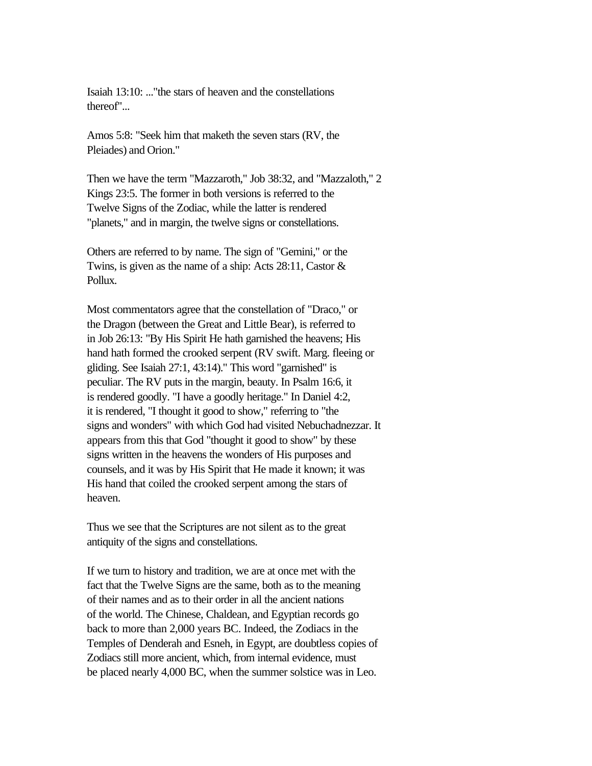Isaiah 13:10: ..."the stars of heaven and the constellations thereof"...

Amos 5:8: "Seek him that maketh the seven stars (RV, the Pleiades) and Orion."

Then we have the term "Mazzaroth," Job 38:32, and "Mazzaloth," 2 Kings 23:5. The former in both versions is referred to the Twelve Signs of the Zodiac, while the latter is rendered "planets," and in margin, the twelve signs or constellations.

Others are referred to by name. The sign of "Gemini," or the Twins, is given as the name of a ship: Acts 28:11, Castor & Pollux.

Most commentators agree that the constellation of "Draco," or the Dragon (between the Great and Little Bear), is referred to in Job 26:13: "By His Spirit He hath garnished the heavens; His hand hath formed the crooked serpent (RV swift. Marg. fleeing or gliding. See Isaiah 27:1, 43:14)." This word "garnished" is peculiar. The RV puts in the margin, beauty. In Psalm 16:6, it is rendered goodly. "I have a goodly heritage." In Daniel 4:2, it is rendered, "I thought it good to show," referring to "the signs and wonders" with which God had visited Nebuchadnezzar. It appears from this that God "thought it good to show" by these signs written in the heavens the wonders of His purposes and counsels, and it was by His Spirit that He made it known; it was His hand that coiled the crooked serpent among the stars of heaven.

Thus we see that the Scriptures are not silent as to the great antiquity of the signs and constellations.

If we turn to history and tradition, we are at once met with the fact that the Twelve Signs are the same, both as to the meaning of their names and as to their order in all the ancient nations of the world. The Chinese, Chaldean, and Egyptian records go back to more than 2,000 years BC. Indeed, the Zodiacs in the Temples of Denderah and Esneh, in Egypt, are doubtless copies of Zodiacs still more ancient, which, from internal evidence, must be placed nearly 4,000 BC, when the summer solstice was in Leo.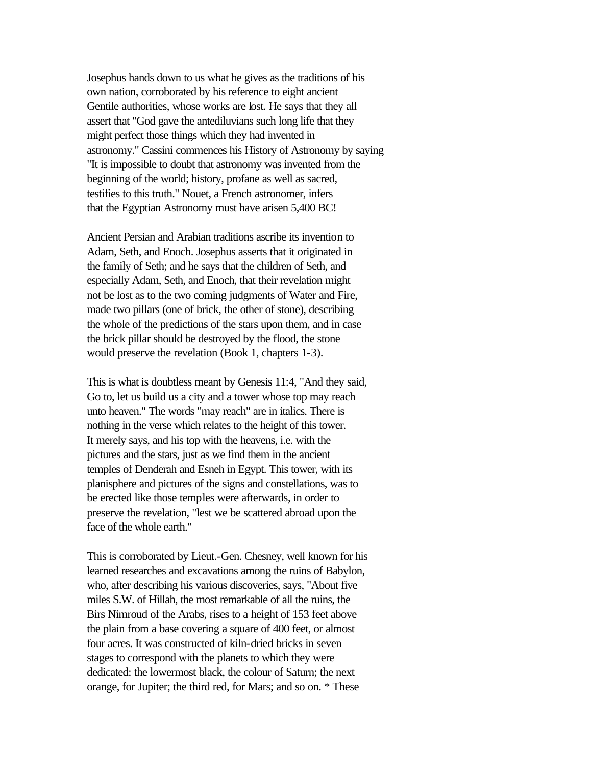Josephus hands down to us what he gives as the traditions of his own nation, corroborated by his reference to eight ancient Gentile authorities, whose works are lost. He says that they all assert that "God gave the antediluvians such long life that they might perfect those things which they had invented in astronomy." Cassini commences his History of Astronomy by saying "It is impossible to doubt that astronomy was invented from the beginning of the world; history, profane as well as sacred, testifies to this truth." Nouet, a French astronomer, infers that the Egyptian Astronomy must have arisen 5,400 BC!

Ancient Persian and Arabian traditions ascribe its invention to Adam, Seth, and Enoch. Josephus asserts that it originated in the family of Seth; and he says that the children of Seth, and especially Adam, Seth, and Enoch, that their revelation might not be lost as to the two coming judgments of Water and Fire, made two pillars (one of brick, the other of stone), describing the whole of the predictions of the stars upon them, and in case the brick pillar should be destroyed by the flood, the stone would preserve the revelation (Book 1, chapters 1-3).

This is what is doubtless meant by Genesis 11:4, "And they said, Go to, let us build us a city and a tower whose top may reach unto heaven." The words "may reach" are in italics. There is nothing in the verse which relates to the height of this tower. It merely says, and his top with the heavens, i.e. with the pictures and the stars, just as we find them in the ancient temples of Denderah and Esneh in Egypt. This tower, with its planisphere and pictures of the signs and constellations, was to be erected like those temples were afterwards, in order to preserve the revelation, "lest we be scattered abroad upon the face of the whole earth."

This is corroborated by Lieut.-Gen. Chesney, well known for his learned researches and excavations among the ruins of Babylon, who, after describing his various discoveries, says, "About five miles S.W. of Hillah, the most remarkable of all the ruins, the Birs Nimroud of the Arabs, rises to a height of 153 feet above the plain from a base covering a square of 400 feet, or almost four acres. It was constructed of kiln-dried bricks in seven stages to correspond with the planets to which they were dedicated: the lowermost black, the colour of Saturn; the next orange, for Jupiter; the third red, for Mars; and so on. \* These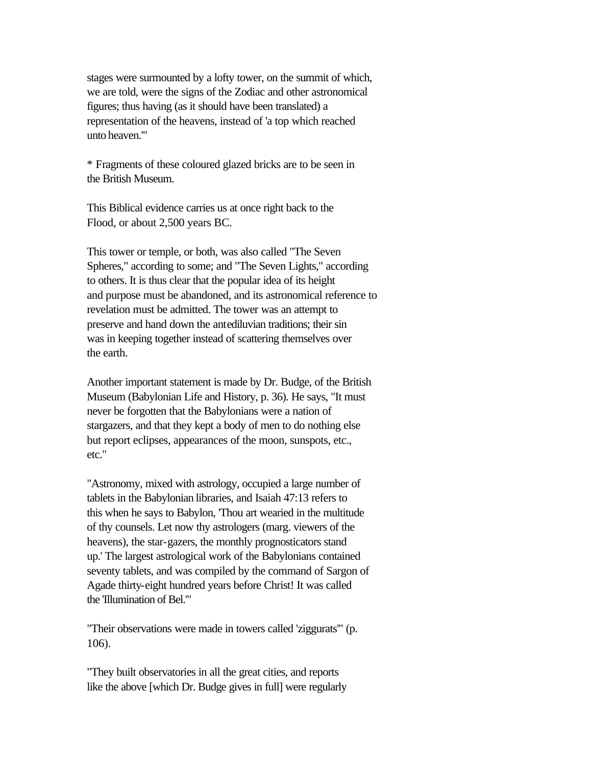stages were surmounted by a lofty tower, on the summit of which, we are told, were the signs of the Zodiac and other astronomical figures; thus having (as it should have been translated) a representation of the heavens, instead of 'a top which reached unto heaven.'"

\* Fragments of these coloured glazed bricks are to be seen in the British Museum.

This Biblical evidence carries us at once right back to the Flood, or about 2,500 years BC.

This tower or temple, or both, was also called "The Seven Spheres," according to some; and "The Seven Lights," according to others. It is thus clear that the popular idea of its height and purpose must be abandoned, and its astronomical reference to revelation must be admitted. The tower was an attempt to preserve and hand down the antediluvian traditions; their sin was in keeping together instead of scattering themselves over the earth.

Another important statement is made by Dr. Budge, of the British Museum (Babylonian Life and History, p. 36). He says, "It must never be forgotten that the Babylonians were a nation of stargazers, and that they kept a body of men to do nothing else but report eclipses, appearances of the moon, sunspots, etc., etc."

"Astronomy, mixed with astrology, occupied a large number of tablets in the Babylonian libraries, and Isaiah 47:13 refers to this when he says to Babylon, 'Thou art wearied in the multitude of thy counsels. Let now thy astrologers (marg. viewers of the heavens), the star-gazers, the monthly prognosticators stand up.' The largest astrological work of the Babylonians contained seventy tablets, and was compiled by the command of Sargon of Agade thirty-eight hundred years before Christ! It was called the 'Illumination of Bel.'"

"Their observations were made in towers called 'ziggurats'" (p. 106).

"They built observatories in all the great cities, and reports like the above [which Dr. Budge gives in full] were regularly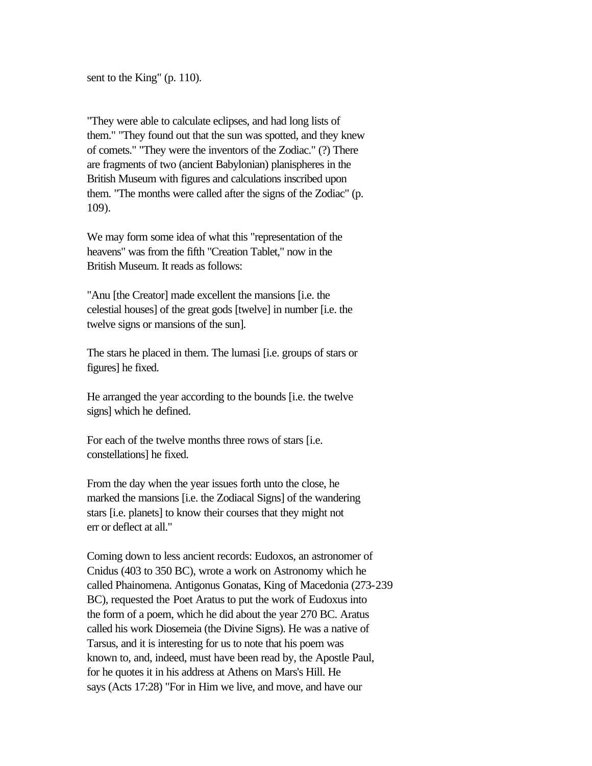sent to the King" (p. 110).

"They were able to calculate eclipses, and had long lists of them." "They found out that the sun was spotted, and they knew of comets." "They were the inventors of the Zodiac." (?) There are fragments of two (ancient Babylonian) planispheres in the British Museum with figures and calculations inscribed upon them. "The months were called after the signs of the Zodiac" (p. 109).

We may form some idea of what this "representation of the heavens" was from the fifth "Creation Tablet," now in the British Museum. It reads as follows:

"Anu [the Creator] made excellent the mansions [i.e. the celestial houses] of the great gods [twelve] in number [i.e. the twelve signs or mansions of the sun].

The stars he placed in them. The lumasi [i.e. groups of stars or figures] he fixed.

He arranged the year according to the bounds [i.e. the twelve signs] which he defined.

For each of the twelve months three rows of stars [i.e. constellations] he fixed.

From the day when the year issues forth unto the close, he marked the mansions [i.e. the Zodiacal Signs] of the wandering stars [i.e. planets] to know their courses that they might not err or deflect at all."

Coming down to less ancient records: Eudoxos, an astronomer of Cnidus (403 to 350 BC), wrote a work on Astronomy which he called Phainomena. Antigonus Gonatas, King of Macedonia (273-239 BC), requested the Poet Aratus to put the work of Eudoxus into the form of a poem, which he did about the year 270 BC. Aratus called his work Diosemeia (the Divine Signs). He was a native of Tarsus, and it is interesting for us to note that his poem was known to, and, indeed, must have been read by, the Apostle Paul, for he quotes it in his address at Athens on Mars's Hill. He says (Acts 17:28) "For in Him we live, and move, and have our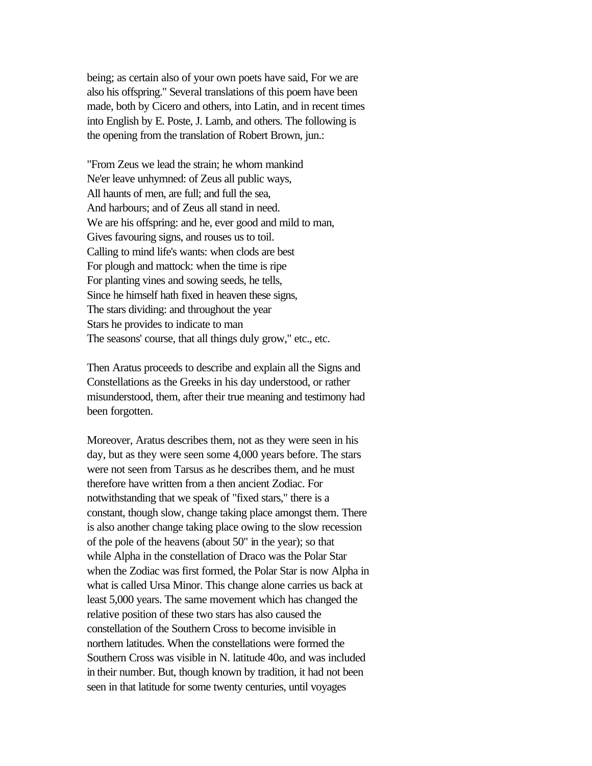being; as certain also of your own poets have said, For we are also his offspring." Several translations of this poem have been made, both by Cicero and others, into Latin, and in recent times into English by E. Poste, J. Lamb, and others. The following is the opening from the translation of Robert Brown, jun.:

"From Zeus we lead the strain; he whom mankind Ne'er leave unhymned: of Zeus all public ways, All haunts of men, are full; and full the sea, And harbours; and of Zeus all stand in need. We are his offspring: and he, ever good and mild to man, Gives favouring signs, and rouses us to toil. Calling to mind life's wants: when clods are best For plough and mattock: when the time is ripe For planting vines and sowing seeds, he tells, Since he himself hath fixed in heaven these signs, The stars dividing: and throughout the year Stars he provides to indicate to man The seasons' course, that all things duly grow," etc., etc.

Then Aratus proceeds to describe and explain all the Signs and Constellations as the Greeks in his day understood, or rather misunderstood, them, after their true meaning and testimony had been forgotten.

Moreover, Aratus describes them, not as they were seen in his day, but as they were seen some 4,000 years before. The stars were not seen from Tarsus as he describes them, and he must therefore have written from a then ancient Zodiac. For notwithstanding that we speak of "fixed stars," there is a constant, though slow, change taking place amongst them. There is also another change taking place owing to the slow recession of the pole of the heavens (about 50" in the year); so that while Alpha in the constellation of Draco was the Polar Star when the Zodiac was first formed, the Polar Star is now Alpha in what is called Ursa Minor. This change alone carries us back at least 5,000 years. The same movement which has changed the relative position of these two stars has also caused the constellation of the Southern Cross to become invisible in northern latitudes. When the constellations were formed the Southern Cross was visible in N. latitude 40o, and was included in their number. But, though known by tradition, it had not been seen in that latitude for some twenty centuries, until voyages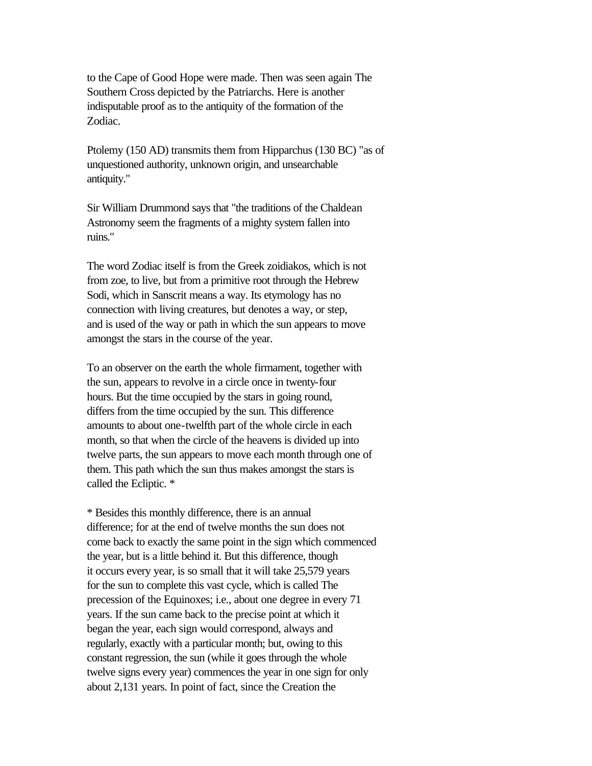to the Cape of Good Hope were made. Then was seen again The Southern Cross depicted by the Patriarchs. Here is another indisputable proof as to the antiquity of the formation of the Zodiac.

Ptolemy (150 AD) transmits them from Hipparchus (130 BC) "as of unquestioned authority, unknown origin, and unsearchable antiquity."

Sir William Drummond says that "the traditions of the Chaldean Astronomy seem the fragments of a mighty system fallen into ruins."

The word Zodiac itself is from the Greek zoidiakos, which is not from zoe, to live, but from a primitive root through the Hebrew Sodi, which in Sanscrit means a way. Its etymology has no connection with living creatures, but denotes a way, or step, and is used of the way or path in which the sun appears to move amongst the stars in the course of the year.

To an observer on the earth the whole firmament, together with the sun, appears to revolve in a circle once in twenty-four hours. But the time occupied by the stars in going round, differs from the time occupied by the sun. This difference amounts to about one-twelfth part of the whole circle in each month, so that when the circle of the heavens is divided up into twelve parts, the sun appears to move each month through one of them. This path which the sun thus makes amongst the stars is called the Ecliptic. \*

\* Besides this monthly difference, there is an annual difference; for at the end of twelve months the sun does not come back to exactly the same point in the sign which commenced the year, but is a little behind it. But this difference, though it occurs every year, is so small that it will take 25,579 years for the sun to complete this vast cycle, which is called The precession of the Equinoxes; i.e., about one degree in every 71 years. If the sun came back to the precise point at which it began the year, each sign would correspond, always and regularly, exactly with a particular month; but, owing to this constant regression, the sun (while it goes through the whole twelve signs every year) commences the year in one sign for only about 2,131 years. In point of fact, since the Creation the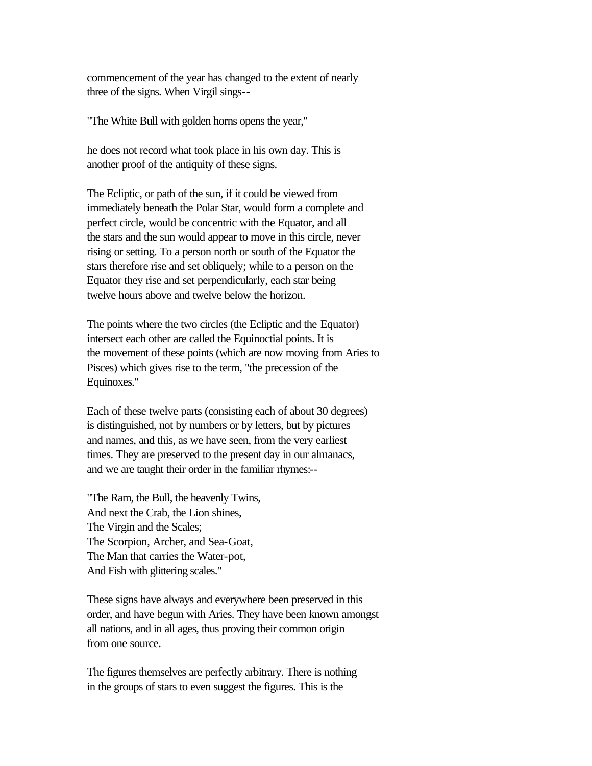commencement of the year has changed to the extent of nearly three of the signs. When Virgil sings--

"The White Bull with golden horns opens the year,"

he does not record what took place in his own day. This is another proof of the antiquity of these signs.

The Ecliptic, or path of the sun, if it could be viewed from immediately beneath the Polar Star, would form a complete and perfect circle, would be concentric with the Equator, and all the stars and the sun would appear to move in this circle, never rising or setting. To a person north or south of the Equator the stars therefore rise and set obliquely; while to a person on the Equator they rise and set perpendicularly, each star being twelve hours above and twelve below the horizon.

The points where the two circles (the Ecliptic and the Equator) intersect each other are called the Equinoctial points. It is the movement of these points (which are now moving from Aries to Pisces) which gives rise to the term, "the precession of the Equinoxes."

Each of these twelve parts (consisting each of about 30 degrees) is distinguished, not by numbers or by letters, but by pictures and names, and this, as we have seen, from the very earliest times. They are preserved to the present day in our almanacs, and we are taught their order in the familiar rhymes:--

"The Ram, the Bull, the heavenly Twins, And next the Crab, the Lion shines, The Virgin and the Scales; The Scorpion, Archer, and Sea-Goat, The Man that carries the Water-pot, And Fish with glittering scales."

These signs have always and everywhere been preserved in this order, and have begun with Aries. They have been known amongst all nations, and in all ages, thus proving their common origin from one source.

The figures themselves are perfectly arbitrary. There is nothing in the groups of stars to even suggest the figures. This is the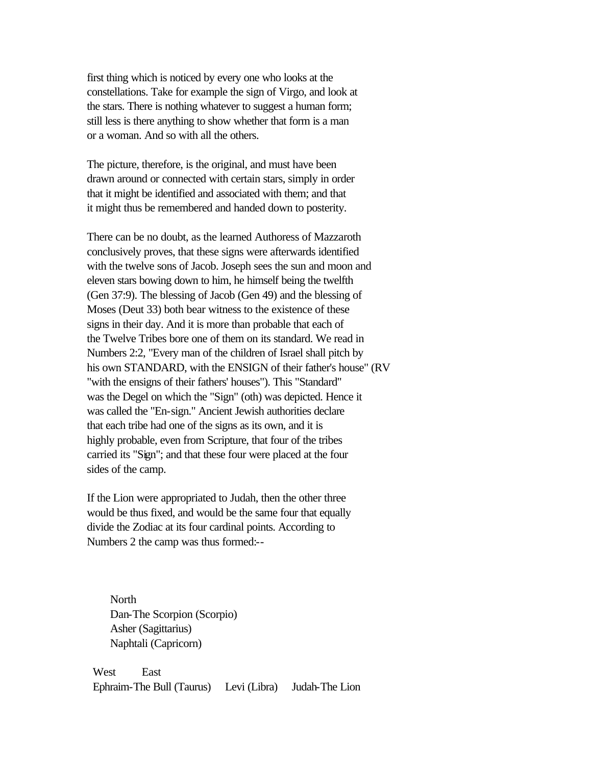first thing which is noticed by every one who looks at the constellations. Take for example the sign of Virgo, and look at the stars. There is nothing whatever to suggest a human form; still less is there anything to show whether that form is a man or a woman. And so with all the others.

The picture, therefore, is the original, and must have been drawn around or connected with certain stars, simply in order that it might be identified and associated with them; and that it might thus be remembered and handed down to posterity.

There can be no doubt, as the learned Authoress of Mazzaroth conclusively proves, that these signs were afterwards identified with the twelve sons of Jacob. Joseph sees the sun and moon and eleven stars bowing down to him, he himself being the twelfth (Gen 37:9). The blessing of Jacob (Gen 49) and the blessing of Moses (Deut 33) both bear witness to the existence of these signs in their day. And it is more than probable that each of the Twelve Tribes bore one of them on its standard. We read in Numbers 2:2, "Every man of the children of Israel shall pitch by his own STANDARD, with the ENSIGN of their father's house" (RV "with the ensigns of their fathers' houses"). This "Standard" was the Degel on which the "Sign" (oth) was depicted. Hence it was called the "En-sign." Ancient Jewish authorities declare that each tribe had one of the signs as its own, and it is highly probable, even from Scripture, that four of the tribes carried its "Sign"; and that these four were placed at the four sides of the camp.

If the Lion were appropriated to Judah, then the other three would be thus fixed, and would be the same four that equally divide the Zodiac at its four cardinal points. According to Numbers 2 the camp was thus formed:--

 North Dan-The Scorpion (Scorpio) Asher (Sagittarius) Naphtali (Capricorn)

West East Ephraim-The Bull (Taurus) Levi (Libra) Judah-The Lion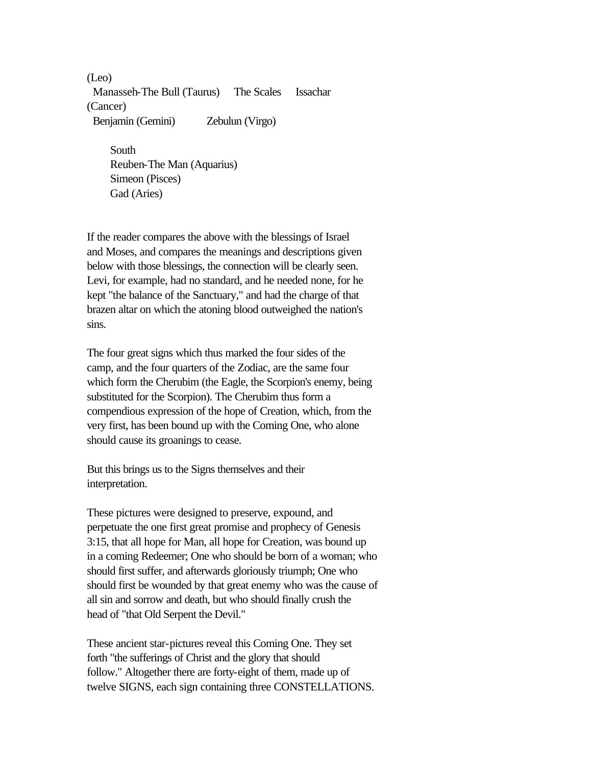(Leo) Manasseh-The Bull (Taurus) The Scales Issachar (Cancer) Benjamin (Gemini) Zebulun (Virgo)

 South Reuben-The Man (Aquarius) Simeon (Pisces) Gad (Aries)

If the reader compares the above with the blessings of Israel and Moses, and compares the meanings and descriptions given below with those blessings, the connection will be clearly seen. Levi, for example, had no standard, and he needed none, for he kept "the balance of the Sanctuary," and had the charge of that brazen altar on which the atoning blood outweighed the nation's sins.

The four great signs which thus marked the four sides of the camp, and the four quarters of the Zodiac, are the same four which form the Cherubim (the Eagle, the Scorpion's enemy, being substituted for the Scorpion). The Cherubim thus form a compendious expression of the hope of Creation, which, from the very first, has been bound up with the Coming One, who alone should cause its groanings to cease.

But this brings us to the Signs themselves and their interpretation.

These pictures were designed to preserve, expound, and perpetuate the one first great promise and prophecy of Genesis 3:15, that all hope for Man, all hope for Creation, was bound up in a coming Redeemer; One who should be born of a woman; who should first suffer, and afterwards gloriously triumph; One who should first be wounded by that great enemy who was the cause of all sin and sorrow and death, but who should finally crush the head of "that Old Serpent the Devil."

These ancient star-pictures reveal this Coming One. They set forth "the sufferings of Christ and the glory that should follow." Altogether there are forty-eight of them, made up of twelve SIGNS, each sign containing three CONSTELLATIONS.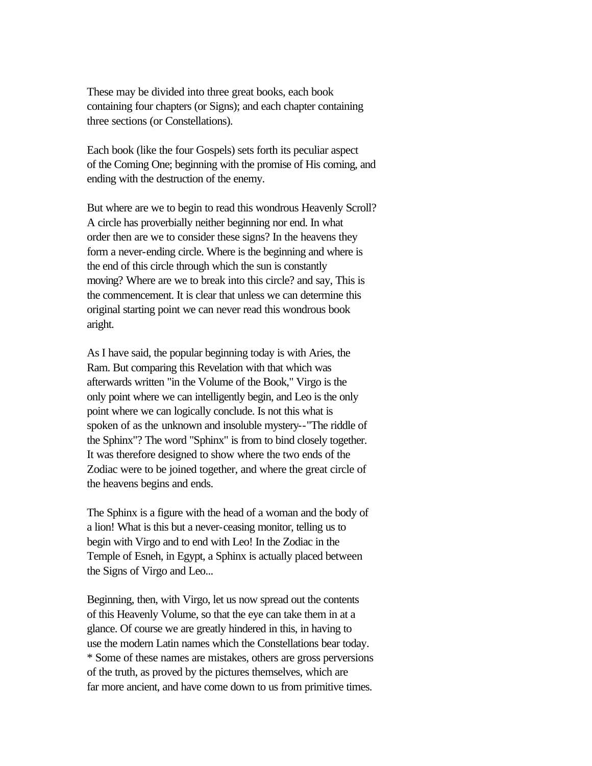These may be divided into three great books, each book containing four chapters (or Signs); and each chapter containing three sections (or Constellations).

Each book (like the four Gospels) sets forth its peculiar aspect of the Coming One; beginning with the promise of His coming, and ending with the destruction of the enemy.

But where are we to begin to read this wondrous Heavenly Scroll? A circle has proverbially neither beginning nor end. In what order then are we to consider these signs? In the heavens they form a never-ending circle. Where is the beginning and where is the end of this circle through which the sun is constantly moving? Where are we to break into this circle? and say, This is the commencement. It is clear that unless we can determine this original starting point we can never read this wondrous book aright.

As I have said, the popular beginning today is with Aries, the Ram. But comparing this Revelation with that which was afterwards written "in the Volume of the Book," Virgo is the only point where we can intelligently begin, and Leo is the only point where we can logically conclude. Is not this what is spoken of as the unknown and insoluble mystery--"The riddle of the Sphinx"? The word "Sphinx" is from to bind closely together. It was therefore designed to show where the two ends of the Zodiac were to be joined together, and where the great circle of the heavens begins and ends.

The Sphinx is a figure with the head of a woman and the body of a lion! What is this but a never-ceasing monitor, telling us to begin with Virgo and to end with Leo! In the Zodiac in the Temple of Esneh, in Egypt, a Sphinx is actually placed between the Signs of Virgo and Leo...

Beginning, then, with Virgo, let us now spread out the contents of this Heavenly Volume, so that the eye can take them in at a glance. Of course we are greatly hindered in this, in having to use the modern Latin names which the Constellations bear today. \* Some of these names are mistakes, others are gross perversions of the truth, as proved by the pictures themselves, which are far more ancient, and have come down to us from primitive times.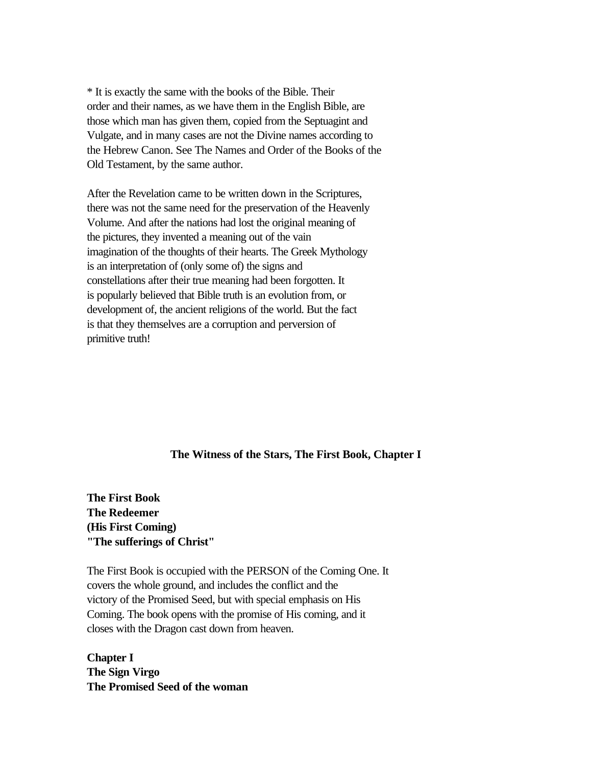\* It is exactly the same with the books of the Bible. Their order and their names, as we have them in the English Bible, are those which man has given them, copied from the Septuagint and Vulgate, and in many cases are not the Divine names according to the Hebrew Canon. See The Names and Order of the Books of the Old Testament, by the same author.

After the Revelation came to be written down in the Scriptures, there was not the same need for the preservation of the Heavenly Volume. And after the nations had lost the original meaning of the pictures, they invented a meaning out of the vain imagination of the thoughts of their hearts. The Greek Mythology is an interpretation of (only some of) the signs and constellations after their true meaning had been forgotten. It is popularly believed that Bible truth is an evolution from, or development of, the ancient religions of the world. But the fact is that they themselves are a corruption and perversion of primitive truth!

## **The Witness of the Stars, The First Book, Chapter I**

**The First Book The Redeemer (His First Coming) "The sufferings of Christ"**

The First Book is occupied with the PERSON of the Coming One. It covers the whole ground, and includes the conflict and the victory of the Promised Seed, but with special emphasis on His Coming. The book opens with the promise of His coming, and it closes with the Dragon cast down from heaven.

**Chapter I The Sign Virgo The Promised Seed of the woman**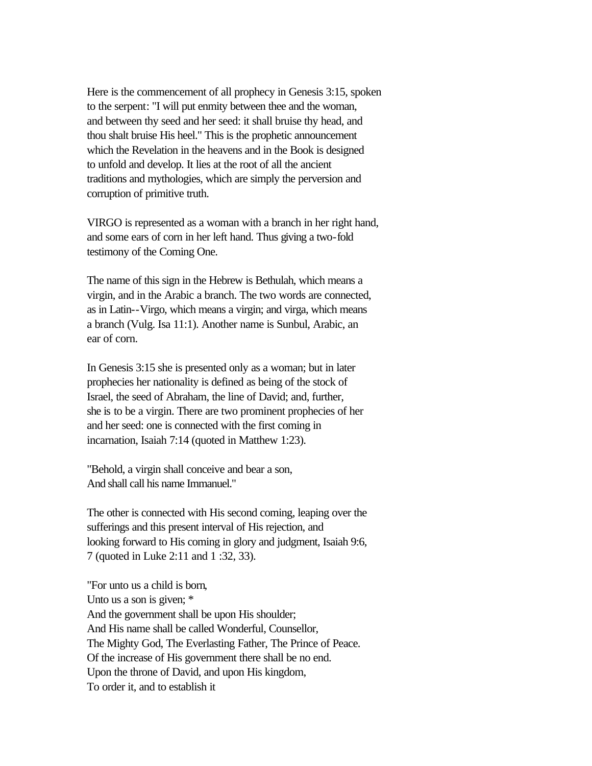Here is the commencement of all prophecy in Genesis 3:15, spoken to the serpent: "I will put enmity between thee and the woman, and between thy seed and her seed: it shall bruise thy head, and thou shalt bruise His heel." This is the prophetic announcement which the Revelation in the heavens and in the Book is designed to unfold and develop. It lies at the root of all the ancient traditions and mythologies, which are simply the perversion and corruption of primitive truth.

VIRGO is represented as a woman with a branch in her right hand, and some ears of corn in her left hand. Thus giving a two-fold testimony of the Coming One.

The name of this sign in the Hebrew is Bethulah, which means a virgin, and in the Arabic a branch. The two words are connected, as in Latin--Virgo, which means a virgin; and virga, which means a branch (Vulg. Isa 11:1). Another name is Sunbul, Arabic, an ear of corn.

In Genesis 3:15 she is presented only as a woman; but in later prophecies her nationality is defined as being of the stock of Israel, the seed of Abraham, the line of David; and, further, she is to be a virgin. There are two prominent prophecies of her and her seed: one is connected with the first coming in incarnation, Isaiah 7:14 (quoted in Matthew 1:23).

"Behold, a virgin shall conceive and bear a son, And shall call his name Immanuel."

The other is connected with His second coming, leaping over the sufferings and this present interval of His rejection, and looking forward to His coming in glory and judgment, Isaiah 9:6, 7 (quoted in Luke 2:11 and 1 :32, 33).

"For unto us a child is born, Unto us a son is given; \* And the government shall be upon His shoulder; And His name shall be called Wonderful, Counsellor, The Mighty God, The Everlasting Father, The Prince of Peace. Of the increase of His government there shall be no end. Upon the throne of David, and upon His kingdom, To order it, and to establish it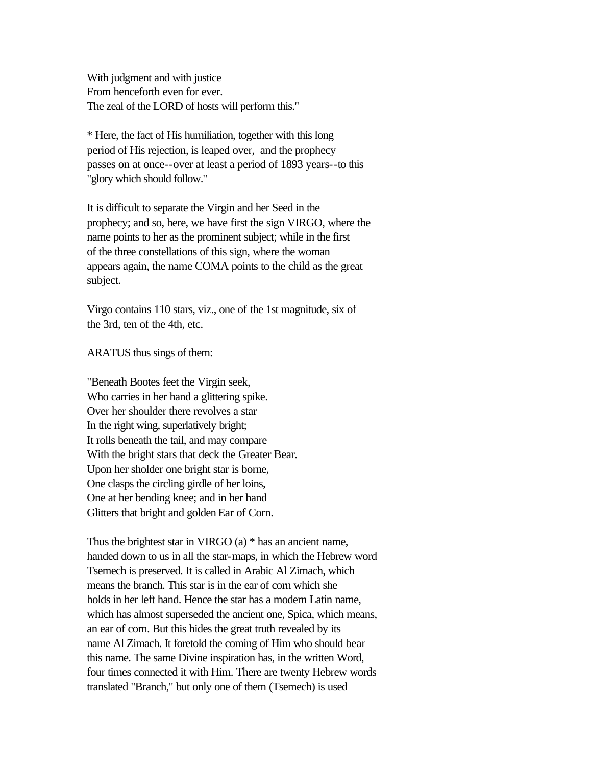With judgment and with justice From henceforth even for ever. The zeal of the LORD of hosts will perform this."

\* Here, the fact of His humiliation, together with this long period of His rejection, is leaped over, and the prophecy passes on at once--over at least a period of 1893 years--to this "glory which should follow."

It is difficult to separate the Virgin and her Seed in the prophecy; and so, here, we have first the sign VIRGO, where the name points to her as the prominent subject; while in the first of the three constellations of this sign, where the woman appears again, the name COMA points to the child as the great subject.

Virgo contains 110 stars, viz., one of the 1st magnitude, six of the 3rd, ten of the 4th, etc.

ARATUS thus sings of them:

"Beneath Bootes feet the Virgin seek, Who carries in her hand a glittering spike. Over her shoulder there revolves a star In the right wing, superlatively bright; It rolls beneath the tail, and may compare With the bright stars that deck the Greater Bear. Upon her sholder one bright star is borne, One clasps the circling girdle of her loins, One at her bending knee; and in her hand Glitters that bright and golden Ear of Corn.

Thus the brightest star in VIRGO (a) \* has an ancient name, handed down to us in all the star-maps, in which the Hebrew word Tsemech is preserved. It is called in Arabic Al Zimach, which means the branch. This star is in the ear of corn which she holds in her left hand. Hence the star has a modern Latin name, which has almost superseded the ancient one, Spica, which means, an ear of corn. But this hides the great truth revealed by its name Al Zimach. It foretold the coming of Him who should bear this name. The same Divine inspiration has, in the written Word, four times connected it with Him. There are twenty Hebrew words translated "Branch," but only one of them (Tsemech) is used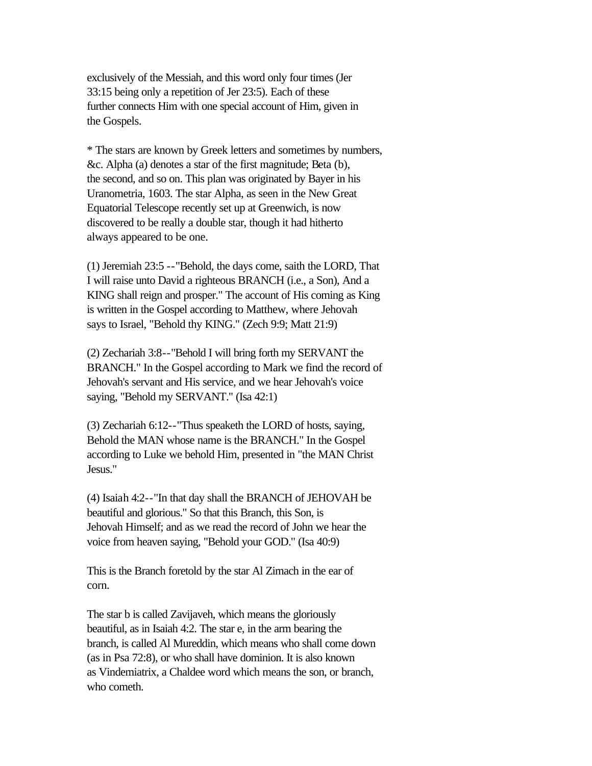exclusively of the Messiah, and this word only four times (Jer 33:15 being only a repetition of Jer 23:5). Each of these further connects Him with one special account of Him, given in the Gospels.

\* The stars are known by Greek letters and sometimes by numbers, &c. Alpha (a) denotes a star of the first magnitude; Beta (b), the second, and so on. This plan was originated by Bayer in his Uranometria, 1603. The star Alpha, as seen in the New Great Equatorial Telescope recently set up at Greenwich, is now discovered to be really a double star, though it had hitherto always appeared to be one.

(1) Jeremiah 23:5 --"Behold, the days come, saith the LORD, That I will raise unto David a righteous BRANCH (i.e., a Son), And a KING shall reign and prosper." The account of His coming as King is written in the Gospel according to Matthew, where Jehovah says to Israel, "Behold thy KING." (Zech 9:9; Matt 21:9)

(2) Zechariah 3:8--"Behold I will bring forth my SERVANT the BRANCH." In the Gospel according to Mark we find the record of Jehovah's servant and His service, and we hear Jehovah's voice saying, "Behold my SERVANT." (Isa 42:1)

(3) Zechariah 6:12--"Thus speaketh the LORD of hosts, saying, Behold the MAN whose name is the BRANCH." In the Gospel according to Luke we behold Him, presented in "the MAN Christ Jesus."

(4) Isaiah 4:2--"In that day shall the BRANCH of JEHOVAH be beautiful and glorious." So that this Branch, this Son, is Jehovah Himself; and as we read the record of John we hear the voice from heaven saying, "Behold your GOD." (Isa 40:9)

This is the Branch foretold by the star Al Zimach in the ear of corn.

The star b is called Zavijaveh, which means the gloriously beautiful, as in Isaiah 4:2. The star e, in the arm bearing the branch, is called Al Mureddin, which means who shall come down (as in Psa 72:8), or who shall have dominion. It is also known as Vindemiatrix, a Chaldee word which means the son, or branch, who cometh.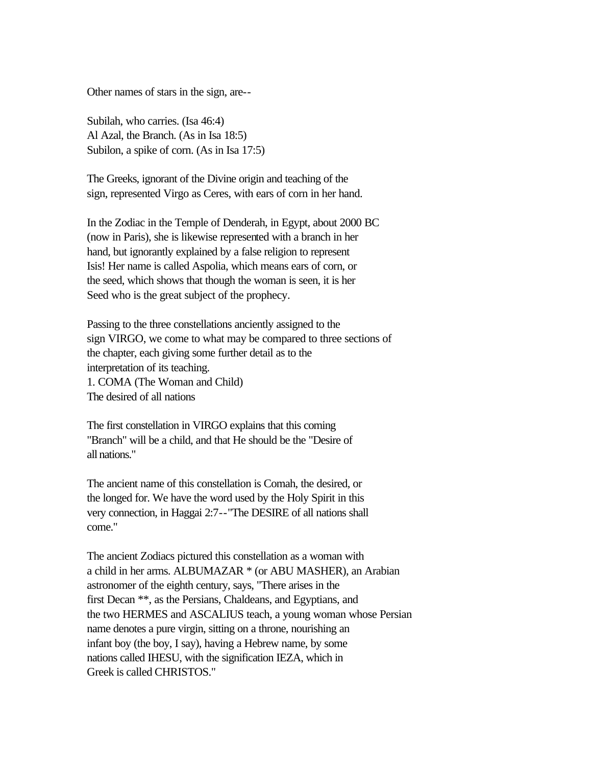Other names of stars in the sign, are--

Subilah, who carries. (Isa 46:4) Al Azal, the Branch. (As in Isa 18:5) Subilon, a spike of corn. (As in Isa 17:5)

The Greeks, ignorant of the Divine origin and teaching of the sign, represented Virgo as Ceres, with ears of corn in her hand.

In the Zodiac in the Temple of Denderah, in Egypt, about 2000 BC (now in Paris), she is likewise represented with a branch in her hand, but ignorantly explained by a false religion to represent Isis! Her name is called Aspolia, which means ears of corn, or the seed, which shows that though the woman is seen, it is her Seed who is the great subject of the prophecy.

Passing to the three constellations anciently assigned to the sign VIRGO, we come to what may be compared to three sections of the chapter, each giving some further detail as to the interpretation of its teaching. 1. COMA (The Woman and Child) The desired of all nations

The first constellation in VIRGO explains that this coming "Branch" will be a child, and that He should be the "Desire of all nations."

The ancient name of this constellation is Comah, the desired, or the longed for. We have the word used by the Holy Spirit in this very connection, in Haggai 2:7--"The DESIRE of all nations shall come."

The ancient Zodiacs pictured this constellation as a woman with a child in her arms. ALBUMAZAR \* (or ABU MASHER), an Arabian astronomer of the eighth century, says, "There arises in the first Decan \*\*, as the Persians, Chaldeans, and Egyptians, and the two HERMES and ASCALIUS teach, a young woman whose Persian name denotes a pure virgin, sitting on a throne, nourishing an infant boy (the boy, I say), having a Hebrew name, by some nations called IHESU, with the signification IEZA, which in Greek is called CHRISTOS."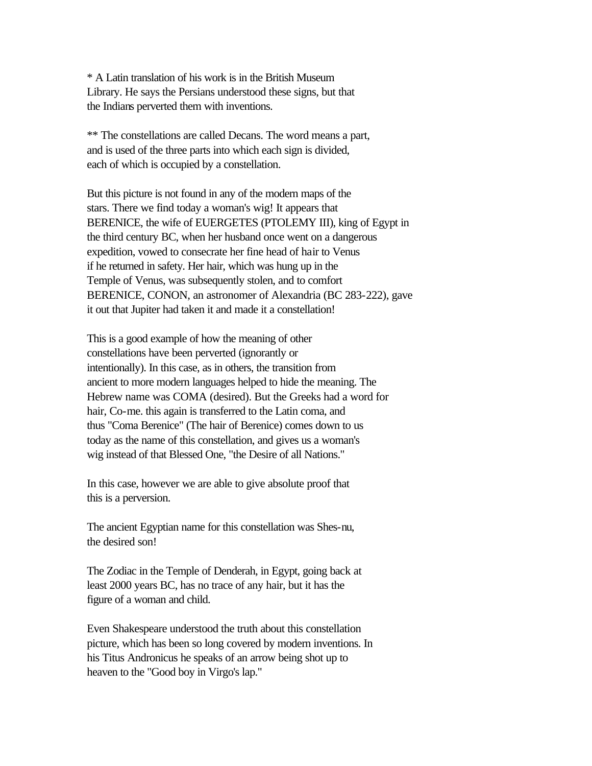\* A Latin translation of his work is in the British Museum Library. He says the Persians understood these signs, but that the Indians perverted them with inventions.

\*\* The constellations are called Decans. The word means a part, and is used of the three parts into which each sign is divided, each of which is occupied by a constellation.

But this picture is not found in any of the modern maps of the stars. There we find today a woman's wig! It appears that BERENICE, the wife of EUERGETES (PTOLEMY III), king of Egypt in the third century BC, when her husband once went on a dangerous expedition, vowed to consecrate her fine head of hair to Venus if he returned in safety. Her hair, which was hung up in the Temple of Venus, was subsequently stolen, and to comfort BERENICE, CONON, an astronomer of Alexandria (BC 283-222), gave it out that Jupiter had taken it and made it a constellation!

This is a good example of how the meaning of other constellations have been perverted (ignorantly or intentionally). In this case, as in others, the transition from ancient to more modern languages helped to hide the meaning. The Hebrew name was COMA (desired). But the Greeks had a word for hair, Co-me. this again is transferred to the Latin coma, and thus "Coma Berenice" (The hair of Berenice) comes down to us today as the name of this constellation, and gives us a woman's wig instead of that Blessed One, "the Desire of all Nations."

In this case, however we are able to give absolute proof that this is a perversion.

The ancient Egyptian name for this constellation was Shes-nu, the desired son!

The Zodiac in the Temple of Denderah, in Egypt, going back at least 2000 years BC, has no trace of any hair, but it has the figure of a woman and child.

Even Shakespeare understood the truth about this constellation picture, which has been so long covered by modern inventions. In his Titus Andronicus he speaks of an arrow being shot up to heaven to the "Good boy in Virgo's lap."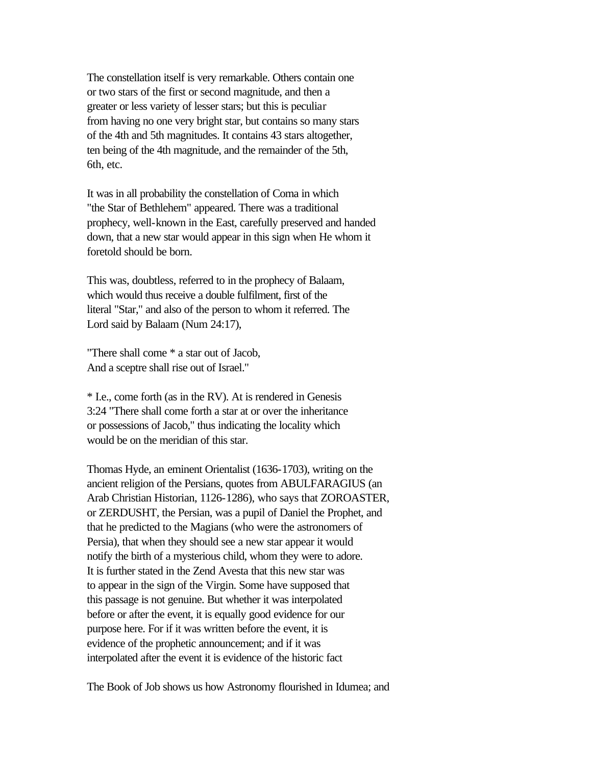The constellation itself is very remarkable. Others contain one or two stars of the first or second magnitude, and then a greater or less variety of lesser stars; but this is peculiar from having no one very bright star, but contains so many stars of the 4th and 5th magnitudes. It contains 43 stars altogether, ten being of the 4th magnitude, and the remainder of the 5th, 6th, etc.

It was in all probability the constellation of Coma in which "the Star of Bethlehem" appeared. There was a traditional prophecy, well-known in the East, carefully preserved and handed down, that a new star would appear in this sign when He whom it foretold should be born.

This was, doubtless, referred to in the prophecy of Balaam, which would thus receive a double fulfilment, first of the literal "Star," and also of the person to whom it referred. The Lord said by Balaam (Num 24:17),

"There shall come \* a star out of Jacob, And a sceptre shall rise out of Israel."

\* I.e., come forth (as in the RV). At is rendered in Genesis 3:24 "There shall come forth a star at or over the inheritance or possessions of Jacob," thus indicating the locality which would be on the meridian of this star.

Thomas Hyde, an eminent Orientalist (1636-1703), writing on the ancient religion of the Persians, quotes from ABULFARAGIUS (an Arab Christian Historian, 1126-1286), who says that ZOROASTER, or ZERDUSHT, the Persian, was a pupil of Daniel the Prophet, and that he predicted to the Magians (who were the astronomers of Persia), that when they should see a new star appear it would notify the birth of a mysterious child, whom they were to adore. It is further stated in the Zend Avesta that this new star was to appear in the sign of the Virgin. Some have supposed that this passage is not genuine. But whether it was interpolated before or after the event, it is equally good evidence for our purpose here. For if it was written before the event, it is evidence of the prophetic announcement; and if it was interpolated after the event it is evidence of the historic fact

The Book of Job shows us how Astronomy flourished in Idumea; and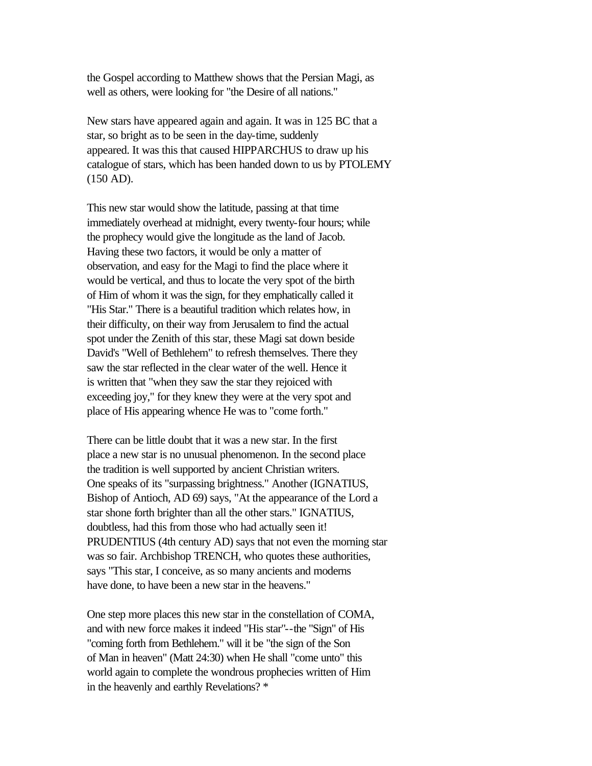the Gospel according to Matthew shows that the Persian Magi, as well as others, were looking for "the Desire of all nations."

New stars have appeared again and again. It was in 125 BC that a star, so bright as to be seen in the day-time, suddenly appeared. It was this that caused HIPPARCHUS to draw up his catalogue of stars, which has been handed down to us by PTOLEMY (150 AD).

This new star would show the latitude, passing at that time immediately overhead at midnight, every twenty-four hours; while the prophecy would give the longitude as the land of Jacob. Having these two factors, it would be only a matter of observation, and easy for the Magi to find the place where it would be vertical, and thus to locate the very spot of the birth of Him of whom it was the sign, for they emphatically called it "His Star." There is a beautiful tradition which relates how, in their difficulty, on their way from Jerusalem to find the actual spot under the Zenith of this star, these Magi sat down beside David's "Well of Bethlehem" to refresh themselves. There they saw the star reflected in the clear water of the well. Hence it is written that "when they saw the star they rejoiced with exceeding joy," for they knew they were at the very spot and place of His appearing whence He was to "come forth."

There can be little doubt that it was a new star. In the first place a new star is no unusual phenomenon. In the second place the tradition is well supported by ancient Christian writers. One speaks of its "surpassing brightness." Another (IGNATIUS, Bishop of Antioch, AD 69) says, "At the appearance of the Lord a star shone forth brighter than all the other stars." IGNATIUS, doubtless, had this from those who had actually seen it! PRUDENTIUS (4th century AD) says that not even the morning star was so fair. Archbishop TRENCH, who quotes these authorities, says "This star, I conceive, as so many ancients and moderns have done, to have been a new star in the heavens."

One step more places this new star in the constellation of COMA, and with new force makes it indeed "His star"--the "Sign" of His "coming forth from Bethlehem." will it be "the sign of the Son of Man in heaven" (Matt 24:30) when He shall "come unto" this world again to complete the wondrous prophecies written of Him in the heavenly and earthly Revelations? \*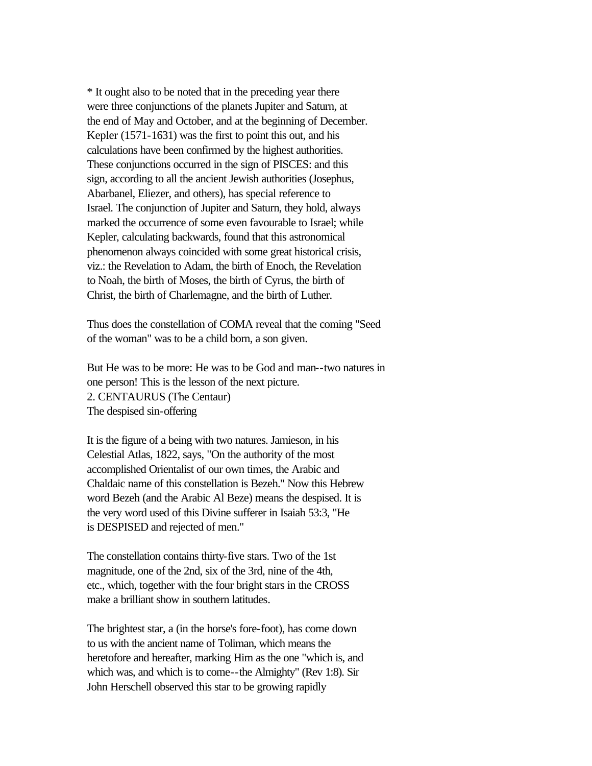\* It ought also to be noted that in the preceding year there were three conjunctions of the planets Jupiter and Saturn, at the end of May and October, and at the beginning of December. Kepler (1571-1631) was the first to point this out, and his calculations have been confirmed by the highest authorities. These conjunctions occurred in the sign of PISCES: and this sign, according to all the ancient Jewish authorities (Josephus, Abarbanel, Eliezer, and others), has special reference to Israel. The conjunction of Jupiter and Saturn, they hold, always marked the occurrence of some even favourable to Israel; while Kepler, calculating backwards, found that this astronomical phenomenon always coincided with some great historical crisis, viz.: the Revelation to Adam, the birth of Enoch, the Revelation to Noah, the birth of Moses, the birth of Cyrus, the birth of Christ, the birth of Charlemagne, and the birth of Luther.

Thus does the constellation of COMA reveal that the coming "Seed of the woman" was to be a child born, a son given.

But He was to be more: He was to be God and man--two natures in one person! This is the lesson of the next picture. 2. CENTAURUS (The Centaur) The despised sin-offering

It is the figure of a being with two natures. Jamieson, in his Celestial Atlas, 1822, says, "On the authority of the most accomplished Orientalist of our own times, the Arabic and Chaldaic name of this constellation is Bezeh." Now this Hebrew word Bezeh (and the Arabic Al Beze) means the despised. It is the very word used of this Divine sufferer in Isaiah 53:3, "He is DESPISED and rejected of men."

The constellation contains thirty-five stars. Two of the 1st magnitude, one of the 2nd, six of the 3rd, nine of the 4th, etc., which, together with the four bright stars in the CROSS make a brilliant show in southern latitudes.

The brightest star, a (in the horse's fore-foot), has come down to us with the ancient name of Toliman, which means the heretofore and hereafter, marking Him as the one "which is, and which was, and which is to come--the Almighty" (Rev 1:8). Sir John Herschell observed this star to be growing rapidly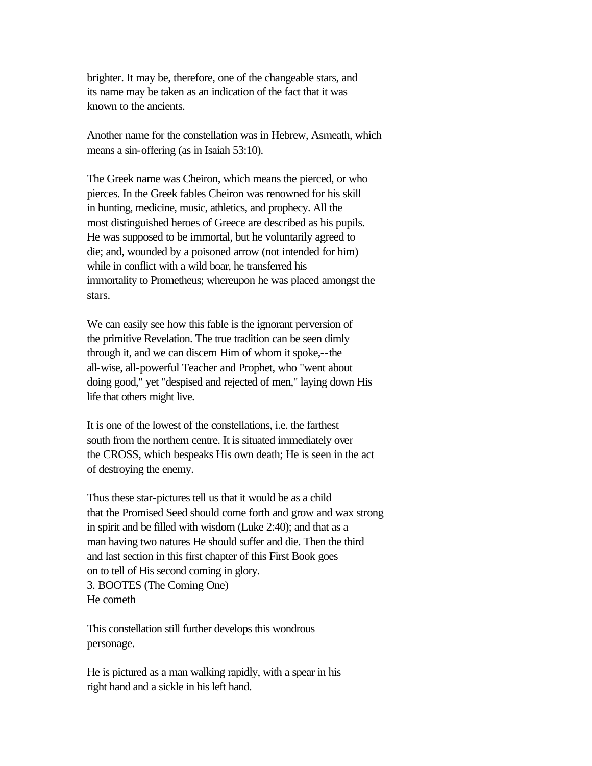brighter. It may be, therefore, one of the changeable stars, and its name may be taken as an indication of the fact that it was known to the ancients.

Another name for the constellation was in Hebrew, Asmeath, which means a sin-offering (as in Isaiah 53:10).

The Greek name was Cheiron, which means the pierced, or who pierces. In the Greek fables Cheiron was renowned for his skill in hunting, medicine, music, athletics, and prophecy. All the most distinguished heroes of Greece are described as his pupils. He was supposed to be immortal, but he voluntarily agreed to die; and, wounded by a poisoned arrow (not intended for him) while in conflict with a wild boar, he transferred his immortality to Prometheus; whereupon he was placed amongst the stars.

We can easily see how this fable is the ignorant perversion of the primitive Revelation. The true tradition can be seen dimly through it, and we can discern Him of whom it spoke,--the all-wise, all-powerful Teacher and Prophet, who "went about doing good," yet "despised and rejected of men," laying down His life that others might live.

It is one of the lowest of the constellations, i.e. the farthest south from the northern centre. It is situated immediately over the CROSS, which bespeaks His own death; He is seen in the act of destroying the enemy.

Thus these star-pictures tell us that it would be as a child that the Promised Seed should come forth and grow and wax strong in spirit and be filled with wisdom (Luke 2:40); and that as a man having two natures He should suffer and die. Then the third and last section in this first chapter of this First Book goes on to tell of His second coming in glory. 3. BOOTES (The Coming One) He cometh

This constellation still further develops this wondrous personage.

He is pictured as a man walking rapidly, with a spear in his right hand and a sickle in his left hand.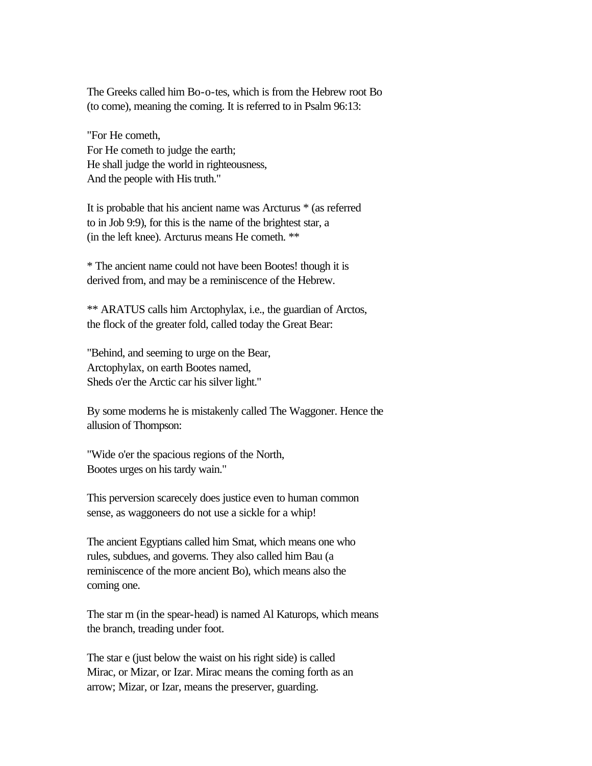The Greeks called him Bo-o-tes, which is from the Hebrew root Bo (to come), meaning the coming. It is referred to in Psalm 96:13:

"For He cometh, For He cometh to judge the earth; He shall judge the world in righteousness, And the people with His truth."

It is probable that his ancient name was Arcturus \* (as referred to in Job 9:9), for this is the name of the brightest star, a (in the left knee). Arcturus means He cometh. \*\*

\* The ancient name could not have been Bootes! though it is derived from, and may be a reminiscence of the Hebrew.

\*\* ARATUS calls him Arctophylax, i.e., the guardian of Arctos, the flock of the greater fold, called today the Great Bear:

"Behind, and seeming to urge on the Bear, Arctophylax, on earth Bootes named, Sheds o'er the Arctic car his silver light."

By some moderns he is mistakenly called The Waggoner. Hence the allusion of Thompson:

"Wide o'er the spacious regions of the North, Bootes urges on his tardy wain."

This perversion scarecely does justice even to human common sense, as waggoneers do not use a sickle for a whip!

The ancient Egyptians called him Smat, which means one who rules, subdues, and governs. They also called him Bau (a reminiscence of the more ancient Bo), which means also the coming one.

The star m (in the spear-head) is named Al Katurops, which means the branch, treading under foot.

The star e (just below the waist on his right side) is called Mirac, or Mizar, or Izar. Mirac means the coming forth as an arrow; Mizar, or Izar, means the preserver, guarding.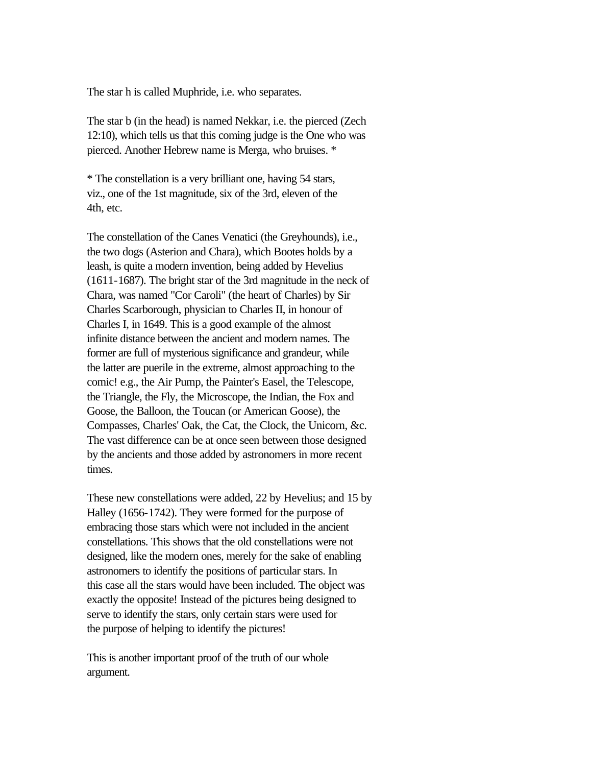The star h is called Muphride, i.e. who separates.

The star b (in the head) is named Nekkar, i.e. the pierced (Zech 12:10), which tells us that this coming judge is the One who was pierced. Another Hebrew name is Merga, who bruises. \*

\* The constellation is a very brilliant one, having 54 stars, viz., one of the 1st magnitude, six of the 3rd, eleven of the 4th, etc.

The constellation of the Canes Venatici (the Greyhounds), i.e., the two dogs (Asterion and Chara), which Bootes holds by a leash, is quite a modern invention, being added by Hevelius (1611-1687). The bright star of the 3rd magnitude in the neck of Chara, was named "Cor Caroli" (the heart of Charles) by Sir Charles Scarborough, physician to Charles II, in honour of Charles I, in 1649. This is a good example of the almost infinite distance between the ancient and modern names. The former are full of mysterious significance and grandeur, while the latter are puerile in the extreme, almost approaching to the comic! e.g., the Air Pump, the Painter's Easel, the Telescope, the Triangle, the Fly, the Microscope, the Indian, the Fox and Goose, the Balloon, the Toucan (or American Goose), the Compasses, Charles' Oak, the Cat, the Clock, the Unicorn, &c. The vast difference can be at once seen between those designed by the ancients and those added by astronomers in more recent times.

These new constellations were added, 22 by Hevelius; and 15 by Halley (1656-1742). They were formed for the purpose of embracing those stars which were not included in the ancient constellations. This shows that the old constellations were not designed, like the modern ones, merely for the sake of enabling astronomers to identify the positions of particular stars. In this case all the stars would have been included. The object was exactly the opposite! Instead of the pictures being designed to serve to identify the stars, only certain stars were used for the purpose of helping to identify the pictures!

This is another important proof of the truth of our whole argument.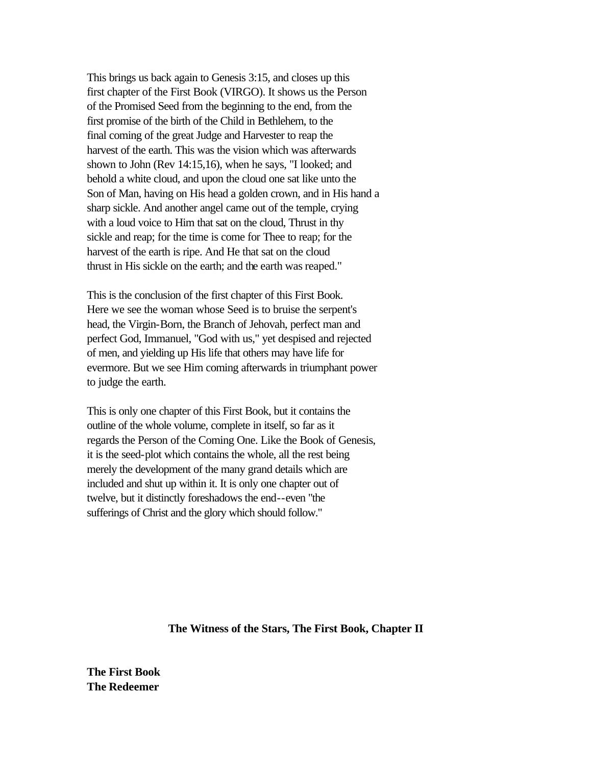This brings us back again to Genesis 3:15, and closes up this first chapter of the First Book (VIRGO). It shows us the Person of the Promised Seed from the beginning to the end, from the first promise of the birth of the Child in Bethlehem, to the final coming of the great Judge and Harvester to reap the harvest of the earth. This was the vision which was afterwards shown to John (Rev 14:15,16), when he says, "I looked; and behold a white cloud, and upon the cloud one sat like unto the Son of Man, having on His head a golden crown, and in His hand a sharp sickle. And another angel came out of the temple, crying with a loud voice to Him that sat on the cloud, Thrust in thy sickle and reap; for the time is come for Thee to reap; for the harvest of the earth is ripe. And He that sat on the cloud thrust in His sickle on the earth; and the earth was reaped."

This is the conclusion of the first chapter of this First Book. Here we see the woman whose Seed is to bruise the serpent's head, the Virgin-Born, the Branch of Jehovah, perfect man and perfect God, Immanuel, "God with us," yet despised and rejected of men, and yielding up His life that others may have life for evermore. But we see Him coming afterwards in triumphant power to judge the earth.

This is only one chapter of this First Book, but it contains the outline of the whole volume, complete in itself, so far as it regards the Person of the Coming One. Like the Book of Genesis, it is the seed-plot which contains the whole, all the rest being merely the development of the many grand details which are included and shut up within it. It is only one chapter out of twelve, but it distinctly foreshadows the end--even "the sufferings of Christ and the glory which should follow."

**The Witness of the Stars, The First Book, Chapter II**

**The First Book The Redeemer**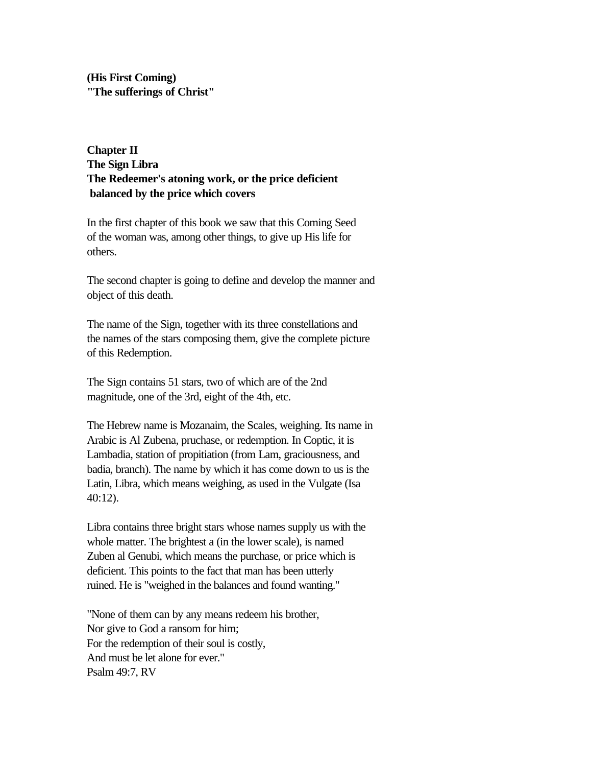**(His First Coming) "The sufferings of Christ"** 

# **Chapter II The Sign Libra The Redeemer's atoning work, or the price deficient balanced by the price which covers**

In the first chapter of this book we saw that this Coming Seed of the woman was, among other things, to give up His life for others.

The second chapter is going to define and develop the manner and object of this death.

The name of the Sign, together with its three constellations and the names of the stars composing them, give the complete picture of this Redemption.

The Sign contains 51 stars, two of which are of the 2nd magnitude, one of the 3rd, eight of the 4th, etc.

The Hebrew name is Mozanaim, the Scales, weighing. Its name in Arabic is Al Zubena, pruchase, or redemption. In Coptic, it is Lambadia, station of propitiation (from Lam, graciousness, and badia, branch). The name by which it has come down to us is the Latin, Libra, which means weighing, as used in the Vulgate (Isa 40:12).

Libra contains three bright stars whose names supply us with the whole matter. The brightest a (in the lower scale), is named Zuben al Genubi, which means the purchase, or price which is deficient. This points to the fact that man has been utterly ruined. He is "weighed in the balances and found wanting."

"None of them can by any means redeem his brother, Nor give to God a ransom for him; For the redemption of their soul is costly, And must be let alone for ever." Psalm 49:7, RV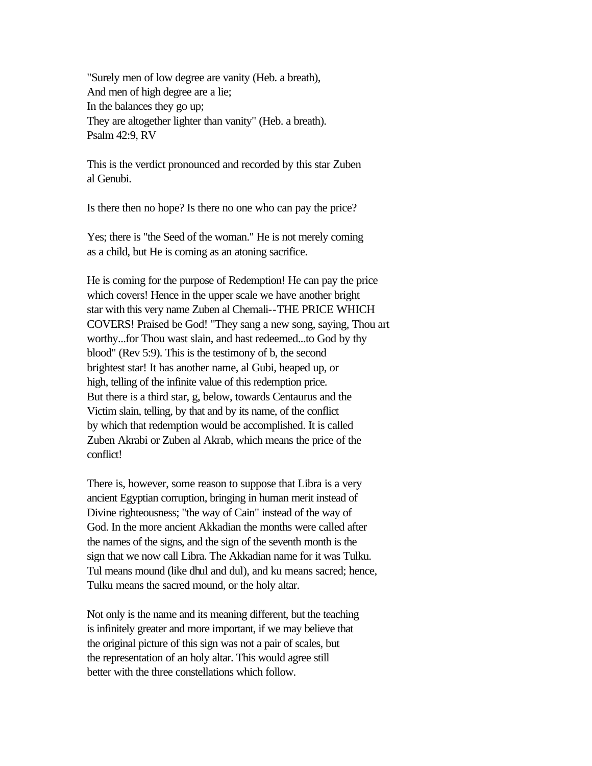"Surely men of low degree are vanity (Heb. a breath), And men of high degree are a lie; In the balances they go up; They are altogether lighter than vanity" (Heb. a breath). Psalm 42:9, RV

This is the verdict pronounced and recorded by this star Zuben al Genubi.

Is there then no hope? Is there no one who can pay the price?

Yes; there is "the Seed of the woman." He is not merely coming as a child, but He is coming as an atoning sacrifice.

He is coming for the purpose of Redemption! He can pay the price which covers! Hence in the upper scale we have another bright star with this very name Zuben al Chemali--THE PRICE WHICH COVERS! Praised be God! "They sang a new song, saying, Thou art worthy...for Thou wast slain, and hast redeemed...to God by thy blood" (Rev 5:9). This is the testimony of b, the second brightest star! It has another name, al Gubi, heaped up, or high, telling of the infinite value of this redemption price. But there is a third star, g, below, towards Centaurus and the Victim slain, telling, by that and by its name, of the conflict by which that redemption would be accomplished. It is called Zuben Akrabi or Zuben al Akrab, which means the price of the conflict!

There is, however, some reason to suppose that Libra is a very ancient Egyptian corruption, bringing in human merit instead of Divine righteousness; "the way of Cain" instead of the way of God. In the more ancient Akkadian the months were called after the names of the signs, and the sign of the seventh month is the sign that we now call Libra. The Akkadian name for it was Tulku. Tul means mound (like dhul and dul), and ku means sacred; hence, Tulku means the sacred mound, or the holy altar.

Not only is the name and its meaning different, but the teaching is infinitely greater and more important, if we may believe that the original picture of this sign was not a pair of scales, but the representation of an holy altar. This would agree still better with the three constellations which follow.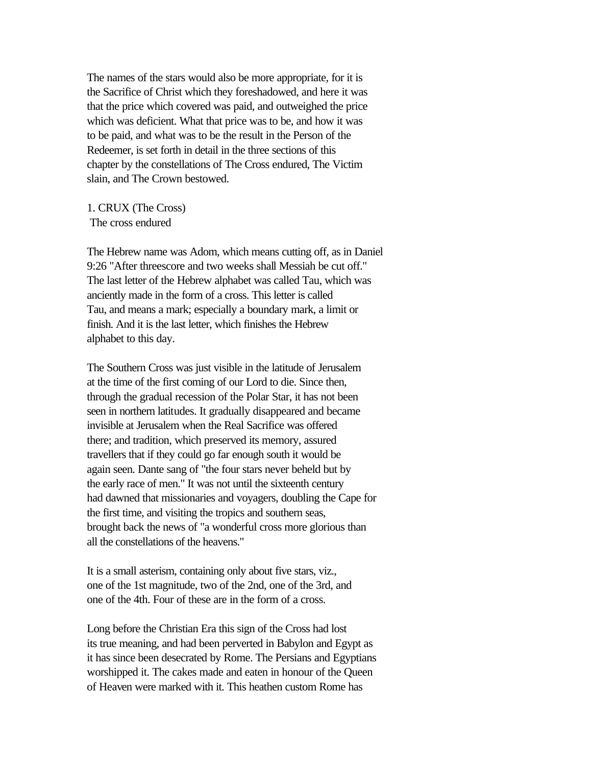The names of the stars would also be more appropriate, for it is the Sacrifice of Christ which they foreshadowed, and here it was that the price which covered was paid, and outweighed the price which was deficient. What that price was to be, and how it was to be paid, and what was to be the result in the Person of the Redeemer, is set forth in detail in the three sections of this chapter by the constellations of The Cross endured, The Victim slain, and The Crown bestowed.

1. CRUX (The Cross) The cross endured

The Hebrew name was Adom, which means cutting off, as in Daniel 9:26 "After threescore and two weeks shall Messiah be cut off." The last letter of the Hebrew alphabet was called Tau, which was anciently made in the form of a cross. This letter is called Tau, and means a mark; especially a boundary mark, a limit or finish. And it is the last letter, which finishes the Hebrew alphabet to this day.

The Southern Cross was just visible in the latitude of Jerusalem at the time of the first coming of our Lord to die. Since then, through the gradual recession of the Polar Star, it has not been seen in northern latitudes. It gradually disappeared and became invisible at Jerusalem when the Real Sacrifice was offered there; and tradition, which preserved its memory, assured travellers that if they could go far enough south it would be again seen. Dante sang of "the four stars never beheld but by the early race of men." It was not until the sixteenth century had dawned that missionaries and voyagers, doubling the Cape for the first time, and visiting the tropics and southern seas, brought back the news of "a wonderful cross more glorious than all the constellations of the heavens."

It is a small asterism, containing only about five stars, viz., one of the 1st magnitude, two of the 2nd, one of the 3rd, and one of the 4th. Four of these are in the form of a cross.

Long before the Christian Era this sign of the Cross had lost its true meaning, and had been perverted in Babylon and Egypt as it has since been desecrated by Rome. The Persians and Egyptians worshipped it. The cakes made and eaten in honour of the Queen of Heaven were marked with it. This heathen custom Rome has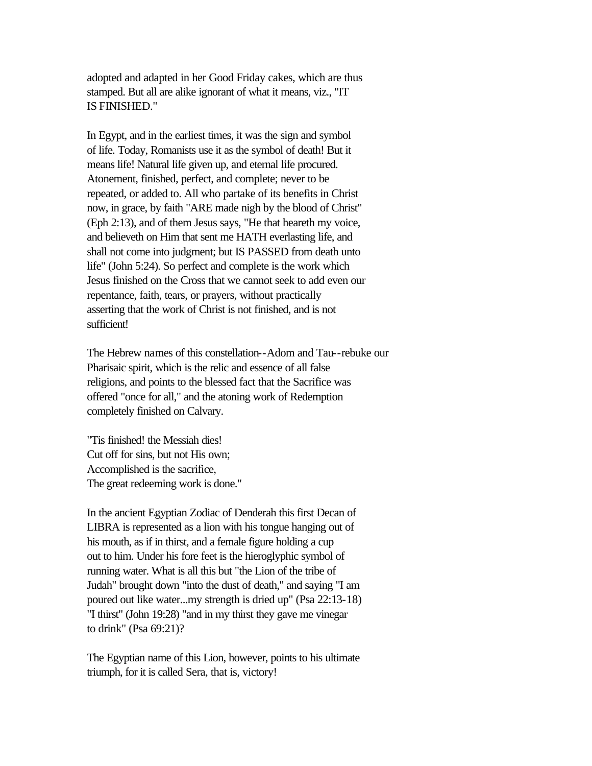adopted and adapted in her Good Friday cakes, which are thus stamped. But all are alike ignorant of what it means, viz., "IT IS FINISHED."

In Egypt, and in the earliest times, it was the sign and symbol of life. Today, Romanists use it as the symbol of death! But it means life! Natural life given up, and eternal life procured. Atonement, finished, perfect, and complete; never to be repeated, or added to. All who partake of its benefits in Christ now, in grace, by faith "ARE made nigh by the blood of Christ" (Eph 2:13), and of them Jesus says, "He that heareth my voice, and believeth on Him that sent me HATH everlasting life, and shall not come into judgment; but IS PASSED from death unto life" (John 5:24). So perfect and complete is the work which Jesus finished on the Cross that we cannot seek to add even our repentance, faith, tears, or prayers, without practically asserting that the work of Christ is not finished, and is not sufficient!

The Hebrew names of this constellation--Adom and Tau--rebuke our Pharisaic spirit, which is the relic and essence of all false religions, and points to the blessed fact that the Sacrifice was offered "once for all," and the atoning work of Redemption completely finished on Calvary.

"Tis finished! the Messiah dies! Cut off for sins, but not His own; Accomplished is the sacrifice, The great redeeming work is done."

In the ancient Egyptian Zodiac of Denderah this first Decan of LIBRA is represented as a lion with his tongue hanging out of his mouth, as if in thirst, and a female figure holding a cup out to him. Under his fore feet is the hieroglyphic symbol of running water. What is all this but "the Lion of the tribe of Judah" brought down "into the dust of death," and saying "I am poured out like water...my strength is dried up" (Psa 22:13-18) "I thirst" (John 19:28) "and in my thirst they gave me vinegar to drink" (Psa 69:21)?

The Egyptian name of this Lion, however, points to his ultimate triumph, for it is called Sera, that is, victory!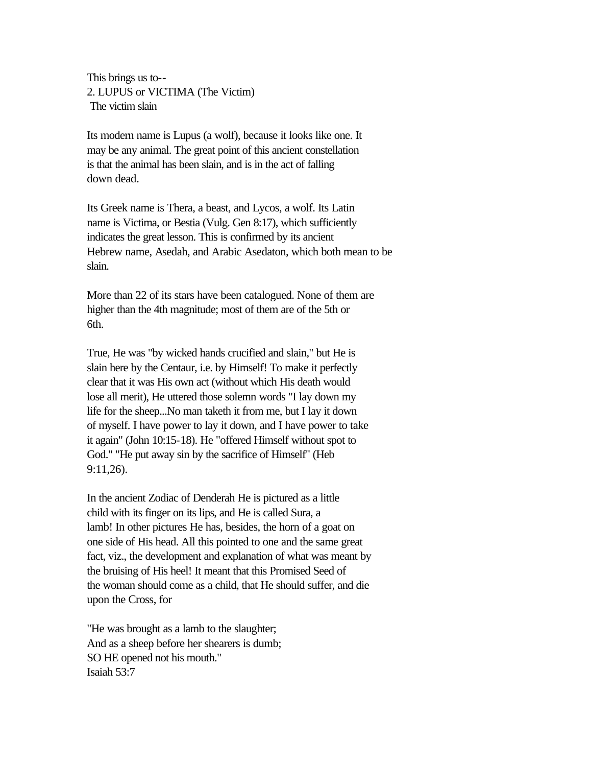This brings us to-- 2. LUPUS or VICTIMA (The Victim) The victim slain

Its modern name is Lupus (a wolf), because it looks like one. It may be any animal. The great point of this ancient constellation is that the animal has been slain, and is in the act of falling down dead.

Its Greek name is Thera, a beast, and Lycos, a wolf. Its Latin name is Victima, or Bestia (Vulg. Gen 8:17), which sufficiently indicates the great lesson. This is confirmed by its ancient Hebrew name, Asedah, and Arabic Asedaton, which both mean to be slain.

More than 22 of its stars have been catalogued. None of them are higher than the 4th magnitude; most of them are of the 5th or 6th.

True, He was "by wicked hands crucified and slain," but He is slain here by the Centaur, i.e. by Himself! To make it perfectly clear that it was His own act (without which His death would lose all merit), He uttered those solemn words "I lay down my life for the sheep...No man taketh it from me, but I lay it down of myself. I have power to lay it down, and I have power to take it again" (John 10:15-18). He "offered Himself without spot to God." "He put away sin by the sacrifice of Himself" (Heb 9:11,26).

In the ancient Zodiac of Denderah He is pictured as a little child with its finger on its lips, and He is called Sura, a lamb! In other pictures He has, besides, the horn of a goat on one side of His head. All this pointed to one and the same great fact, viz., the development and explanation of what was meant by the bruising of His heel! It meant that this Promised Seed of the woman should come as a child, that He should suffer, and die upon the Cross, for

"He was brought as a lamb to the slaughter; And as a sheep before her shearers is dumb; SO HE opened not his mouth." Isaiah 53:7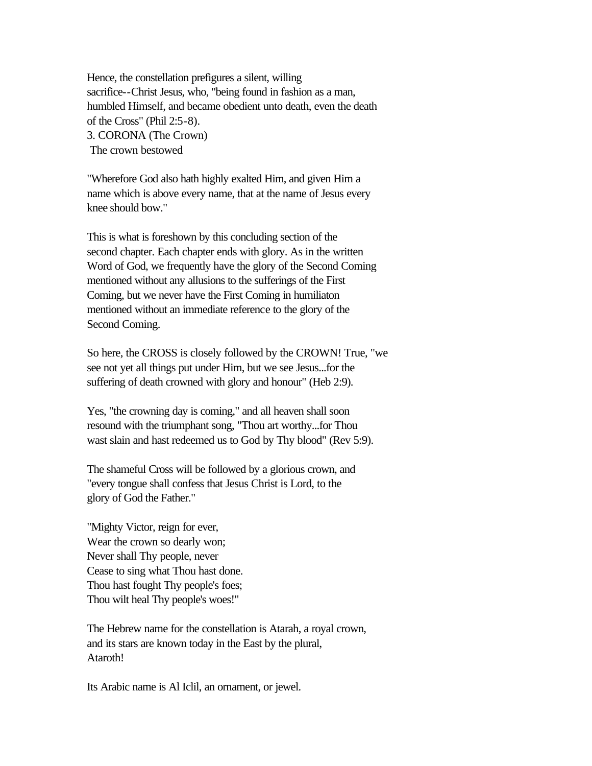Hence, the constellation prefigures a silent, willing sacrifice--Christ Jesus, who, "being found in fashion as a man, humbled Himself, and became obedient unto death, even the death of the Cross" (Phil 2:5-8). 3. CORONA (The Crown) The crown bestowed

"Wherefore God also hath highly exalted Him, and given Him a name which is above every name, that at the name of Jesus every knee should bow."

This is what is foreshown by this concluding section of the second chapter. Each chapter ends with glory. As in the written Word of God, we frequently have the glory of the Second Coming mentioned without any allusions to the sufferings of the First Coming, but we never have the First Coming in humiliaton mentioned without an immediate reference to the glory of the Second Coming.

So here, the CROSS is closely followed by the CROWN! True, "we see not yet all things put under Him, but we see Jesus...for the suffering of death crowned with glory and honour" (Heb 2:9).

Yes, "the crowning day is coming," and all heaven shall soon resound with the triumphant song, "Thou art worthy...for Thou wast slain and hast redeemed us to God by Thy blood" (Rev 5:9).

The shameful Cross will be followed by a glorious crown, and "every tongue shall confess that Jesus Christ is Lord, to the glory of God the Father."

"Mighty Victor, reign for ever, Wear the crown so dearly won; Never shall Thy people, never Cease to sing what Thou hast done. Thou hast fought Thy people's foes; Thou wilt heal Thy people's woes!"

The Hebrew name for the constellation is Atarah, a royal crown, and its stars are known today in the East by the plural, Ataroth!

Its Arabic name is Al Iclil, an ornament, or jewel.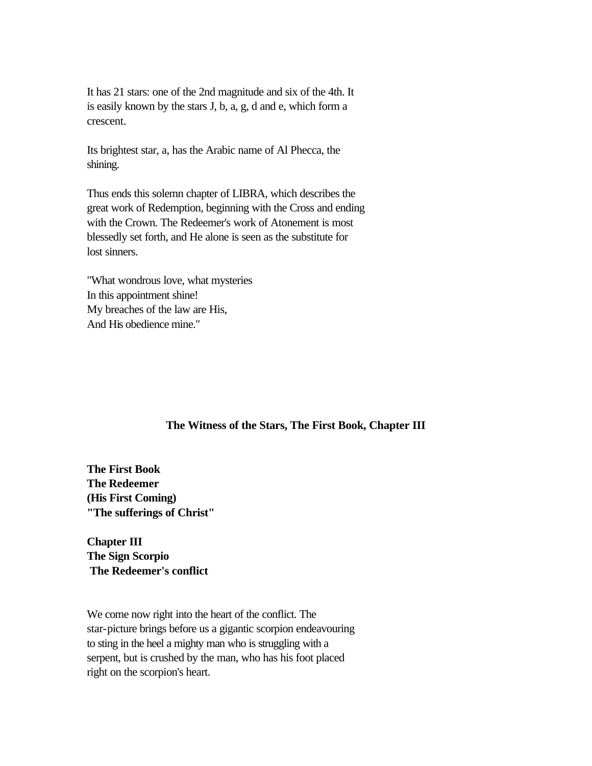It has 21 stars: one of the 2nd magnitude and six of the 4th. It is easily known by the stars J, b, a, g, d and e, which form a crescent.

Its brightest star, a, has the Arabic name of Al Phecca, the shining.

Thus ends this solemn chapter of LIBRA, which describes the great work of Redemption, beginning with the Cross and ending with the Crown. The Redeemer's work of Atonement is most blessedly set forth, and He alone is seen as the substitute for lost sinners.

"What wondrous love, what mysteries In this appointment shine! My breaches of the law are His, And His obedience mine."

### **The Witness of the Stars, The First Book, Chapter III**

**The First Book The Redeemer (His First Coming) "The sufferings of Christ"** 

**Chapter III The Sign Scorpio The Redeemer's conflict** 

We come now right into the heart of the conflict. The star-picture brings before us a gigantic scorpion endeavouring to sting in the heel a mighty man who is struggling with a serpent, but is crushed by the man, who has his foot placed right on the scorpion's heart.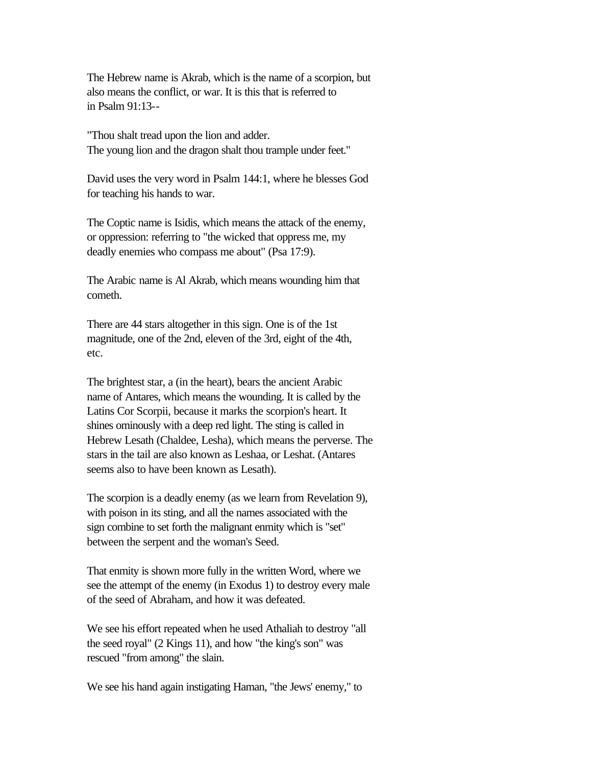The Hebrew name is Akrab, which is the name of a scorpion, but also means the conflict, or war. It is this that is referred to in Psalm 91:13--

"Thou shalt tread upon the lion and adder. The young lion and the dragon shalt thou trample under feet."

David uses the very word in Psalm 144:1, where he blesses God for teaching his hands to war.

The Coptic name is Isidis, which means the attack of the enemy, or oppression: referring to "the wicked that oppress me, my deadly enemies who compass me about" (Psa 17:9).

The Arabic name is Al Akrab, which means wounding him that cometh.

There are 44 stars altogether in this sign. One is of the 1st magnitude, one of the 2nd, eleven of the 3rd, eight of the 4th, etc.

The brightest star, a (in the heart), bears the ancient Arabic name of Antares, which means the wounding. It is called by the Latins Cor Scorpii, because it marks the scorpion's heart. It shines ominously with a deep red light. The sting is called in Hebrew Lesath (Chaldee, Lesha), which means the perverse. The stars in the tail are also known as Leshaa, or Leshat. (Antares seems also to have been known as Lesath).

The scorpion is a deadly enemy (as we learn from Revelation 9), with poison in its sting, and all the names associated with the sign combine to set forth the malignant enmity which is "set" between the serpent and the woman's Seed.

That enmity is shown more fully in the written Word, where we see the attempt of the enemy (in Exodus 1) to destroy every male of the seed of Abraham, and how it was defeated.

We see his effort repeated when he used Athaliah to destroy "all the seed royal" (2 Kings 11), and how "the king's son" was rescued "from among" the slain.

We see his hand again instigating Haman, "the Jews' enemy," to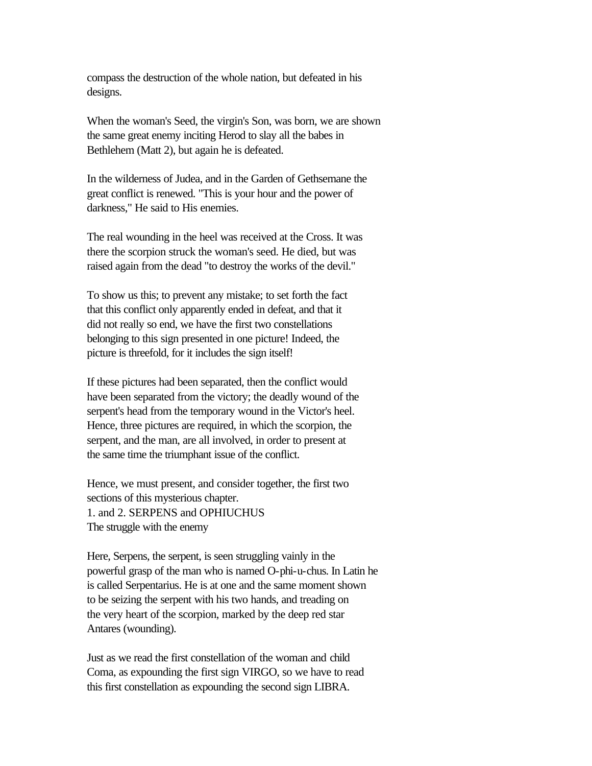compass the destruction of the whole nation, but defeated in his designs.

When the woman's Seed, the virgin's Son, was born, we are shown the same great enemy inciting Herod to slay all the babes in Bethlehem (Matt 2), but again he is defeated.

In the wilderness of Judea, and in the Garden of Gethsemane the great conflict is renewed. "This is your hour and the power of darkness," He said to His enemies.

The real wounding in the heel was received at the Cross. It was there the scorpion struck the woman's seed. He died, but was raised again from the dead "to destroy the works of the devil."

To show us this; to prevent any mistake; to set forth the fact that this conflict only apparently ended in defeat, and that it did not really so end, we have the first two constellations belonging to this sign presented in one picture! Indeed, the picture is threefold, for it includes the sign itself!

If these pictures had been separated, then the conflict would have been separated from the victory; the deadly wound of the serpent's head from the temporary wound in the Victor's heel. Hence, three pictures are required, in which the scorpion, the serpent, and the man, are all involved, in order to present at the same time the triumphant issue of the conflict.

Hence, we must present, and consider together, the first two sections of this mysterious chapter. 1. and 2. SERPENS and OPHIUCHUS The struggle with the enemy

Here, Serpens, the serpent, is seen struggling vainly in the powerful grasp of the man who is named O-phi-u-chus. In Latin he is called Serpentarius. He is at one and the same moment shown to be seizing the serpent with his two hands, and treading on the very heart of the scorpion, marked by the deep red star Antares (wounding).

Just as we read the first constellation of the woman and child Coma, as expounding the first sign VIRGO, so we have to read this first constellation as expounding the second sign LIBRA.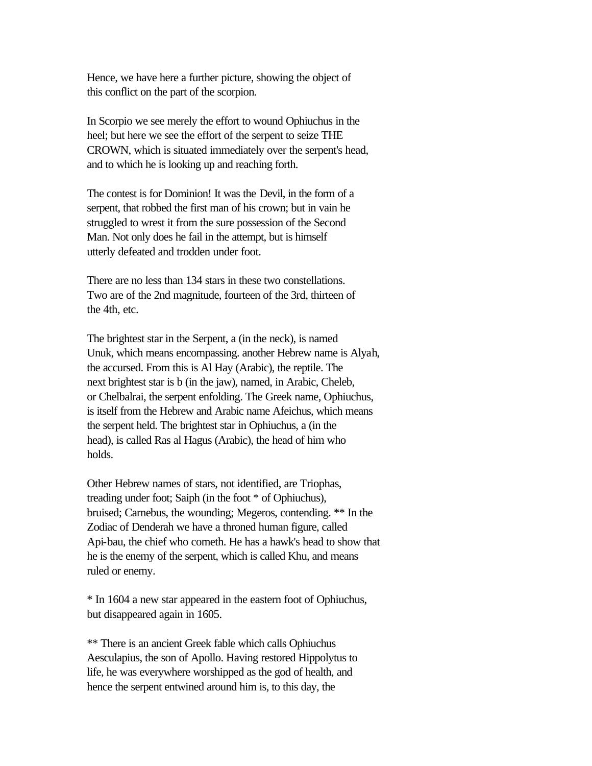Hence, we have here a further picture, showing the object of this conflict on the part of the scorpion.

In Scorpio we see merely the effort to wound Ophiuchus in the heel; but here we see the effort of the serpent to seize THE CROWN, which is situated immediately over the serpent's head, and to which he is looking up and reaching forth.

The contest is for Dominion! It was the Devil, in the form of a serpent, that robbed the first man of his crown; but in vain he struggled to wrest it from the sure possession of the Second Man. Not only does he fail in the attempt, but is himself utterly defeated and trodden under foot.

There are no less than 134 stars in these two constellations. Two are of the 2nd magnitude, fourteen of the 3rd, thirteen of the 4th, etc.

The brightest star in the Serpent, a (in the neck), is named Unuk, which means encompassing. another Hebrew name is Alyah, the accursed. From this is Al Hay (Arabic), the reptile. The next brightest star is b (in the jaw), named, in Arabic, Cheleb, or Chelbalrai, the serpent enfolding. The Greek name, Ophiuchus, is itself from the Hebrew and Arabic name Afeichus, which means the serpent held. The brightest star in Ophiuchus, a (in the head), is called Ras al Hagus (Arabic), the head of him who holds.

Other Hebrew names of stars, not identified, are Triophas, treading under foot; Saiph (in the foot \* of Ophiuchus), bruised; Carnebus, the wounding; Megeros, contending. \*\* In the Zodiac of Denderah we have a throned human figure, called Api-bau, the chief who cometh. He has a hawk's head to show that he is the enemy of the serpent, which is called Khu, and means ruled or enemy.

\* In 1604 a new star appeared in the eastern foot of Ophiuchus, but disappeared again in 1605.

\*\* There is an ancient Greek fable which calls Ophiuchus Aesculapius, the son of Apollo. Having restored Hippolytus to life, he was everywhere worshipped as the god of health, and hence the serpent entwined around him is, to this day, the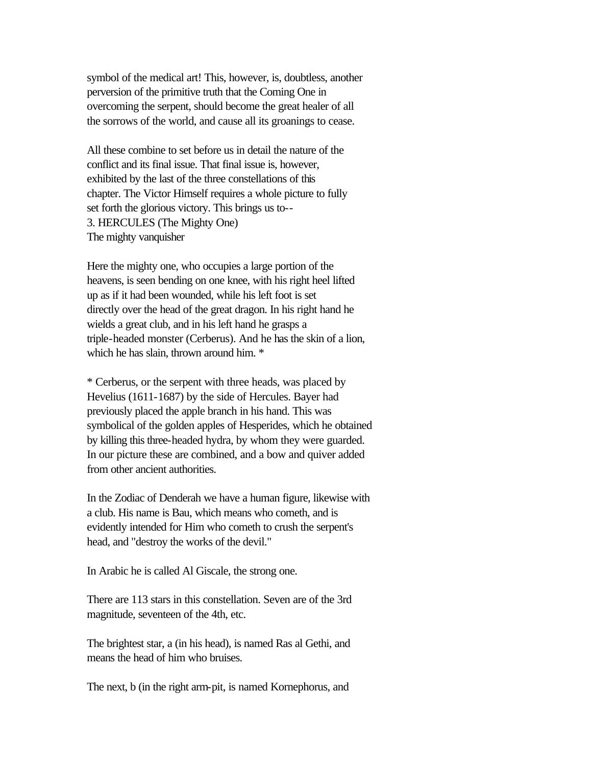symbol of the medical art! This, however, is, doubtless, another perversion of the primitive truth that the Coming One in overcoming the serpent, should become the great healer of all the sorrows of the world, and cause all its groanings to cease.

All these combine to set before us in detail the nature of the conflict and its final issue. That final issue is, however, exhibited by the last of the three constellations of this chapter. The Victor Himself requires a whole picture to fully set forth the glorious victory. This brings us to-- 3. HERCULES (The Mighty One) The mighty vanquisher

Here the mighty one, who occupies a large portion of the heavens, is seen bending on one knee, with his right heel lifted up as if it had been wounded, while his left foot is set directly over the head of the great dragon. In his right hand he wields a great club, and in his left hand he grasps a triple-headed monster (Cerberus). And he has the skin of a lion, which he has slain, thrown around him.  $*$ 

\* Cerberus, or the serpent with three heads, was placed by Hevelius (1611-1687) by the side of Hercules. Bayer had previously placed the apple branch in his hand. This was symbolical of the golden apples of Hesperides, which he obtained by killing this three-headed hydra, by whom they were guarded. In our picture these are combined, and a bow and quiver added from other ancient authorities.

In the Zodiac of Denderah we have a human figure, likewise with a club. His name is Bau, which means who cometh, and is evidently intended for Him who cometh to crush the serpent's head, and "destroy the works of the devil."

In Arabic he is called Al Giscale, the strong one.

There are 113 stars in this constellation. Seven are of the 3rd magnitude, seventeen of the 4th, etc.

The brightest star, a (in his head), is named Ras al Gethi, and means the head of him who bruises.

The next, b (in the right arm-pit, is named Kornephorus, and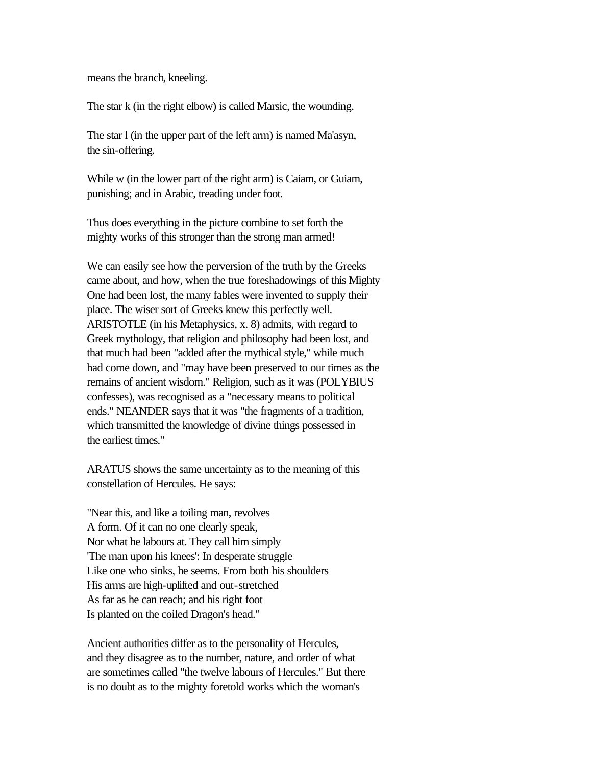means the branch, kneeling.

The star k (in the right elbow) is called Marsic, the wounding.

The star l (in the upper part of the left arm) is named Ma'asyn, the sin-offering.

While w (in the lower part of the right arm) is Caiam, or Guiam, punishing; and in Arabic, treading under foot.

Thus does everything in the picture combine to set forth the mighty works of this stronger than the strong man armed!

We can easily see how the perversion of the truth by the Greeks came about, and how, when the true foreshadowings of this Mighty One had been lost, the many fables were invented to supply their place. The wiser sort of Greeks knew this perfectly well. ARISTOTLE (in his Metaphysics, x. 8) admits, with regard to Greek mythology, that religion and philosophy had been lost, and that much had been "added after the mythical style," while much had come down, and "may have been preserved to our times as the remains of ancient wisdom." Religion, such as it was (POLYBIUS confesses), was recognised as a "necessary means to political ends." NEANDER says that it was "the fragments of a tradition, which transmitted the knowledge of divine things possessed in the earliest times."

ARATUS shows the same uncertainty as to the meaning of this constellation of Hercules. He says:

"Near this, and like a toiling man, revolves A form. Of it can no one clearly speak, Nor what he labours at. They call him simply 'The man upon his knees': In desperate struggle Like one who sinks, he seems. From both his shoulders His arms are high-uplifted and out-stretched As far as he can reach; and his right foot Is planted on the coiled Dragon's head."

Ancient authorities differ as to the personality of Hercules, and they disagree as to the number, nature, and order of what are sometimes called "the twelve labours of Hercules." But there is no doubt as to the mighty foretold works which the woman's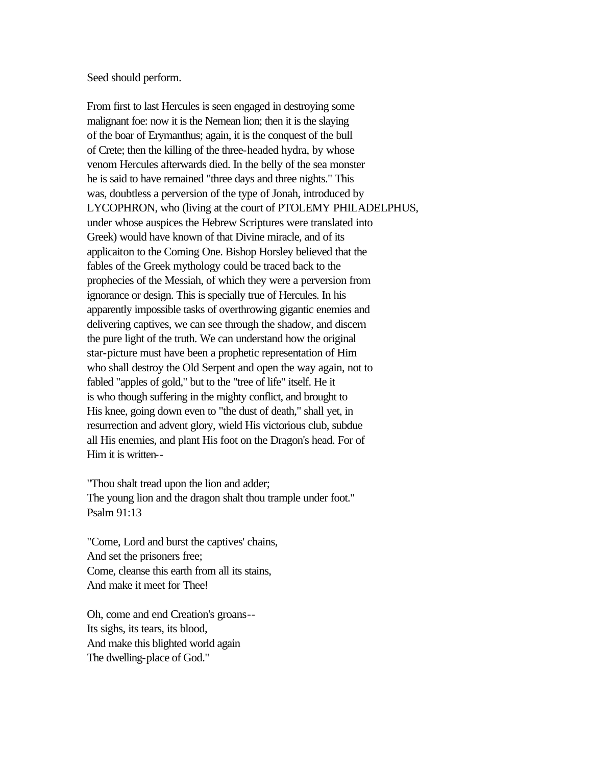#### Seed should perform.

From first to last Hercules is seen engaged in destroying some malignant foe: now it is the Nemean lion; then it is the slaying of the boar of Erymanthus; again, it is the conquest of the bull of Crete; then the killing of the three-headed hydra, by whose venom Hercules afterwards died. In the belly of the sea monster he is said to have remained "three days and three nights." This was, doubtless a perversion of the type of Jonah, introduced by LYCOPHRON, who (living at the court of PTOLEMY PHILADELPHUS, under whose auspices the Hebrew Scriptures were translated into Greek) would have known of that Divine miracle, and of its applicaiton to the Coming One. Bishop Horsley believed that the fables of the Greek mythology could be traced back to the prophecies of the Messiah, of which they were a perversion from ignorance or design. This is specially true of Hercules. In his apparently impossible tasks of overthrowing gigantic enemies and delivering captives, we can see through the shadow, and discern the pure light of the truth. We can understand how the original star-picture must have been a prophetic representation of Him who shall destroy the Old Serpent and open the way again, not to fabled "apples of gold," but to the "tree of life" itself. He it is who though suffering in the mighty conflict, and brought to His knee, going down even to "the dust of death," shall yet, in resurrection and advent glory, wield His victorious club, subdue all His enemies, and plant His foot on the Dragon's head. For of Him it is written--

"Thou shalt tread upon the lion and adder; The young lion and the dragon shalt thou trample under foot." Psalm 91:13

"Come, Lord and burst the captives' chains, And set the prisoners free; Come, cleanse this earth from all its stains, And make it meet for Thee!

Oh, come and end Creation's groans-- Its sighs, its tears, its blood, And make this blighted world again The dwelling-place of God."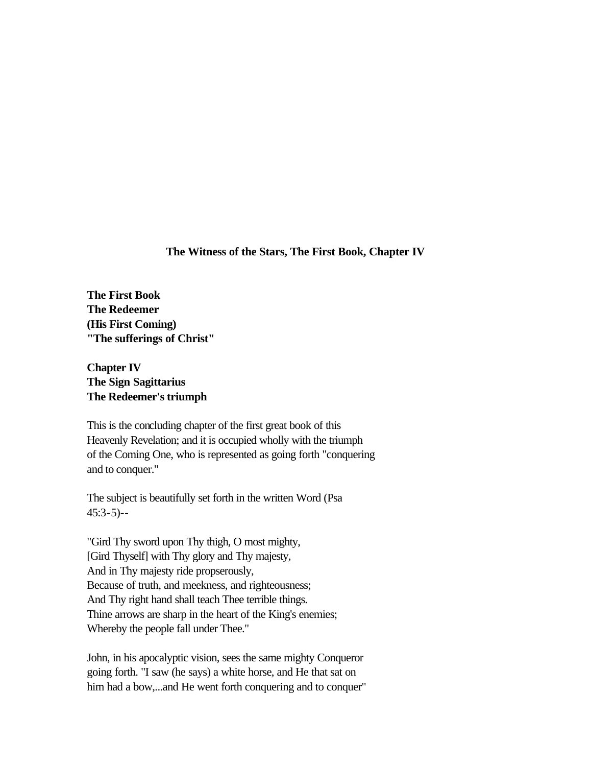**The Witness of the Stars, The First Book, Chapter IV**

**The First Book The Redeemer (His First Coming) "The sufferings of Christ"** 

**Chapter IV The Sign Sagittarius The Redeemer's triumph** 

This is the concluding chapter of the first great book of this Heavenly Revelation; and it is occupied wholly with the triumph of the Coming One, who is represented as going forth "conquering and to conquer."

The subject is beautifully set forth in the written Word (Psa 45:3-5)--

"Gird Thy sword upon Thy thigh, O most mighty, [Gird Thyself] with Thy glory and Thy majesty, And in Thy majesty ride propserously, Because of truth, and meekness, and righteousness; And Thy right hand shall teach Thee terrible things. Thine arrows are sharp in the heart of the King's enemies; Whereby the people fall under Thee."

John, in his apocalyptic vision, sees the same mighty Conqueror going forth. "I saw (he says) a white horse, and He that sat on him had a bow,...and He went forth conquering and to conquer"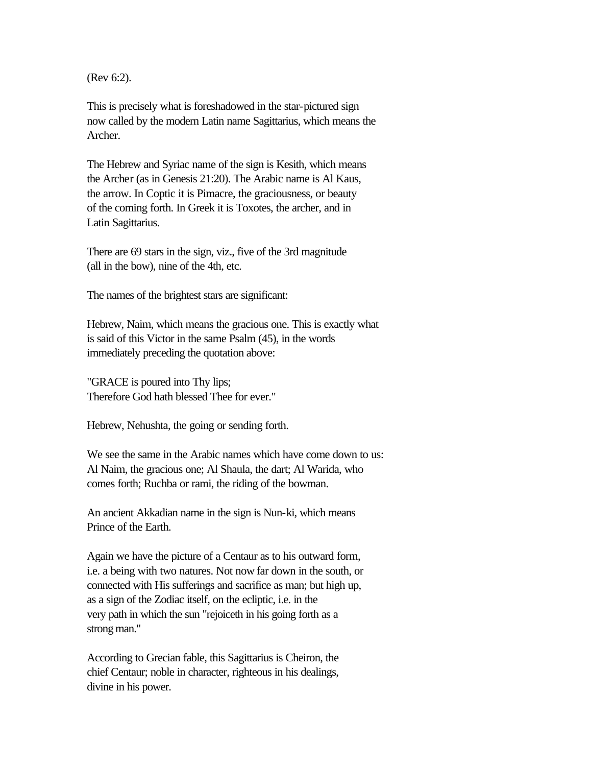(Rev 6:2).

This is precisely what is foreshadowed in the star-pictured sign now called by the modern Latin name Sagittarius, which means the Archer.

The Hebrew and Syriac name of the sign is Kesith, which means the Archer (as in Genesis 21:20). The Arabic name is Al Kaus, the arrow. In Coptic it is Pimacre, the graciousness, or beauty of the coming forth. In Greek it is Toxotes, the archer, and in Latin Sagittarius.

There are 69 stars in the sign, viz., five of the 3rd magnitude (all in the bow), nine of the 4th, etc.

The names of the brightest stars are significant:

Hebrew, Naim, which means the gracious one. This is exactly what is said of this Victor in the same Psalm (45), in the words immediately preceding the quotation above:

"GRACE is poured into Thy lips; Therefore God hath blessed Thee for ever."

Hebrew, Nehushta, the going or sending forth.

We see the same in the Arabic names which have come down to us: Al Naim, the gracious one; Al Shaula, the dart; Al Warida, who comes forth; Ruchba or rami, the riding of the bowman.

An ancient Akkadian name in the sign is Nun-ki, which means Prince of the Earth.

Again we have the picture of a Centaur as to his outward form, i.e. a being with two natures. Not now far down in the south, or connected with His sufferings and sacrifice as man; but high up, as a sign of the Zodiac itself, on the ecliptic, i.e. in the very path in which the sun "rejoiceth in his going forth as a strong man."

According to Grecian fable, this Sagittarius is Cheiron, the chief Centaur; noble in character, righteous in his dealings, divine in his power.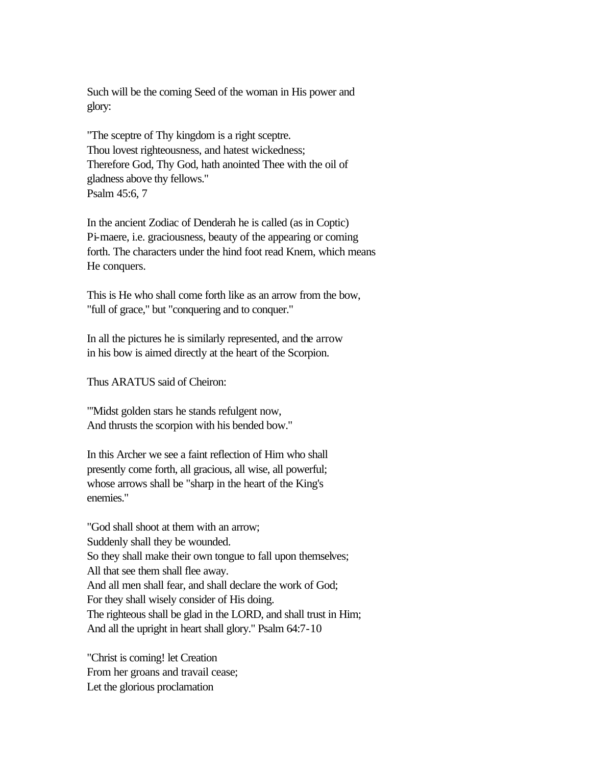Such will be the coming Seed of the woman in His power and glory:

"The sceptre of Thy kingdom is a right sceptre. Thou lovest righteousness, and hatest wickedness; Therefore God, Thy God, hath anointed Thee with the oil of gladness above thy fellows." Psalm 45:6, 7

In the ancient Zodiac of Denderah he is called (as in Coptic) Pi-maere, i.e. graciousness, beauty of the appearing or coming forth. The characters under the hind foot read Knem, which means He conquers.

This is He who shall come forth like as an arrow from the bow, "full of grace," but "conquering and to conquer."

In all the pictures he is similarly represented, and the arrow in his bow is aimed directly at the heart of the Scorpion.

Thus ARATUS said of Cheiron:

"'Midst golden stars he stands refulgent now, And thrusts the scorpion with his bended bow."

In this Archer we see a faint reflection of Him who shall presently come forth, all gracious, all wise, all powerful; whose arrows shall be "sharp in the heart of the King's enemies."

"God shall shoot at them with an arrow; Suddenly shall they be wounded. So they shall make their own tongue to fall upon themselves; All that see them shall flee away. And all men shall fear, and shall declare the work of God; For they shall wisely consider of His doing. The righteous shall be glad in the LORD, and shall trust in Him; And all the upright in heart shall glory." Psalm 64:7-10

"Christ is coming! let Creation From her groans and travail cease; Let the glorious proclamation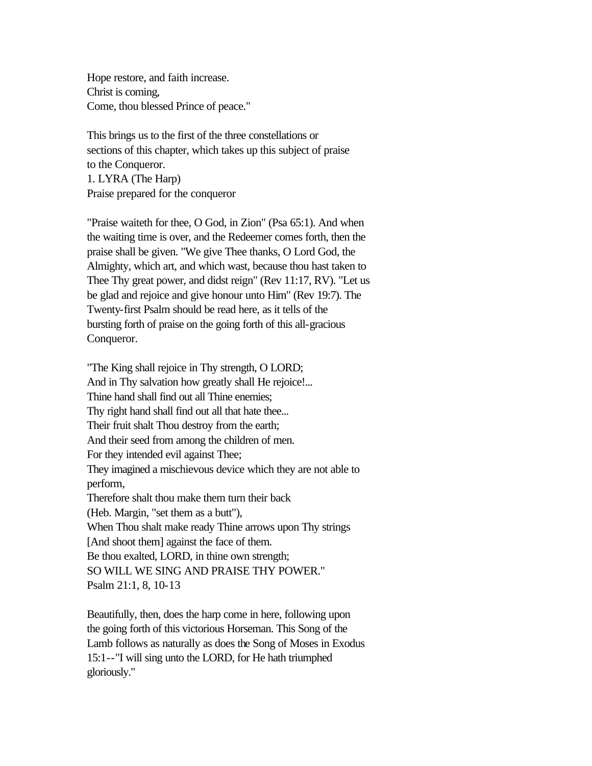Hope restore, and faith increase. Christ is coming, Come, thou blessed Prince of peace."

This brings us to the first of the three constellations or sections of this chapter, which takes up this subject of praise to the Conqueror. 1. LYRA (The Harp) Praise prepared for the conqueror

"Praise waiteth for thee, O God, in Zion" (Psa 65:1). And when the waiting time is over, and the Redeemer comes forth, then the praise shall be given. "We give Thee thanks, O Lord God, the Almighty, which art, and which wast, because thou hast taken to Thee Thy great power, and didst reign" (Rev 11:17, RV). "Let us be glad and rejoice and give honour unto Him" (Rev 19:7). The Twenty-first Psalm should be read here, as it tells of the bursting forth of praise on the going forth of this all-gracious Conqueror.

"The King shall rejoice in Thy strength, O LORD; And in Thy salvation how greatly shall He rejoice!... Thine hand shall find out all Thine enemies; Thy right hand shall find out all that hate thee... Their fruit shalt Thou destroy from the earth; And their seed from among the children of men. For they intended evil against Thee; They imagined a mischievous device which they are not able to perform, Therefore shalt thou make them turn their back (Heb. Margin, "set them as a butt"), When Thou shalt make ready Thine arrows upon Thy strings [And shoot them] against the face of them. Be thou exalted, LORD, in thine own strength; SO WILL WE SING AND PRAISE THY POWER." Psalm 21:1, 8, 10-13

Beautifully, then, does the harp come in here, following upon the going forth of this victorious Horseman. This Song of the Lamb follows as naturally as does the Song of Moses in Exodus 15:1--"I will sing unto the LORD, for He hath triumphed gloriously."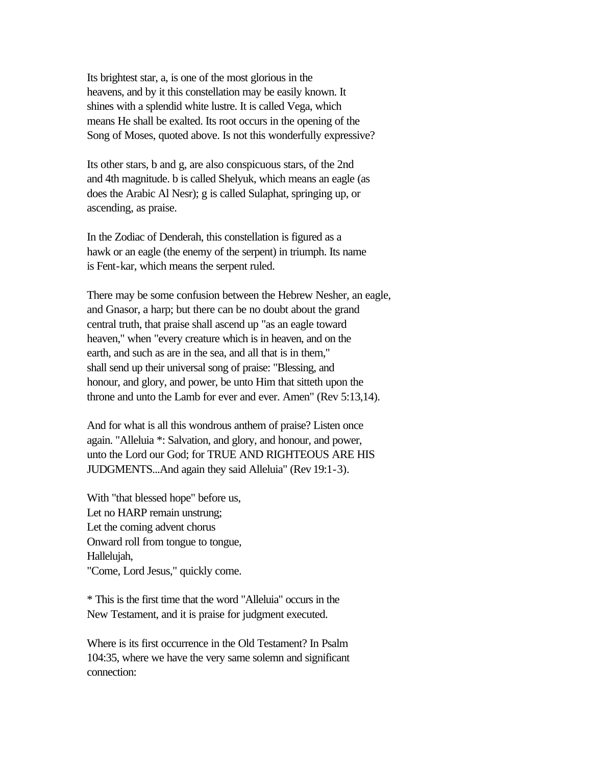Its brightest star, a, is one of the most glorious in the heavens, and by it this constellation may be easily known. It shines with a splendid white lustre. It is called Vega, which means He shall be exalted. Its root occurs in the opening of the Song of Moses, quoted above. Is not this wonderfully expressive?

Its other stars, b and g, are also conspicuous stars, of the 2nd and 4th magnitude. b is called Shelyuk, which means an eagle (as does the Arabic Al Nesr); g is called Sulaphat, springing up, or ascending, as praise.

In the Zodiac of Denderah, this constellation is figured as a hawk or an eagle (the enemy of the serpent) in triumph. Its name is Fent-kar, which means the serpent ruled.

There may be some confusion between the Hebrew Nesher, an eagle, and Gnasor, a harp; but there can be no doubt about the grand central truth, that praise shall ascend up "as an eagle toward heaven," when "every creature which is in heaven, and on the earth, and such as are in the sea, and all that is in them," shall send up their universal song of praise: "Blessing, and honour, and glory, and power, be unto Him that sitteth upon the throne and unto the Lamb for ever and ever. Amen" (Rev 5:13,14).

And for what is all this wondrous anthem of praise? Listen once again. "Alleluia \*: Salvation, and glory, and honour, and power, unto the Lord our God; for TRUE AND RIGHTEOUS ARE HIS JUDGMENTS...And again they said Alleluia" (Rev 19:1-3).

With "that blessed hope" before us, Let no HARP remain unstrung; Let the coming advent chorus Onward roll from tongue to tongue, Hallelujah, "Come, Lord Jesus," quickly come.

\* This is the first time that the word "Alleluia" occurs in the New Testament, and it is praise for judgment executed.

Where is its first occurrence in the Old Testament? In Psalm 104:35, where we have the very same solemn and significant connection: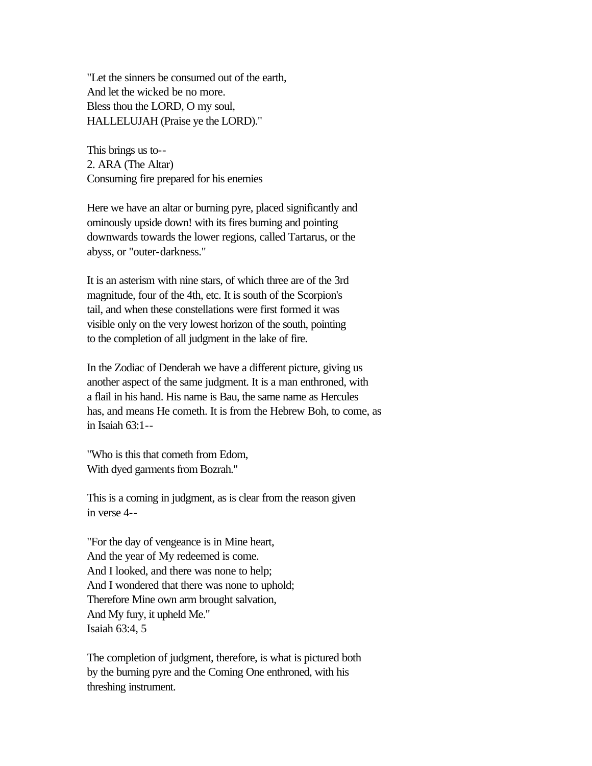"Let the sinners be consumed out of the earth, And let the wicked be no more. Bless thou the LORD, O my soul, HALLELUJAH (Praise ye the LORD)."

This brings us to-- 2. ARA (The Altar) Consuming fire prepared for his enemies

Here we have an altar or burning pyre, placed significantly and ominously upside down! with its fires burning and pointing downwards towards the lower regions, called Tartarus, or the abyss, or "outer-darkness."

It is an asterism with nine stars, of which three are of the 3rd magnitude, four of the 4th, etc. It is south of the Scorpion's tail, and when these constellations were first formed it was visible only on the very lowest horizon of the south, pointing to the completion of all judgment in the lake of fire.

In the Zodiac of Denderah we have a different picture, giving us another aspect of the same judgment. It is a man enthroned, with a flail in his hand. His name is Bau, the same name as Hercules has, and means He cometh. It is from the Hebrew Boh, to come, as in Isaiah 63:1--

"Who is this that cometh from Edom, With dyed garments from Bozrah."

This is a coming in judgment, as is clear from the reason given in verse 4--

"For the day of vengeance is in Mine heart, And the year of My redeemed is come. And I looked, and there was none to help; And I wondered that there was none to uphold; Therefore Mine own arm brought salvation, And My fury, it upheld Me." Isaiah 63:4, 5

The completion of judgment, therefore, is what is pictured both by the burning pyre and the Coming One enthroned, with his threshing instrument.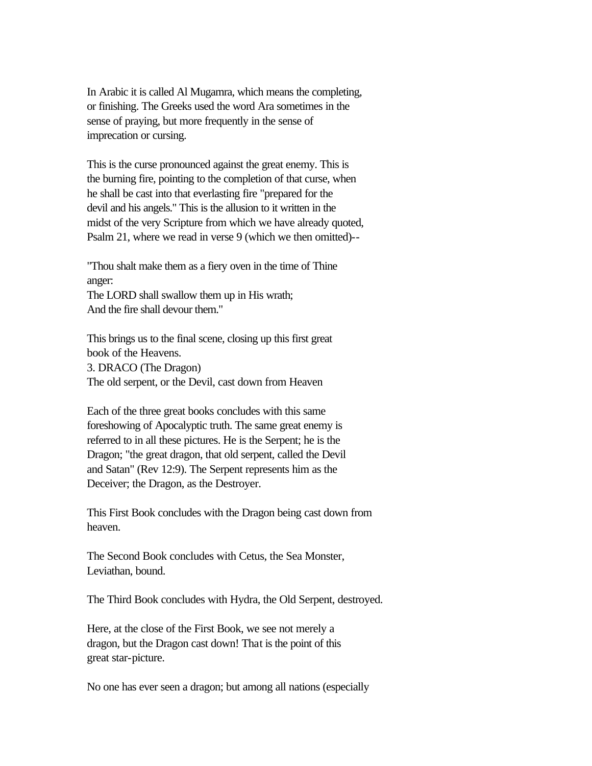In Arabic it is called Al Mugamra, which means the completing, or finishing. The Greeks used the word Ara sometimes in the sense of praying, but more frequently in the sense of imprecation or cursing.

This is the curse pronounced against the great enemy. This is the burning fire, pointing to the completion of that curse, when he shall be cast into that everlasting fire "prepared for the devil and his angels." This is the allusion to it written in the midst of the very Scripture from which we have already quoted, Psalm 21, where we read in verse 9 (which we then omitted)--

"Thou shalt make them as a fiery oven in the time of Thine anger: The LORD shall swallow them up in His wrath; And the fire shall devour them."

This brings us to the final scene, closing up this first great book of the Heavens. 3. DRACO (The Dragon) The old serpent, or the Devil, cast down from Heaven

Each of the three great books concludes with this same foreshowing of Apocalyptic truth. The same great enemy is referred to in all these pictures. He is the Serpent; he is the Dragon; "the great dragon, that old serpent, called the Devil and Satan" (Rev 12:9). The Serpent represents him as the Deceiver; the Dragon, as the Destroyer.

This First Book concludes with the Dragon being cast down from heaven.

The Second Book concludes with Cetus, the Sea Monster, Leviathan, bound.

The Third Book concludes with Hydra, the Old Serpent, destroyed.

Here, at the close of the First Book, we see not merely a dragon, but the Dragon cast down! That is the point of this great star-picture.

No one has ever seen a dragon; but among all nations (especially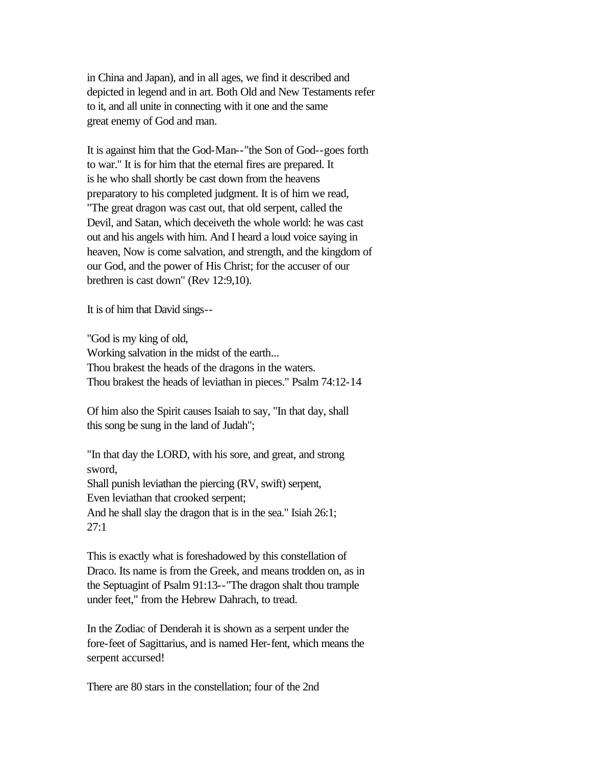in China and Japan), and in all ages, we find it described and depicted in legend and in art. Both Old and New Testaments refer to it, and all unite in connecting with it one and the same great enemy of God and man.

It is against him that the God-Man--"the Son of God--goes forth to war." It is for him that the eternal fires are prepared. It is he who shall shortly be cast down from the heavens preparatory to his completed judgment. It is of him we read, "The great dragon was cast out, that old serpent, called the Devil, and Satan, which deceiveth the whole world: he was cast out and his angels with him. And I heard a loud voice saying in heaven, Now is come salvation, and strength, and the kingdom of our God, and the power of His Christ; for the accuser of our brethren is cast down" (Rev 12:9,10).

It is of him that David sings--

"God is my king of old, Working salvation in the midst of the earth... Thou brakest the heads of the dragons in the waters. Thou brakest the heads of leviathan in pieces." Psalm 74:12-14

Of him also the Spirit causes Isaiah to say, "In that day, shall this song be sung in the land of Judah";

"In that day the LORD, with his sore, and great, and strong sword, Shall punish leviathan the piercing (RV, swift) serpent, Even leviathan that crooked serpent; And he shall slay the dragon that is in the sea." Isiah 26:1; 27:1

This is exactly what is foreshadowed by this constellation of Draco. Its name is from the Greek, and means trodden on, as in the Septuagint of Psalm 91:13--"The dragon shalt thou trample under feet," from the Hebrew Dahrach, to tread.

In the Zodiac of Denderah it is shown as a serpent under the fore-feet of Sagittarius, and is named Her-fent, which means the serpent accursed!

There are 80 stars in the constellation; four of the 2nd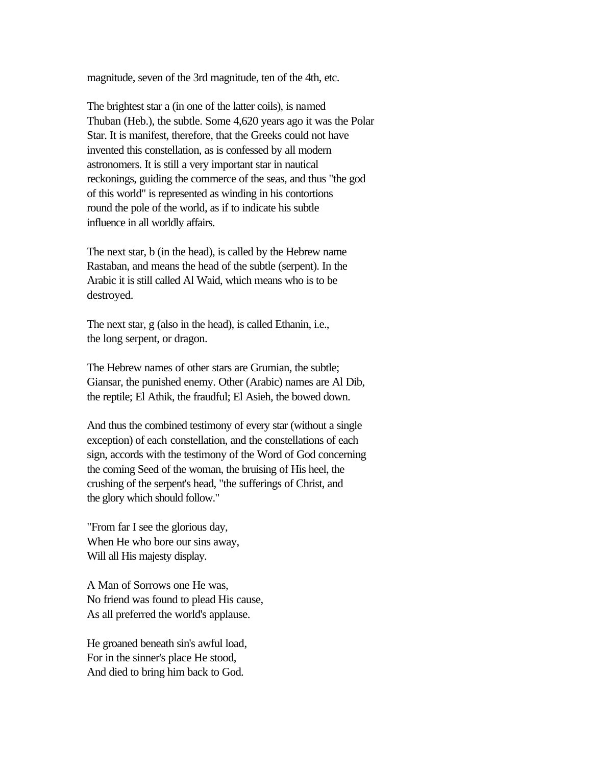magnitude, seven of the 3rd magnitude, ten of the 4th, etc.

The brightest star a (in one of the latter coils), is named Thuban (Heb.), the subtle. Some 4,620 years ago it was the Polar Star. It is manifest, therefore, that the Greeks could not have invented this constellation, as is confessed by all modern astronomers. It is still a very important star in nautical reckonings, guiding the commerce of the seas, and thus "the god of this world" is represented as winding in his contortions round the pole of the world, as if to indicate his subtle influence in all worldly affairs.

The next star, b (in the head), is called by the Hebrew name Rastaban, and means the head of the subtle (serpent). In the Arabic it is still called Al Waid, which means who is to be destroyed.

The next star, g (also in the head), is called Ethanin, i.e., the long serpent, or dragon.

The Hebrew names of other stars are Grumian, the subtle; Giansar, the punished enemy. Other (Arabic) names are Al Dib, the reptile; El Athik, the fraudful; El Asieh, the bowed down.

And thus the combined testimony of every star (without a single exception) of each constellation, and the constellations of each sign, accords with the testimony of the Word of God concerning the coming Seed of the woman, the bruising of His heel, the crushing of the serpent's head, "the sufferings of Christ, and the glory which should follow."

"From far I see the glorious day, When He who bore our sins away, Will all His majesty display.

A Man of Sorrows one He was, No friend was found to plead His cause, As all preferred the world's applause.

He groaned beneath sin's awful load, For in the sinner's place He stood, And died to bring him back to God.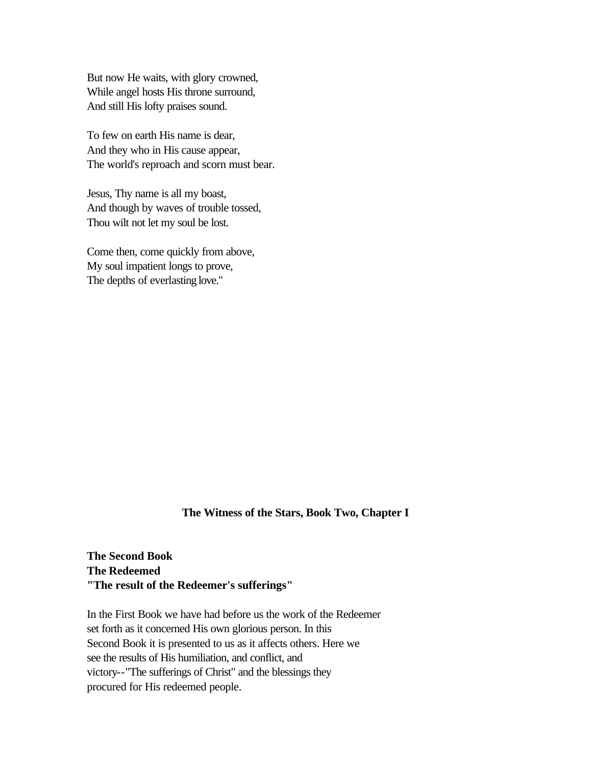But now He waits, with glory crowned, While angel hosts His throne surround, And still His lofty praises sound.

To few on earth His name is dear, And they who in His cause appear, The world's reproach and scorn must bear.

Jesus, Thy name is all my boast, And though by waves of trouble tossed, Thou wilt not let my soul be lost.

Come then, come quickly from above, My soul impatient longs to prove, The depths of everlasting love."

#### **The Witness of the Stars, Book Two, Chapter I**

**The Second Book The Redeemed "The result of the Redeemer's sufferings"**

In the First Book we have had before us the work of the Redeemer set forth as it concerned His own glorious person. In this Second Book it is presented to us as it affects others. Here we see the results of His humiliation, and conflict, and victory--"The sufferings of Christ" and the blessings they procured for His redeemed people.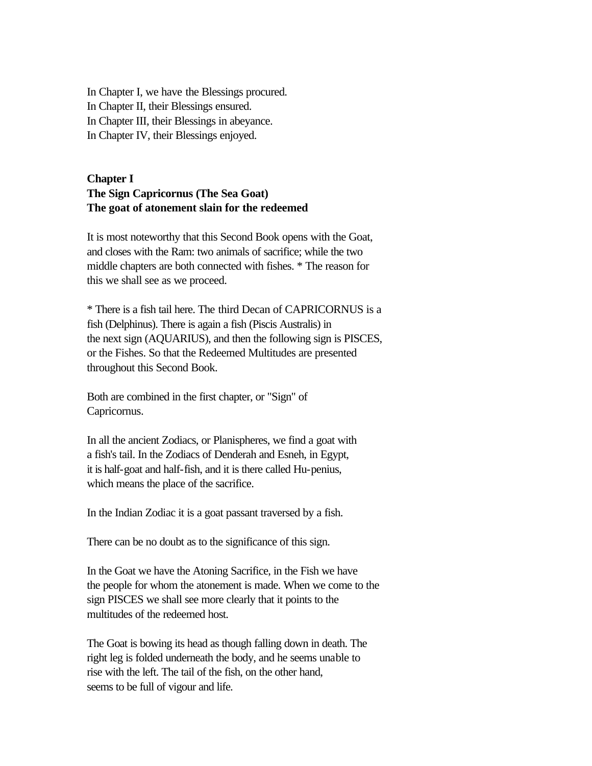In Chapter I, we have the Blessings procured. In Chapter II, their Blessings ensured. In Chapter III, their Blessings in abeyance. In Chapter IV, their Blessings enjoyed.

# **Chapter I The Sign Capricornus (The Sea Goat) The goat of atonement slain for the redeemed**

It is most noteworthy that this Second Book opens with the Goat, and closes with the Ram: two animals of sacrifice; while the two middle chapters are both connected with fishes. \* The reason for this we shall see as we proceed.

\* There is a fish tail here. The third Decan of CAPRICORNUS is a fish (Delphinus). There is again a fish (Piscis Australis) in the next sign (AQUARIUS), and then the following sign is PISCES, or the Fishes. So that the Redeemed Multitudes are presented throughout this Second Book.

Both are combined in the first chapter, or "Sign" of Capricornus.

In all the ancient Zodiacs, or Planispheres, we find a goat with a fish's tail. In the Zodiacs of Denderah and Esneh, in Egypt, it is half-goat and half-fish, and it is there called Hu-penius, which means the place of the sacrifice.

In the Indian Zodiac it is a goat passant traversed by a fish.

There can be no doubt as to the significance of this sign.

In the Goat we have the Atoning Sacrifice, in the Fish we have the people for whom the atonement is made. When we come to the sign PISCES we shall see more clearly that it points to the multitudes of the redeemed host.

The Goat is bowing its head as though falling down in death. The right leg is folded underneath the body, and he seems unable to rise with the left. The tail of the fish, on the other hand, seems to be full of vigour and life.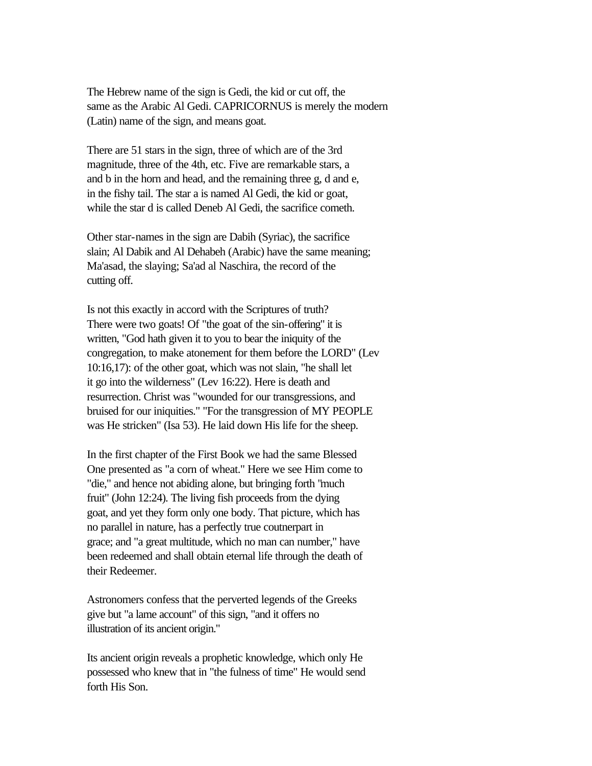The Hebrew name of the sign is Gedi, the kid or cut off, the same as the Arabic Al Gedi. CAPRICORNUS is merely the modern (Latin) name of the sign, and means goat.

There are 51 stars in the sign, three of which are of the 3rd magnitude, three of the 4th, etc. Five are remarkable stars, a and b in the horn and head, and the remaining three g, d and e, in the fishy tail. The star a is named Al Gedi, the kid or goat, while the star d is called Deneb Al Gedi, the sacrifice cometh.

Other star-names in the sign are Dabih (Syriac), the sacrifice slain; Al Dabik and Al Dehabeh (Arabic) have the same meaning; Ma'asad, the slaying; Sa'ad al Naschira, the record of the cutting off.

Is not this exactly in accord with the Scriptures of truth? There were two goats! Of "the goat of the sin-offering" it is written, "God hath given it to you to bear the iniquity of the congregation, to make atonement for them before the LORD" (Lev 10:16,17): of the other goat, which was not slain, "he shall let it go into the wilderness" (Lev 16:22). Here is death and resurrection. Christ was "wounded for our transgressions, and bruised for our iniquities." "For the transgression of MY PEOPLE was He stricken" (Isa 53). He laid down His life for the sheep.

In the first chapter of the First Book we had the same Blessed One presented as "a corn of wheat." Here we see Him come to "die," and hence not abiding alone, but bringing forth "much fruit" (John 12:24). The living fish proceeds from the dying goat, and yet they form only one body. That picture, which has no parallel in nature, has a perfectly true coutnerpart in grace; and "a great multitude, which no man can number," have been redeemed and shall obtain eternal life through the death of their Redeemer.

Astronomers confess that the perverted legends of the Greeks give but "a lame account" of this sign, "and it offers no illustration of its ancient origin."

Its ancient origin reveals a prophetic knowledge, which only He possessed who knew that in "the fulness of time" He would send forth His Son.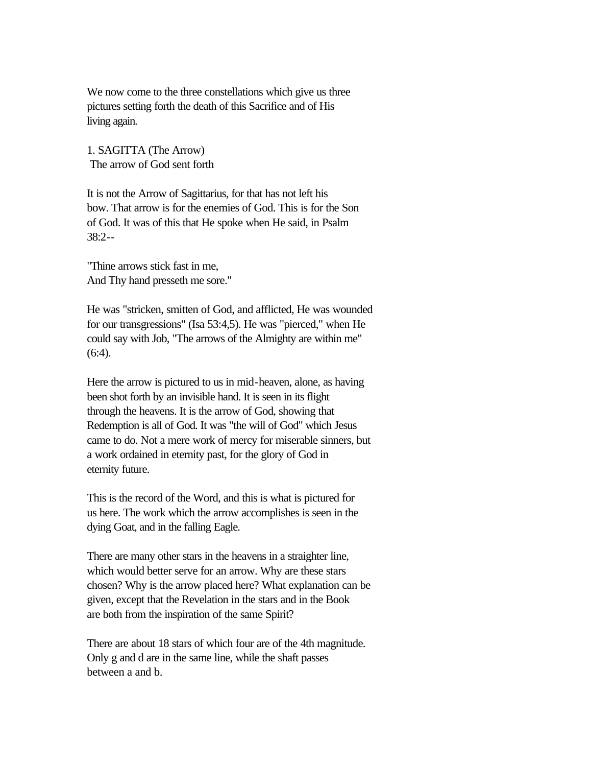We now come to the three constellations which give us three pictures setting forth the death of this Sacrifice and of His living again.

1. SAGITTA (The Arrow) The arrow of God sent forth

It is not the Arrow of Sagittarius, for that has not left his bow. That arrow is for the enemies of God. This is for the Son of God. It was of this that He spoke when He said, in Psalm 38:2--

"Thine arrows stick fast in me, And Thy hand presseth me sore."

He was "stricken, smitten of God, and afflicted, He was wounded for our transgressions" (Isa 53:4,5). He was "pierced," when He could say with Job, "The arrows of the Almighty are within me"  $(6:4)$ .

Here the arrow is pictured to us in mid-heaven, alone, as having been shot forth by an invisible hand. It is seen in its flight through the heavens. It is the arrow of God, showing that Redemption is all of God. It was "the will of God" which Jesus came to do. Not a mere work of mercy for miserable sinners, but a work ordained in eternity past, for the glory of God in eternity future.

This is the record of the Word, and this is what is pictured for us here. The work which the arrow accomplishes is seen in the dying Goat, and in the falling Eagle.

There are many other stars in the heavens in a straighter line, which would better serve for an arrow. Why are these stars chosen? Why is the arrow placed here? What explanation can be given, except that the Revelation in the stars and in the Book are both from the inspiration of the same Spirit?

There are about 18 stars of which four are of the 4th magnitude. Only g and d are in the same line, while the shaft passes between a and b.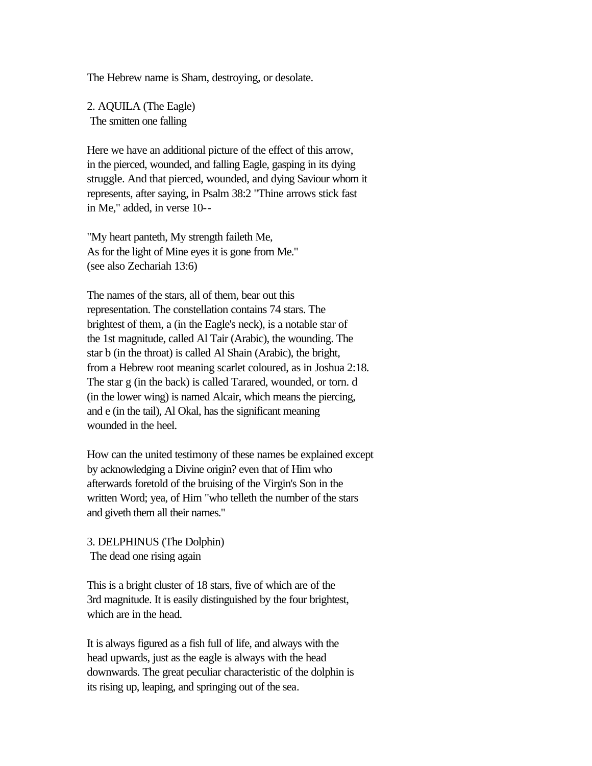The Hebrew name is Sham, destroying, or desolate.

2. AQUILA (The Eagle) The smitten one falling

Here we have an additional picture of the effect of this arrow, in the pierced, wounded, and falling Eagle, gasping in its dying struggle. And that pierced, wounded, and dying Saviour whom it represents, after saying, in Psalm 38:2 "Thine arrows stick fast in Me," added, in verse 10--

"My heart panteth, My strength faileth Me, As for the light of Mine eyes it is gone from Me." (see also Zechariah 13:6)

The names of the stars, all of them, bear out this representation. The constellation contains 74 stars. The brightest of them, a (in the Eagle's neck), is a notable star of the 1st magnitude, called Al Tair (Arabic), the wounding. The star b (in the throat) is called Al Shain (Arabic), the bright, from a Hebrew root meaning scarlet coloured, as in Joshua 2:18. The star g (in the back) is called Tarared, wounded, or torn. d (in the lower wing) is named Alcair, which means the piercing, and e (in the tail), Al Okal, has the significant meaning wounded in the heel.

How can the united testimony of these names be explained except by acknowledging a Divine origin? even that of Him who afterwards foretold of the bruising of the Virgin's Son in the written Word; yea, of Him "who telleth the number of the stars and giveth them all their names."

3. DELPHINUS (The Dolphin) The dead one rising again

This is a bright cluster of 18 stars, five of which are of the 3rd magnitude. It is easily distinguished by the four brightest, which are in the head.

It is always figured as a fish full of life, and always with the head upwards, just as the eagle is always with the head downwards. The great peculiar characteristic of the dolphin is its rising up, leaping, and springing out of the sea.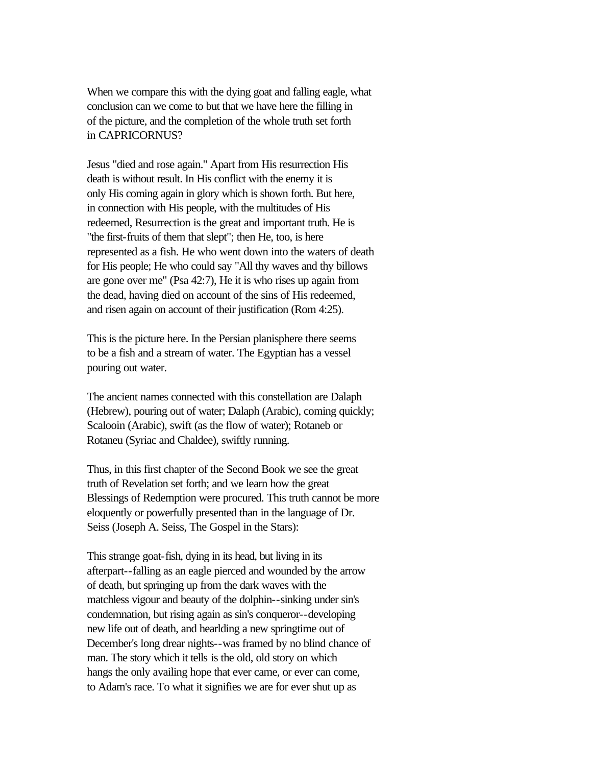When we compare this with the dying goat and falling eagle, what conclusion can we come to but that we have here the filling in of the picture, and the completion of the whole truth set forth in CAPRICORNUS?

Jesus "died and rose again." Apart from His resurrection His death is without result. In His conflict with the enemy it is only His coming again in glory which is shown forth. But here, in connection with His people, with the multitudes of His redeemed, Resurrection is the great and important truth. He is "the first-fruits of them that slept"; then He, too, is here represented as a fish. He who went down into the waters of death for His people; He who could say "All thy waves and thy billows are gone over me" (Psa 42:7), He it is who rises up again from the dead, having died on account of the sins of His redeemed, and risen again on account of their justification (Rom 4:25).

This is the picture here. In the Persian planisphere there seems to be a fish and a stream of water. The Egyptian has a vessel pouring out water.

The ancient names connected with this constellation are Dalaph (Hebrew), pouring out of water; Dalaph (Arabic), coming quickly; Scalooin (Arabic), swift (as the flow of water); Rotaneb or Rotaneu (Syriac and Chaldee), swiftly running.

Thus, in this first chapter of the Second Book we see the great truth of Revelation set forth; and we learn how the great Blessings of Redemption were procured. This truth cannot be more eloquently or powerfully presented than in the language of Dr. Seiss (Joseph A. Seiss, The Gospel in the Stars):

This strange goat-fish, dying in its head, but living in its afterpart--falling as an eagle pierced and wounded by the arrow of death, but springing up from the dark waves with the matchless vigour and beauty of the dolphin--sinking under sin's condemnation, but rising again as sin's conqueror--developing new life out of death, and hearlding a new springtime out of December's long drear nights--was framed by no blind chance of man. The story which it tells is the old, old story on which hangs the only availing hope that ever came, or ever can come, to Adam's race. To what it signifies we are for ever shut up as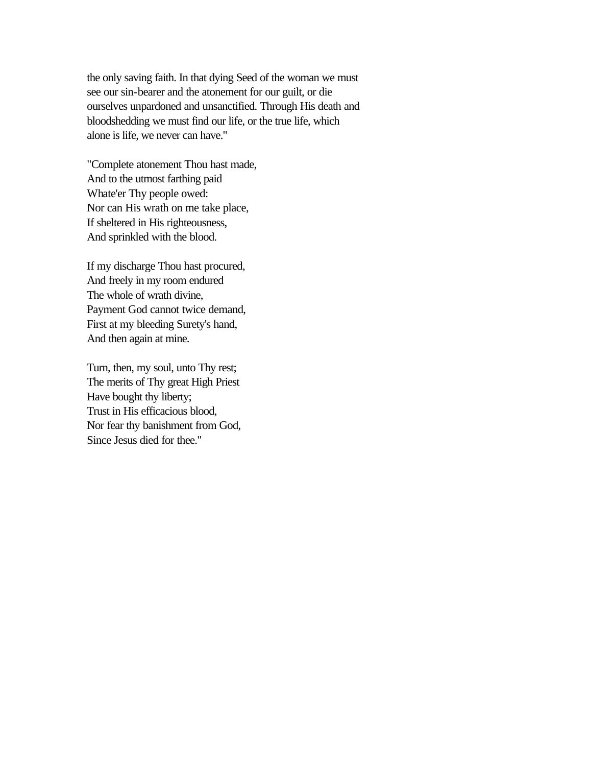the only saving faith. In that dying Seed of the woman we must see our sin-bearer and the atonement for our guilt, or die ourselves unpardoned and unsanctified. Through His death and bloodshedding we must find our life, or the true life, which alone is life, we never can have."

"Complete atonement Thou hast made, And to the utmost farthing paid Whate'er Thy people owed: Nor can His wrath on me take place, If sheltered in His righteousness, And sprinkled with the blood.

If my discharge Thou hast procured, And freely in my room endured The whole of wrath divine, Payment God cannot twice demand, First at my bleeding Surety's hand, And then again at mine.

Turn, then, my soul, unto Thy rest; The merits of Thy great High Priest Have bought thy liberty; Trust in His efficacious blood, Nor fear thy banishment from God, Since Jesus died for thee."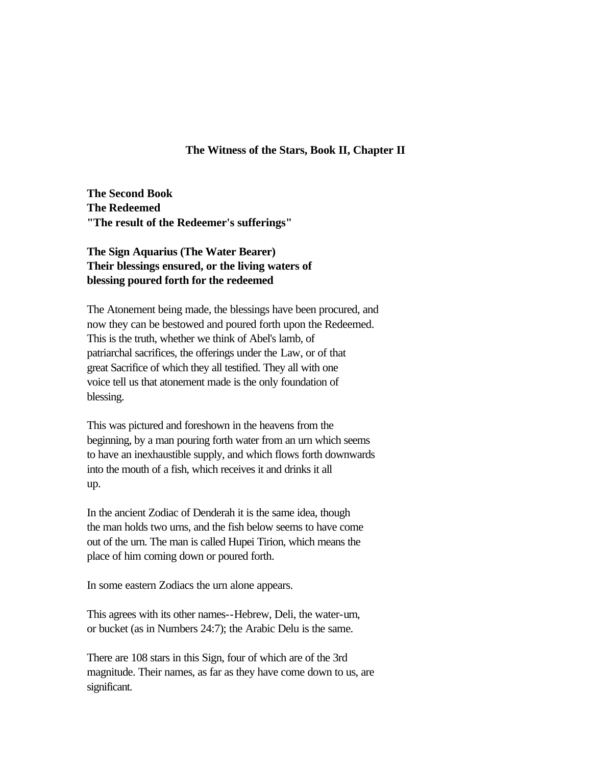### **The Witness of the Stars, Book II, Chapter II**

**The Second Book The Redeemed "The result of the Redeemer's sufferings"** 

# **The Sign Aquarius (The Water Bearer) Their blessings ensured, or the living waters of blessing poured forth for the redeemed**

The Atonement being made, the blessings have been procured, and now they can be bestowed and poured forth upon the Redeemed. This is the truth, whether we think of Abel's lamb, of patriarchal sacrifices, the offerings under the Law, or of that great Sacrifice of which they all testified. They all with one voice tell us that atonement made is the only foundation of blessing.

This was pictured and foreshown in the heavens from the beginning, by a man pouring forth water from an urn which seems to have an inexhaustible supply, and which flows forth downwards into the mouth of a fish, which receives it and drinks it all up.

In the ancient Zodiac of Denderah it is the same idea, though the man holds two urns, and the fish below seems to have come out of the urn. The man is called Hupei Tirion, which means the place of him coming down or poured forth.

In some eastern Zodiacs the urn alone appears.

This agrees with its other names--Hebrew, Deli, the water-urn, or bucket (as in Numbers 24:7); the Arabic Delu is the same.

There are 108 stars in this Sign, four of which are of the 3rd magnitude. Their names, as far as they have come down to us, are significant.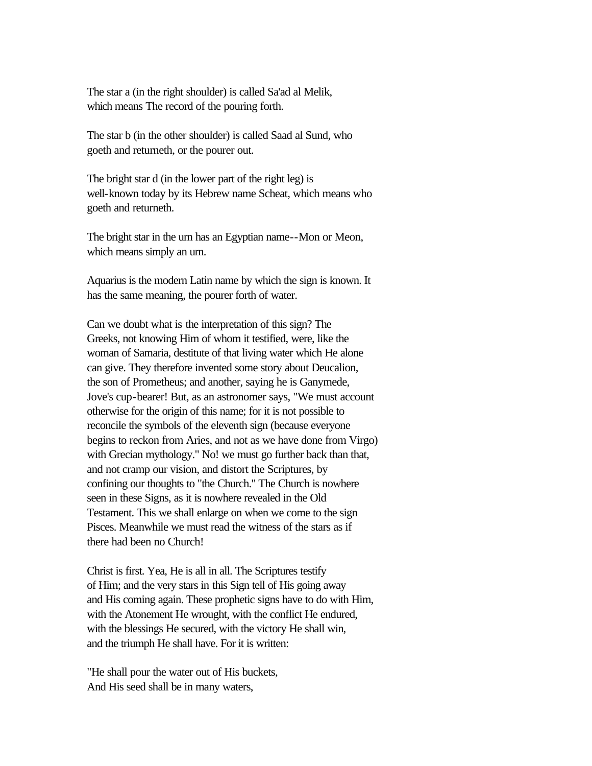The star a (in the right shoulder) is called Sa'ad al Melik, which means The record of the pouring forth.

The star b (in the other shoulder) is called Saad al Sund, who goeth and returneth, or the pourer out.

The bright star d (in the lower part of the right leg) is well-known today by its Hebrew name Scheat, which means who goeth and returneth.

The bright star in the urn has an Egyptian name--Mon or Meon, which means simply an urn.

Aquarius is the modern Latin name by which the sign is known. It has the same meaning, the pourer forth of water.

Can we doubt what is the interpretation of this sign? The Greeks, not knowing Him of whom it testified, were, like the woman of Samaria, destitute of that living water which He alone can give. They therefore invented some story about Deucalion, the son of Prometheus; and another, saying he is Ganymede, Jove's cup-bearer! But, as an astronomer says, "We must account otherwise for the origin of this name; for it is not possible to reconcile the symbols of the eleventh sign (because everyone begins to reckon from Aries, and not as we have done from Virgo) with Grecian mythology." No! we must go further back than that, and not cramp our vision, and distort the Scriptures, by confining our thoughts to "the Church." The Church is nowhere seen in these Signs, as it is nowhere revealed in the Old Testament. This we shall enlarge on when we come to the sign Pisces. Meanwhile we must read the witness of the stars as if there had been no Church!

Christ is first. Yea, He is all in all. The Scriptures testify of Him; and the very stars in this Sign tell of His going away and His coming again. These prophetic signs have to do with Him, with the Atonement He wrought, with the conflict He endured, with the blessings He secured, with the victory He shall win, and the triumph He shall have. For it is written:

"He shall pour the water out of His buckets, And His seed shall be in many waters,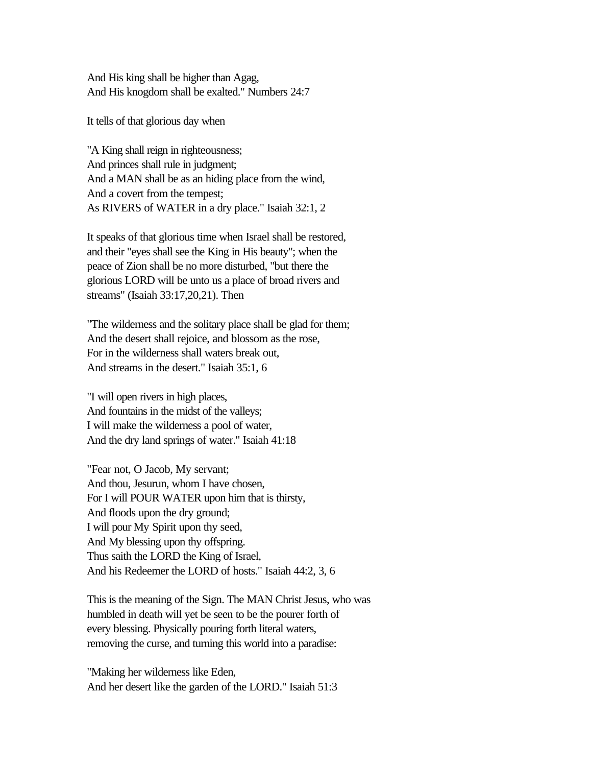And His king shall be higher than Agag, And His knogdom shall be exalted." Numbers 24:7

It tells of that glorious day when

"A King shall reign in righteousness; And princes shall rule in judgment; And a MAN shall be as an hiding place from the wind, And a covert from the tempest; As RIVERS of WATER in a dry place." Isaiah 32:1, 2

It speaks of that glorious time when Israel shall be restored, and their "eyes shall see the King in His beauty"; when the peace of Zion shall be no more disturbed, "but there the glorious LORD will be unto us a place of broad rivers and streams" (Isaiah 33:17,20,21). Then

"The wilderness and the solitary place shall be glad for them; And the desert shall rejoice, and blossom as the rose, For in the wilderness shall waters break out, And streams in the desert." Isaiah 35:1, 6

"I will open rivers in high places, And fountains in the midst of the valleys; I will make the wilderness a pool of water, And the dry land springs of water." Isaiah 41:18

"Fear not, O Jacob, My servant; And thou, Jesurun, whom I have chosen, For I will POUR WATER upon him that is thirsty, And floods upon the dry ground; I will pour My Spirit upon thy seed, And My blessing upon thy offspring. Thus saith the LORD the King of Israel, And his Redeemer the LORD of hosts." Isaiah 44:2, 3, 6

This is the meaning of the Sign. The MAN Christ Jesus, who was humbled in death will yet be seen to be the pourer forth of every blessing. Physically pouring forth literal waters, removing the curse, and turning this world into a paradise:

"Making her wilderness like Eden, And her desert like the garden of the LORD." Isaiah 51:3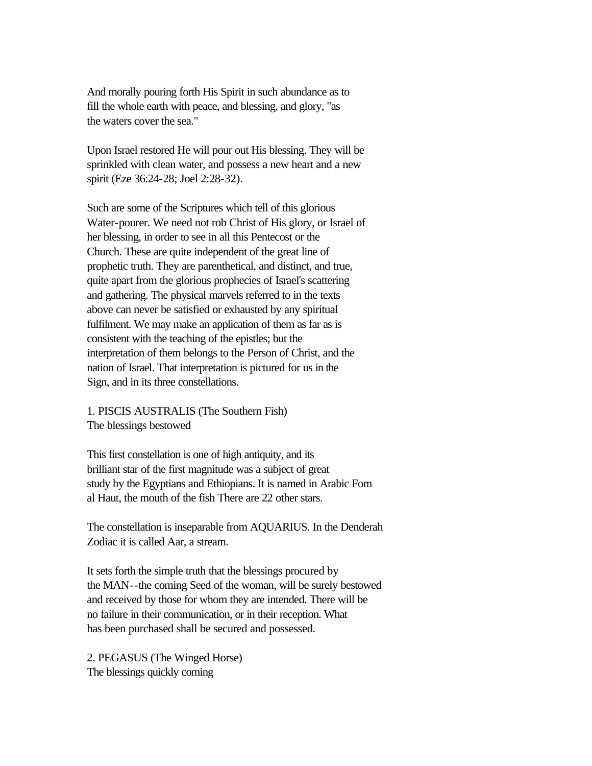And morally pouring forth His Spirit in such abundance as to fill the whole earth with peace, and blessing, and glory, "as the waters cover the sea."

Upon Israel restored He will pour out His blessing. They will be sprinkled with clean water, and possess a new heart and a new spirit (Eze 36:24-28; Joel 2:28-32).

Such are some of the Scriptures which tell of this glorious Water-pourer. We need not rob Christ of His glory, or Israel of her blessing, in order to see in all this Pentecost or the Church. These are quite independent of the great line of prophetic truth. They are parenthetical, and distinct, and true, quite apart from the glorious prophecies of Israel's scattering and gathering. The physical marvels referred to in the texts above can never be satisfied or exhausted by any spiritual fulfilment. We may make an application of them as far as is consistent with the teaching of the epistles; but the interpretation of them belongs to the Person of Christ, and the nation of Israel. That interpretation is pictured for us in the Sign, and in its three constellations.

1. PISCIS AUSTRALIS (The Southern Fish) The blessings bestowed

This first constellation is one of high antiquity, and its brilliant star of the first magnitude was a subject of great study by the Egyptians and Ethiopians. It is named in Arabic Fom al Haut, the mouth of the fish There are 22 other stars.

The constellation is inseparable from AQUARIUS. In the Denderah Zodiac it is called Aar, a stream.

It sets forth the simple truth that the blessings procured by the MAN--the coming Seed of the woman, will be surely bestowed and received by those for whom they are intended. There will be no failure in their communication, or in their reception. What has been purchased shall be secured and possessed.

2. PEGASUS (The Winged Horse) The blessings quickly coming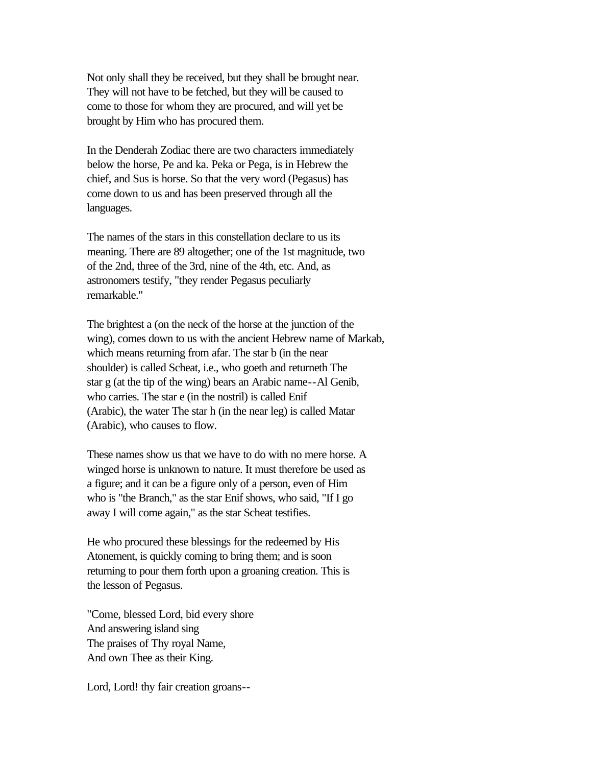Not only shall they be received, but they shall be brought near. They will not have to be fetched, but they will be caused to come to those for whom they are procured, and will yet be brought by Him who has procured them.

In the Denderah Zodiac there are two characters immediately below the horse, Pe and ka. Peka or Pega, is in Hebrew the chief, and Sus is horse. So that the very word (Pegasus) has come down to us and has been preserved through all the languages.

The names of the stars in this constellation declare to us its meaning. There are 89 altogether; one of the 1st magnitude, two of the 2nd, three of the 3rd, nine of the 4th, etc. And, as astronomers testify, "they render Pegasus peculiarly remarkable."

The brightest a (on the neck of the horse at the junction of the wing), comes down to us with the ancient Hebrew name of Markab, which means returning from afar. The star b (in the near shoulder) is called Scheat, i.e., who goeth and returneth The star g (at the tip of the wing) bears an Arabic name--Al Genib, who carries. The star e (in the nostril) is called Enif (Arabic), the water The star h (in the near leg) is called Matar (Arabic), who causes to flow.

These names show us that we have to do with no mere horse. A winged horse is unknown to nature. It must therefore be used as a figure; and it can be a figure only of a person, even of Him who is "the Branch," as the star Enif shows, who said, "If I go away I will come again," as the star Scheat testifies.

He who procured these blessings for the redeemed by His Atonement, is quickly coming to bring them; and is soon returning to pour them forth upon a groaning creation. This is the lesson of Pegasus.

"Come, blessed Lord, bid every shore And answering island sing The praises of Thy royal Name, And own Thee as their King.

Lord, Lord! thy fair creation groans--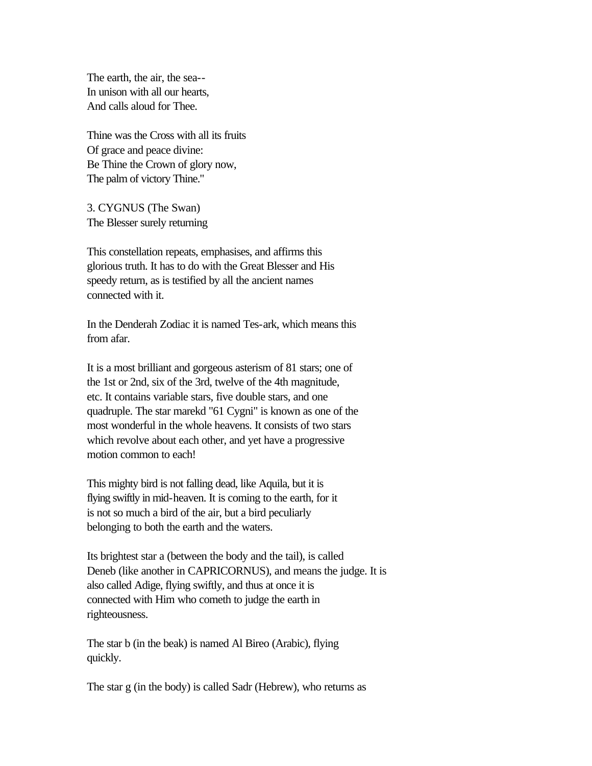The earth, the air, the sea-- In unison with all our hearts, And calls aloud for Thee.

Thine was the Cross with all its fruits Of grace and peace divine: Be Thine the Crown of glory now, The palm of victory Thine."

3. CYGNUS (The Swan) The Blesser surely returning

This constellation repeats, emphasises, and affirms this glorious truth. It has to do with the Great Blesser and His speedy return, as is testified by all the ancient names connected with it.

In the Denderah Zodiac it is named Tes-ark, which means this from afar.

It is a most brilliant and gorgeous asterism of 81 stars; one of the 1st or 2nd, six of the 3rd, twelve of the 4th magnitude, etc. It contains variable stars, five double stars, and one quadruple. The star marekd "61 Cygni" is known as one of the most wonderful in the whole heavens. It consists of two stars which revolve about each other, and yet have a progressive motion common to each!

This mighty bird is not falling dead, like Aquila, but it is flying swiftly in mid-heaven. It is coming to the earth, for it is not so much a bird of the air, but a bird peculiarly belonging to both the earth and the waters.

Its brightest star a (between the body and the tail), is called Deneb (like another in CAPRICORNUS), and means the judge. It is also called Adige, flying swiftly, and thus at once it is connected with Him who cometh to judge the earth in righteousness.

The star b (in the beak) is named Al Bireo (Arabic), flying quickly.

The star g (in the body) is called Sadr (Hebrew), who returns as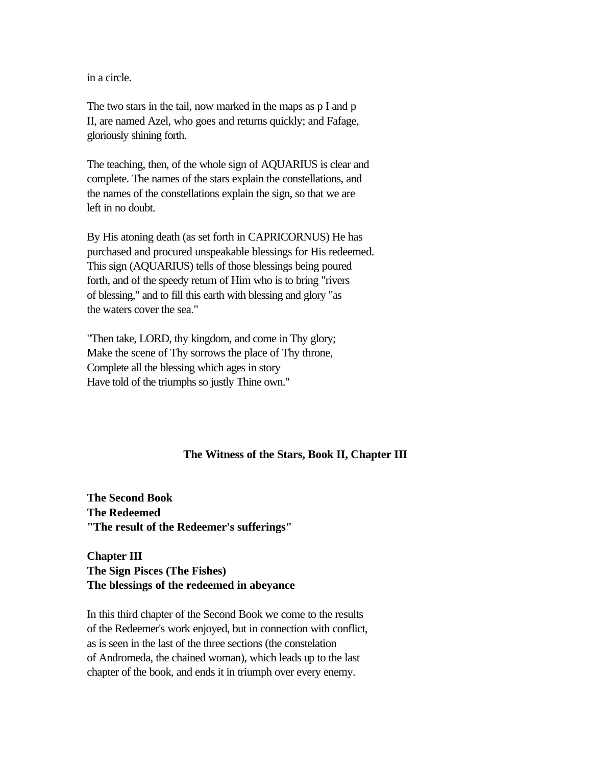in a circle.

The two stars in the tail, now marked in the maps as p I and p II, are named Azel, who goes and returns quickly; and Fafage, gloriously shining forth.

The teaching, then, of the whole sign of AQUARIUS is clear and complete. The names of the stars explain the constellations, and the names of the constellations explain the sign, so that we are left in no doubt.

By His atoning death (as set forth in CAPRICORNUS) He has purchased and procured unspeakable blessings for His redeemed. This sign (AQUARIUS) tells of those blessings being poured forth, and of the speedy return of Him who is to bring "rivers of blessing," and to fill this earth with blessing and glory "as the waters cover the sea."

"Then take, LORD, thy kingdom, and come in Thy glory; Make the scene of Thy sorrows the place of Thy throne, Complete all the blessing which ages in story Have told of the triumphs so justly Thine own."

## **The Witness of the Stars, Book II, Chapter III**

**The Second Book The Redeemed "The result of the Redeemer's sufferings"** 

**Chapter III The Sign Pisces (The Fishes) The blessings of the redeemed in abeyance** 

In this third chapter of the Second Book we come to the results of the Redeemer's work enjoyed, but in connection with conflict, as is seen in the last of the three sections (the constelation of Andromeda, the chained woman), which leads up to the last chapter of the book, and ends it in triumph over every enemy.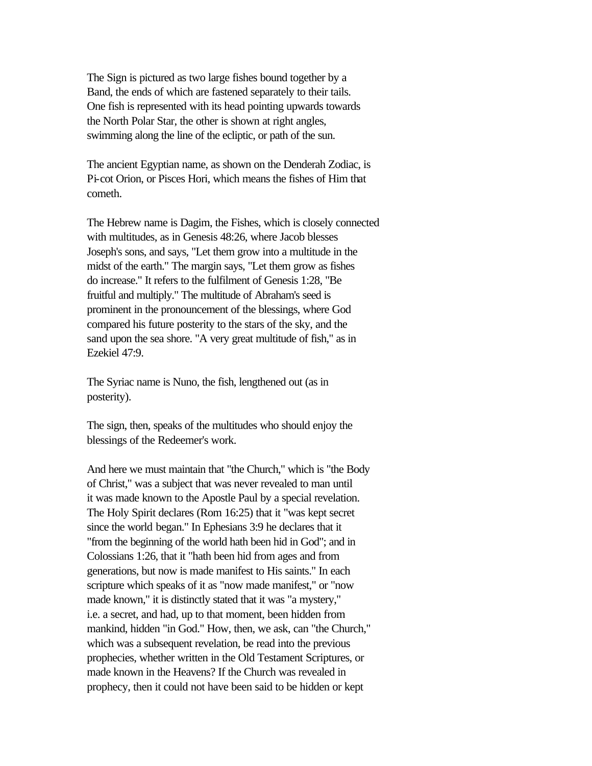The Sign is pictured as two large fishes bound together by a Band, the ends of which are fastened separately to their tails. One fish is represented with its head pointing upwards towards the North Polar Star, the other is shown at right angles, swimming along the line of the ecliptic, or path of the sun.

The ancient Egyptian name, as shown on the Denderah Zodiac, is Pi-cot Orion, or Pisces Hori, which means the fishes of Him that cometh.

The Hebrew name is Dagim, the Fishes, which is closely connected with multitudes, as in Genesis 48:26, where Jacob blesses Joseph's sons, and says, "Let them grow into a multitude in the midst of the earth." The margin says, "Let them grow as fishes do increase." It refers to the fulfilment of Genesis 1:28, "Be fruitful and multiply." The multitude of Abraham's seed is prominent in the pronouncement of the blessings, where God compared his future posterity to the stars of the sky, and the sand upon the sea shore. "A very great multitude of fish," as in Ezekiel 47:9.

The Syriac name is Nuno, the fish, lengthened out (as in posterity).

The sign, then, speaks of the multitudes who should enjoy the blessings of the Redeemer's work.

And here we must maintain that "the Church," which is "the Body of Christ," was a subject that was never revealed to man until it was made known to the Apostle Paul by a special revelation. The Holy Spirit declares (Rom 16:25) that it "was kept secret since the world began." In Ephesians 3:9 he declares that it "from the beginning of the world hath been hid in God"; and in Colossians 1:26, that it "hath been hid from ages and from generations, but now is made manifest to His saints." In each scripture which speaks of it as "now made manifest," or "now made known," it is distinctly stated that it was "a mystery," i.e. a secret, and had, up to that moment, been hidden from mankind, hidden "in God." How, then, we ask, can "the Church," which was a subsequent revelation, be read into the previous prophecies, whether written in the Old Testament Scriptures, or made known in the Heavens? If the Church was revealed in prophecy, then it could not have been said to be hidden or kept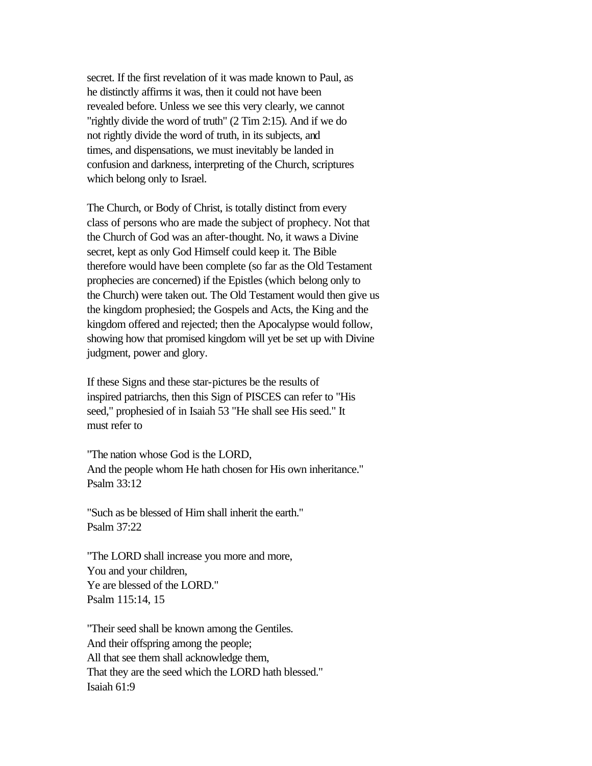secret. If the first revelation of it was made known to Paul, as he distinctly affirms it was, then it could not have been revealed before. Unless we see this very clearly, we cannot "rightly divide the word of truth" (2 Tim 2:15). And if we do not rightly divide the word of truth, in its subjects, and times, and dispensations, we must inevitably be landed in confusion and darkness, interpreting of the Church, scriptures which belong only to Israel.

The Church, or Body of Christ, is totally distinct from every class of persons who are made the subject of prophecy. Not that the Church of God was an after-thought. No, it waws a Divine secret, kept as only God Himself could keep it. The Bible therefore would have been complete (so far as the Old Testament prophecies are concerned) if the Epistles (which belong only to the Church) were taken out. The Old Testament would then give us the kingdom prophesied; the Gospels and Acts, the King and the kingdom offered and rejected; then the Apocalypse would follow, showing how that promised kingdom will yet be set up with Divine judgment, power and glory.

If these Signs and these star-pictures be the results of inspired patriarchs, then this Sign of PISCES can refer to "His seed," prophesied of in Isaiah 53 "He shall see His seed." It must refer to

"The nation whose God is the LORD, And the people whom He hath chosen for His own inheritance." Psalm 33:12

"Such as be blessed of Him shall inherit the earth." Psalm 37:22

"The LORD shall increase you more and more, You and your children, Ye are blessed of the LORD." Psalm 115:14, 15

"Their seed shall be known among the Gentiles. And their offspring among the people; All that see them shall acknowledge them, That they are the seed which the LORD hath blessed." Isaiah 61:9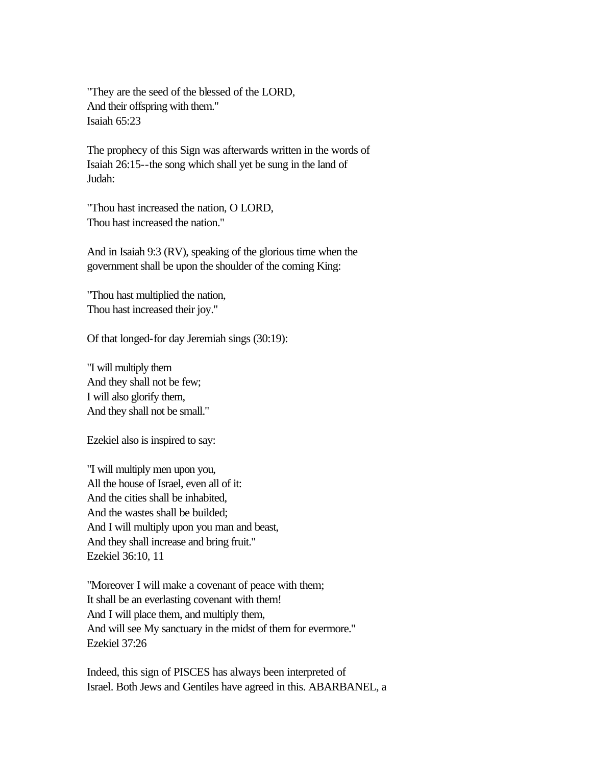"They are the seed of the blessed of the LORD, And their offspring with them." Isaiah 65:23

The prophecy of this Sign was afterwards written in the words of Isaiah 26:15--the song which shall yet be sung in the land of Judah:

"Thou hast increased the nation, O LORD, Thou hast increased the nation."

And in Isaiah 9:3 (RV), speaking of the glorious time when the government shall be upon the shoulder of the coming King:

"Thou hast multiplied the nation, Thou hast increased their joy."

Of that longed-for day Jeremiah sings (30:19):

"I will multiply them And they shall not be few; I will also glorify them, And they shall not be small."

Ezekiel also is inspired to say:

"I will multiply men upon you, All the house of Israel, even all of it: And the cities shall be inhabited, And the wastes shall be builded; And I will multiply upon you man and beast, And they shall increase and bring fruit." Ezekiel 36:10, 11

"Moreover I will make a covenant of peace with them; It shall be an everlasting covenant with them! And I will place them, and multiply them, And will see My sanctuary in the midst of them for evermore." Ezekiel 37:26

Indeed, this sign of PISCES has always been interpreted of Israel. Both Jews and Gentiles have agreed in this. ABARBANEL, a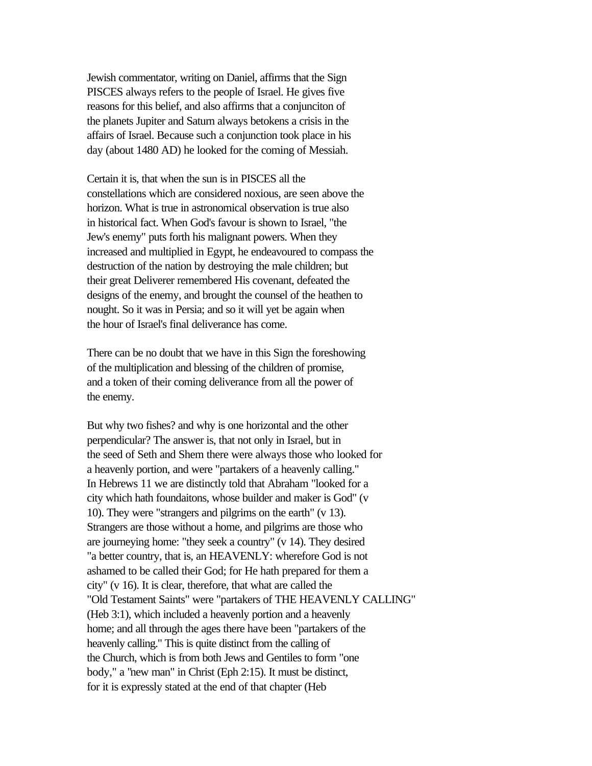Jewish commentator, writing on Daniel, affirms that the Sign PISCES always refers to the people of Israel. He gives five reasons for this belief, and also affirms that a conjunciton of the planets Jupiter and Saturn always betokens a crisis in the affairs of Israel. Because such a conjunction took place in his day (about 1480 AD) he looked for the coming of Messiah.

Certain it is, that when the sun is in PISCES all the constellations which are considered noxious, are seen above the horizon. What is true in astronomical observation is true also in historical fact. When God's favour is shown to Israel, "the Jew's enemy" puts forth his malignant powers. When they increased and multiplied in Egypt, he endeavoured to compass the destruction of the nation by destroying the male children; but their great Deliverer remembered His covenant, defeated the designs of the enemy, and brought the counsel of the heathen to nought. So it was in Persia; and so it will yet be again when the hour of Israel's final deliverance has come.

There can be no doubt that we have in this Sign the foreshowing of the multiplication and blessing of the children of promise, and a token of their coming deliverance from all the power of the enemy.

But why two fishes? and why is one horizontal and the other perpendicular? The answer is, that not only in Israel, but in the seed of Seth and Shem there were always those who looked for a heavenly portion, and were "partakers of a heavenly calling." In Hebrews 11 we are distinctly told that Abraham "looked for a city which hath foundaitons, whose builder and maker is God" (v 10). They were "strangers and pilgrims on the earth" (v 13). Strangers are those without a home, and pilgrims are those who are journeying home: "they seek a country" (v 14). They desired "a better country, that is, an HEAVENLY: wherefore God is not ashamed to be called their God; for He hath prepared for them a city" (v 16). It is clear, therefore, that what are called the "Old Testament Saints" were "partakers of THE HEAVENLY CALLING" (Heb 3:1), which included a heavenly portion and a heavenly home; and all through the ages there have been "partakers of the heavenly calling." This is quite distinct from the calling of the Church, which is from both Jews and Gentiles to form "one body," a "new man" in Christ (Eph 2:15). It must be distinct, for it is expressly stated at the end of that chapter (Heb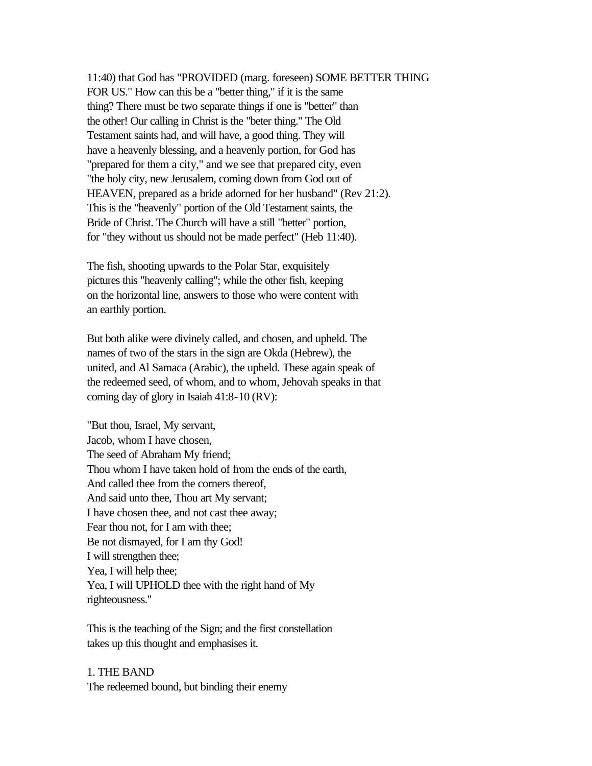11:40) that God has "PROVIDED (marg. foreseen) SOME BETTER THING FOR US." How can this be a "better thing," if it is the same thing? There must be two separate things if one is "better" than the other! Our calling in Christ is the "beter thing." The Old Testament saints had, and will have, a good thing. They will have a heavenly blessing, and a heavenly portion, for God has "prepared for them a city," and we see that prepared city, even "the holy city, new Jerusalem, coming down from God out of HEAVEN, prepared as a bride adorned for her husband" (Rev 21:2). This is the "heavenly" portion of the Old Testament saints, the Bride of Christ. The Church will have a still "better" portion, for "they without us should not be made perfect" (Heb 11:40).

The fish, shooting upwards to the Polar Star, exquisitely pictures this "heavenly calling"; while the other fish, keeping on the horizontal line, answers to those who were content with an earthly portion.

But both alike were divinely called, and chosen, and upheld. The names of two of the stars in the sign are Okda (Hebrew), the united, and Al Samaca (Arabic), the upheld. These again speak of the redeemed seed, of whom, and to whom, Jehovah speaks in that coming day of glory in Isaiah 41:8-10 (RV):

"But thou, Israel, My servant, Jacob, whom I have chosen, The seed of Abraham My friend; Thou whom I have taken hold of from the ends of the earth, And called thee from the corners thereof, And said unto thee, Thou art My servant; I have chosen thee, and not cast thee away; Fear thou not, for I am with thee; Be not dismayed, for I am thy God! I will strengthen thee; Yea, I will help thee; Yea, I will UPHOLD thee with the right hand of My righteousness."

This is the teaching of the Sign; and the first constellation takes up this thought and emphasises it.

1. THE BAND The redeemed bound, but binding their enemy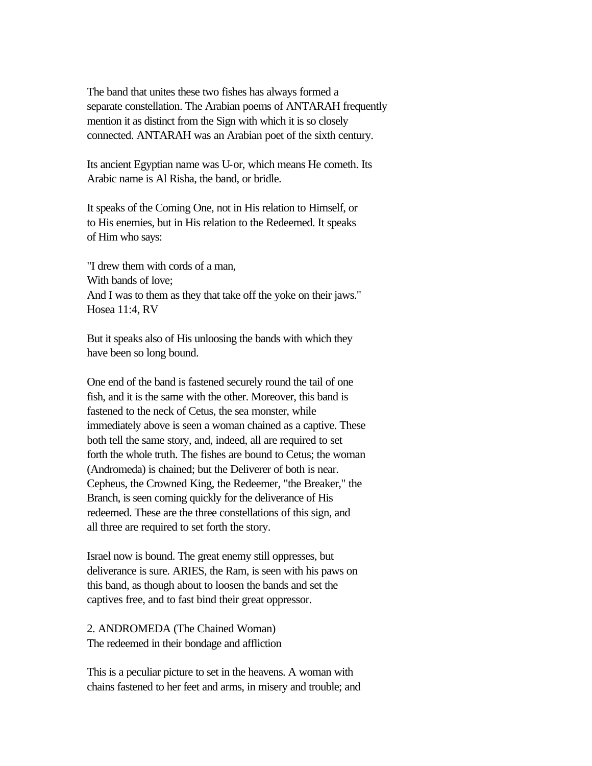The band that unites these two fishes has always formed a separate constellation. The Arabian poems of ANTARAH frequently mention it as distinct from the Sign with which it is so closely connected. ANTARAH was an Arabian poet of the sixth century.

Its ancient Egyptian name was U-or, which means He cometh. Its Arabic name is Al Risha, the band, or bridle.

It speaks of the Coming One, not in His relation to Himself, or to His enemies, but in His relation to the Redeemed. It speaks of Him who says:

"I drew them with cords of a man, With bands of love; And I was to them as they that take off the yoke on their jaws." Hosea 11:4, RV

But it speaks also of His unloosing the bands with which they have been so long bound.

One end of the band is fastened securely round the tail of one fish, and it is the same with the other. Moreover, this band is fastened to the neck of Cetus, the sea monster, while immediately above is seen a woman chained as a captive. These both tell the same story, and, indeed, all are required to set forth the whole truth. The fishes are bound to Cetus; the woman (Andromeda) is chained; but the Deliverer of both is near. Cepheus, the Crowned King, the Redeemer, "the Breaker," the Branch, is seen coming quickly for the deliverance of His redeemed. These are the three constellations of this sign, and all three are required to set forth the story.

Israel now is bound. The great enemy still oppresses, but deliverance is sure. ARIES, the Ram, is seen with his paws on this band, as though about to loosen the bands and set the captives free, and to fast bind their great oppressor.

2. ANDROMEDA (The Chained Woman) The redeemed in their bondage and affliction

This is a peculiar picture to set in the heavens. A woman with chains fastened to her feet and arms, in misery and trouble; and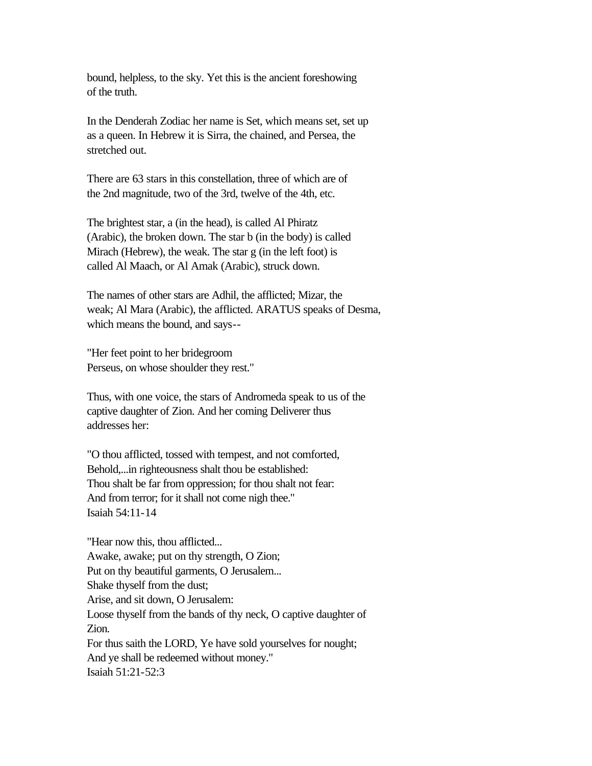bound, helpless, to the sky. Yet this is the ancient foreshowing of the truth.

In the Denderah Zodiac her name is Set, which means set, set up as a queen. In Hebrew it is Sirra, the chained, and Persea, the stretched out.

There are 63 stars in this constellation, three of which are of the 2nd magnitude, two of the 3rd, twelve of the 4th, etc.

The brightest star, a (in the head), is called Al Phiratz (Arabic), the broken down. The star b (in the body) is called Mirach (Hebrew), the weak. The star g (in the left foot) is called Al Maach, or Al Amak (Arabic), struck down.

The names of other stars are Adhil, the afflicted; Mizar, the weak; Al Mara (Arabic), the afflicted. ARATUS speaks of Desma, which means the bound, and says--

"Her feet point to her bridegroom Perseus, on whose shoulder they rest."

Thus, with one voice, the stars of Andromeda speak to us of the captive daughter of Zion. And her coming Deliverer thus addresses her:

"O thou afflicted, tossed with tempest, and not comforted, Behold,...in righteousness shalt thou be established: Thou shalt be far from oppression; for thou shalt not fear: And from terror; for it shall not come nigh thee." Isaiah 54:11-14

"Hear now this, thou afflicted... Awake, awake; put on thy strength, O Zion; Put on thy beautiful garments, O Jerusalem... Shake thyself from the dust; Arise, and sit down, O Jerusalem: Loose thyself from the bands of thy neck, O captive daughter of Zion. For thus saith the LORD, Ye have sold yourselves for nought; And ye shall be redeemed without money." Isaiah 51:21-52:3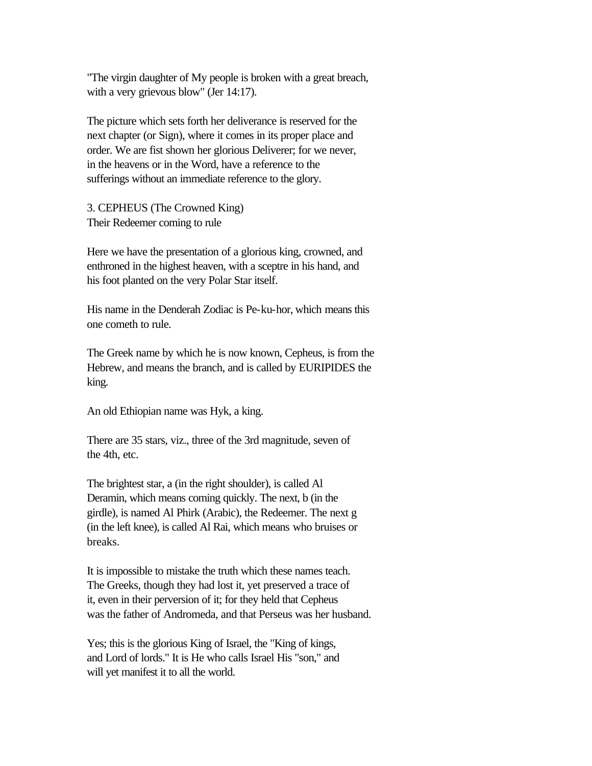"The virgin daughter of My people is broken with a great breach, with a very grievous blow" (Jer 14:17).

The picture which sets forth her deliverance is reserved for the next chapter (or Sign), where it comes in its proper place and order. We are fist shown her glorious Deliverer; for we never, in the heavens or in the Word, have a reference to the sufferings without an immediate reference to the glory.

3. CEPHEUS (The Crowned King) Their Redeemer coming to rule

Here we have the presentation of a glorious king, crowned, and enthroned in the highest heaven, with a sceptre in his hand, and his foot planted on the very Polar Star itself.

His name in the Denderah Zodiac is Pe-ku-hor, which means this one cometh to rule.

The Greek name by which he is now known, Cepheus, is from the Hebrew, and means the branch, and is called by EURIPIDES the king.

An old Ethiopian name was Hyk, a king.

There are 35 stars, viz., three of the 3rd magnitude, seven of the 4th, etc.

The brightest star, a (in the right shoulder), is called Al Deramin, which means coming quickly. The next, b (in the girdle), is named Al Phirk (Arabic), the Redeemer. The next g (in the left knee), is called Al Rai, which means who bruises or breaks.

It is impossible to mistake the truth which these names teach. The Greeks, though they had lost it, yet preserved a trace of it, even in their perversion of it; for they held that Cepheus was the father of Andromeda, and that Perseus was her husband.

Yes; this is the glorious King of Israel, the "King of kings, and Lord of lords." It is He who calls Israel His "son," and will yet manifest it to all the world.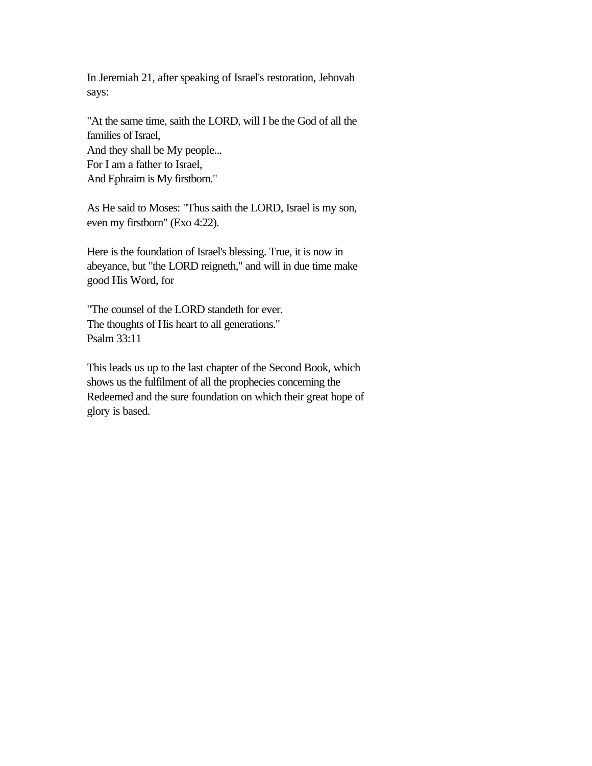In Jeremiah 21, after speaking of Israel's restoration, Jehovah says:

"At the same time, saith the LORD, will I be the God of all the families of Israel, And they shall be My people... For I am a father to Israel, And Ephraim is My firstborn."

As He said to Moses: "Thus saith the LORD, Israel is my son, even my firstborn" (Exo 4:22).

Here is the foundation of Israel's blessing. True, it is now in abeyance, but "the LORD reigneth," and will in due time make good His Word, for

"The counsel of the LORD standeth for ever. The thoughts of His heart to all generations." Psalm 33:11

This leads us up to the last chapter of the Second Book, which shows us the fulfilment of all the prophecies concerning the Redeemed and the sure foundation on which their great hope of glory is based.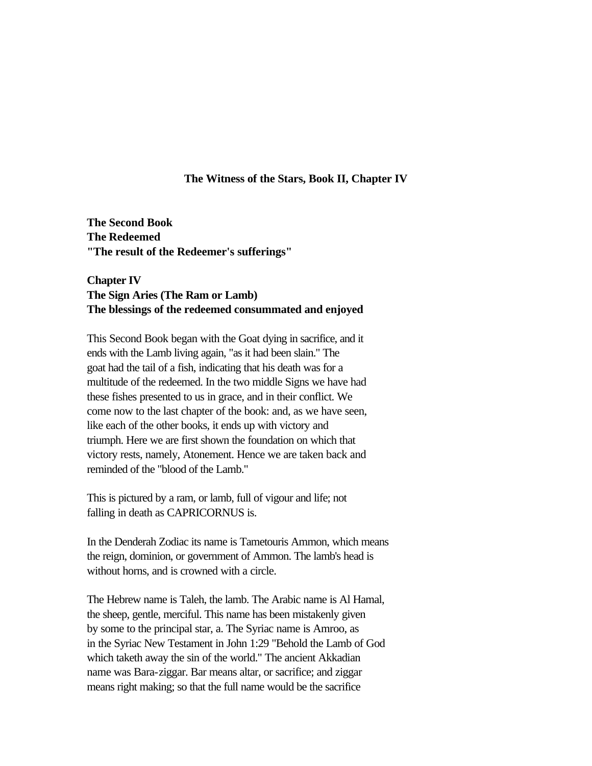### **The Witness of the Stars, Book II, Chapter IV**

**The Second Book The Redeemed "The result of the Redeemer's sufferings"** 

# **Chapter IV The Sign Aries (The Ram or Lamb) The blessings of the redeemed consummated and enjoyed**

This Second Book began with the Goat dying in sacrifice, and it ends with the Lamb living again, "as it had been slain." The goat had the tail of a fish, indicating that his death was for a multitude of the redeemed. In the two middle Signs we have had these fishes presented to us in grace, and in their conflict. We come now to the last chapter of the book: and, as we have seen, like each of the other books, it ends up with victory and triumph. Here we are first shown the foundation on which that victory rests, namely, Atonement. Hence we are taken back and reminded of the "blood of the Lamb."

This is pictured by a ram, or lamb, full of vigour and life; not falling in death as CAPRICORNUS is.

In the Denderah Zodiac its name is Tametouris Ammon, which means the reign, dominion, or government of Ammon. The lamb's head is without horns, and is crowned with a circle.

The Hebrew name is Taleh, the lamb. The Arabic name is Al Hamal, the sheep, gentle, merciful. This name has been mistakenly given by some to the principal star, a. The Syriac name is Amroo, as in the Syriac New Testament in John 1:29 "Behold the Lamb of God which taketh away the sin of the world." The ancient Akkadian name was Bara-ziggar. Bar means altar, or sacrifice; and ziggar means right making; so that the full name would be the sacrifice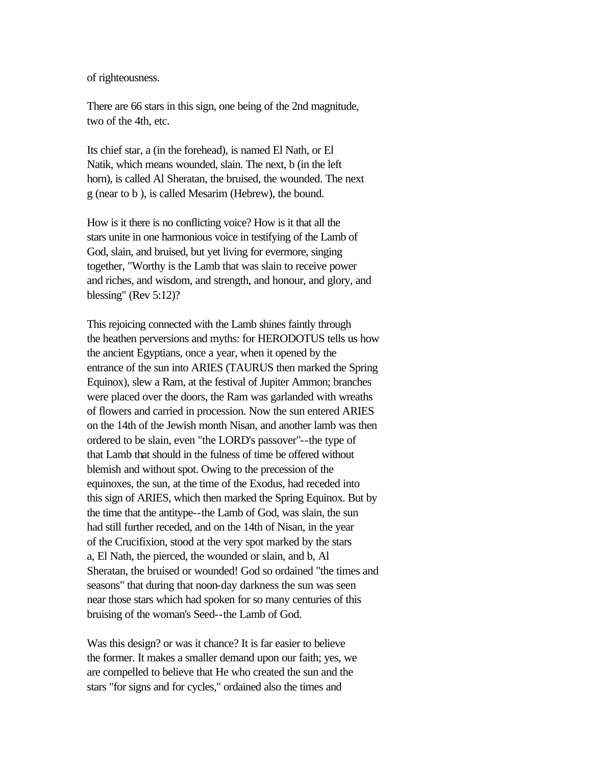of righteousness.

There are 66 stars in this sign, one being of the 2nd magnitude, two of the 4th, etc.

Its chief star, a (in the forehead), is named El Nath, or El Natik, which means wounded, slain. The next, b (in the left horn), is called Al Sheratan, the bruised, the wounded. The next g (near to b ), is called Mesarim (Hebrew), the bound.

How is it there is no conflicting voice? How is it that all the stars unite in one harmonious voice in testifying of the Lamb of God, slain, and bruised, but yet living for evermore, singing together, "Worthy is the Lamb that was slain to receive power and riches, and wisdom, and strength, and honour, and glory, and blessing" (Rev 5:12)?

This rejoicing connected with the Lamb shines faintly through the heathen perversions and myths: for HERODOTUS tells us how the ancient Egyptians, once a year, when it opened by the entrance of the sun into ARIES (TAURUS then marked the Spring Equinox), slew a Ram, at the festival of Jupiter Ammon; branches were placed over the doors, the Ram was garlanded with wreaths of flowers and carried in procession. Now the sun entered ARIES on the 14th of the Jewish month Nisan, and another lamb was then ordered to be slain, even "the LORD's passover"--the type of that Lamb that should in the fulness of time be offered without blemish and without spot. Owing to the precession of the equinoxes, the sun, at the time of the Exodus, had receded into this sign of ARIES, which then marked the Spring Equinox. But by the time that the antitype--the Lamb of God, was slain, the sun had still further receded, and on the 14th of Nisan, in the year of the Crucifixion, stood at the very spot marked by the stars a, El Nath, the pierced, the wounded or slain, and b, Al Sheratan, the bruised or wounded! God so ordained "the times and seasons" that during that noon-day darkness the sun was seen near those stars which had spoken for so many centuries of this bruising of the woman's Seed--the Lamb of God.

Was this design? or was it chance? It is far easier to believe the former. It makes a smaller demand upon our faith; yes, we are compelled to believe that He who created the sun and the stars "for signs and for cycles," ordained also the times and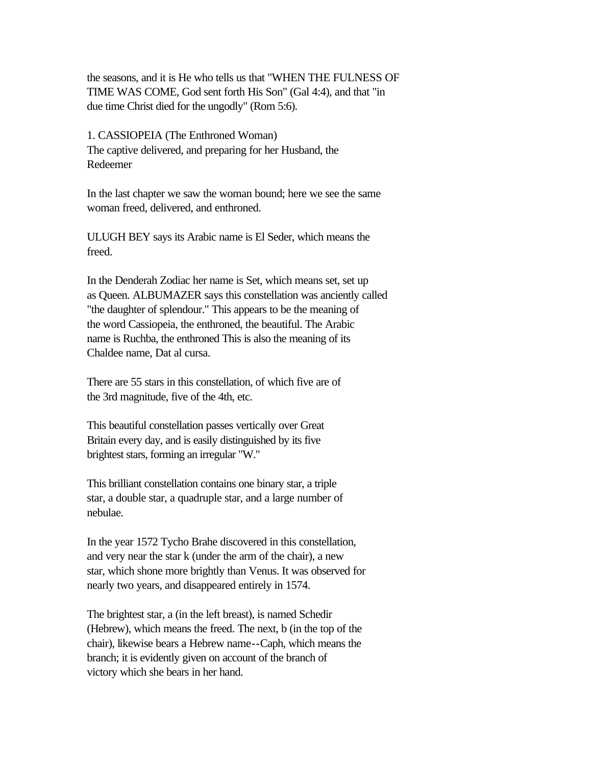the seasons, and it is He who tells us that "WHEN THE FULNESS OF TIME WAS COME, God sent forth His Son" (Gal 4:4), and that "in due time Christ died for the ungodly" (Rom 5:6).

1. CASSIOPEIA (The Enthroned Woman) The captive delivered, and preparing for her Husband, the Redeemer

In the last chapter we saw the woman bound; here we see the same woman freed, delivered, and enthroned.

ULUGH BEY says its Arabic name is El Seder, which means the freed.

In the Denderah Zodiac her name is Set, which means set, set up as Queen. ALBUMAZER says this constellation was anciently called "the daughter of splendour." This appears to be the meaning of the word Cassiopeia, the enthroned, the beautiful. The Arabic name is Ruchba, the enthroned This is also the meaning of its Chaldee name, Dat al cursa.

There are 55 stars in this constellation, of which five are of the 3rd magnitude, five of the 4th, etc.

This beautiful constellation passes vertically over Great Britain every day, and is easily distinguished by its five brightest stars, forming an irregular "W."

This brilliant constellation contains one binary star, a triple star, a double star, a quadruple star, and a large number of nebulae.

In the year 1572 Tycho Brahe discovered in this constellation, and very near the star k (under the arm of the chair), a new star, which shone more brightly than Venus. It was observed for nearly two years, and disappeared entirely in 1574.

The brightest star, a (in the left breast), is named Schedir (Hebrew), which means the freed. The next, b (in the top of the chair), likewise bears a Hebrew name--Caph, which means the branch; it is evidently given on account of the branch of victory which she bears in her hand.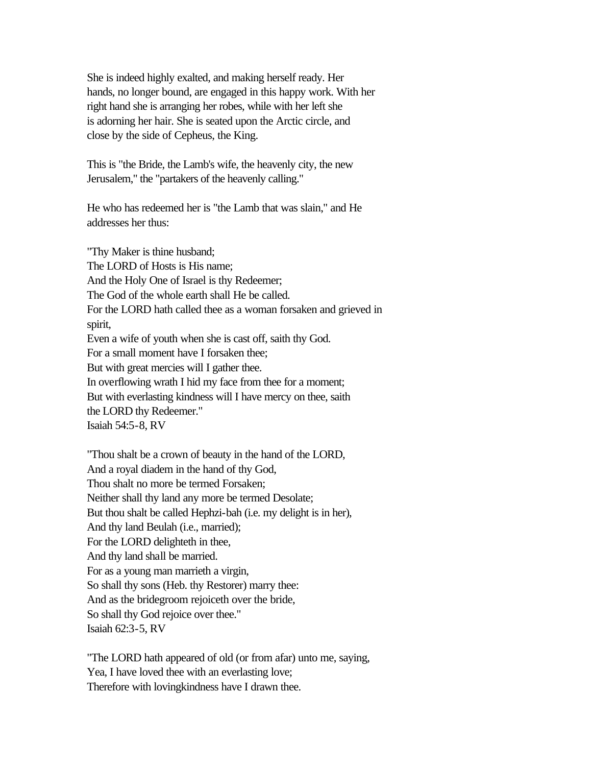She is indeed highly exalted, and making herself ready. Her hands, no longer bound, are engaged in this happy work. With her right hand she is arranging her robes, while with her left she is adorning her hair. She is seated upon the Arctic circle, and close by the side of Cepheus, the King.

This is "the Bride, the Lamb's wife, the heavenly city, the new Jerusalem," the "partakers of the heavenly calling."

He who has redeemed her is "the Lamb that was slain," and He addresses her thus:

"Thy Maker is thine husband; The LORD of Hosts is His name; And the Holy One of Israel is thy Redeemer; The God of the whole earth shall He be called. For the LORD hath called thee as a woman forsaken and grieved in spirit, Even a wife of youth when she is cast off, saith thy God. For a small moment have I forsaken thee; But with great mercies will I gather thee. In overflowing wrath I hid my face from thee for a moment; But with everlasting kindness will I have mercy on thee, saith the LORD thy Redeemer." Isaiah 54:5-8, RV

"Thou shalt be a crown of beauty in the hand of the LORD, And a royal diadem in the hand of thy God, Thou shalt no more be termed Forsaken; Neither shall thy land any more be termed Desolate; But thou shalt be called Hephzi-bah (i.e. my delight is in her), And thy land Beulah (i.e., married); For the LORD delighteth in thee, And thy land shall be married. For as a young man marrieth a virgin, So shall thy sons (Heb. thy Restorer) marry thee: And as the bridegroom rejoiceth over the bride, So shall thy God rejoice over thee." Isaiah 62:3-5, RV

"The LORD hath appeared of old (or from afar) unto me, saying, Yea, I have loved thee with an everlasting love; Therefore with lovingkindness have I drawn thee.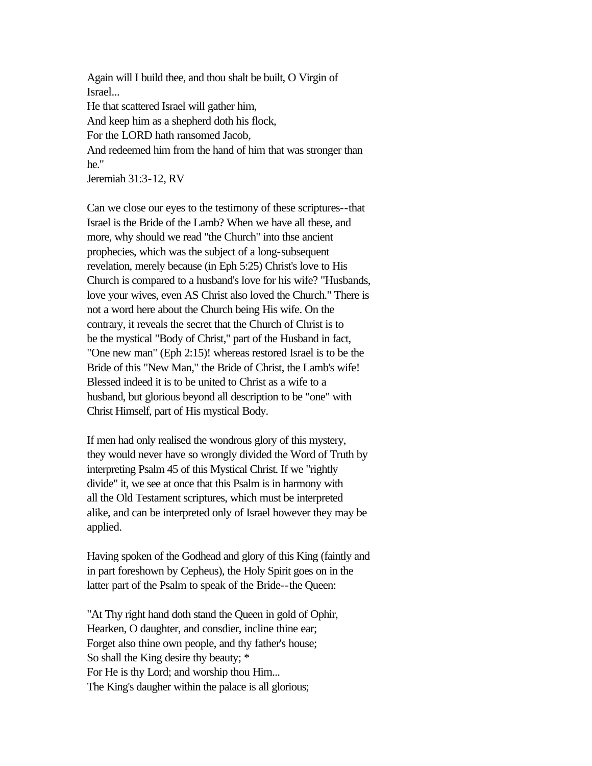Again will I build thee, and thou shalt be built, O Virgin of Israel... He that scattered Israel will gather him, And keep him as a shepherd doth his flock, For the LORD hath ransomed Jacob, And redeemed him from the hand of him that was stronger than he." Jeremiah 31:3-12, RV

Can we close our eyes to the testimony of these scriptures--that Israel is the Bride of the Lamb? When we have all these, and more, why should we read "the Church" into thse ancient prophecies, which was the subject of a long-subsequent revelation, merely because (in Eph 5:25) Christ's love to His Church is compared to a husband's love for his wife? "Husbands, love your wives, even AS Christ also loved the Church." There is not a word here about the Church being His wife. On the contrary, it reveals the secret that the Church of Christ is to be the mystical "Body of Christ," part of the Husband in fact, "One new man" (Eph 2:15)! whereas restored Israel is to be the Bride of this "New Man," the Bride of Christ, the Lamb's wife! Blessed indeed it is to be united to Christ as a wife to a husband, but glorious beyond all description to be "one" with Christ Himself, part of His mystical Body.

If men had only realised the wondrous glory of this mystery, they would never have so wrongly divided the Word of Truth by interpreting Psalm 45 of this Mystical Christ. If we "rightly divide" it, we see at once that this Psalm is in harmony with all the Old Testament scriptures, which must be interpreted alike, and can be interpreted only of Israel however they may be applied.

Having spoken of the Godhead and glory of this King (faintly and in part foreshown by Cepheus), the Holy Spirit goes on in the latter part of the Psalm to speak of the Bride--the Queen:

"At Thy right hand doth stand the Queen in gold of Ophir, Hearken, O daughter, and consdier, incline thine ear; Forget also thine own people, and thy father's house; So shall the King desire thy beauty; \* For He is thy Lord; and worship thou Him... The King's daugher within the palace is all glorious;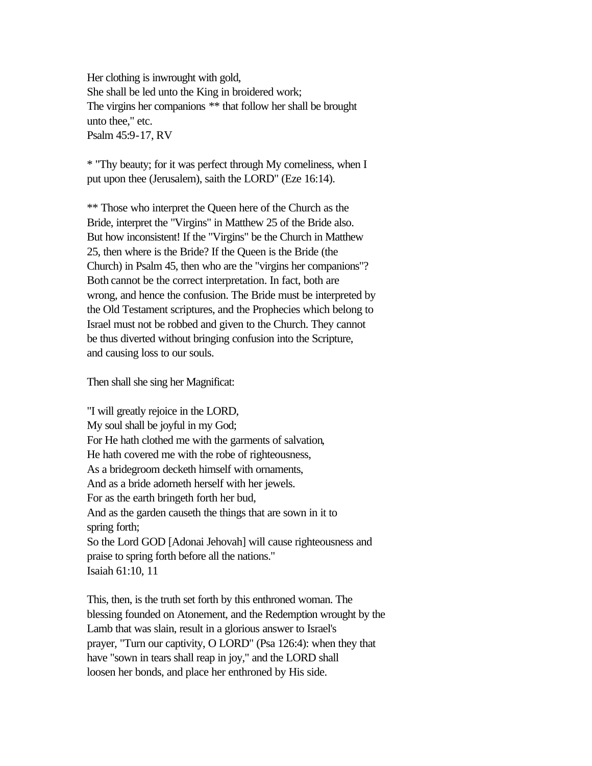Her clothing is inwrought with gold, She shall be led unto the King in broidered work; The virgins her companions \*\* that follow her shall be brought unto thee," etc. Psalm 45:9-17, RV

\* "Thy beauty; for it was perfect through My comeliness, when I put upon thee (Jerusalem), saith the LORD" (Eze 16:14).

\*\* Those who interpret the Queen here of the Church as the Bride, interpret the "Virgins" in Matthew 25 of the Bride also. But how inconsistent! If the "Virgins" be the Church in Matthew 25, then where is the Bride? If the Queen is the Bride (the Church) in Psalm 45, then who are the "virgins her companions"? Both cannot be the correct interpretation. In fact, both are wrong, and hence the confusion. The Bride must be interpreted by the Old Testament scriptures, and the Prophecies which belong to Israel must not be robbed and given to the Church. They cannot be thus diverted without bringing confusion into the Scripture, and causing loss to our souls.

Then shall she sing her Magnificat:

"I will greatly rejoice in the LORD, My soul shall be joyful in my God; For He hath clothed me with the garments of salvation, He hath covered me with the robe of righteousness, As a bridegroom decketh himself with ornaments, And as a bride adorneth herself with her jewels. For as the earth bringeth forth her bud, And as the garden causeth the things that are sown in it to spring forth; So the Lord GOD [Adonai Jehovah] will cause righteousness and praise to spring forth before all the nations." Isaiah 61:10, 11

This, then, is the truth set forth by this enthroned woman. The blessing founded on Atonement, and the Redemption wrought by the Lamb that was slain, result in a glorious answer to Israel's prayer, "Turn our captivity, O LORD" (Psa 126:4): when they that have "sown in tears shall reap in joy," and the LORD shall loosen her bonds, and place her enthroned by His side.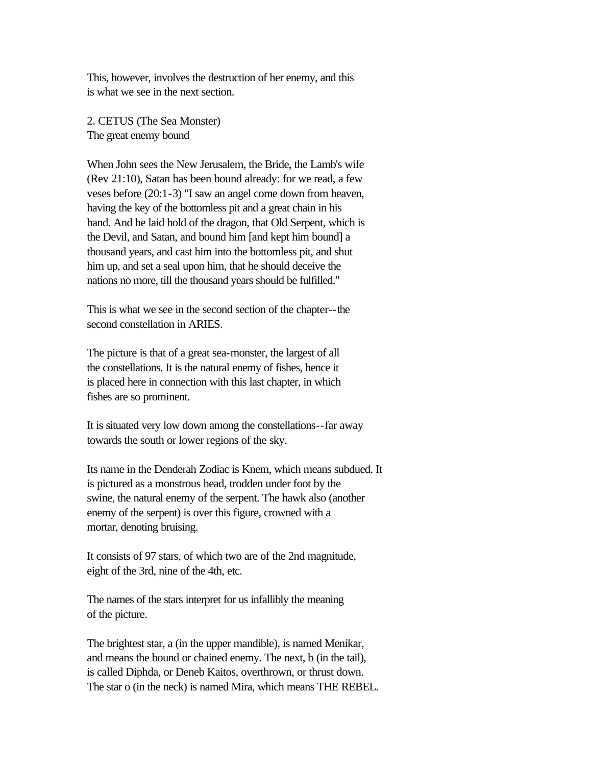This, however, involves the destruction of her enemy, and this is what we see in the next section.

2. CETUS (The Sea Monster) The great enemy bound

When John sees the New Jerusalem, the Bride, the Lamb's wife (Rev 21:10), Satan has been bound already: for we read, a few veses before (20:1-3) "I saw an angel come down from heaven, having the key of the bottomless pit and a great chain in his hand. And he laid hold of the dragon, that Old Serpent, which is the Devil, and Satan, and bound him [and kept him bound] a thousand years, and cast him into the bottomless pit, and shut him up, and set a seal upon him, that he should deceive the nations no more, till the thousand years should be fulfilled."

This is what we see in the second section of the chapter--the second constellation in ARIES.

The picture is that of a great sea-monster, the largest of all the constellations. It is the natural enemy of fishes, hence it is placed here in connection with this last chapter, in which fishes are so prominent.

It is situated very low down among the constellations--far away towards the south or lower regions of the sky.

Its name in the Denderah Zodiac is Knem, which means subdued. It is pictured as a monstrous head, trodden under foot by the swine, the natural enemy of the serpent. The hawk also (another enemy of the serpent) is over this figure, crowned with a mortar, denoting bruising.

It consists of 97 stars, of which two are of the 2nd magnitude, eight of the 3rd, nine of the 4th, etc.

The names of the stars interpret for us infallibly the meaning of the picture.

The brightest star, a (in the upper mandible), is named Menikar, and means the bound or chained enemy. The next, b (in the tail), is called Diphda, or Deneb Kaitos, overthrown, or thrust down. The star o (in the neck) is named Mira, which means THE REBEL.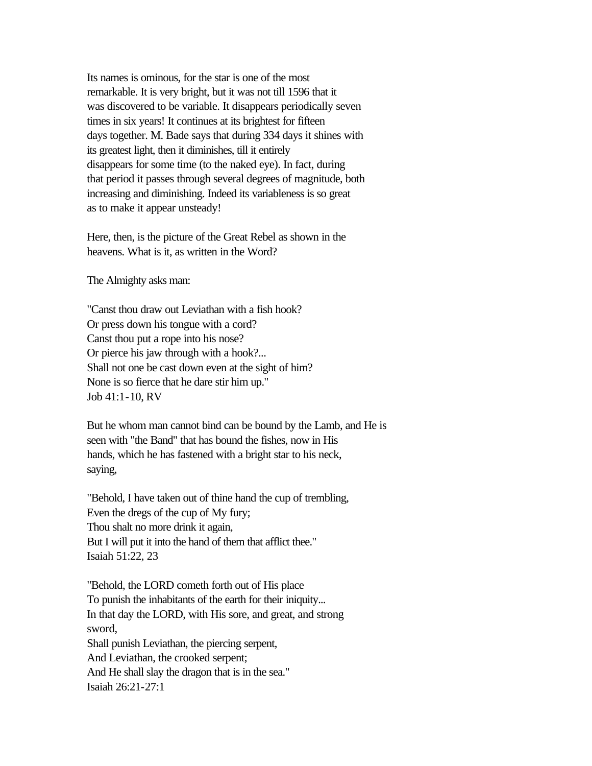Its names is ominous, for the star is one of the most remarkable. It is very bright, but it was not till 1596 that it was discovered to be variable. It disappears periodically seven times in six years! It continues at its brightest for fifteen days together. M. Bade says that during 334 days it shines with its greatest light, then it diminishes, till it entirely disappears for some time (to the naked eye). In fact, during that period it passes through several degrees of magnitude, both increasing and diminishing. Indeed its variableness is so great as to make it appear unsteady!

Here, then, is the picture of the Great Rebel as shown in the heavens. What is it, as written in the Word?

The Almighty asks man:

"Canst thou draw out Leviathan with a fish hook? Or press down his tongue with a cord? Canst thou put a rope into his nose? Or pierce his jaw through with a hook?... Shall not one be cast down even at the sight of him? None is so fierce that he dare stir him up." Job 41:1-10, RV

But he whom man cannot bind can be bound by the Lamb, and He is seen with "the Band" that has bound the fishes, now in His hands, which he has fastened with a bright star to his neck, saying,

"Behold, I have taken out of thine hand the cup of trembling, Even the dregs of the cup of My fury; Thou shalt no more drink it again, But I will put it into the hand of them that afflict thee." Isaiah 51:22, 23

"Behold, the LORD cometh forth out of His place To punish the inhabitants of the earth for their iniquity... In that day the LORD, with His sore, and great, and strong sword, Shall punish Leviathan, the piercing serpent, And Leviathan, the crooked serpent; And He shall slay the dragon that is in the sea." Isaiah 26:21-27:1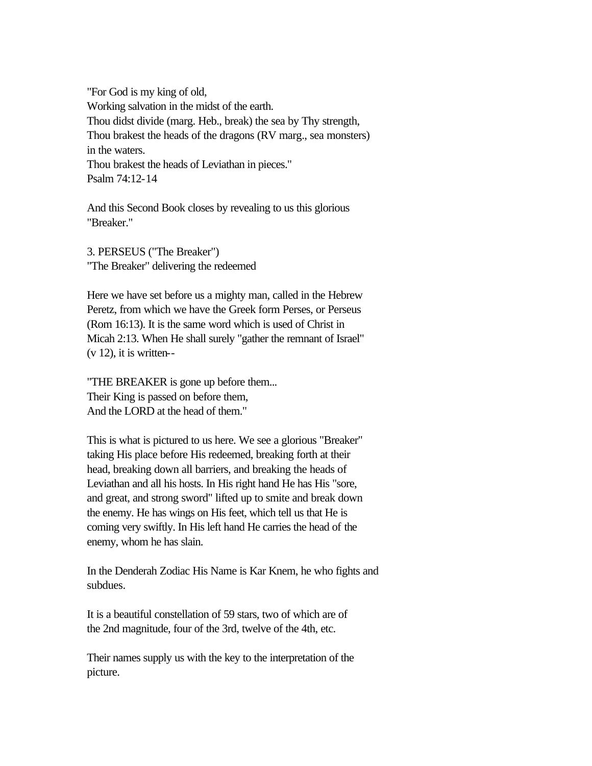"For God is my king of old, Working salvation in the midst of the earth. Thou didst divide (marg. Heb., break) the sea by Thy strength, Thou brakest the heads of the dragons (RV marg., sea monsters) in the waters. Thou brakest the heads of Leviathan in pieces." Psalm 74:12-14

And this Second Book closes by revealing to us this glorious "Breaker."

3. PERSEUS ("The Breaker") "The Breaker" delivering the redeemed

Here we have set before us a mighty man, called in the Hebrew Peretz, from which we have the Greek form Perses, or Perseus (Rom 16:13). It is the same word which is used of Christ in Micah 2:13. When He shall surely "gather the remnant of Israel"  $(v 12)$ , it is written--

"THE BREAKER is gone up before them... Their King is passed on before them, And the LORD at the head of them."

This is what is pictured to us here. We see a glorious "Breaker" taking His place before His redeemed, breaking forth at their head, breaking down all barriers, and breaking the heads of Leviathan and all his hosts. In His right hand He has His "sore, and great, and strong sword" lifted up to smite and break down the enemy. He has wings on His feet, which tell us that He is coming very swiftly. In His left hand He carries the head of the enemy, whom he has slain.

In the Denderah Zodiac His Name is Kar Knem, he who fights and subdues.

It is a beautiful constellation of 59 stars, two of which are of the 2nd magnitude, four of the 3rd, twelve of the 4th, etc.

Their names supply us with the key to the interpretation of the picture.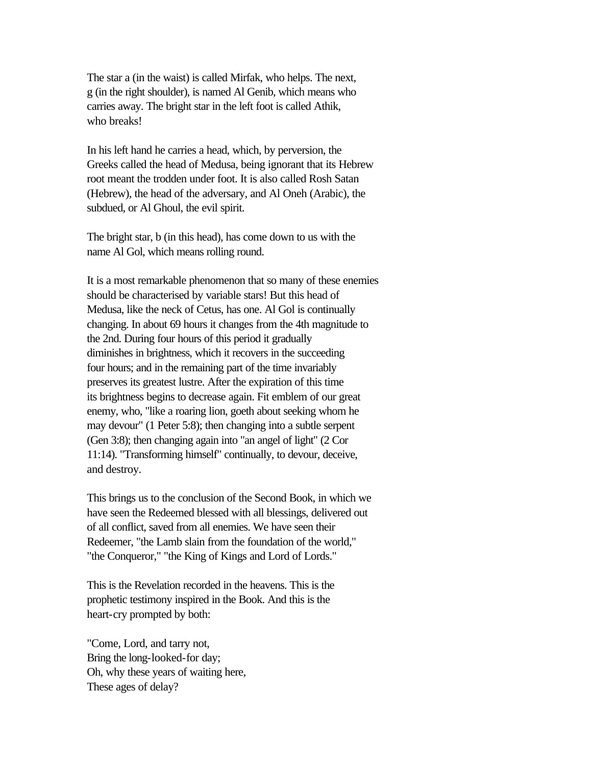The star a (in the waist) is called Mirfak, who helps. The next, g (in the right shoulder), is named Al Genib, which means who carries away. The bright star in the left foot is called Athik, who breaks!

In his left hand he carries a head, which, by perversion, the Greeks called the head of Medusa, being ignorant that its Hebrew root meant the trodden under foot. It is also called Rosh Satan (Hebrew), the head of the adversary, and Al Oneh (Arabic), the subdued, or Al Ghoul, the evil spirit.

The bright star, b (in this head), has come down to us with the name Al Gol, which means rolling round.

It is a most remarkable phenomenon that so many of these enemies should be characterised by variable stars! But this head of Medusa, like the neck of Cetus, has one. Al Gol is continually changing. In about 69 hours it changes from the 4th magnitude to the 2nd. During four hours of this period it gradually diminishes in brightness, which it recovers in the succeeding four hours; and in the remaining part of the time invariably preserves its greatest lustre. After the expiration of this time its brightness begins to decrease again. Fit emblem of our great enemy, who, "like a roaring lion, goeth about seeking whom he may devour" (1 Peter 5:8); then changing into a subtle serpent (Gen 3:8); then changing again into "an angel of light" (2 Cor 11:14). "Transforming himself" continually, to devour, deceive, and destroy.

This brings us to the conclusion of the Second Book, in which we have seen the Redeemed blessed with all blessings, delivered out of all conflict, saved from all enemies. We have seen their Redeemer, "the Lamb slain from the foundation of the world," "the Conqueror," "the King of Kings and Lord of Lords."

This is the Revelation recorded in the heavens. This is the prophetic testimony inspired in the Book. And this is the heart-cry prompted by both:

"Come, Lord, and tarry not, Bring the long-looked-for day; Oh, why these years of waiting here, These ages of delay?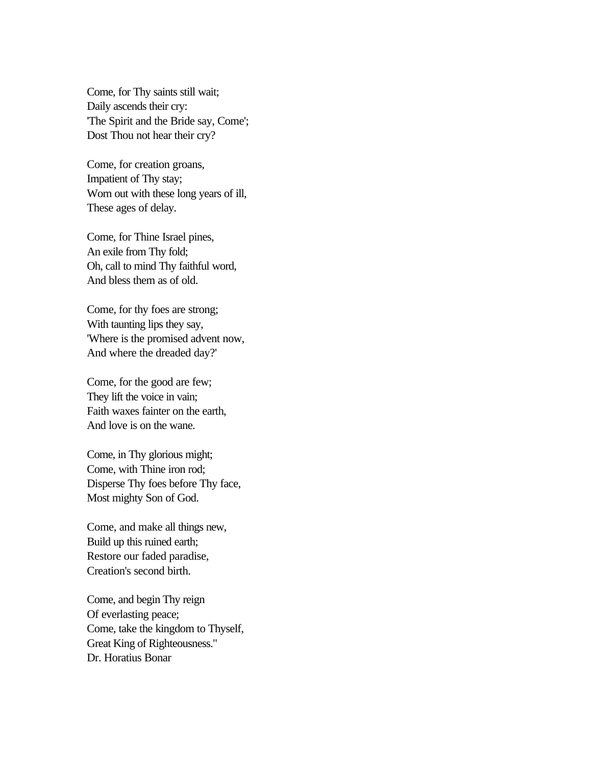Come, for Thy saints still wait; Daily ascends their cry: 'The Spirit and the Bride say, Come'; Dost Thou not hear their cry?

Come, for creation groans, Impatient of Thy stay; Worn out with these long years of ill, These ages of delay.

Come, for Thine Israel pines, An exile from Thy fold; Oh, call to mind Thy faithful word, And bless them as of old.

Come, for thy foes are strong; With taunting lips they say, 'Where is the promised advent now, And where the dreaded day?'

Come, for the good are few; They lift the voice in vain; Faith waxes fainter on the earth, And love is on the wane.

Come, in Thy glorious might; Come, with Thine iron rod; Disperse Thy foes before Thy face, Most mighty Son of God.

Come, and make all things new, Build up this ruined earth; Restore our faded paradise, Creation's second birth.

Come, and begin Thy reign Of everlasting peace; Come, take the kingdom to Thyself, Great King of Righteousness." Dr. Horatius Bonar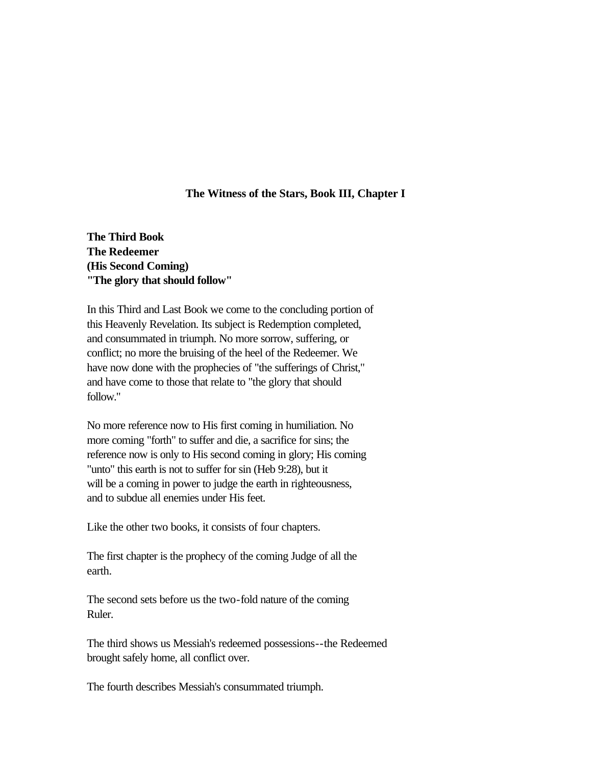### **The Witness of the Stars, Book III, Chapter I**

**The Third Book The Redeemer (His Second Coming) "The glory that should follow"**

In this Third and Last Book we come to the concluding portion of this Heavenly Revelation. Its subject is Redemption completed, and consummated in triumph. No more sorrow, suffering, or conflict; no more the bruising of the heel of the Redeemer. We have now done with the prophecies of "the sufferings of Christ," and have come to those that relate to "the glory that should follow."

No more reference now to His first coming in humiliation. No more coming "forth" to suffer and die, a sacrifice for sins; the reference now is only to His second coming in glory; His coming "unto" this earth is not to suffer for sin (Heb 9:28), but it will be a coming in power to judge the earth in righteousness, and to subdue all enemies under His feet.

Like the other two books, it consists of four chapters.

The first chapter is the prophecy of the coming Judge of all the earth.

The second sets before us the two-fold nature of the coming Ruler.

The third shows us Messiah's redeemed possessions--the Redeemed brought safely home, all conflict over.

The fourth describes Messiah's consummated triumph.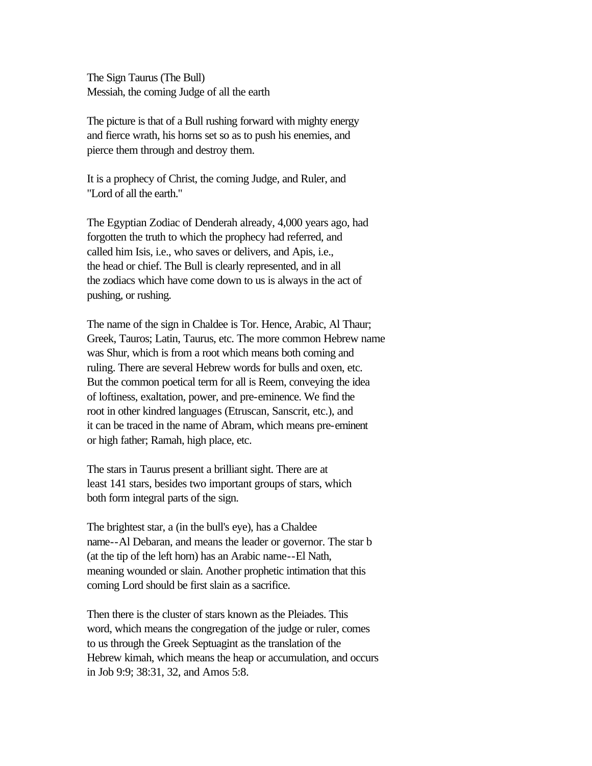The Sign Taurus (The Bull) Messiah, the coming Judge of all the earth

The picture is that of a Bull rushing forward with mighty energy and fierce wrath, his horns set so as to push his enemies, and pierce them through and destroy them.

It is a prophecy of Christ, the coming Judge, and Ruler, and "Lord of all the earth."

The Egyptian Zodiac of Denderah already, 4,000 years ago, had forgotten the truth to which the prophecy had referred, and called him Isis, i.e., who saves or delivers, and Apis, i.e., the head or chief. The Bull is clearly represented, and in all the zodiacs which have come down to us is always in the act of pushing, or rushing.

The name of the sign in Chaldee is Tor. Hence, Arabic, Al Thaur; Greek, Tauros; Latin, Taurus, etc. The more common Hebrew name was Shur, which is from a root which means both coming and ruling. There are several Hebrew words for bulls and oxen, etc. But the common poetical term for all is Reem, conveying the idea of loftiness, exaltation, power, and pre-eminence. We find the root in other kindred languages (Etruscan, Sanscrit, etc.), and it can be traced in the name of Abram, which means pre-eminent or high father; Ramah, high place, etc.

The stars in Taurus present a brilliant sight. There are at least 141 stars, besides two important groups of stars, which both form integral parts of the sign.

The brightest star, a (in the bull's eye), has a Chaldee name--Al Debaran, and means the leader or governor. The star b (at the tip of the left horn) has an Arabic name--El Nath, meaning wounded or slain. Another prophetic intimation that this coming Lord should be first slain as a sacrifice.

Then there is the cluster of stars known as the Pleiades. This word, which means the congregation of the judge or ruler, comes to us through the Greek Septuagint as the translation of the Hebrew kimah, which means the heap or accumulation, and occurs in Job 9:9; 38:31, 32, and Amos 5:8.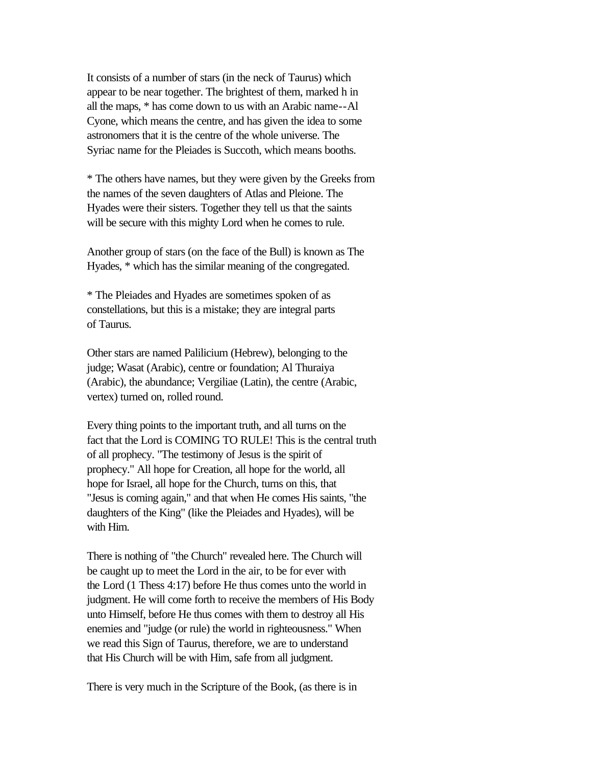It consists of a number of stars (in the neck of Taurus) which appear to be near together. The brightest of them, marked h in all the maps, \* has come down to us with an Arabic name--Al Cyone, which means the centre, and has given the idea to some astronomers that it is the centre of the whole universe. The Syriac name for the Pleiades is Succoth, which means booths.

\* The others have names, but they were given by the Greeks from the names of the seven daughters of Atlas and Pleione. The Hyades were their sisters. Together they tell us that the saints will be secure with this mighty Lord when he comes to rule.

Another group of stars (on the face of the Bull) is known as The Hyades, \* which has the similar meaning of the congregated.

\* The Pleiades and Hyades are sometimes spoken of as constellations, but this is a mistake; they are integral parts of Taurus.

Other stars are named Palilicium (Hebrew), belonging to the judge; Wasat (Arabic), centre or foundation; Al Thuraiya (Arabic), the abundance; Vergiliae (Latin), the centre (Arabic, vertex) turned on, rolled round.

Every thing points to the important truth, and all turns on the fact that the Lord is COMING TO RULE! This is the central truth of all prophecy. "The testimony of Jesus is the spirit of prophecy." All hope for Creation, all hope for the world, all hope for Israel, all hope for the Church, turns on this, that "Jesus is coming again," and that when He comes His saints, "the daughters of the King" (like the Pleiades and Hyades), will be with Him.

There is nothing of "the Church" revealed here. The Church will be caught up to meet the Lord in the air, to be for ever with the Lord (1 Thess 4:17) before He thus comes unto the world in judgment. He will come forth to receive the members of His Body unto Himself, before He thus comes with them to destroy all His enemies and "judge (or rule) the world in righteousness." When we read this Sign of Taurus, therefore, we are to understand that His Church will be with Him, safe from all judgment.

There is very much in the Scripture of the Book, (as there is in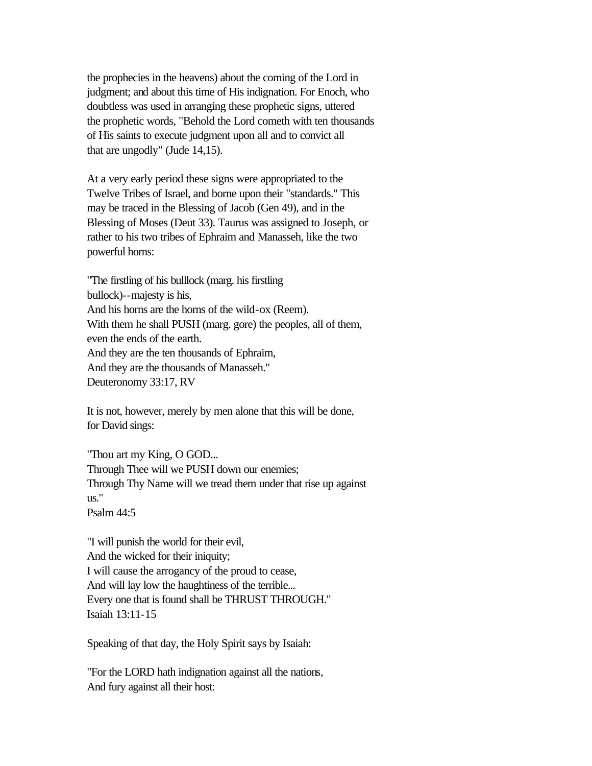the prophecies in the heavens) about the coming of the Lord in judgment; and about this time of His indignation. For Enoch, who doubtless was used in arranging these prophetic signs, uttered the prophetic words, "Behold the Lord cometh with ten thousands of His saints to execute judgment upon all and to convict all that are ungodly" (Jude 14,15).

At a very early period these signs were appropriated to the Twelve Tribes of Israel, and borne upon their "standards." This may be traced in the Blessing of Jacob (Gen 49), and in the Blessing of Moses (Deut 33). Taurus was assigned to Joseph, or rather to his two tribes of Ephraim and Manasseh, like the two powerful horns:

"The firstling of his bulllock (marg. his firstling bullock)--majesty is his, And his horns are the horns of the wild-ox (Reem). With them he shall PUSH (marg. gore) the peoples, all of them, even the ends of the earth. And they are the ten thousands of Ephraim, And they are the thousands of Manasseh." Deuteronomy 33:17, RV

It is not, however, merely by men alone that this will be done, for David sings:

"Thou art my King, O GOD... Through Thee will we PUSH down our enemies; Through Thy Name will we tread them under that rise up against us." Psalm 44:5

"I will punish the world for their evil, And the wicked for their iniquity; I will cause the arrogancy of the proud to cease, And will lay low the haughtiness of the terrible... Every one that is found shall be THRUST THROUGH." Isaiah 13:11-15

Speaking of that day, the Holy Spirit says by Isaiah:

"For the LORD hath indignation against all the nations, And fury against all their host: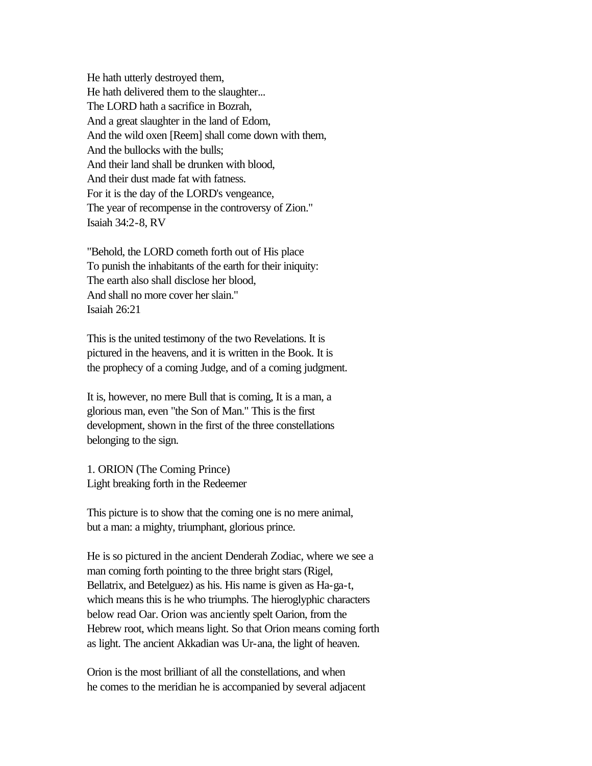He hath utterly destroyed them, He hath delivered them to the slaughter... The LORD hath a sacrifice in Bozrah, And a great slaughter in the land of Edom, And the wild oxen [Reem] shall come down with them, And the bullocks with the bulls; And their land shall be drunken with blood, And their dust made fat with fatness. For it is the day of the LORD's vengeance, The year of recompense in the controversy of Zion." Isaiah 34:2-8, RV

"Behold, the LORD cometh forth out of His place To punish the inhabitants of the earth for their iniquity: The earth also shall disclose her blood, And shall no more cover her slain." Isaiah 26:21

This is the united testimony of the two Revelations. It is pictured in the heavens, and it is written in the Book. It is the prophecy of a coming Judge, and of a coming judgment.

It is, however, no mere Bull that is coming, It is a man, a glorious man, even "the Son of Man." This is the first development, shown in the first of the three constellations belonging to the sign.

1. ORION (The Coming Prince) Light breaking forth in the Redeemer

This picture is to show that the coming one is no mere animal, but a man: a mighty, triumphant, glorious prince.

He is so pictured in the ancient Denderah Zodiac, where we see a man coming forth pointing to the three bright stars (Rigel, Bellatrix, and Betelguez) as his. His name is given as Ha-ga-t, which means this is he who triumphs. The hieroglyphic characters below read Oar. Orion was anciently spelt Oarion, from the Hebrew root, which means light. So that Orion means coming forth as light. The ancient Akkadian was Ur-ana, the light of heaven.

Orion is the most brilliant of all the constellations, and when he comes to the meridian he is accompanied by several adjacent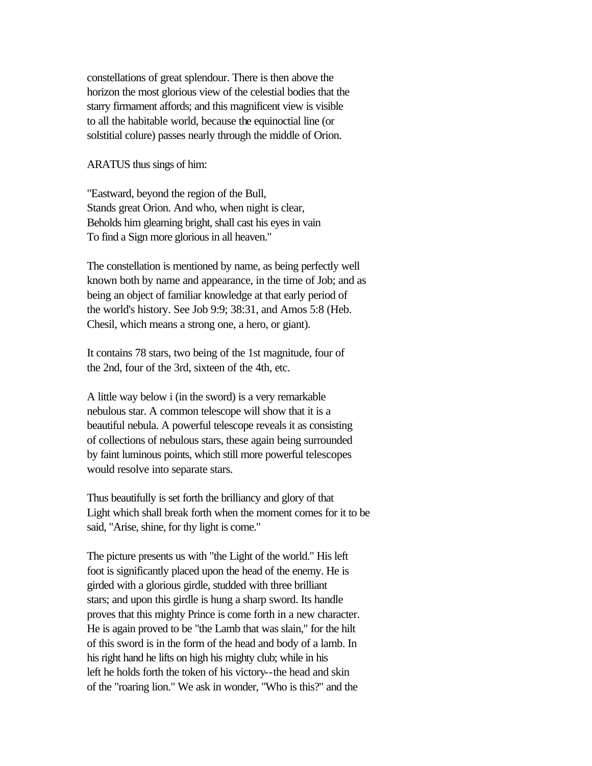constellations of great splendour. There is then above the horizon the most glorious view of the celestial bodies that the starry firmament affords; and this magnificent view is visible to all the habitable world, because the equinoctial line (or solstitial colure) passes nearly through the middle of Orion.

ARATUS thus sings of him:

"Eastward, beyond the region of the Bull, Stands great Orion. And who, when night is clear, Beholds him gleaming bright, shall cast his eyes in vain To find a Sign more glorious in all heaven."

The constellation is mentioned by name, as being perfectly well known both by name and appearance, in the time of Job; and as being an object of familiar knowledge at that early period of the world's history. See Job 9:9; 38:31, and Amos 5:8 (Heb. Chesil, which means a strong one, a hero, or giant).

It contains 78 stars, two being of the 1st magnitude, four of the 2nd, four of the 3rd, sixteen of the 4th, etc.

A little way below i (in the sword) is a very remarkable nebulous star. A common telescope will show that it is a beautiful nebula. A powerful telescope reveals it as consisting of collections of nebulous stars, these again being surrounded by faint luminous points, which still more powerful telescopes would resolve into separate stars.

Thus beautifully is set forth the brilliancy and glory of that Light which shall break forth when the moment comes for it to be said, "Arise, shine, for thy light is come."

The picture presents us with "the Light of the world." His left foot is significantly placed upon the head of the enemy. He is girded with a glorious girdle, studded with three brilliant stars; and upon this girdle is hung a sharp sword. Its handle proves that this mighty Prince is come forth in a new character. He is again proved to be "the Lamb that was slain," for the hilt of this sword is in the form of the head and body of a lamb. In his right hand he lifts on high his mighty club; while in his left he holds forth the token of his victory--the head and skin of the "roaring lion." We ask in wonder, "Who is this?" and the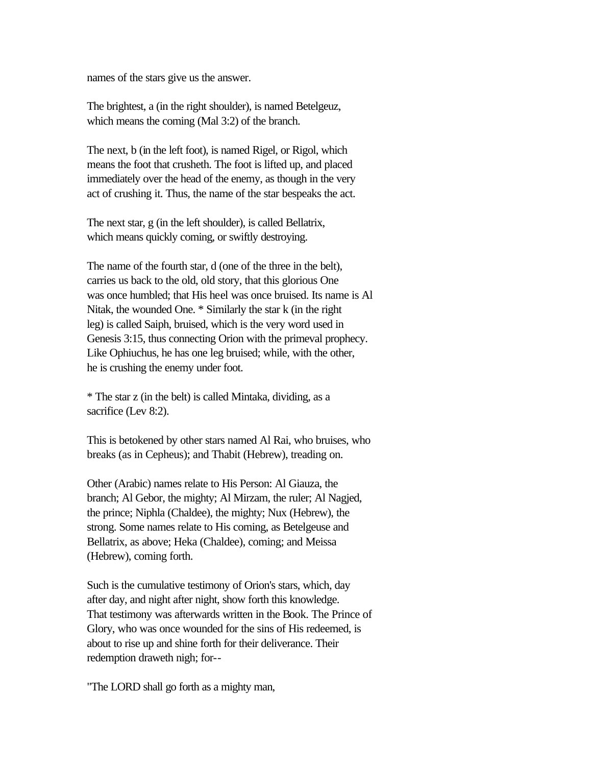names of the stars give us the answer.

The brightest, a (in the right shoulder), is named Betelgeuz, which means the coming (Mal 3:2) of the branch.

The next, b (in the left foot), is named Rigel, or Rigol, which means the foot that crusheth. The foot is lifted up, and placed immediately over the head of the enemy, as though in the very act of crushing it. Thus, the name of the star bespeaks the act.

The next star, g (in the left shoulder), is called Bellatrix, which means quickly coming, or swiftly destroying.

The name of the fourth star, d (one of the three in the belt), carries us back to the old, old story, that this glorious One was once humbled; that His heel was once bruised. Its name is Al Nitak, the wounded One. \* Similarly the star k (in the right leg) is called Saiph, bruised, which is the very word used in Genesis 3:15, thus connecting Orion with the primeval prophecy. Like Ophiuchus, he has one leg bruised; while, with the other, he is crushing the enemy under foot.

\* The star z (in the belt) is called Mintaka, dividing, as a sacrifice (Lev 8:2).

This is betokened by other stars named Al Rai, who bruises, who breaks (as in Cepheus); and Thabit (Hebrew), treading on.

Other (Arabic) names relate to His Person: Al Giauza, the branch; Al Gebor, the mighty; Al Mirzam, the ruler; Al Nagjed, the prince; Niphla (Chaldee), the mighty; Nux (Hebrew), the strong. Some names relate to His coming, as Betelgeuse and Bellatrix, as above; Heka (Chaldee), coming; and Meissa (Hebrew), coming forth.

Such is the cumulative testimony of Orion's stars, which, day after day, and night after night, show forth this knowledge. That testimony was afterwards written in the Book. The Prince of Glory, who was once wounded for the sins of His redeemed, is about to rise up and shine forth for their deliverance. Their redemption draweth nigh; for--

"The LORD shall go forth as a mighty man,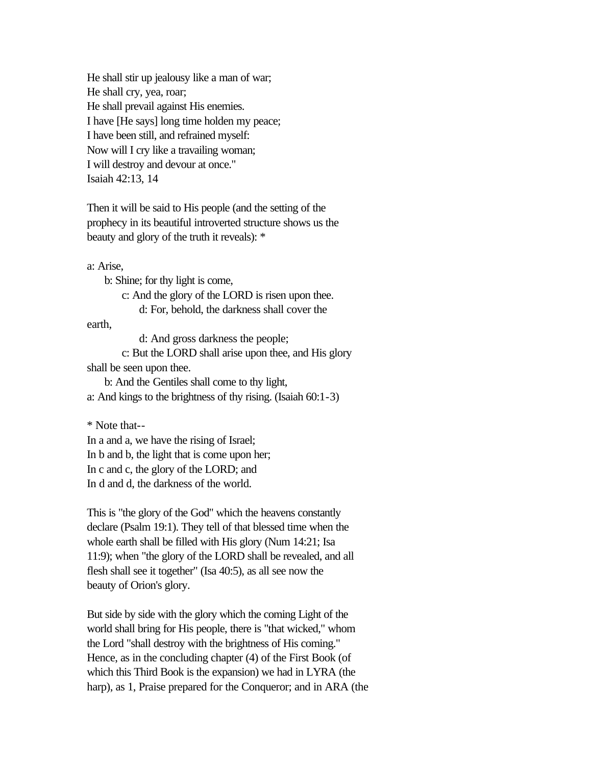He shall stir up jealousy like a man of war; He shall cry, yea, roar; He shall prevail against His enemies. I have [He says] long time holden my peace; I have been still, and refrained myself: Now will I cry like a travailing woman; I will destroy and devour at once." Isaiah 42:13, 14

Then it will be said to His people (and the setting of the prophecy in its beautiful introverted structure shows us the beauty and glory of the truth it reveals): \*

a: Arise,

b: Shine; for thy light is come,

c: And the glory of the LORD is risen upon thee.

d: For, behold, the darkness shall cover the

earth,

d: And gross darkness the people;

 c: But the LORD shall arise upon thee, and His glory shall be seen upon thee.

 b: And the Gentiles shall come to thy light, a: And kings to the brightness of thy rising. (Isaiah 60:1-3)

\* Note that--

In a and a, we have the rising of Israel; In b and b, the light that is come upon her; In c and c, the glory of the LORD; and In d and d, the darkness of the world.

This is "the glory of the God" which the heavens constantly declare (Psalm 19:1). They tell of that blessed time when the whole earth shall be filled with His glory (Num 14:21; Isa 11:9); when "the glory of the LORD shall be revealed, and all flesh shall see it together" (Isa 40:5), as all see now the beauty of Orion's glory.

But side by side with the glory which the coming Light of the world shall bring for His people, there is "that wicked," whom the Lord "shall destroy with the brightness of His coming." Hence, as in the concluding chapter (4) of the First Book (of which this Third Book is the expansion) we had in LYRA (the harp), as 1, Praise prepared for the Conqueror; and in ARA (the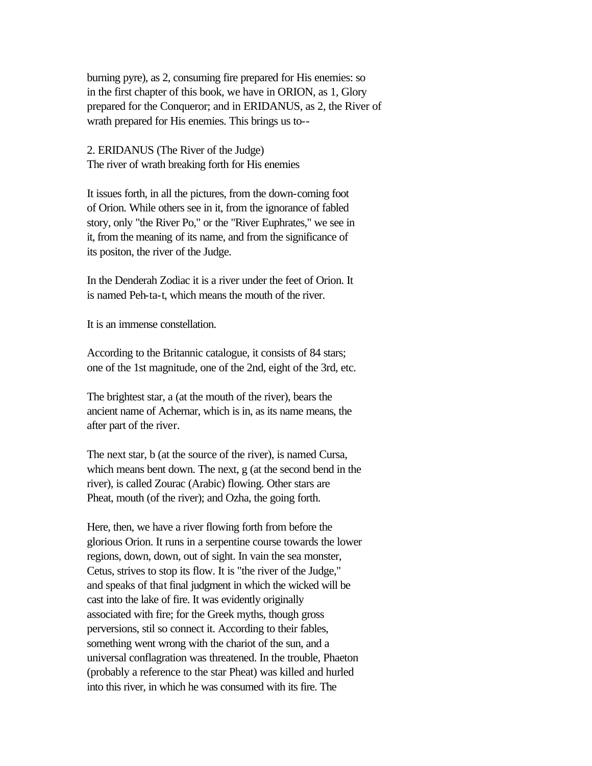burning pyre), as 2, consuming fire prepared for His enemies: so in the first chapter of this book, we have in ORION, as 1, Glory prepared for the Conqueror; and in ERIDANUS, as 2, the River of wrath prepared for His enemies. This brings us to--

2. ERIDANUS (The River of the Judge) The river of wrath breaking forth for His enemies

It issues forth, in all the pictures, from the down-coming foot of Orion. While others see in it, from the ignorance of fabled story, only "the River Po," or the "River Euphrates," we see in it, from the meaning of its name, and from the significance of its positon, the river of the Judge.

In the Denderah Zodiac it is a river under the feet of Orion. It is named Peh-ta-t, which means the mouth of the river.

It is an immense constellation.

According to the Britannic catalogue, it consists of 84 stars; one of the 1st magnitude, one of the 2nd, eight of the 3rd, etc.

The brightest star, a (at the mouth of the river), bears the ancient name of Achernar, which is in, as its name means, the after part of the river.

The next star, b (at the source of the river), is named Cursa, which means bent down. The next, g (at the second bend in the river), is called Zourac (Arabic) flowing. Other stars are Pheat, mouth (of the river); and Ozha, the going forth.

Here, then, we have a river flowing forth from before the glorious Orion. It runs in a serpentine course towards the lower regions, down, down, out of sight. In vain the sea monster, Cetus, strives to stop its flow. It is "the river of the Judge," and speaks of that final judgment in which the wicked will be cast into the lake of fire. It was evidently originally associated with fire; for the Greek myths, though gross perversions, stil so connect it. According to their fables, something went wrong with the chariot of the sun, and a universal conflagration was threatened. In the trouble, Phaeton (probably a reference to the star Pheat) was killed and hurled into this river, in which he was consumed with its fire. The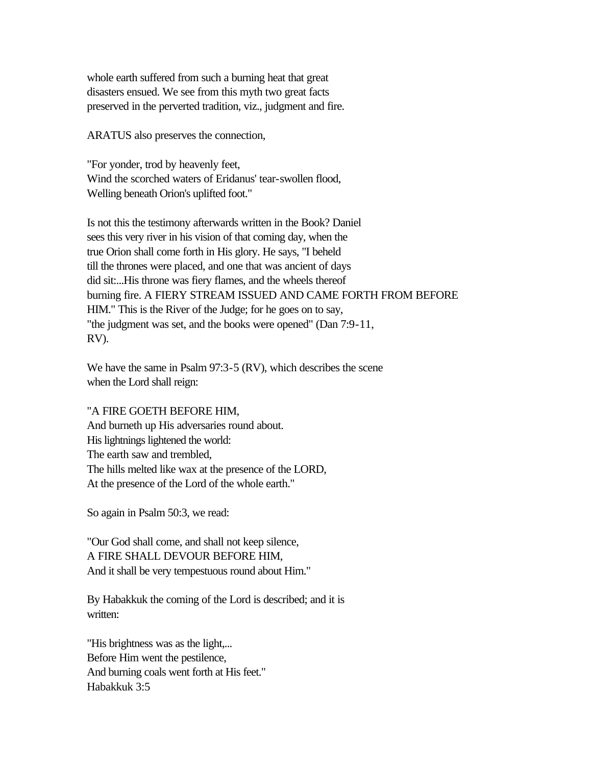whole earth suffered from such a burning heat that great disasters ensued. We see from this myth two great facts preserved in the perverted tradition, viz., judgment and fire.

ARATUS also preserves the connection,

"For yonder, trod by heavenly feet, Wind the scorched waters of Eridanus' tear-swollen flood, Welling beneath Orion's uplifted foot."

Is not this the testimony afterwards written in the Book? Daniel sees this very river in his vision of that coming day, when the true Orion shall come forth in His glory. He says, "I beheld till the thrones were placed, and one that was ancient of days did sit:...His throne was fiery flames, and the wheels thereof burning fire. A FIERY STREAM ISSUED AND CAME FORTH FROM BEFORE HIM." This is the River of the Judge; for he goes on to say, "the judgment was set, and the books were opened" (Dan 7:9-11, RV).

We have the same in Psalm 97:3-5 (RV), which describes the scene when the Lord shall reign:

#### "A FIRE GOETH BEFORE HIM,

And burneth up His adversaries round about. His lightnings lightened the world: The earth saw and trembled, The hills melted like wax at the presence of the LORD, At the presence of the Lord of the whole earth."

So again in Psalm 50:3, we read:

"Our God shall come, and shall not keep silence, A FIRE SHALL DEVOUR BEFORE HIM, And it shall be very tempestuous round about Him."

By Habakkuk the coming of the Lord is described; and it is written:

"His brightness was as the light,... Before Him went the pestilence, And burning coals went forth at His feet." Habakkuk 3:5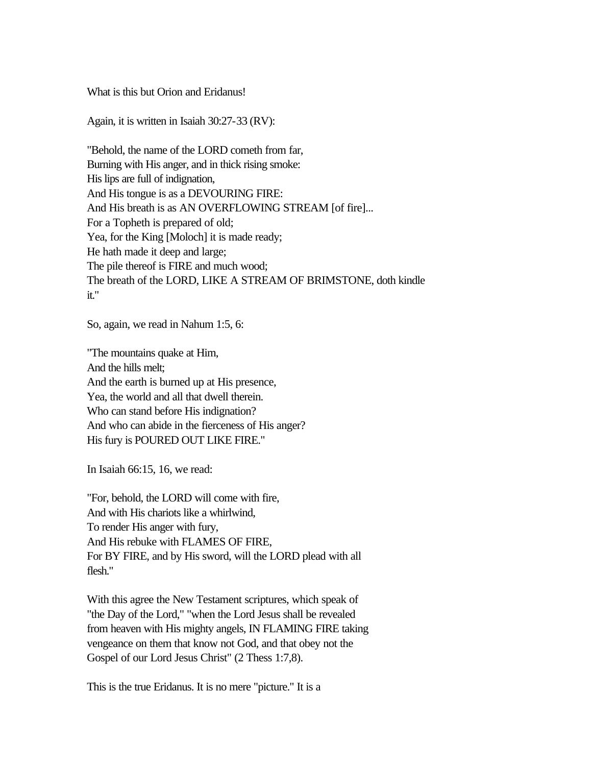What is this but Orion and Eridanus!

Again, it is written in Isaiah 30:27-33 (RV):

"Behold, the name of the LORD cometh from far, Burning with His anger, and in thick rising smoke: His lips are full of indignation, And His tongue is as a DEVOURING FIRE: And His breath is as AN OVERFLOWING STREAM [of fire]... For a Topheth is prepared of old; Yea, for the King [Moloch] it is made ready; He hath made it deep and large; The pile thereof is FIRE and much wood; The breath of the LORD, LIKE A STREAM OF BRIMSTONE, doth kindle it."

So, again, we read in Nahum 1:5, 6:

"The mountains quake at Him, And the hills melt; And the earth is burned up at His presence, Yea, the world and all that dwell therein. Who can stand before His indignation? And who can abide in the fierceness of His anger? His fury is POURED OUT LIKE FIRE."

In Isaiah 66:15, 16, we read:

"For, behold, the LORD will come with fire, And with His chariots like a whirlwind, To render His anger with fury, And His rebuke with FLAMES OF FIRE, For BY FIRE, and by His sword, will the LORD plead with all flesh."

With this agree the New Testament scriptures, which speak of "the Day of the Lord," "when the Lord Jesus shall be revealed from heaven with His mighty angels, IN FLAMING FIRE taking vengeance on them that know not God, and that obey not the Gospel of our Lord Jesus Christ" (2 Thess 1:7,8).

This is the true Eridanus. It is no mere "picture." It is a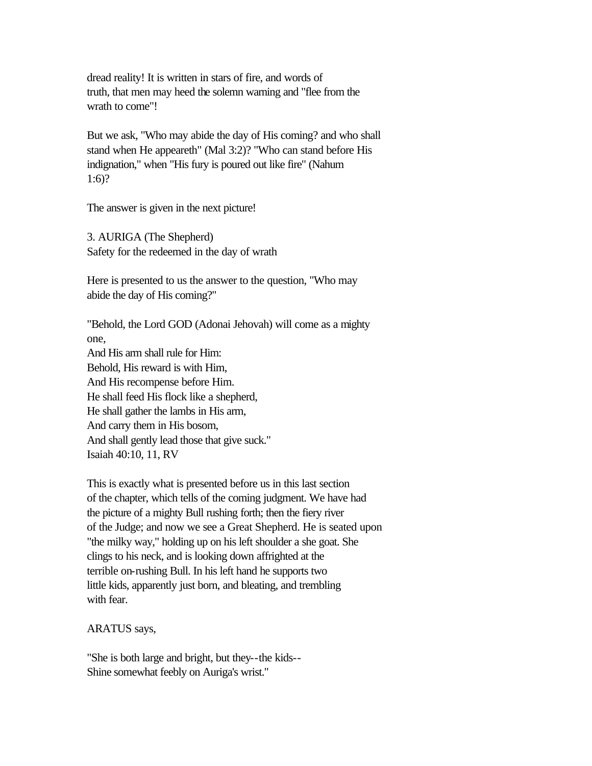dread reality! It is written in stars of fire, and words of truth, that men may heed the solemn warning and "flee from the wrath to come"!

But we ask, "Who may abide the day of His coming? and who shall stand when He appeareth" (Mal 3:2)? "Who can stand before His indignation," when "His fury is poured out like fire" (Nahum 1:6)?

The answer is given in the next picture!

3. AURIGA (The Shepherd) Safety for the redeemed in the day of wrath

Here is presented to us the answer to the question, "Who may abide the day of His coming?"

"Behold, the Lord GOD (Adonai Jehovah) will come as a mighty one, And His arm shall rule for Him: Behold, His reward is with Him, And His recompense before Him. He shall feed His flock like a shepherd, He shall gather the lambs in His arm, And carry them in His bosom, And shall gently lead those that give suck." Isaiah 40:10, 11, RV

This is exactly what is presented before us in this last section of the chapter, which tells of the coming judgment. We have had the picture of a mighty Bull rushing forth; then the fiery river of the Judge; and now we see a Great Shepherd. He is seated upon "the milky way," holding up on his left shoulder a she goat. She clings to his neck, and is looking down affrighted at the terrible on-rushing Bull. In his left hand he supports two little kids, apparently just born, and bleating, and trembling with fear.

ARATUS says,

"She is both large and bright, but they--the kids-- Shine somewhat feebly on Auriga's wrist."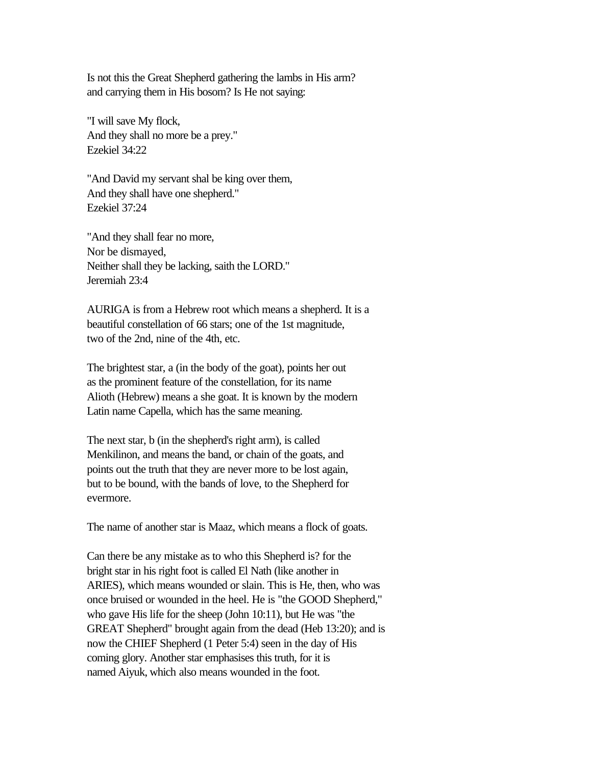Is not this the Great Shepherd gathering the lambs in His arm? and carrying them in His bosom? Is He not saying:

"I will save My flock, And they shall no more be a prey." Ezekiel 34:22

"And David my servant shal be king over them, And they shall have one shepherd." Ezekiel 37:24

"And they shall fear no more, Nor be dismayed, Neither shall they be lacking, saith the LORD." Jeremiah 23:4

AURIGA is from a Hebrew root which means a shepherd. It is a beautiful constellation of 66 stars; one of the 1st magnitude, two of the 2nd, nine of the 4th, etc.

The brightest star, a (in the body of the goat), points her out as the prominent feature of the constellation, for its name Alioth (Hebrew) means a she goat. It is known by the modern Latin name Capella, which has the same meaning.

The next star, b (in the shepherd's right arm), is called Menkilinon, and means the band, or chain of the goats, and points out the truth that they are never more to be lost again, but to be bound, with the bands of love, to the Shepherd for evermore.

The name of another star is Maaz, which means a flock of goats.

Can there be any mistake as to who this Shepherd is? for the bright star in his right foot is called El Nath (like another in ARIES), which means wounded or slain. This is He, then, who was once bruised or wounded in the heel. He is "the GOOD Shepherd," who gave His life for the sheep (John 10:11), but He was "the GREAT Shepherd" brought again from the dead (Heb 13:20); and is now the CHIEF Shepherd (1 Peter 5:4) seen in the day of His coming glory. Another star emphasises this truth, for it is named Aiyuk, which also means wounded in the foot.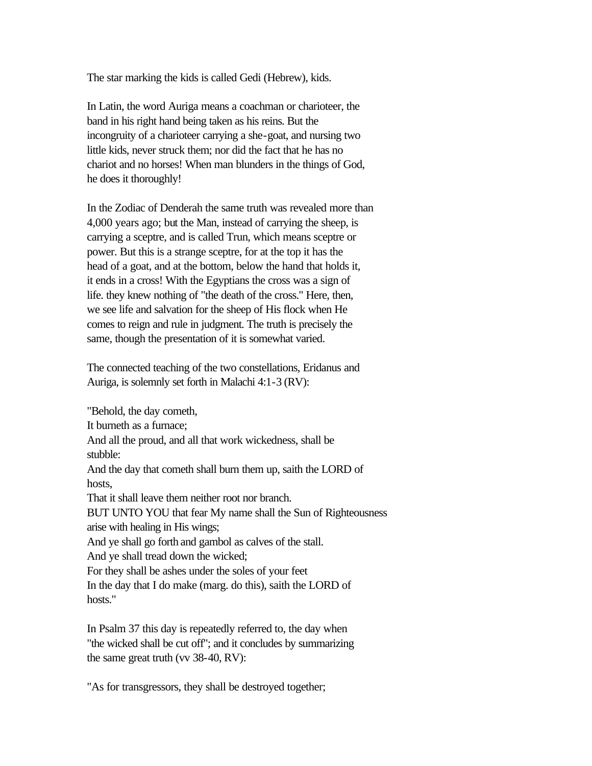The star marking the kids is called Gedi (Hebrew), kids.

In Latin, the word Auriga means a coachman or charioteer, the band in his right hand being taken as his reins. But the incongruity of a charioteer carrying a she-goat, and nursing two little kids, never struck them; nor did the fact that he has no chariot and no horses! When man blunders in the things of God, he does it thoroughly!

In the Zodiac of Denderah the same truth was revealed more than 4,000 years ago; but the Man, instead of carrying the sheep, is carrying a sceptre, and is called Trun, which means sceptre or power. But this is a strange sceptre, for at the top it has the head of a goat, and at the bottom, below the hand that holds it, it ends in a cross! With the Egyptians the cross was a sign of life. they knew nothing of "the death of the cross." Here, then, we see life and salvation for the sheep of His flock when He comes to reign and rule in judgment. The truth is precisely the same, though the presentation of it is somewhat varied.

The connected teaching of the two constellations, Eridanus and Auriga, is solemnly set forth in Malachi 4:1-3 (RV):

"Behold, the day cometh, It burneth as a furnace; And all the proud, and all that work wickedness, shall be stubble: And the day that cometh shall burn them up, saith the LORD of hosts, That it shall leave them neither root nor branch. BUT UNTO YOU that fear My name shall the Sun of Righteousness arise with healing in His wings; And ye shall go forth and gambol as calves of the stall. And ye shall tread down the wicked; For they shall be ashes under the soles of your feet In the day that I do make (marg. do this), saith the LORD of hosts."

In Psalm 37 this day is repeatedly referred to, the day when "the wicked shall be cut off"; and it concludes by summarizing the same great truth (vv 38-40, RV):

"As for transgressors, they shall be destroyed together;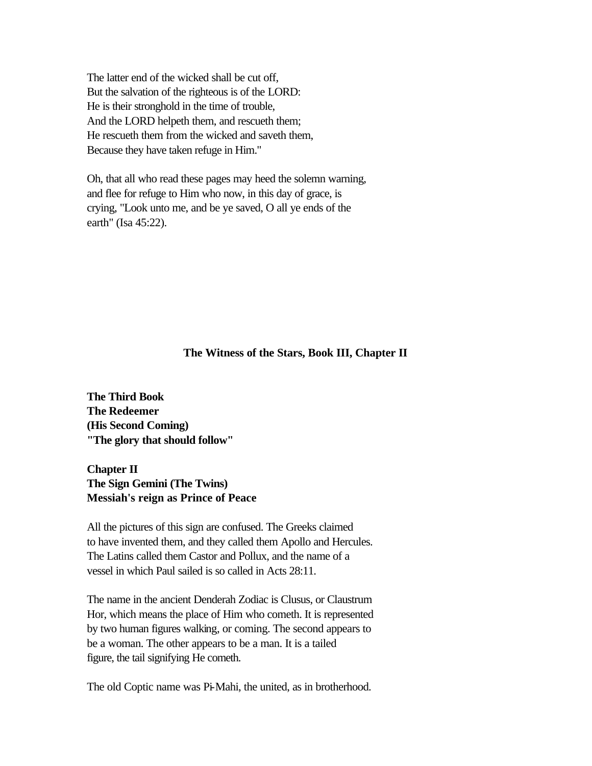The latter end of the wicked shall be cut off, But the salvation of the righteous is of the LORD: He is their stronghold in the time of trouble, And the LORD helpeth them, and rescueth them; He rescueth them from the wicked and saveth them, Because they have taken refuge in Him."

Oh, that all who read these pages may heed the solemn warning, and flee for refuge to Him who now, in this day of grace, is crying, "Look unto me, and be ye saved, O all ye ends of the earth" (Isa 45:22).

#### **The Witness of the Stars, Book III, Chapter II**

**The Third Book The Redeemer (His Second Coming) "The glory that should follow"** 

**Chapter II The Sign Gemini (The Twins) Messiah's reign as Prince of Peace** 

All the pictures of this sign are confused. The Greeks claimed to have invented them, and they called them Apollo and Hercules. The Latins called them Castor and Pollux, and the name of a vessel in which Paul sailed is so called in Acts 28:11.

The name in the ancient Denderah Zodiac is Clusus, or Claustrum Hor, which means the place of Him who cometh. It is represented by two human figures walking, or coming. The second appears to be a woman. The other appears to be a man. It is a tailed figure, the tail signifying He cometh.

The old Coptic name was Pi-Mahi, the united, as in brotherhood.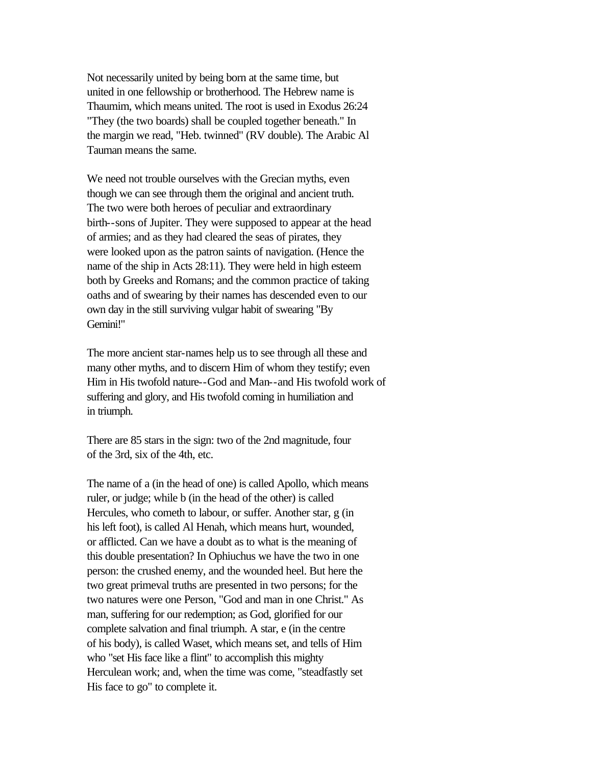Not necessarily united by being born at the same time, but united in one fellowship or brotherhood. The Hebrew name is Thaumim, which means united. The root is used in Exodus 26:24 "They (the two boards) shall be coupled together beneath." In the margin we read, "Heb. twinned" (RV double). The Arabic Al Tauman means the same.

We need not trouble ourselves with the Grecian myths, even though we can see through them the original and ancient truth. The two were both heroes of peculiar and extraordinary birth--sons of Jupiter. They were supposed to appear at the head of armies; and as they had cleared the seas of pirates, they were looked upon as the patron saints of navigation. (Hence the name of the ship in Acts 28:11). They were held in high esteem both by Greeks and Romans; and the common practice of taking oaths and of swearing by their names has descended even to our own day in the still surviving vulgar habit of swearing "By Gemini!"

The more ancient star-names help us to see through all these and many other myths, and to discern Him of whom they testify; even Him in His twofold nature--God and Man--and His twofold work of suffering and glory, and His twofold coming in humiliation and in triumph.

There are 85 stars in the sign: two of the 2nd magnitude, four of the 3rd, six of the 4th, etc.

The name of a (in the head of one) is called Apollo, which means ruler, or judge; while b (in the head of the other) is called Hercules, who cometh to labour, or suffer. Another star, g (in his left foot), is called Al Henah, which means hurt, wounded, or afflicted. Can we have a doubt as to what is the meaning of this double presentation? In Ophiuchus we have the two in one person: the crushed enemy, and the wounded heel. But here the two great primeval truths are presented in two persons; for the two natures were one Person, "God and man in one Christ." As man, suffering for our redemption; as God, glorified for our complete salvation and final triumph. A star, e (in the centre of his body), is called Waset, which means set, and tells of Him who "set His face like a flint" to accomplish this mighty Herculean work; and, when the time was come, "steadfastly set His face to go" to complete it.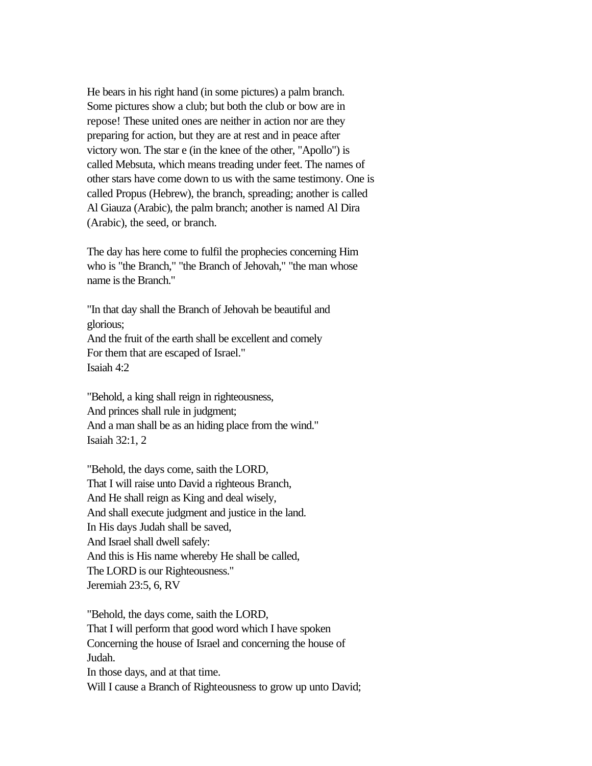He bears in his right hand (in some pictures) a palm branch. Some pictures show a club; but both the club or bow are in repose! These united ones are neither in action nor are they preparing for action, but they are at rest and in peace after victory won. The star e (in the knee of the other, "Apollo") is called Mebsuta, which means treading under feet. The names of other stars have come down to us with the same testimony. One is called Propus (Hebrew), the branch, spreading; another is called Al Giauza (Arabic), the palm branch; another is named Al Dira (Arabic), the seed, or branch.

The day has here come to fulfil the prophecies concerning Him who is "the Branch," "the Branch of Jehovah," "the man whose name is the Branch."

"In that day shall the Branch of Jehovah be beautiful and glorious; And the fruit of the earth shall be excellent and comely For them that are escaped of Israel." Isaiah 4:2

"Behold, a king shall reign in righteousness, And princes shall rule in judgment; And a man shall be as an hiding place from the wind." Isaiah 32:1, 2

"Behold, the days come, saith the LORD, That I will raise unto David a righteous Branch, And He shall reign as King and deal wisely, And shall execute judgment and justice in the land. In His days Judah shall be saved, And Israel shall dwell safely: And this is His name whereby He shall be called, The LORD is our Righteousness." Jeremiah 23:5, 6, RV

"Behold, the days come, saith the LORD, That I will perform that good word which I have spoken Concerning the house of Israel and concerning the house of Judah. In those days, and at that time. Will I cause a Branch of Righteousness to grow up unto David;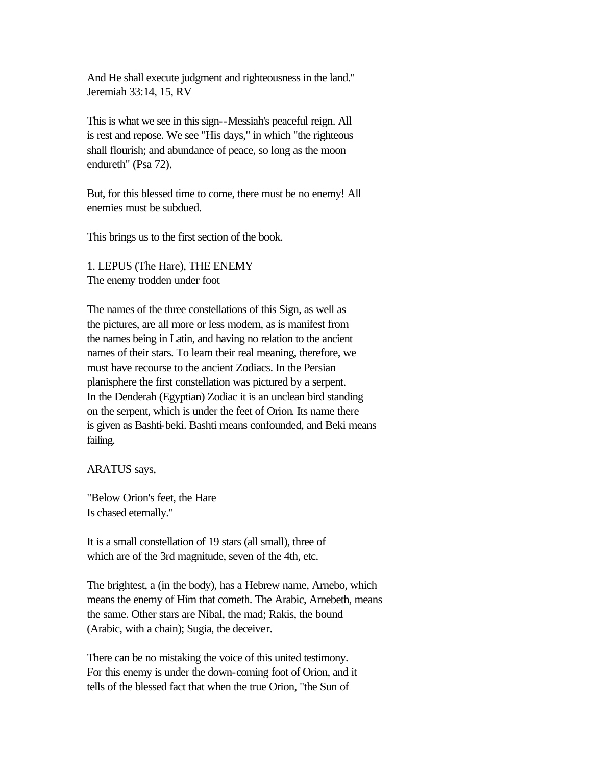And He shall execute judgment and righteousness in the land." Jeremiah 33:14, 15, RV

This is what we see in this sign--Messiah's peaceful reign. All is rest and repose. We see "His days," in which "the righteous shall flourish; and abundance of peace, so long as the moon endureth" (Psa 72).

But, for this blessed time to come, there must be no enemy! All enemies must be subdued.

This brings us to the first section of the book.

1. LEPUS (The Hare), THE ENEMY The enemy trodden under foot

The names of the three constellations of this Sign, as well as the pictures, are all more or less modern, as is manifest from the names being in Latin, and having no relation to the ancient names of their stars. To learn their real meaning, therefore, we must have recourse to the ancient Zodiacs. In the Persian planisphere the first constellation was pictured by a serpent. In the Denderah (Egyptian) Zodiac it is an unclean bird standing on the serpent, which is under the feet of Orion. Its name there is given as Bashti-beki. Bashti means confounded, and Beki means failing.

ARATUS says,

"Below Orion's feet, the Hare Is chased eternally."

It is a small constellation of 19 stars (all small), three of which are of the 3rd magnitude, seven of the 4th, etc.

The brightest, a (in the body), has a Hebrew name, Arnebo, which means the enemy of Him that cometh. The Arabic, Arnebeth, means the same. Other stars are Nibal, the mad; Rakis, the bound (Arabic, with a chain); Sugia, the deceiver.

There can be no mistaking the voice of this united testimony. For this enemy is under the down-coming foot of Orion, and it tells of the blessed fact that when the true Orion, "the Sun of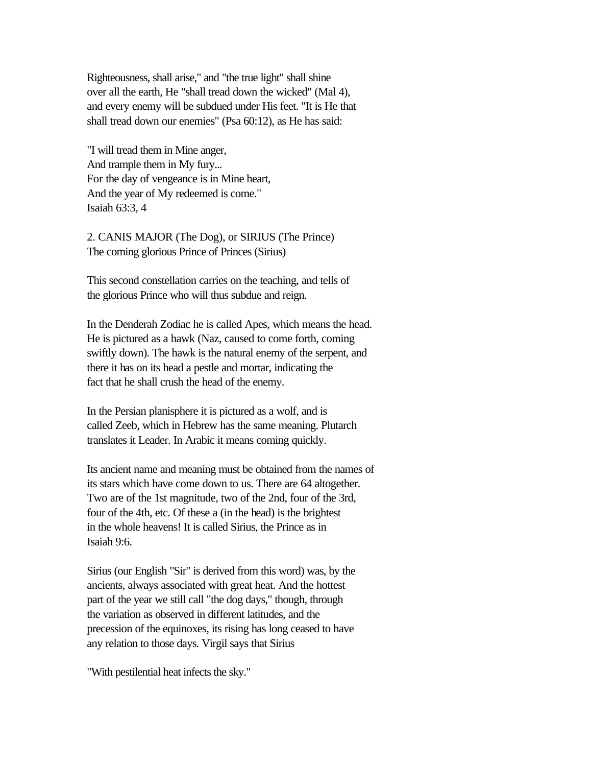Righteousness, shall arise," and "the true light" shall shine over all the earth, He "shall tread down the wicked" (Mal 4), and every enemy will be subdued under His feet. "It is He that shall tread down our enemies" (Psa 60:12), as He has said:

"I will tread them in Mine anger, And trample them in My fury... For the day of vengeance is in Mine heart, And the year of My redeemed is come." Isaiah 63:3, 4

2. CANIS MAJOR (The Dog), or SIRIUS (The Prince) The coming glorious Prince of Princes (Sirius)

This second constellation carries on the teaching, and tells of the glorious Prince who will thus subdue and reign.

In the Denderah Zodiac he is called Apes, which means the head. He is pictured as a hawk (Naz, caused to come forth, coming swiftly down). The hawk is the natural enemy of the serpent, and there it has on its head a pestle and mortar, indicating the fact that he shall crush the head of the enemy.

In the Persian planisphere it is pictured as a wolf, and is called Zeeb, which in Hebrew has the same meaning. Plutarch translates it Leader. In Arabic it means coming quickly.

Its ancient name and meaning must be obtained from the names of its stars which have come down to us. There are 64 altogether. Two are of the 1st magnitude, two of the 2nd, four of the 3rd, four of the 4th, etc. Of these a (in the head) is the brightest in the whole heavens! It is called Sirius, the Prince as in Isaiah 9:6.

Sirius (our English "Sir" is derived from this word) was, by the ancients, always associated with great heat. And the hottest part of the year we still call "the dog days," though, through the variation as observed in different latitudes, and the precession of the equinoxes, its rising has long ceased to have any relation to those days. Virgil says that Sirius

"With pestilential heat infects the sky."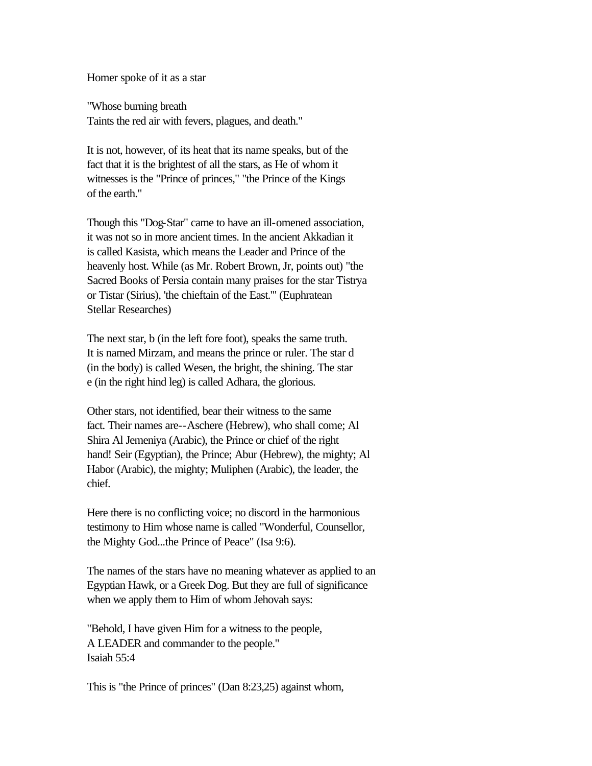Homer spoke of it as a star

"Whose burning breath Taints the red air with fevers, plagues, and death."

It is not, however, of its heat that its name speaks, but of the fact that it is the brightest of all the stars, as He of whom it witnesses is the "Prince of princes," "the Prince of the Kings of the earth."

Though this "Dog-Star" came to have an ill-omened association, it was not so in more ancient times. In the ancient Akkadian it is called Kasista, which means the Leader and Prince of the heavenly host. While (as Mr. Robert Brown, Jr, points out) "the Sacred Books of Persia contain many praises for the star Tistrya or Tistar (Sirius), 'the chieftain of the East.'" (Euphratean Stellar Researches)

The next star, b (in the left fore foot), speaks the same truth. It is named Mirzam, and means the prince or ruler. The star d (in the body) is called Wesen, the bright, the shining. The star e (in the right hind leg) is called Adhara, the glorious.

Other stars, not identified, bear their witness to the same fact. Their names are--Aschere (Hebrew), who shall come; Al Shira Al Jemeniya (Arabic), the Prince or chief of the right hand! Seir (Egyptian), the Prince; Abur (Hebrew), the mighty; Al Habor (Arabic), the mighty; Muliphen (Arabic), the leader, the chief.

Here there is no conflicting voice; no discord in the harmonious testimony to Him whose name is called "Wonderful, Counsellor, the Mighty God...the Prince of Peace" (Isa 9:6).

The names of the stars have no meaning whatever as applied to an Egyptian Hawk, or a Greek Dog. But they are full of significance when we apply them to Him of whom Jehovah says:

"Behold, I have given Him for a witness to the people, A LEADER and commander to the people." Isaiah 55:4

This is "the Prince of princes" (Dan 8:23,25) against whom,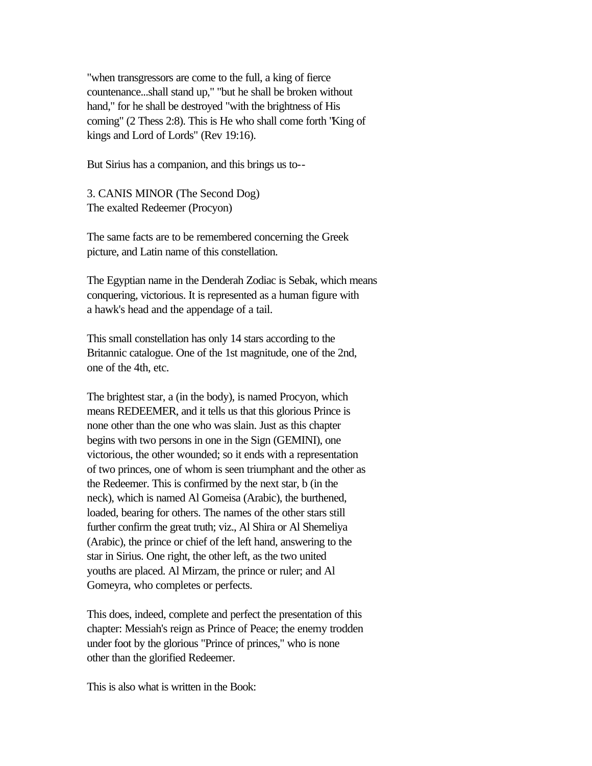"when transgressors are come to the full, a king of fierce countenance...shall stand up," "but he shall be broken without hand," for he shall be destroyed "with the brightness of His coming" (2 Thess 2:8). This is He who shall come forth "King of kings and Lord of Lords" (Rev 19:16).

But Sirius has a companion, and this brings us to--

3. CANIS MINOR (The Second Dog) The exalted Redeemer (Procyon)

The same facts are to be remembered concerning the Greek picture, and Latin name of this constellation.

The Egyptian name in the Denderah Zodiac is Sebak, which means conquering, victorious. It is represented as a human figure with a hawk's head and the appendage of a tail.

This small constellation has only 14 stars according to the Britannic catalogue. One of the 1st magnitude, one of the 2nd, one of the 4th, etc.

The brightest star, a (in the body), is named Procyon, which means REDEEMER, and it tells us that this glorious Prince is none other than the one who was slain. Just as this chapter begins with two persons in one in the Sign (GEMINI), one victorious, the other wounded; so it ends with a representation of two princes, one of whom is seen triumphant and the other as the Redeemer. This is confirmed by the next star, b (in the neck), which is named Al Gomeisa (Arabic), the burthened, loaded, bearing for others. The names of the other stars still further confirm the great truth; viz., Al Shira or Al Shemeliya (Arabic), the prince or chief of the left hand, answering to the star in Sirius. One right, the other left, as the two united youths are placed. Al Mirzam, the prince or ruler; and Al Gomeyra, who completes or perfects.

This does, indeed, complete and perfect the presentation of this chapter: Messiah's reign as Prince of Peace; the enemy trodden under foot by the glorious "Prince of princes," who is none other than the glorified Redeemer.

This is also what is written in the Book: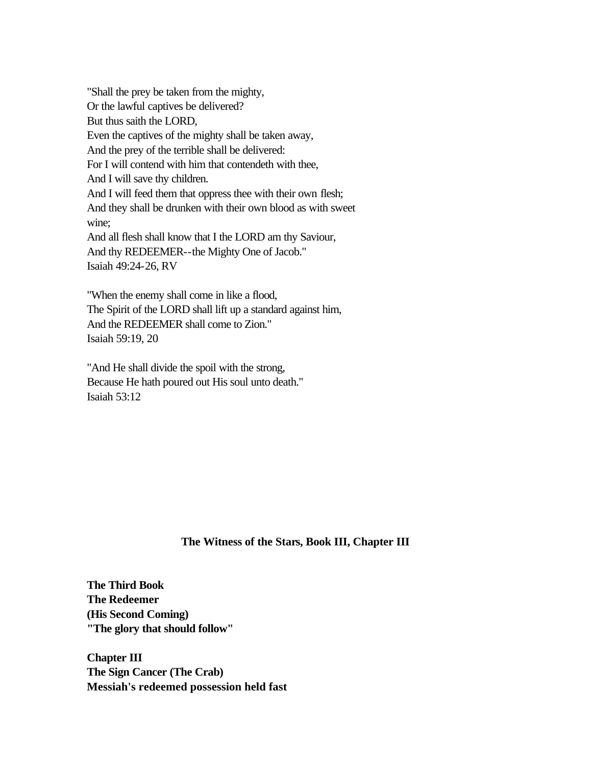"Shall the prey be taken from the mighty, Or the lawful captives be delivered? But thus saith the LORD, Even the captives of the mighty shall be taken away, And the prey of the terrible shall be delivered: For I will contend with him that contendeth with thee, And I will save thy children. And I will feed them that oppress thee with their own flesh; And they shall be drunken with their own blood as with sweet wine; And all flesh shall know that I the LORD am thy Saviour, And thy REDEEMER--the Mighty One of Jacob." Isaiah 49:24-26, RV

"When the enemy shall come in like a flood, The Spirit of the LORD shall lift up a standard against him, And the REDEEMER shall come to Zion." Isaiah 59:19, 20

"And He shall divide the spoil with the strong, Because He hath poured out His soul unto death." Isaiah 53:12

## **The Witness of the Stars, Book III, Chapter III**

**The Third Book The Redeemer (His Second Coming) "The glory that should follow"** 

**Chapter III The Sign Cancer (The Crab) Messiah's redeemed possession held fast**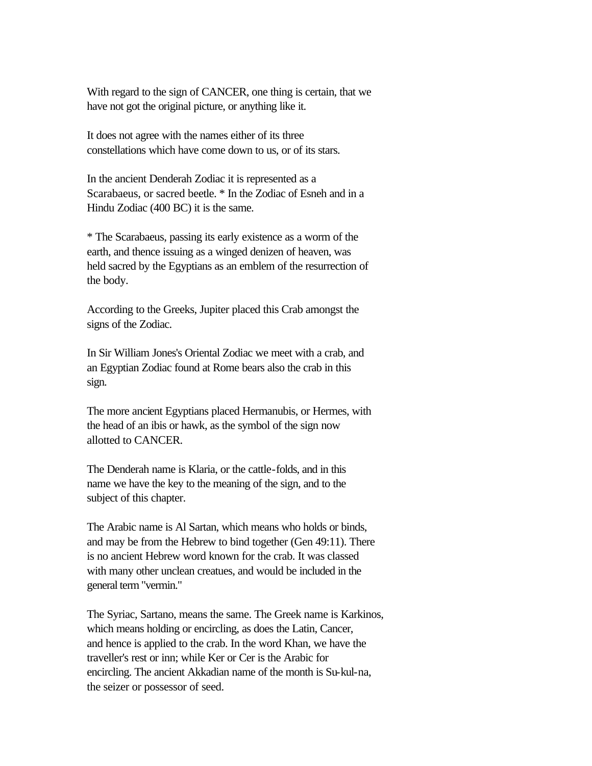With regard to the sign of CANCER, one thing is certain, that we have not got the original picture, or anything like it.

It does not agree with the names either of its three constellations which have come down to us, or of its stars.

In the ancient Denderah Zodiac it is represented as a Scarabaeus, or sacred beetle. \* In the Zodiac of Esneh and in a Hindu Zodiac (400 BC) it is the same.

\* The Scarabaeus, passing its early existence as a worm of the earth, and thence issuing as a winged denizen of heaven, was held sacred by the Egyptians as an emblem of the resurrection of the body.

According to the Greeks, Jupiter placed this Crab amongst the signs of the Zodiac.

In Sir William Jones's Oriental Zodiac we meet with a crab, and an Egyptian Zodiac found at Rome bears also the crab in this sign.

The more ancient Egyptians placed Hermanubis, or Hermes, with the head of an ibis or hawk, as the symbol of the sign now allotted to CANCER.

The Denderah name is Klaria, or the cattle-folds, and in this name we have the key to the meaning of the sign, and to the subject of this chapter.

The Arabic name is Al Sartan, which means who holds or binds, and may be from the Hebrew to bind together (Gen 49:11). There is no ancient Hebrew word known for the crab. It was classed with many other unclean creatues, and would be included in the general term "vermin."

The Syriac, Sartano, means the same. The Greek name is Karkinos, which means holding or encircling, as does the Latin, Cancer, and hence is applied to the crab. In the word Khan, we have the traveller's rest or inn; while Ker or Cer is the Arabic for encircling. The ancient Akkadian name of the month is Su-kul-na, the seizer or possessor of seed.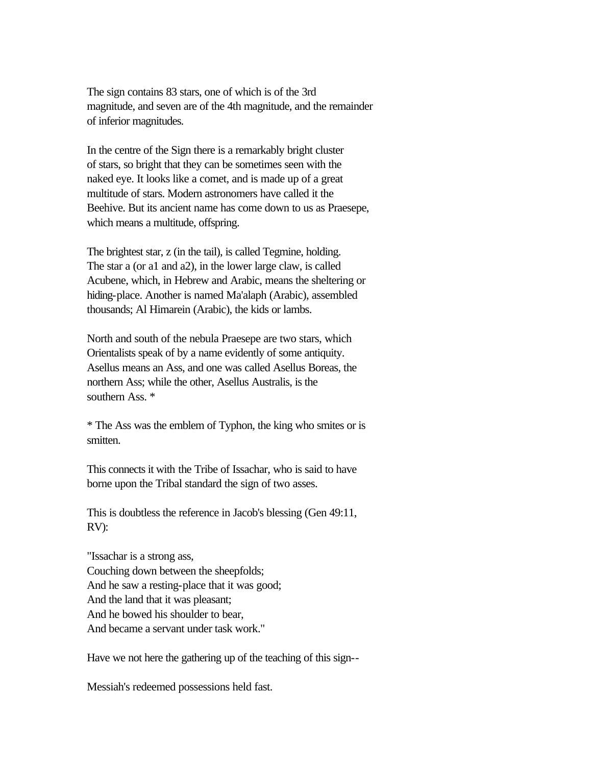The sign contains 83 stars, one of which is of the 3rd magnitude, and seven are of the 4th magnitude, and the remainder of inferior magnitudes.

In the centre of the Sign there is a remarkably bright cluster of stars, so bright that they can be sometimes seen with the naked eye. It looks like a comet, and is made up of a great multitude of stars. Modern astronomers have called it the Beehive. But its ancient name has come down to us as Praesepe, which means a multitude, offspring.

The brightest star, z (in the tail), is called Tegmine, holding. The star a (or a1 and a2), in the lower large claw, is called Acubene, which, in Hebrew and Arabic, means the sheltering or hiding-place. Another is named Ma'alaph (Arabic), assembled thousands; Al Himarein (Arabic), the kids or lambs.

North and south of the nebula Praesepe are two stars, which Orientalists speak of by a name evidently of some antiquity. Asellus means an Ass, and one was called Asellus Boreas, the northern Ass; while the other, Asellus Australis, is the southern Ass. \*

\* The Ass was the emblem of Typhon, the king who smites or is smitten.

This connects it with the Tribe of Issachar, who is said to have borne upon the Tribal standard the sign of two asses.

This is doubtless the reference in Jacob's blessing (Gen 49:11, RV):

"Issachar is a strong ass, Couching down between the sheepfolds; And he saw a resting-place that it was good; And the land that it was pleasant; And he bowed his shoulder to bear, And became a servant under task work."

Have we not here the gathering up of the teaching of this sign--

Messiah's redeemed possessions held fast.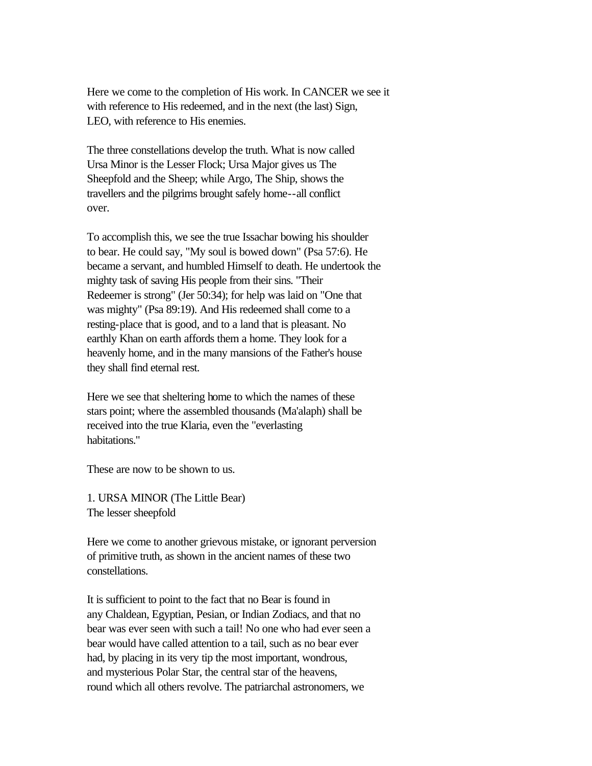Here we come to the completion of His work. In CANCER we see it with reference to His redeemed, and in the next (the last) Sign, LEO, with reference to His enemies.

The three constellations develop the truth. What is now called Ursa Minor is the Lesser Flock; Ursa Major gives us The Sheepfold and the Sheep; while Argo, The Ship, shows the travellers and the pilgrims brought safely home--all conflict over.

To accomplish this, we see the true Issachar bowing his shoulder to bear. He could say, "My soul is bowed down" (Psa 57:6). He became a servant, and humbled Himself to death. He undertook the mighty task of saving His people from their sins. "Their Redeemer is strong" (Jer 50:34); for help was laid on "One that was mighty" (Psa 89:19). And His redeemed shall come to a resting-place that is good, and to a land that is pleasant. No earthly Khan on earth affords them a home. They look for a heavenly home, and in the many mansions of the Father's house they shall find eternal rest.

Here we see that sheltering home to which the names of these stars point; where the assembled thousands (Ma'alaph) shall be received into the true Klaria, even the "everlasting habitations."

These are now to be shown to us.

1. URSA MINOR (The Little Bear) The lesser sheepfold

Here we come to another grievous mistake, or ignorant perversion of primitive truth, as shown in the ancient names of these two constellations.

It is sufficient to point to the fact that no Bear is found in any Chaldean, Egyptian, Pesian, or Indian Zodiacs, and that no bear was ever seen with such a tail! No one who had ever seen a bear would have called attention to a tail, such as no bear ever had, by placing in its very tip the most important, wondrous, and mysterious Polar Star, the central star of the heavens, round which all others revolve. The patriarchal astronomers, we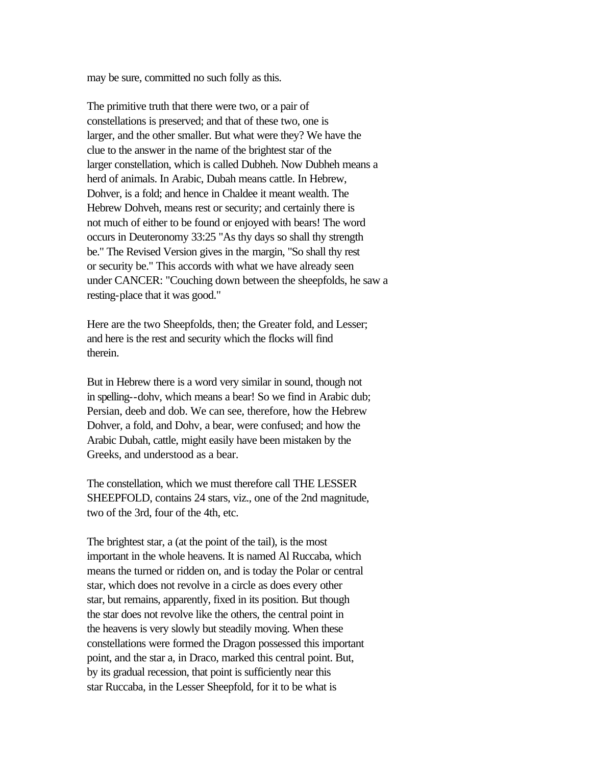may be sure, committed no such folly as this.

The primitive truth that there were two, or a pair of constellations is preserved; and that of these two, one is larger, and the other smaller. But what were they? We have the clue to the answer in the name of the brightest star of the larger constellation, which is called Dubheh. Now Dubheh means a herd of animals. In Arabic, Dubah means cattle. In Hebrew, Dohver, is a fold; and hence in Chaldee it meant wealth. The Hebrew Dohveh, means rest or security; and certainly there is not much of either to be found or enjoyed with bears! The word occurs in Deuteronomy 33:25 "As thy days so shall thy strength be." The Revised Version gives in the margin, "So shall thy rest or security be." This accords with what we have already seen under CANCER: "Couching down between the sheepfolds, he saw a resting-place that it was good."

Here are the two Sheepfolds, then; the Greater fold, and Lesser; and here is the rest and security which the flocks will find therein.

But in Hebrew there is a word very similar in sound, though not in spelling--dohv, which means a bear! So we find in Arabic dub; Persian, deeb and dob. We can see, therefore, how the Hebrew Dohver, a fold, and Dohv, a bear, were confused; and how the Arabic Dubah, cattle, might easily have been mistaken by the Greeks, and understood as a bear.

The constellation, which we must therefore call THE LESSER SHEEPFOLD, contains 24 stars, viz., one of the 2nd magnitude, two of the 3rd, four of the 4th, etc.

The brightest star, a (at the point of the tail), is the most important in the whole heavens. It is named Al Ruccaba, which means the turned or ridden on, and is today the Polar or central star, which does not revolve in a circle as does every other star, but remains, apparently, fixed in its position. But though the star does not revolve like the others, the central point in the heavens is very slowly but steadily moving. When these constellations were formed the Dragon possessed this important point, and the star a, in Draco, marked this central point. But, by its gradual recession, that point is sufficiently near this star Ruccaba, in the Lesser Sheepfold, for it to be what is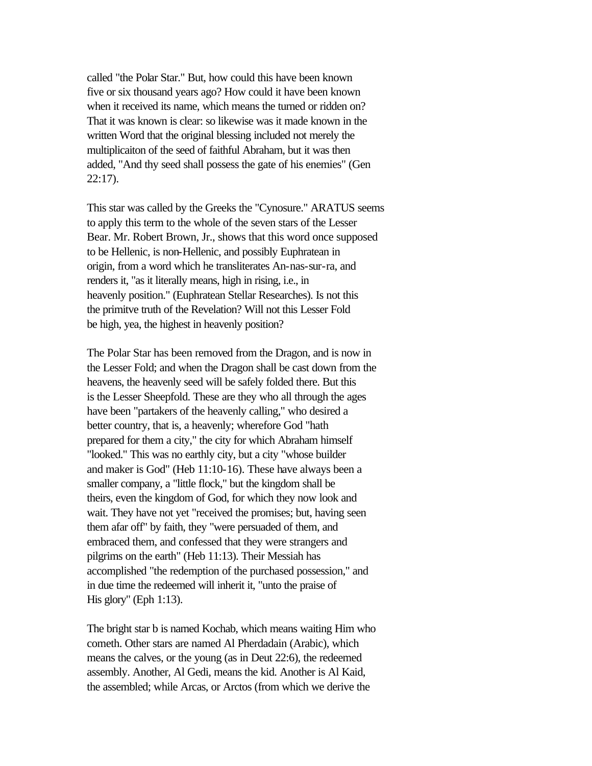called "the Polar Star." But, how could this have been known five or six thousand years ago? How could it have been known when it received its name, which means the turned or ridden on? That it was known is clear: so likewise was it made known in the written Word that the original blessing included not merely the multiplicaiton of the seed of faithful Abraham, but it was then added, "And thy seed shall possess the gate of his enemies" (Gen 22:17).

This star was called by the Greeks the "Cynosure." ARATUS seems to apply this term to the whole of the seven stars of the Lesser Bear. Mr. Robert Brown, Jr., shows that this word once supposed to be Hellenic, is non-Hellenic, and possibly Euphratean in origin, from a word which he transliterates An-nas-sur-ra, and renders it, "as it literally means, high in rising, i.e., in heavenly position." (Euphratean Stellar Researches). Is not this the primitve truth of the Revelation? Will not this Lesser Fold be high, yea, the highest in heavenly position?

The Polar Star has been removed from the Dragon, and is now in the Lesser Fold; and when the Dragon shall be cast down from the heavens, the heavenly seed will be safely folded there. But this is the Lesser Sheepfold. These are they who all through the ages have been "partakers of the heavenly calling," who desired a better country, that is, a heavenly; wherefore God "hath prepared for them a city," the city for which Abraham himself "looked." This was no earthly city, but a city "whose builder and maker is God" (Heb 11:10-16). These have always been a smaller company, a "little flock," but the kingdom shall be theirs, even the kingdom of God, for which they now look and wait. They have not yet "received the promises; but, having seen them afar off" by faith, they "were persuaded of them, and embraced them, and confessed that they were strangers and pilgrims on the earth" (Heb 11:13). Their Messiah has accomplished "the redemption of the purchased possession," and in due time the redeemed will inherit it, "unto the praise of His glory" (Eph 1:13).

The bright star b is named Kochab, which means waiting Him who cometh. Other stars are named Al Pherdadain (Arabic), which means the calves, or the young (as in Deut 22:6), the redeemed assembly. Another, Al Gedi, means the kid. Another is Al Kaid, the assembled; while Arcas, or Arctos (from which we derive the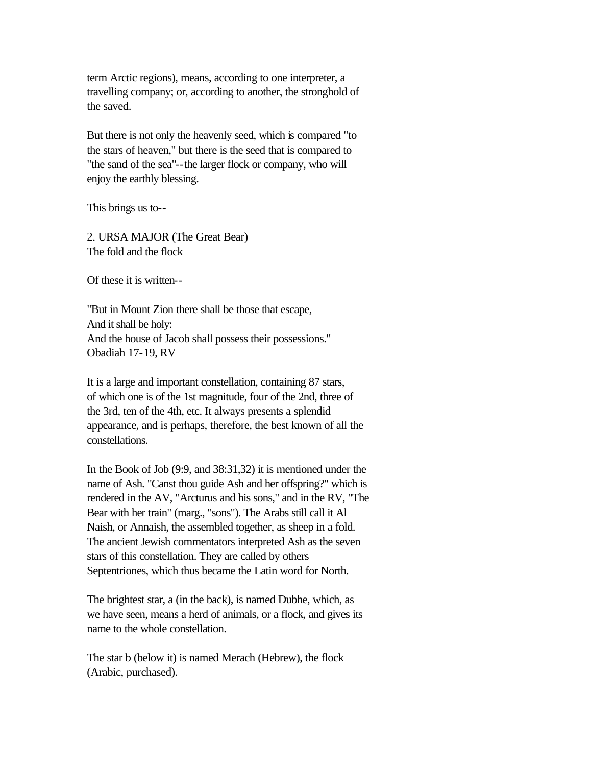term Arctic regions), means, according to one interpreter, a travelling company; or, according to another, the stronghold of the saved.

But there is not only the heavenly seed, which is compared "to the stars of heaven," but there is the seed that is compared to "the sand of the sea"--the larger flock or company, who will enjoy the earthly blessing.

This brings us to--

2. URSA MAJOR (The Great Bear) The fold and the flock

Of these it is written--

"But in Mount Zion there shall be those that escape, And it shall be holy: And the house of Jacob shall possess their possessions." Obadiah 17-19, RV

It is a large and important constellation, containing 87 stars, of which one is of the 1st magnitude, four of the 2nd, three of the 3rd, ten of the 4th, etc. It always presents a splendid appearance, and is perhaps, therefore, the best known of all the constellations.

In the Book of Job (9:9, and 38:31,32) it is mentioned under the name of Ash. "Canst thou guide Ash and her offspring?" which is rendered in the AV, "Arcturus and his sons," and in the RV, "The Bear with her train" (marg., "sons"). The Arabs still call it Al Naish, or Annaish, the assembled together, as sheep in a fold. The ancient Jewish commentators interpreted Ash as the seven stars of this constellation. They are called by others Septentriones, which thus became the Latin word for North.

The brightest star, a (in the back), is named Dubhe, which, as we have seen, means a herd of animals, or a flock, and gives its name to the whole constellation.

The star b (below it) is named Merach (Hebrew), the flock (Arabic, purchased).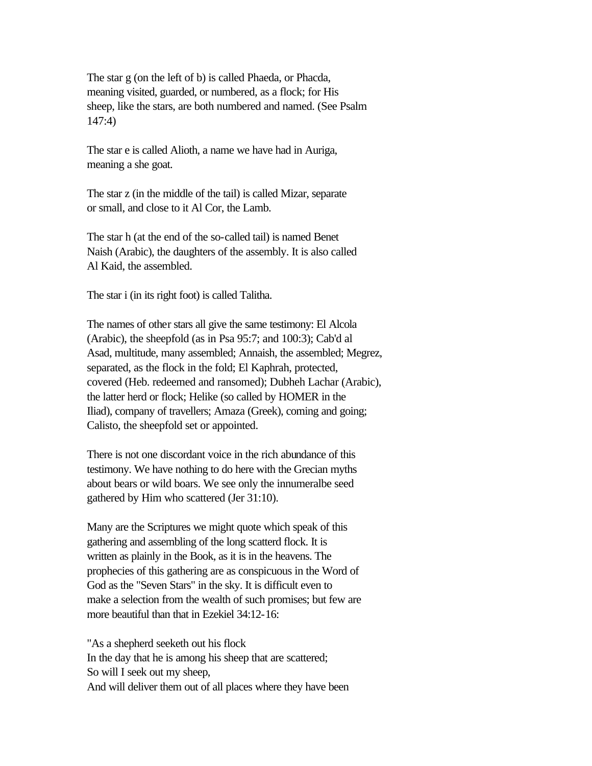The star g (on the left of b) is called Phaeda, or Phacda, meaning visited, guarded, or numbered, as a flock; for His sheep, like the stars, are both numbered and named. (See Psalm 147:4)

The star e is called Alioth, a name we have had in Auriga, meaning a she goat.

The star z (in the middle of the tail) is called Mizar, separate or small, and close to it Al Cor, the Lamb.

The star h (at the end of the so-called tail) is named Benet Naish (Arabic), the daughters of the assembly. It is also called Al Kaid, the assembled.

The star i (in its right foot) is called Talitha.

The names of other stars all give the same testimony: El Alcola (Arabic), the sheepfold (as in Psa 95:7; and 100:3); Cab'd al Asad, multitude, many assembled; Annaish, the assembled; Megrez, separated, as the flock in the fold; El Kaphrah, protected, covered (Heb. redeemed and ransomed); Dubheh Lachar (Arabic), the latter herd or flock; Helike (so called by HOMER in the Iliad), company of travellers; Amaza (Greek), coming and going; Calisto, the sheepfold set or appointed.

There is not one discordant voice in the rich abundance of this testimony. We have nothing to do here with the Grecian myths about bears or wild boars. We see only the innumeralbe seed gathered by Him who scattered (Jer 31:10).

Many are the Scriptures we might quote which speak of this gathering and assembling of the long scatterd flock. It is written as plainly in the Book, as it is in the heavens. The prophecies of this gathering are as conspicuous in the Word of God as the "Seven Stars" in the sky. It is difficult even to make a selection from the wealth of such promises; but few are more beautiful than that in Ezekiel 34:12-16:

"As a shepherd seeketh out his flock In the day that he is among his sheep that are scattered; So will I seek out my sheep, And will deliver them out of all places where they have been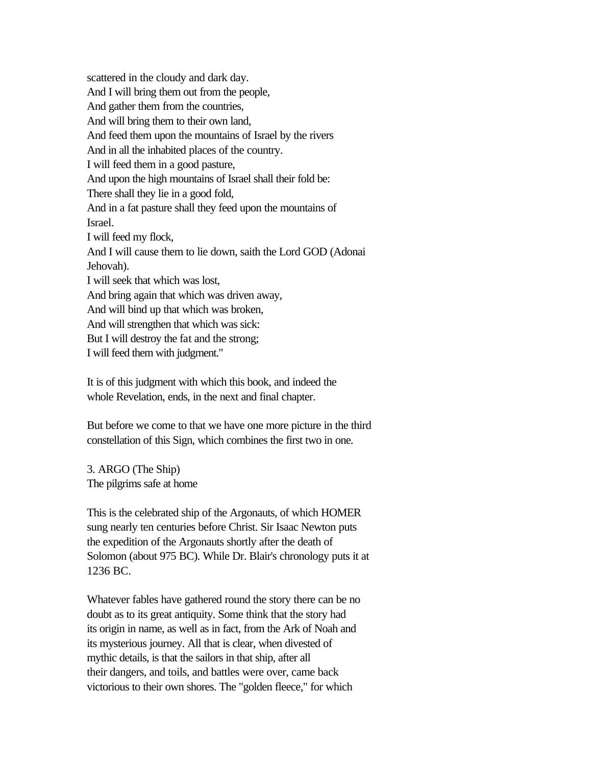scattered in the cloudy and dark day. And I will bring them out from the people, And gather them from the countries, And will bring them to their own land, And feed them upon the mountains of Israel by the rivers And in all the inhabited places of the country. I will feed them in a good pasture, And upon the high mountains of Israel shall their fold be: There shall they lie in a good fold, And in a fat pasture shall they feed upon the mountains of Israel. I will feed my flock, And I will cause them to lie down, saith the Lord GOD (Adonai Jehovah). I will seek that which was lost, And bring again that which was driven away, And will bind up that which was broken, And will strengthen that which was sick: But I will destroy the fat and the strong; I will feed them with judgment."

It is of this judgment with which this book, and indeed the whole Revelation, ends, in the next and final chapter.

But before we come to that we have one more picture in the third constellation of this Sign, which combines the first two in one.

3. ARGO (The Ship) The pilgrims safe at home

This is the celebrated ship of the Argonauts, of which HOMER sung nearly ten centuries before Christ. Sir Isaac Newton puts the expedition of the Argonauts shortly after the death of Solomon (about 975 BC). While Dr. Blair's chronology puts it at 1236 BC.

Whatever fables have gathered round the story there can be no doubt as to its great antiquity. Some think that the story had its origin in name, as well as in fact, from the Ark of Noah and its mysterious journey. All that is clear, when divested of mythic details, is that the sailors in that ship, after all their dangers, and toils, and battles were over, came back victorious to their own shores. The "golden fleece," for which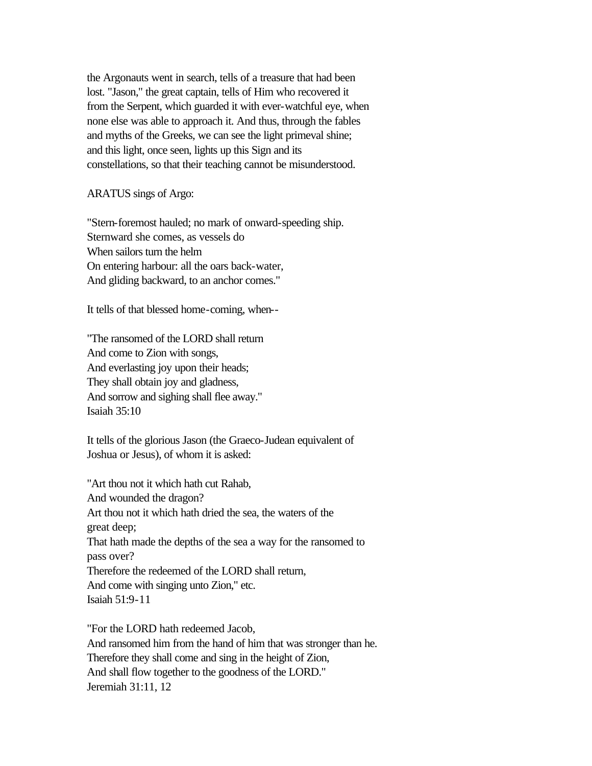the Argonauts went in search, tells of a treasure that had been lost. "Jason," the great captain, tells of Him who recovered it from the Serpent, which guarded it with ever-watchful eye, when none else was able to approach it. And thus, through the fables and myths of the Greeks, we can see the light primeval shine; and this light, once seen, lights up this Sign and its constellations, so that their teaching cannot be misunderstood.

ARATUS sings of Argo:

"Stern-foremost hauled; no mark of onward-speeding ship. Sternward she comes, as vessels do When sailors turn the helm On entering harbour: all the oars back-water, And gliding backward, to an anchor comes."

It tells of that blessed home-coming, when--

"The ransomed of the LORD shall return And come to Zion with songs, And everlasting joy upon their heads; They shall obtain joy and gladness, And sorrow and sighing shall flee away." Isaiah 35:10

It tells of the glorious Jason (the Graeco-Judean equivalent of Joshua or Jesus), of whom it is asked:

"Art thou not it which hath cut Rahab, And wounded the dragon? Art thou not it which hath dried the sea, the waters of the great deep; That hath made the depths of the sea a way for the ransomed to pass over? Therefore the redeemed of the LORD shall return, And come with singing unto Zion," etc. Isaiah 51:9-11

"For the LORD hath redeemed Jacob, And ransomed him from the hand of him that was stronger than he. Therefore they shall come and sing in the height of Zion, And shall flow together to the goodness of the LORD." Jeremiah 31:11, 12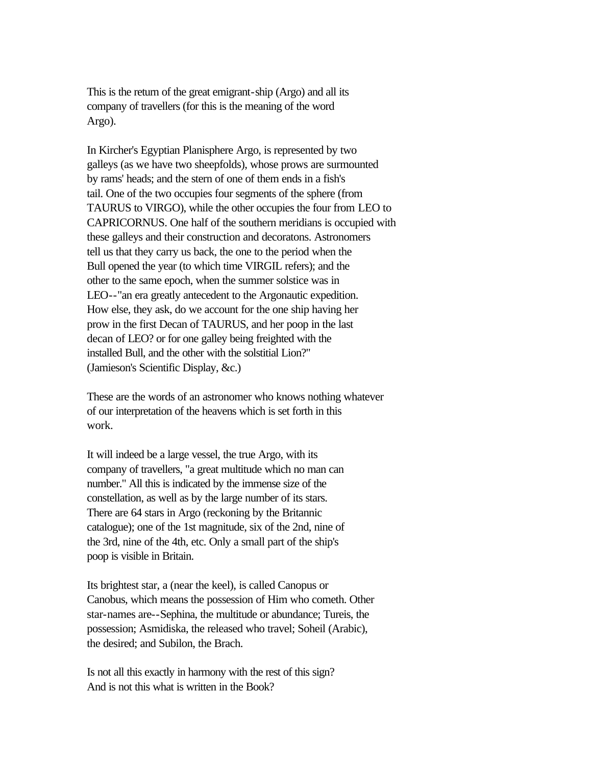This is the return of the great emigrant-ship (Argo) and all its company of travellers (for this is the meaning of the word Argo).

In Kircher's Egyptian Planisphere Argo, is represented by two galleys (as we have two sheepfolds), whose prows are surmounted by rams' heads; and the stern of one of them ends in a fish's tail. One of the two occupies four segments of the sphere (from TAURUS to VIRGO), while the other occupies the four from LEO to CAPRICORNUS. One half of the southern meridians is occupied with these galleys and their construction and decoratons. Astronomers tell us that they carry us back, the one to the period when the Bull opened the year (to which time VIRGIL refers); and the other to the same epoch, when the summer solstice was in LEO--"an era greatly antecedent to the Argonautic expedition. How else, they ask, do we account for the one ship having her prow in the first Decan of TAURUS, and her poop in the last decan of LEO? or for one galley being freighted with the installed Bull, and the other with the solstitial Lion?" (Jamieson's Scientific Display, &c.)

These are the words of an astronomer who knows nothing whatever of our interpretation of the heavens which is set forth in this work.

It will indeed be a large vessel, the true Argo, with its company of travellers, "a great multitude which no man can number." All this is indicated by the immense size of the constellation, as well as by the large number of its stars. There are 64 stars in Argo (reckoning by the Britannic catalogue); one of the 1st magnitude, six of the 2nd, nine of the 3rd, nine of the 4th, etc. Only a small part of the ship's poop is visible in Britain.

Its brightest star, a (near the keel), is called Canopus or Canobus, which means the possession of Him who cometh. Other star-names are--Sephina, the multitude or abundance; Tureis, the possession; Asmidiska, the released who travel; Soheil (Arabic), the desired; and Subilon, the Brach.

Is not all this exactly in harmony with the rest of this sign? And is not this what is written in the Book?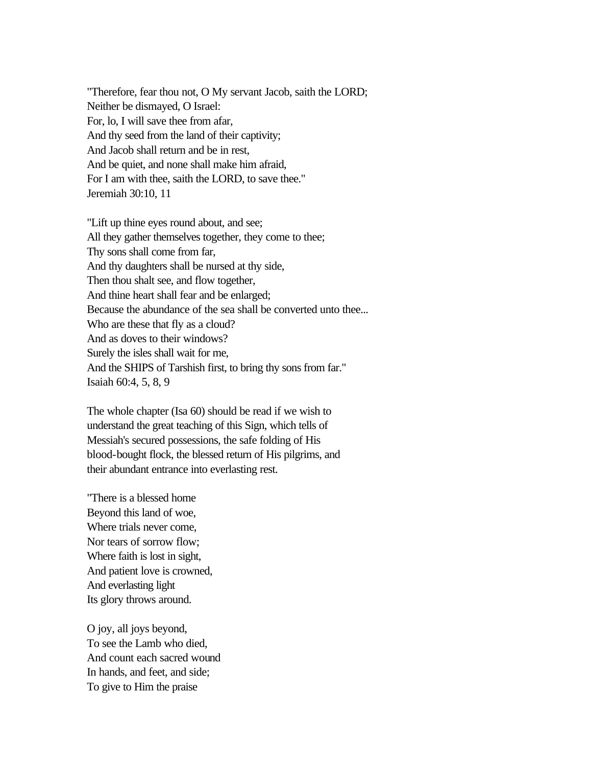"Therefore, fear thou not, O My servant Jacob, saith the LORD; Neither be dismayed, O Israel: For, lo, I will save thee from afar, And thy seed from the land of their captivity; And Jacob shall return and be in rest, And be quiet, and none shall make him afraid, For I am with thee, saith the LORD, to save thee." Jeremiah 30:10, 11

"Lift up thine eyes round about, and see; All they gather themselves together, they come to thee; Thy sons shall come from far, And thy daughters shall be nursed at thy side, Then thou shalt see, and flow together, And thine heart shall fear and be enlarged; Because the abundance of the sea shall be converted unto thee... Who are these that fly as a cloud? And as doves to their windows? Surely the isles shall wait for me, And the SHIPS of Tarshish first, to bring thy sons from far." Isaiah 60:4, 5, 8, 9

The whole chapter (Isa 60) should be read if we wish to understand the great teaching of this Sign, which tells of Messiah's secured possessions, the safe folding of His blood-bought flock, the blessed return of His pilgrims, and their abundant entrance into everlasting rest.

"There is a blessed home Beyond this land of woe, Where trials never come, Nor tears of sorrow flow; Where faith is lost in sight, And patient love is crowned, And everlasting light Its glory throws around.

O joy, all joys beyond, To see the Lamb who died, And count each sacred wound In hands, and feet, and side; To give to Him the praise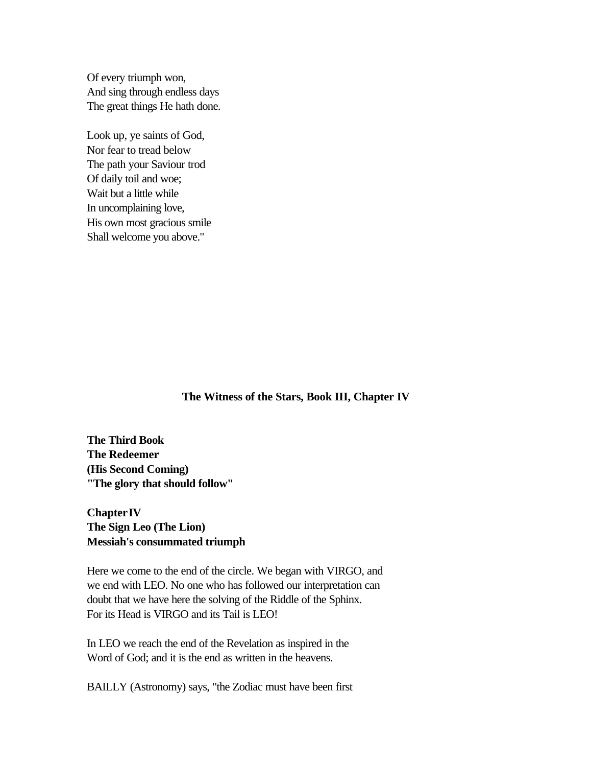Of every triumph won, And sing through endless days The great things He hath done.

Look up, ye saints of God, Nor fear to tread below The path your Saviour trod Of daily toil and woe; Wait but a little while In uncomplaining love, His own most gracious smile Shall welcome you above."

**The Witness of the Stars, Book III, Chapter IV**

**The Third Book The Redeemer (His Second Coming) "The glory that should follow"** 

# **Chapter IV The Sign Leo (The Lion) Messiah's consummated triumph**

Here we come to the end of the circle. We began with VIRGO, and we end with LEO. No one who has followed our interpretation can doubt that we have here the solving of the Riddle of the Sphinx. For its Head is VIRGO and its Tail is LEO!

In LEO we reach the end of the Revelation as inspired in the Word of God; and it is the end as written in the heavens.

BAILLY (Astronomy) says, "the Zodiac must have been first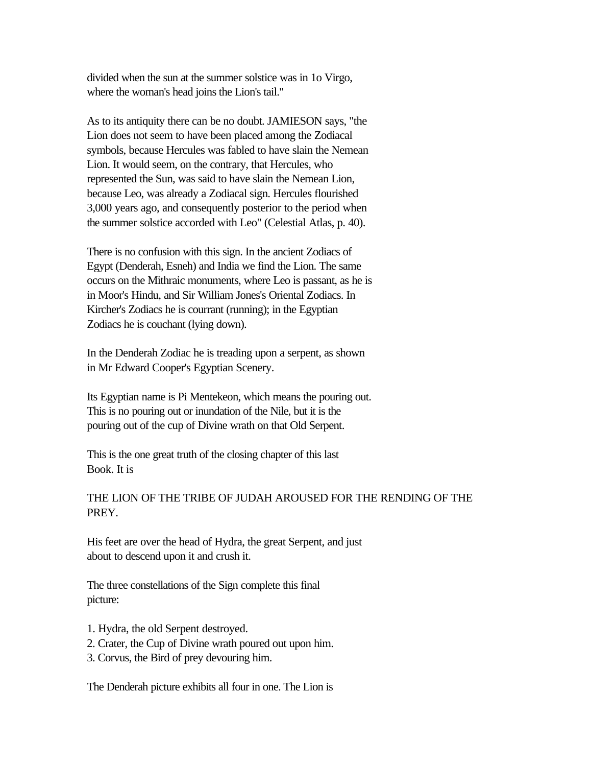divided when the sun at the summer solstice was in 1o Virgo, where the woman's head joins the Lion's tail."

As to its antiquity there can be no doubt. JAMIESON says, "the Lion does not seem to have been placed among the Zodiacal symbols, because Hercules was fabled to have slain the Nemean Lion. It would seem, on the contrary, that Hercules, who represented the Sun, was said to have slain the Nemean Lion, because Leo, was already a Zodiacal sign. Hercules flourished 3,000 years ago, and consequently posterior to the period when the summer solstice accorded with Leo" (Celestial Atlas, p. 40).

There is no confusion with this sign. In the ancient Zodiacs of Egypt (Denderah, Esneh) and India we find the Lion. The same occurs on the Mithraic monuments, where Leo is passant, as he is in Moor's Hindu, and Sir William Jones's Oriental Zodiacs. In Kircher's Zodiacs he is courrant (running); in the Egyptian Zodiacs he is couchant (lying down).

In the Denderah Zodiac he is treading upon a serpent, as shown in Mr Edward Cooper's Egyptian Scenery.

Its Egyptian name is Pi Mentekeon, which means the pouring out. This is no pouring out or inundation of the Nile, but it is the pouring out of the cup of Divine wrath on that Old Serpent.

This is the one great truth of the closing chapter of this last Book. It is

# THE LION OF THE TRIBE OF JUDAH AROUSED FOR THE RENDING OF THE PREY.

His feet are over the head of Hydra, the great Serpent, and just about to descend upon it and crush it.

The three constellations of the Sign complete this final picture:

- 1. Hydra, the old Serpent destroyed.
- 2. Crater, the Cup of Divine wrath poured out upon him.
- 3. Corvus, the Bird of prey devouring him.

The Denderah picture exhibits all four in one. The Lion is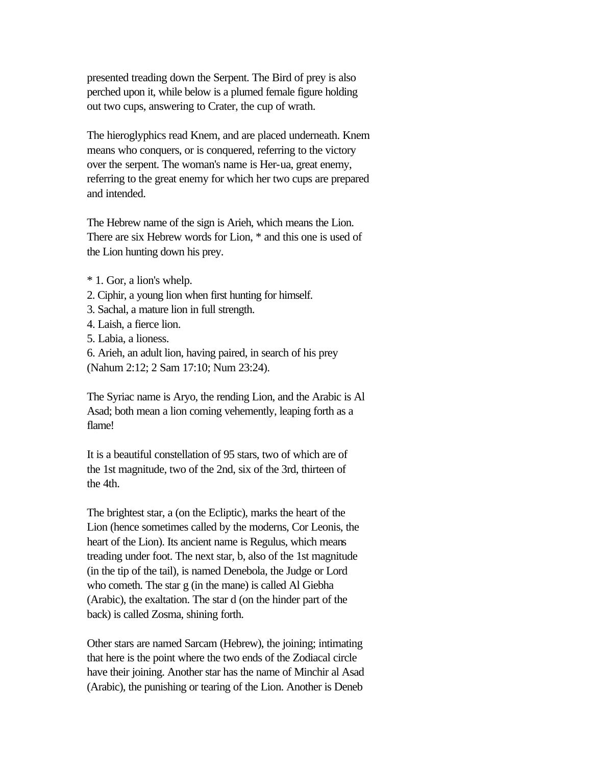presented treading down the Serpent. The Bird of prey is also perched upon it, while below is a plumed female figure holding out two cups, answering to Crater, the cup of wrath.

The hieroglyphics read Knem, and are placed underneath. Knem means who conquers, or is conquered, referring to the victory over the serpent. The woman's name is Her-ua, great enemy, referring to the great enemy for which her two cups are prepared and intended.

The Hebrew name of the sign is Arieh, which means the Lion. There are six Hebrew words for Lion, \* and this one is used of the Lion hunting down his prey.

- \* 1. Gor, a lion's whelp.
- 2. Ciphir, a young lion when first hunting for himself.
- 3. Sachal, a mature lion in full strength.
- 4. Laish, a fierce lion.
- 5. Labia, a lioness.
- 6. Arieh, an adult lion, having paired, in search of his prey (Nahum 2:12; 2 Sam 17:10; Num 23:24).

The Syriac name is Aryo, the rending Lion, and the Arabic is Al Asad; both mean a lion coming vehemently, leaping forth as a flame!

It is a beautiful constellation of 95 stars, two of which are of the 1st magnitude, two of the 2nd, six of the 3rd, thirteen of the 4th.

The brightest star, a (on the Ecliptic), marks the heart of the Lion (hence sometimes called by the moderns, Cor Leonis, the heart of the Lion). Its ancient name is Regulus, which means treading under foot. The next star, b, also of the 1st magnitude (in the tip of the tail), is named Denebola, the Judge or Lord who cometh. The star g (in the mane) is called Al Giebha (Arabic), the exaltation. The star d (on the hinder part of the back) is called Zosma, shining forth.

Other stars are named Sarcam (Hebrew), the joining; intimating that here is the point where the two ends of the Zodiacal circle have their joining. Another star has the name of Minchir al Asad (Arabic), the punishing or tearing of the Lion. Another is Deneb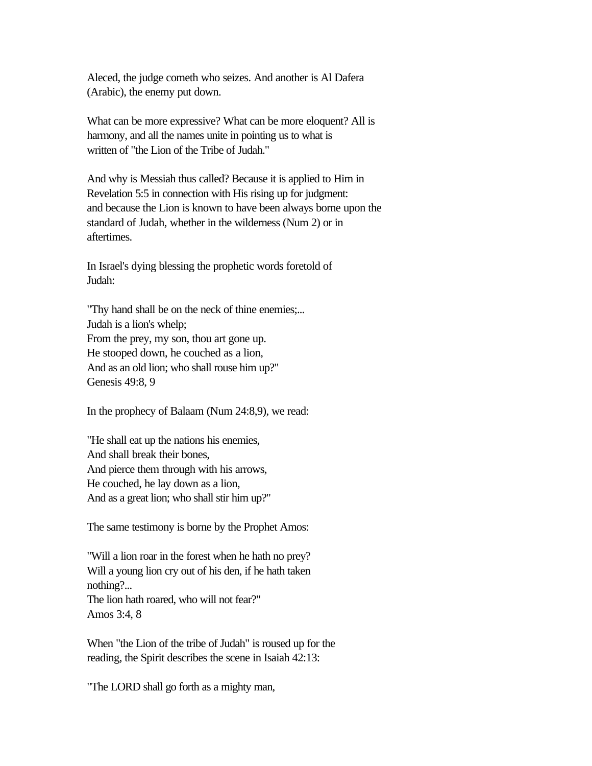Aleced, the judge cometh who seizes. And another is Al Dafera (Arabic), the enemy put down.

What can be more expressive? What can be more eloquent? All is harmony, and all the names unite in pointing us to what is written of "the Lion of the Tribe of Judah."

And why is Messiah thus called? Because it is applied to Him in Revelation 5:5 in connection with His rising up for judgment: and because the Lion is known to have been always borne upon the standard of Judah, whether in the wilderness (Num 2) or in aftertimes.

In Israel's dying blessing the prophetic words foretold of Judah:

"Thy hand shall be on the neck of thine enemies;... Judah is a lion's whelp; From the prey, my son, thou art gone up. He stooped down, he couched as a lion, And as an old lion; who shall rouse him up?" Genesis 49:8, 9

In the prophecy of Balaam (Num 24:8,9), we read:

"He shall eat up the nations his enemies, And shall break their bones, And pierce them through with his arrows, He couched, he lay down as a lion, And as a great lion; who shall stir him up?"

The same testimony is borne by the Prophet Amos:

"Will a lion roar in the forest when he hath no prey? Will a young lion cry out of his den, if he hath taken nothing?... The lion hath roared, who will not fear?" Amos 3:4, 8

When "the Lion of the tribe of Judah" is roused up for the reading, the Spirit describes the scene in Isaiah 42:13:

"The LORD shall go forth as a mighty man,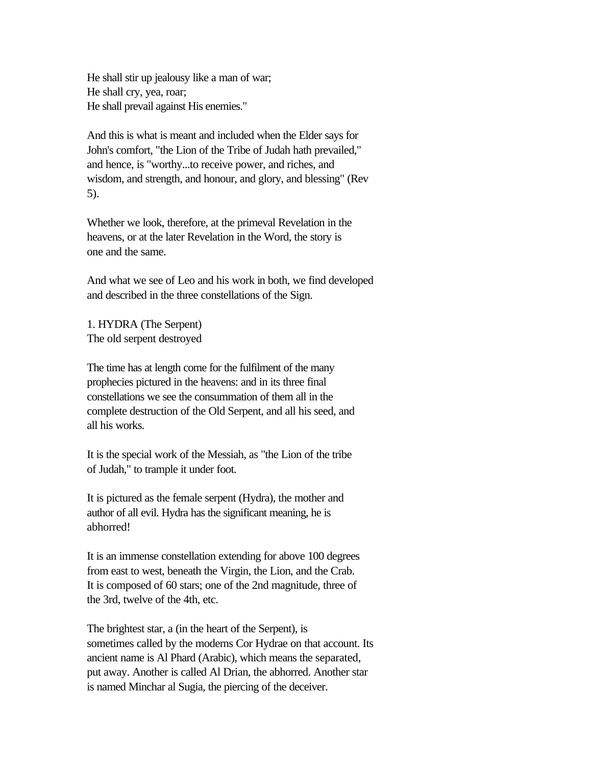He shall stir up jealousy like a man of war; He shall cry, yea, roar; He shall prevail against His enemies."

And this is what is meant and included when the Elder says for John's comfort, "the Lion of the Tribe of Judah hath prevailed," and hence, is "worthy...to receive power, and riches, and wisdom, and strength, and honour, and glory, and blessing" (Rev 5).

Whether we look, therefore, at the primeval Revelation in the heavens, or at the later Revelation in the Word, the story is one and the same.

And what we see of Leo and his work in both, we find developed and described in the three constellations of the Sign.

1. HYDRA (The Serpent) The old serpent destroyed

The time has at length come for the fulfilment of the many prophecies pictured in the heavens: and in its three final constellations we see the consummation of them all in the complete destruction of the Old Serpent, and all his seed, and all his works.

It is the special work of the Messiah, as "the Lion of the tribe of Judah," to trample it under foot.

It is pictured as the female serpent (Hydra), the mother and author of all evil. Hydra has the significant meaning, he is abhorred!

It is an immense constellation extending for above 100 degrees from east to west, beneath the Virgin, the Lion, and the Crab. It is composed of 60 stars; one of the 2nd magnitude, three of the 3rd, twelve of the 4th, etc.

The brightest star, a (in the heart of the Serpent), is sometimes called by the moderns Cor Hydrae on that account. Its ancient name is Al Phard (Arabic), which means the separated, put away. Another is called Al Drian, the abhorred. Another star is named Minchar al Sugia, the piercing of the deceiver.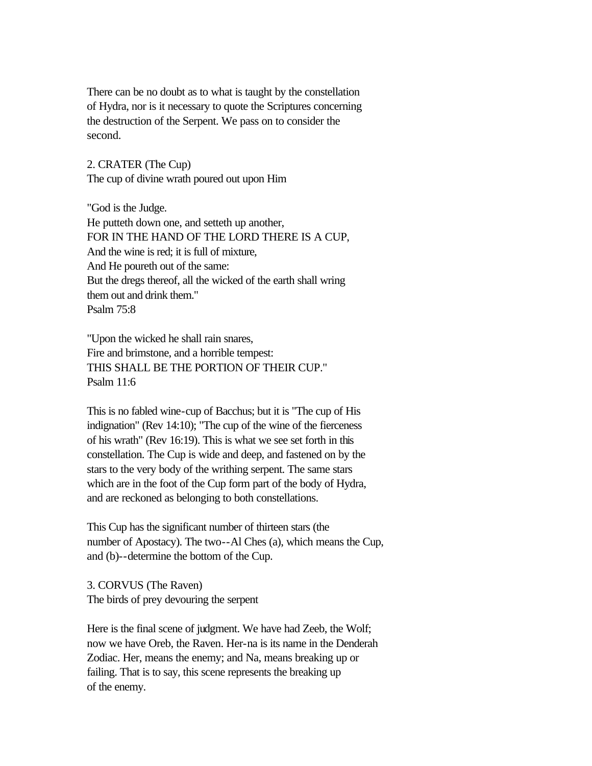There can be no doubt as to what is taught by the constellation of Hydra, nor is it necessary to quote the Scriptures concerning the destruction of the Serpent. We pass on to consider the second.

2. CRATER (The Cup) The cup of divine wrath poured out upon Him

"God is the Judge. He putteth down one, and setteth up another, FOR IN THE HAND OF THE LORD THERE IS A CUP, And the wine is red; it is full of mixture, And He poureth out of the same: But the dregs thereof, all the wicked of the earth shall wring them out and drink them." Psalm 75:8

"Upon the wicked he shall rain snares, Fire and brimstone, and a horrible tempest: THIS SHALL BE THE PORTION OF THEIR CUP." Psalm 11:6

This is no fabled wine-cup of Bacchus; but it is "The cup of His indignation" (Rev 14:10); "The cup of the wine of the fierceness of his wrath" (Rev 16:19). This is what we see set forth in this constellation. The Cup is wide and deep, and fastened on by the stars to the very body of the writhing serpent. The same stars which are in the foot of the Cup form part of the body of Hydra, and are reckoned as belonging to both constellations.

This Cup has the significant number of thirteen stars (the number of Apostacy). The two--Al Ches (a), which means the Cup, and (b)--determine the bottom of the Cup.

3. CORVUS (The Raven) The birds of prey devouring the serpent

Here is the final scene of judgment. We have had Zeeb, the Wolf; now we have Oreb, the Raven. Her-na is its name in the Denderah Zodiac. Her, means the enemy; and Na, means breaking up or failing. That is to say, this scene represents the breaking up of the enemy.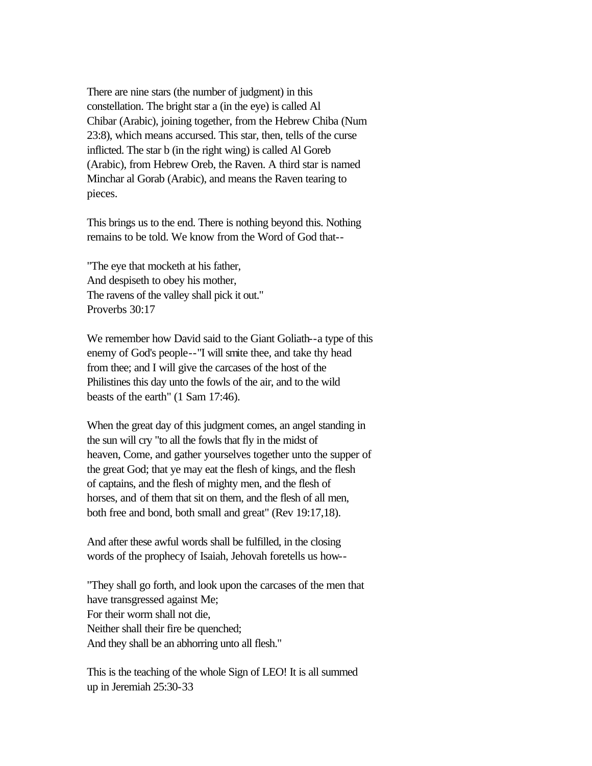There are nine stars (the number of judgment) in this constellation. The bright star a (in the eye) is called Al Chibar (Arabic), joining together, from the Hebrew Chiba (Num 23:8), which means accursed. This star, then, tells of the curse inflicted. The star b (in the right wing) is called Al Goreb (Arabic), from Hebrew Oreb, the Raven. A third star is named Minchar al Gorab (Arabic), and means the Raven tearing to pieces.

This brings us to the end. There is nothing beyond this. Nothing remains to be told. We know from the Word of God that--

"The eye that mocketh at his father, And despiseth to obey his mother, The ravens of the valley shall pick it out." Proverbs 30:17

We remember how David said to the Giant Goliath--a type of this enemy of God's people--"I will smite thee, and take thy head from thee; and I will give the carcases of the host of the Philistines this day unto the fowls of the air, and to the wild beasts of the earth" (1 Sam 17:46).

When the great day of this judgment comes, an angel standing in the sun will cry "to all the fowls that fly in the midst of heaven, Come, and gather yourselves together unto the supper of the great God; that ye may eat the flesh of kings, and the flesh of captains, and the flesh of mighty men, and the flesh of horses, and of them that sit on them, and the flesh of all men, both free and bond, both small and great" (Rev 19:17,18).

And after these awful words shall be fulfilled, in the closing words of the prophecy of Isaiah, Jehovah foretells us how--

"They shall go forth, and look upon the carcases of the men that have transgressed against Me; For their worm shall not die, Neither shall their fire be quenched; And they shall be an abhorring unto all flesh."

This is the teaching of the whole Sign of LEO! It is all summed up in Jeremiah 25:30-33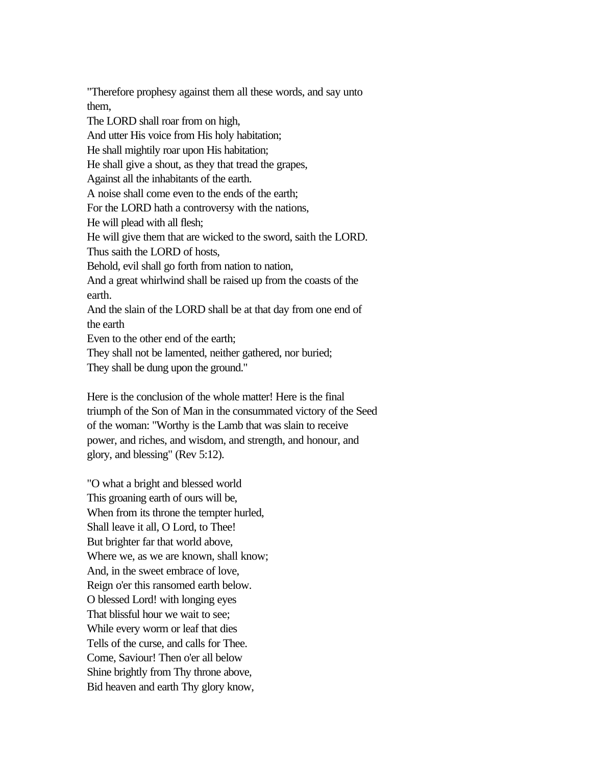"Therefore prophesy against them all these words, and say unto them, The LORD shall roar from on high, And utter His voice from His holy habitation; He shall mightily roar upon His habitation; He shall give a shout, as they that tread the grapes, Against all the inhabitants of the earth. A noise shall come even to the ends of the earth; For the LORD hath a controversy with the nations, He will plead with all flesh; He will give them that are wicked to the sword, saith the LORD. Thus saith the LORD of hosts, Behold, evil shall go forth from nation to nation, And a great whirlwind shall be raised up from the coasts of the earth. And the slain of the LORD shall be at that day from one end of the earth Even to the other end of the earth; They shall not be lamented, neither gathered, nor buried;

They shall be dung upon the ground."

Here is the conclusion of the whole matter! Here is the final triumph of the Son of Man in the consummated victory of the Seed of the woman: "Worthy is the Lamb that was slain to receive power, and riches, and wisdom, and strength, and honour, and glory, and blessing" (Rev 5:12).

"O what a bright and blessed world This groaning earth of ours will be, When from its throne the tempter hurled, Shall leave it all, O Lord, to Thee! But brighter far that world above, Where we, as we are known, shall know; And, in the sweet embrace of love, Reign o'er this ransomed earth below. O blessed Lord! with longing eyes That blissful hour we wait to see; While every worm or leaf that dies Tells of the curse, and calls for Thee. Come, Saviour! Then o'er all below Shine brightly from Thy throne above, Bid heaven and earth Thy glory know,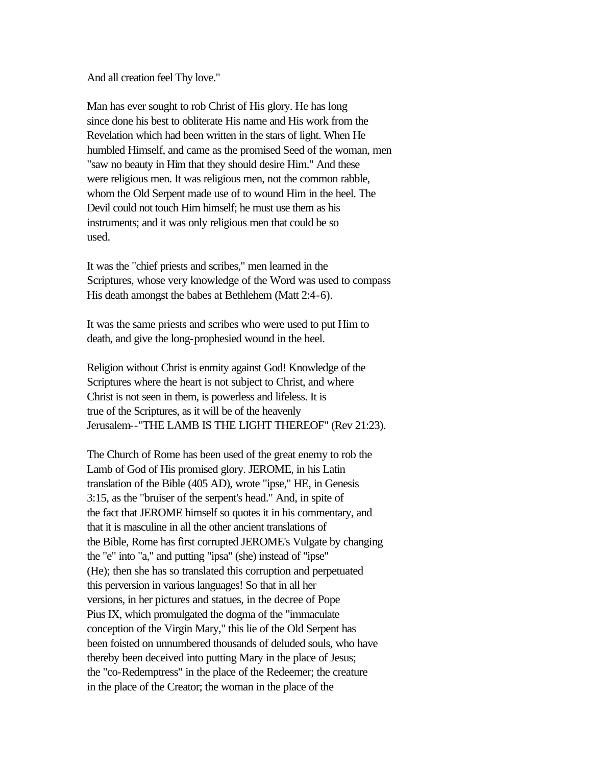And all creation feel Thy love."

Man has ever sought to rob Christ of His glory. He has long since done his best to obliterate His name and His work from the Revelation which had been written in the stars of light. When He humbled Himself, and came as the promised Seed of the woman, men "saw no beauty in Him that they should desire Him." And these were religious men. It was religious men, not the common rabble, whom the Old Serpent made use of to wound Him in the heel. The Devil could not touch Him himself; he must use them as his instruments; and it was only religious men that could be so used.

It was the "chief priests and scribes," men learned in the Scriptures, whose very knowledge of the Word was used to compass His death amongst the babes at Bethlehem (Matt 2:4-6).

It was the same priests and scribes who were used to put Him to death, and give the long-prophesied wound in the heel.

Religion without Christ is enmity against God! Knowledge of the Scriptures where the heart is not subject to Christ, and where Christ is not seen in them, is powerless and lifeless. It is true of the Scriptures, as it will be of the heavenly Jerusalem--"THE LAMB IS THE LIGHT THEREOF" (Rev 21:23).

The Church of Rome has been used of the great enemy to rob the Lamb of God of His promised glory. JEROME, in his Latin translation of the Bible (405 AD), wrote "ipse," HE, in Genesis 3:15, as the "bruiser of the serpent's head." And, in spite of the fact that JEROME himself so quotes it in his commentary, and that it is masculine in all the other ancient translations of the Bible, Rome has first corrupted JEROME's Vulgate by changing the "e" into "a," and putting "ipsa" (she) instead of "ipse" (He); then she has so translated this corruption and perpetuated this perversion in various languages! So that in all her versions, in her pictures and statues, in the decree of Pope Pius IX, which promulgated the dogma of the "immaculate conception of the Virgin Mary," this lie of the Old Serpent has been foisted on unnumbered thousands of deluded souls, who have thereby been deceived into putting Mary in the place of Jesus; the "co-Redemptress" in the place of the Redeemer; the creature in the place of the Creator; the woman in the place of the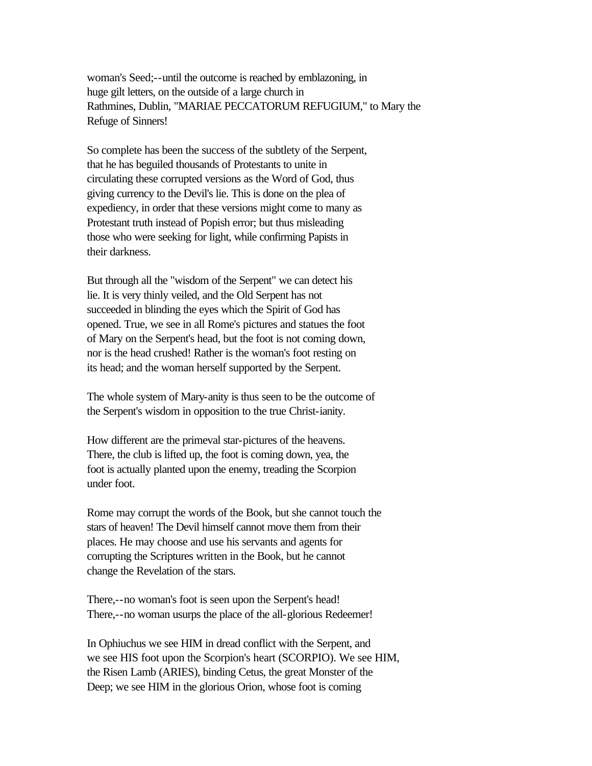woman's Seed;--until the outcome is reached by emblazoning, in huge gilt letters, on the outside of a large church in Rathmines, Dublin, "MARIAE PECCATORUM REFUGIUM," to Mary the Refuge of Sinners!

So complete has been the success of the subtlety of the Serpent, that he has beguiled thousands of Protestants to unite in circulating these corrupted versions as the Word of God, thus giving currency to the Devil's lie. This is done on the plea of expediency, in order that these versions might come to many as Protestant truth instead of Popish error; but thus misleading those who were seeking for light, while confirming Papists in their darkness.

But through all the "wisdom of the Serpent" we can detect his lie. It is very thinly veiled, and the Old Serpent has not succeeded in blinding the eyes which the Spirit of God has opened. True, we see in all Rome's pictures and statues the foot of Mary on the Serpent's head, but the foot is not coming down, nor is the head crushed! Rather is the woman's foot resting on its head; and the woman herself supported by the Serpent.

The whole system of Mary-anity is thus seen to be the outcome of the Serpent's wisdom in opposition to the true Christ-ianity.

How different are the primeval star-pictures of the heavens. There, the club is lifted up, the foot is coming down, yea, the foot is actually planted upon the enemy, treading the Scorpion under foot.

Rome may corrupt the words of the Book, but she cannot touch the stars of heaven! The Devil himself cannot move them from their places. He may choose and use his servants and agents for corrupting the Scriptures written in the Book, but he cannot change the Revelation of the stars.

There,--no woman's foot is seen upon the Serpent's head! There,--no woman usurps the place of the all-glorious Redeemer!

In Ophiuchus we see HIM in dread conflict with the Serpent, and we see HIS foot upon the Scorpion's heart (SCORPIO). We see HIM, the Risen Lamb (ARIES), binding Cetus, the great Monster of the Deep; we see HIM in the glorious Orion, whose foot is coming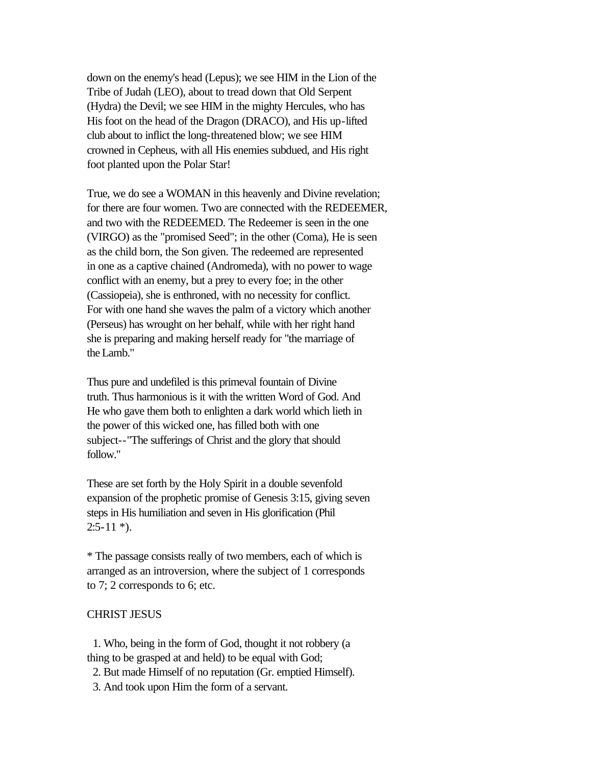down on the enemy's head (Lepus); we see HIM in the Lion of the Tribe of Judah (LEO), about to tread down that Old Serpent (Hydra) the Devil; we see HIM in the mighty Hercules, who has His foot on the head of the Dragon (DRACO), and His up-lifted club about to inflict the long-threatened blow; we see HIM crowned in Cepheus, with all His enemies subdued, and His right foot planted upon the Polar Star!

True, we do see a WOMAN in this heavenly and Divine revelation; for there are four women. Two are connected with the REDEEMER, and two with the REDEEMED. The Redeemer is seen in the one (VIRGO) as the "promised Seed"; in the other (Coma), He is seen as the child born, the Son given. The redeemed are represented in one as a captive chained (Andromeda), with no power to wage conflict with an enemy, but a prey to every foe; in the other (Cassiopeia), she is enthroned, with no necessity for conflict. For with one hand she waves the palm of a victory which another (Perseus) has wrought on her behalf, while with her right hand she is preparing and making herself ready for "the marriage of the Lamb."

Thus pure and undefiled is this primeval fountain of Divine truth. Thus harmonious is it with the written Word of God. And He who gave them both to enlighten a dark world which lieth in the power of this wicked one, has filled both with one subject--"The sufferings of Christ and the glory that should follow."

These are set forth by the Holy Spirit in a double sevenfold expansion of the prophetic promise of Genesis 3:15, giving seven steps in His humiliation and seven in His glorification (Phil  $2:5-11$  \*).

\* The passage consists really of two members, each of which is arranged as an introversion, where the subject of 1 corresponds to 7; 2 corresponds to 6; etc.

#### CHRIST JESUS

 1. Who, being in the form of God, thought it not robbery (a thing to be grasped at and held) to be equal with God;

- 2. But made Himself of no reputation (Gr. emptied Himself).
- 3. And took upon Him the form of a servant.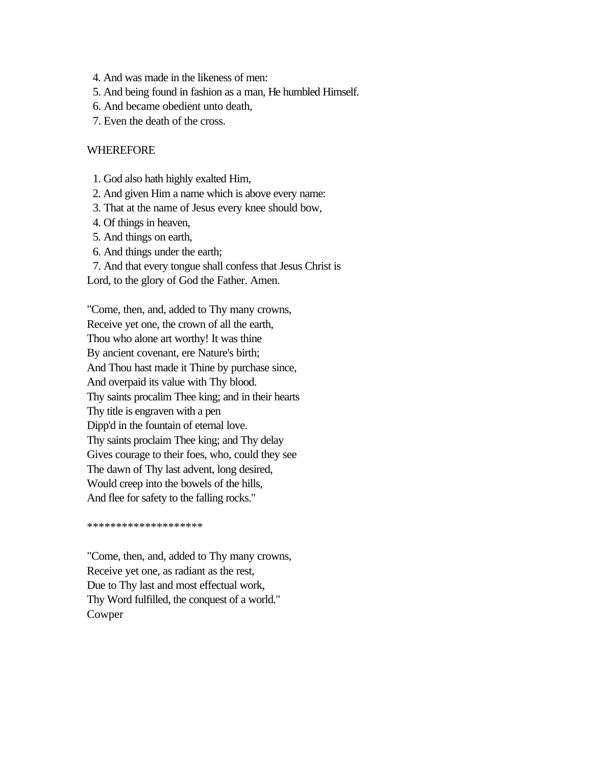- 4. And was made in the likeness of men:
- 5. And being found in fashion as a man, He humbled Himself.
- 6. And became obedient unto death,
- 7. Even the death of the cross.

### WHEREFORE

- 1. God also hath highly exalted Him,
- 2. And given Him a name which is above every name:
- 3. That at the name of Jesus every knee should bow,
- 4. Of things in heaven,
- 5. And things on earth,
- 6. And things under the earth;

 7. And that every tongue shall confess that Jesus Christ is Lord, to the glory of God the Father. Amen.

"Come, then, and, added to Thy many crowns, Receive yet one, the crown of all the earth, Thou who alone art worthy! It was thine By ancient covenant, ere Nature's birth; And Thou hast made it Thine by purchase since, And overpaid its value with Thy blood. Thy saints procalim Thee king; and in their hearts Thy title is engraven with a pen Dipp'd in the fountain of eternal love. Thy saints proclaim Thee king; and Thy delay Gives courage to their foes, who, could they see The dawn of Thy last advent, long desired, Would creep into the bowels of the hills, And flee for safety to the falling rocks."

\*\*\*\*\*\*\*\*\*\*\*\*\*\*\*\*\*\*\*\*

"Come, then, and, added to Thy many crowns, Receive yet one, as radiant as the rest, Due to Thy last and most effectual work, Thy Word fulfilled, the conquest of a world." Cowper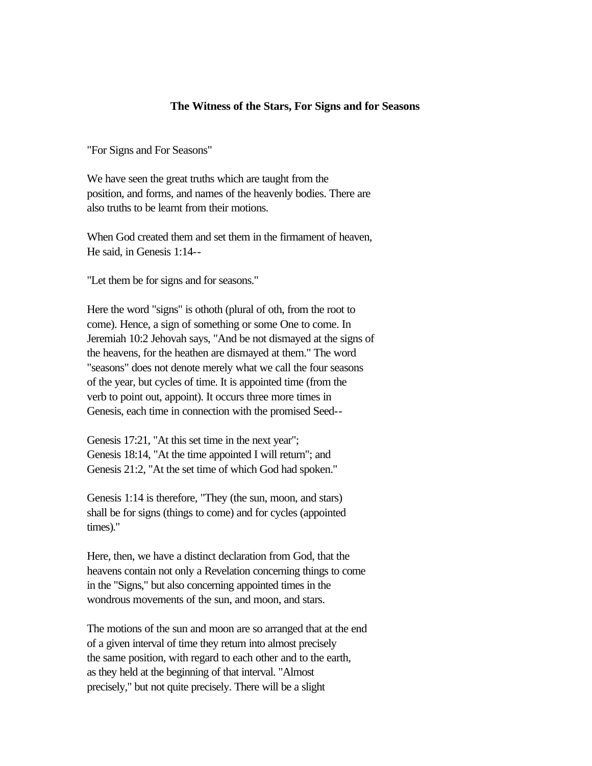#### **The Witness of the Stars, For Signs and for Seasons**

"For Signs and For Seasons"

We have seen the great truths which are taught from the position, and forms, and names of the heavenly bodies. There are also truths to be learnt from their motions.

When God created them and set them in the firmament of heaven, He said, in Genesis 1:14--

"Let them be for signs and for seasons."

Here the word "signs" is othoth (plural of oth, from the root to come). Hence, a sign of something or some One to come. In Jeremiah 10:2 Jehovah says, "And be not dismayed at the signs of the heavens, for the heathen are dismayed at them." The word "seasons" does not denote merely what we call the four seasons of the year, but cycles of time. It is appointed time (from the verb to point out, appoint). It occurs three more times in Genesis, each time in connection with the promised Seed--

Genesis 17:21, "At this set time in the next year"; Genesis 18:14, "At the time appointed I will return"; and Genesis 21:2, "At the set time of which God had spoken."

Genesis 1:14 is therefore, "They (the sun, moon, and stars) shall be for signs (things to come) and for cycles (appointed times)."

Here, then, we have a distinct declaration from God, that the heavens contain not only a Revelation concerning things to come in the "Signs," but also concerning appointed times in the wondrous movements of the sun, and moon, and stars.

The motions of the sun and moon are so arranged that at the end of a given interval of time they return into almost precisely the same position, with regard to each other and to the earth, as they held at the beginning of that interval. "Almost precisely," but not quite precisely. There will be a slight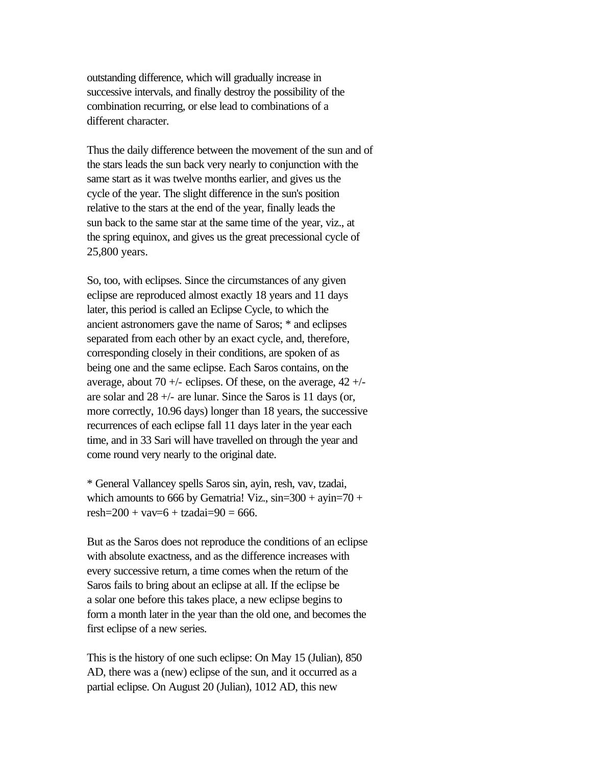outstanding difference, which will gradually increase in successive intervals, and finally destroy the possibility of the combination recurring, or else lead to combinations of a different character.

Thus the daily difference between the movement of the sun and of the stars leads the sun back very nearly to conjunction with the same start as it was twelve months earlier, and gives us the cycle of the year. The slight difference in the sun's position relative to the stars at the end of the year, finally leads the sun back to the same star at the same time of the year, viz., at the spring equinox, and gives us the great precessional cycle of 25,800 years.

So, too, with eclipses. Since the circumstances of any given eclipse are reproduced almost exactly 18 years and 11 days later, this period is called an Eclipse Cycle, to which the ancient astronomers gave the name of Saros; \* and eclipses separated from each other by an exact cycle, and, therefore, corresponding closely in their conditions, are spoken of as being one and the same eclipse. Each Saros contains, on the average, about 70  $+/-$  eclipses. Of these, on the average, 42  $+/$ are solar and  $28 +$ - are lunar. Since the Saros is 11 days (or, more correctly, 10.96 days) longer than 18 years, the successive recurrences of each eclipse fall 11 days later in the year each time, and in 33 Sari will have travelled on through the year and come round very nearly to the original date.

\* General Vallancey spells Saros sin, ayin, resh, vav, tzadai, which amounts to 666 by Gematria! Viz.,  $\sin=300 + \text{ayin}=70 +$ resh= $200 + v$ av= $6 + t$ zadai= $90 = 666$ .

But as the Saros does not reproduce the conditions of an eclipse with absolute exactness, and as the difference increases with every successive return, a time comes when the return of the Saros fails to bring about an eclipse at all. If the eclipse be a solar one before this takes place, a new eclipse begins to form a month later in the year than the old one, and becomes the first eclipse of a new series.

This is the history of one such eclipse: On May 15 (Julian), 850 AD, there was a (new) eclipse of the sun, and it occurred as a partial eclipse. On August 20 (Julian), 1012 AD, this new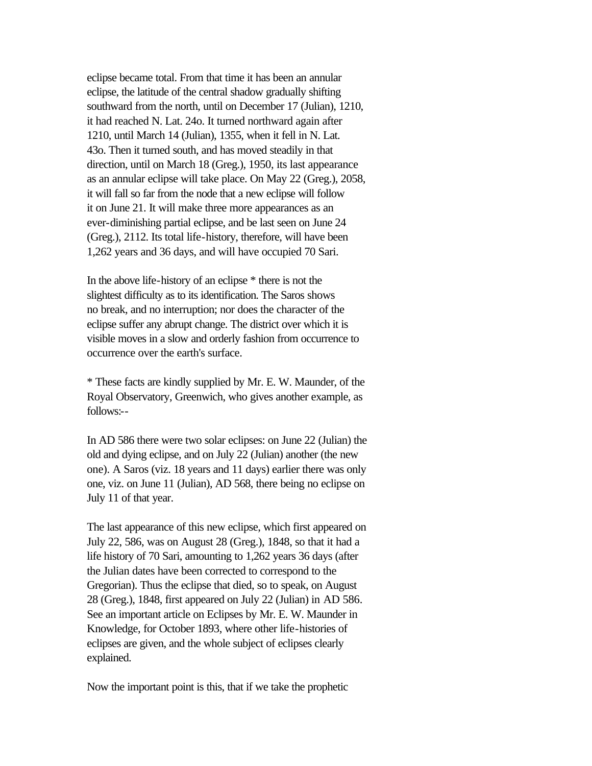eclipse became total. From that time it has been an annular eclipse, the latitude of the central shadow gradually shifting southward from the north, until on December 17 (Julian), 1210, it had reached N. Lat. 24o. It turned northward again after 1210, until March 14 (Julian), 1355, when it fell in N. Lat. 43o. Then it turned south, and has moved steadily in that direction, until on March 18 (Greg.), 1950, its last appearance as an annular eclipse will take place. On May 22 (Greg.), 2058, it will fall so far from the node that a new eclipse will follow it on June 21. It will make three more appearances as an ever-diminishing partial eclipse, and be last seen on June 24 (Greg.), 2112. Its total life-history, therefore, will have been 1,262 years and 36 days, and will have occupied 70 Sari.

In the above life-history of an eclipse \* there is not the slightest difficulty as to its identification. The Saros shows no break, and no interruption; nor does the character of the eclipse suffer any abrupt change. The district over which it is visible moves in a slow and orderly fashion from occurrence to occurrence over the earth's surface.

\* These facts are kindly supplied by Mr. E. W. Maunder, of the Royal Observatory, Greenwich, who gives another example, as follows:--

In AD 586 there were two solar eclipses: on June 22 (Julian) the old and dying eclipse, and on July 22 (Julian) another (the new one). A Saros (viz. 18 years and 11 days) earlier there was only one, viz. on June 11 (Julian), AD 568, there being no eclipse on July 11 of that year.

The last appearance of this new eclipse, which first appeared on July 22, 586, was on August 28 (Greg.), 1848, so that it had a life history of 70 Sari, amounting to 1,262 years 36 days (after the Julian dates have been corrected to correspond to the Gregorian). Thus the eclipse that died, so to speak, on August 28 (Greg.), 1848, first appeared on July 22 (Julian) in AD 586. See an important article on Eclipses by Mr. E. W. Maunder in Knowledge, for October 1893, where other life-histories of eclipses are given, and the whole subject of eclipses clearly explained.

Now the important point is this, that if we take the prophetic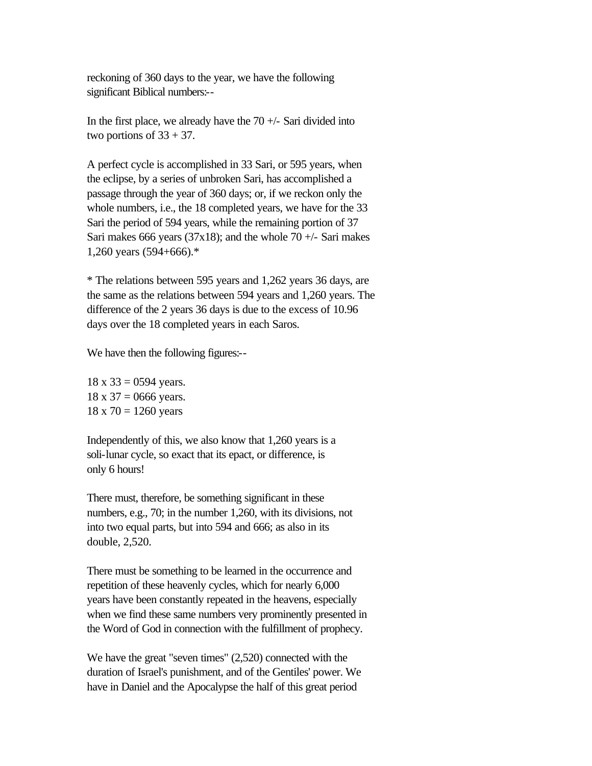reckoning of 360 days to the year, we have the following significant Biblical numbers:--

In the first place, we already have the  $70 +/-$  Sari divided into two portions of  $33 + 37$ .

A perfect cycle is accomplished in 33 Sari, or 595 years, when the eclipse, by a series of unbroken Sari, has accomplished a passage through the year of 360 days; or, if we reckon only the whole numbers, i.e., the 18 completed years, we have for the 33 Sari the period of 594 years, while the remaining portion of 37 Sari makes 666 years (37x18); and the whole 70  $+/-$  Sari makes 1,260 years (594+666).\*

\* The relations between 595 years and 1,262 years 36 days, are the same as the relations between 594 years and 1,260 years. The difference of the 2 years 36 days is due to the excess of 10.96 days over the 18 completed years in each Saros.

We have then the following figures:--

 $18 \times 33 = 0594$  years.  $18 \times 37 = 0666$  years.  $18 \times 70 = 1260$  years

Independently of this, we also know that 1,260 years is a soli-lunar cycle, so exact that its epact, or difference, is only 6 hours!

There must, therefore, be something significant in these numbers, e.g., 70; in the number 1,260, with its divisions, not into two equal parts, but into 594 and 666; as also in its double, 2,520.

There must be something to be learned in the occurrence and repetition of these heavenly cycles, which for nearly 6,000 years have been constantly repeated in the heavens, especially when we find these same numbers very prominently presented in the Word of God in connection with the fulfillment of prophecy.

We have the great "seven times" (2,520) connected with the duration of Israel's punishment, and of the Gentiles' power. We have in Daniel and the Apocalypse the half of this great period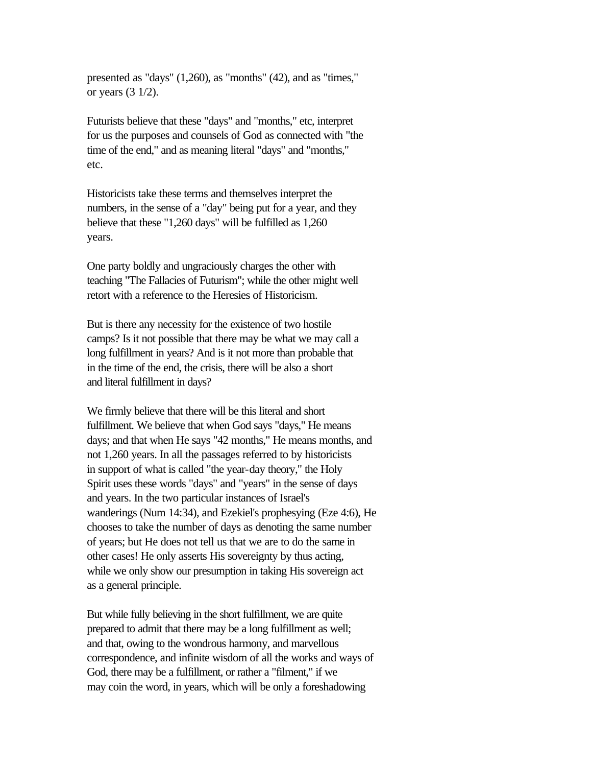presented as "days" (1,260), as "months" (42), and as "times," or years (3 1/2).

Futurists believe that these "days" and "months," etc, interpret for us the purposes and counsels of God as connected with "the time of the end," and as meaning literal "days" and "months," etc.

Historicists take these terms and themselves interpret the numbers, in the sense of a "day" being put for a year, and they believe that these "1,260 days" will be fulfilled as 1,260 years.

One party boldly and ungraciously charges the other with teaching "The Fallacies of Futurism"; while the other might well retort with a reference to the Heresies of Historicism.

But is there any necessity for the existence of two hostile camps? Is it not possible that there may be what we may call a long fulfillment in years? And is it not more than probable that in the time of the end, the crisis, there will be also a short and literal fulfillment in days?

We firmly believe that there will be this literal and short fulfillment. We believe that when God says "days," He means days; and that when He says "42 months," He means months, and not 1,260 years. In all the passages referred to by historicists in support of what is called "the year-day theory," the Holy Spirit uses these words "days" and "years" in the sense of days and years. In the two particular instances of Israel's wanderings (Num 14:34), and Ezekiel's prophesying (Eze 4:6), He chooses to take the number of days as denoting the same number of years; but He does not tell us that we are to do the same in other cases! He only asserts His sovereignty by thus acting, while we only show our presumption in taking His sovereign act as a general principle.

But while fully believing in the short fulfillment, we are quite prepared to admit that there may be a long fulfillment as well; and that, owing to the wondrous harmony, and marvellous correspondence, and infinite wisdom of all the works and ways of God, there may be a fulfillment, or rather a "filment," if we may coin the word, in years, which will be only a foreshadowing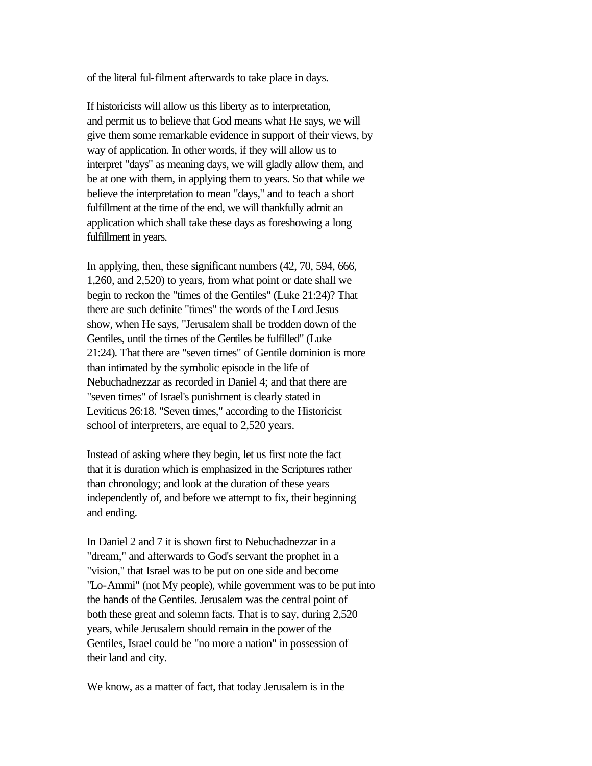of the literal ful-filment afterwards to take place in days.

If historicists will allow us this liberty as to interpretation, and permit us to believe that God means what He says, we will give them some remarkable evidence in support of their views, by way of application. In other words, if they will allow us to interpret "days" as meaning days, we will gladly allow them, and be at one with them, in applying them to years. So that while we believe the interpretation to mean "days," and to teach a short fulfillment at the time of the end, we will thankfully admit an application which shall take these days as foreshowing a long fulfillment in years.

In applying, then, these significant numbers (42, 70, 594, 666, 1,260, and 2,520) to years, from what point or date shall we begin to reckon the "times of the Gentiles" (Luke 21:24)? That there are such definite "times" the words of the Lord Jesus show, when He says, "Jerusalem shall be trodden down of the Gentiles, until the times of the Gentiles be fulfilled" (Luke 21:24). That there are "seven times" of Gentile dominion is more than intimated by the symbolic episode in the life of Nebuchadnezzar as recorded in Daniel 4; and that there are "seven times" of Israel's punishment is clearly stated in Leviticus 26:18. "Seven times," according to the Historicist school of interpreters, are equal to 2,520 years.

Instead of asking where they begin, let us first note the fact that it is duration which is emphasized in the Scriptures rather than chronology; and look at the duration of these years independently of, and before we attempt to fix, their beginning and ending.

In Daniel 2 and 7 it is shown first to Nebuchadnezzar in a "dream," and afterwards to God's servant the prophet in a "vision," that Israel was to be put on one side and become "Lo-Ammi" (not My people), while government was to be put into the hands of the Gentiles. Jerusalem was the central point of both these great and solemn facts. That is to say, during 2,520 years, while Jerusalem should remain in the power of the Gentiles, Israel could be "no more a nation" in possession of their land and city.

We know, as a matter of fact, that today Jerusalem is in the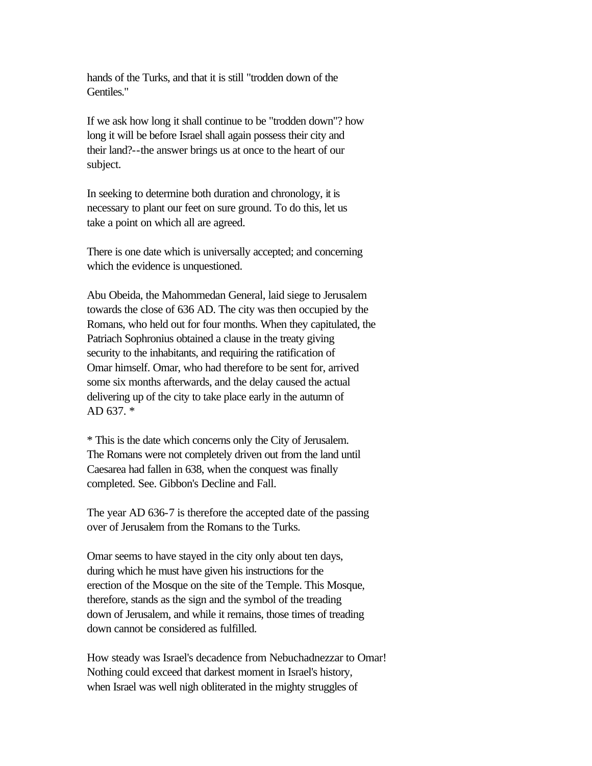hands of the Turks, and that it is still "trodden down of the Gentiles."

If we ask how long it shall continue to be "trodden down"? how long it will be before Israel shall again possess their city and their land?--the answer brings us at once to the heart of our subject.

In seeking to determine both duration and chronology, it is necessary to plant our feet on sure ground. To do this, let us take a point on which all are agreed.

There is one date which is universally accepted; and concerning which the evidence is unquestioned.

Abu Obeida, the Mahommedan General, laid siege to Jerusalem towards the close of 636 AD. The city was then occupied by the Romans, who held out for four months. When they capitulated, the Patriach Sophronius obtained a clause in the treaty giving security to the inhabitants, and requiring the ratification of Omar himself. Omar, who had therefore to be sent for, arrived some six months afterwards, and the delay caused the actual delivering up of the city to take place early in the autumn of AD 637. \*

\* This is the date which concerns only the City of Jerusalem. The Romans were not completely driven out from the land until Caesarea had fallen in 638, when the conquest was finally completed. See. Gibbon's Decline and Fall.

The year AD 636-7 is therefore the accepted date of the passing over of Jerusalem from the Romans to the Turks.

Omar seems to have stayed in the city only about ten days, during which he must have given his instructions for the erection of the Mosque on the site of the Temple. This Mosque, therefore, stands as the sign and the symbol of the treading down of Jerusalem, and while it remains, those times of treading down cannot be considered as fulfilled.

How steady was Israel's decadence from Nebuchadnezzar to Omar! Nothing could exceed that darkest moment in Israel's history, when Israel was well nigh obliterated in the mighty struggles of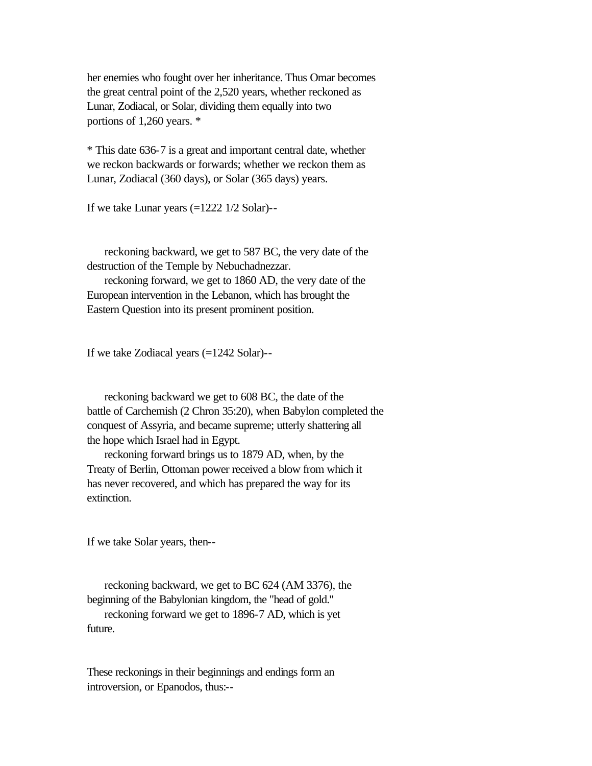her enemies who fought over her inheritance. Thus Omar becomes the great central point of the 2,520 years, whether reckoned as Lunar, Zodiacal, or Solar, dividing them equally into two portions of 1,260 years. \*

\* This date 636-7 is a great and important central date, whether we reckon backwards or forwards; whether we reckon them as Lunar, Zodiacal (360 days), or Solar (365 days) years.

If we take Lunar years (=1222 1/2 Solar)--

 reckoning backward, we get to 587 BC, the very date of the destruction of the Temple by Nebuchadnezzar.

 reckoning forward, we get to 1860 AD, the very date of the European intervention in the Lebanon, which has brought the Eastern Question into its present prominent position.

If we take Zodiacal years (=1242 Solar)--

 reckoning backward we get to 608 BC, the date of the battle of Carchemish (2 Chron 35:20), when Babylon completed the conquest of Assyria, and became supreme; utterly shattering all the hope which Israel had in Egypt.

 reckoning forward brings us to 1879 AD, when, by the Treaty of Berlin, Ottoman power received a blow from which it has never recovered, and which has prepared the way for its extinction.

If we take Solar years, then--

 reckoning backward, we get to BC 624 (AM 3376), the beginning of the Babylonian kingdom, the "head of gold." reckoning forward we get to 1896-7 AD, which is yet future.

These reckonings in their beginnings and endings form an introversion, or Epanodos, thus:--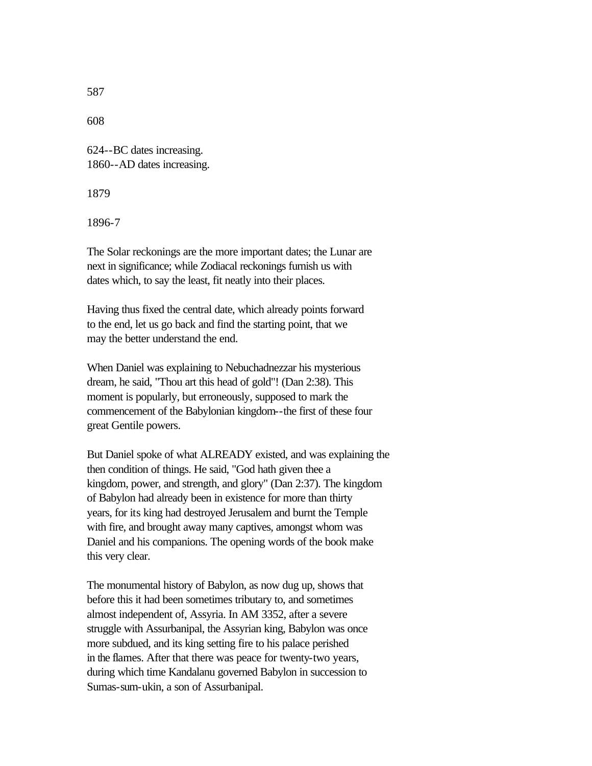608

624--BC dates increasing. 1860--AD dates increasing.

1879

1896-7

The Solar reckonings are the more important dates; the Lunar are next in significance; while Zodiacal reckonings furnish us with dates which, to say the least, fit neatly into their places.

Having thus fixed the central date, which already points forward to the end, let us go back and find the starting point, that we may the better understand the end.

When Daniel was explaining to Nebuchadnezzar his mysterious dream, he said, "Thou art this head of gold"! (Dan 2:38). This moment is popularly, but erroneously, supposed to mark the commencement of the Babylonian kingdom--the first of these four great Gentile powers.

But Daniel spoke of what ALREADY existed, and was explaining the then condition of things. He said, "God hath given thee a kingdom, power, and strength, and glory" (Dan 2:37). The kingdom of Babylon had already been in existence for more than thirty years, for its king had destroyed Jerusalem and burnt the Temple with fire, and brought away many captives, amongst whom was Daniel and his companions. The opening words of the book make this very clear.

The monumental history of Babylon, as now dug up, shows that before this it had been sometimes tributary to, and sometimes almost independent of, Assyria. In AM 3352, after a severe struggle with Assurbanipal, the Assyrian king, Babylon was once more subdued, and its king setting fire to his palace perished in the flames. After that there was peace for twenty-two years, during which time Kandalanu governed Babylon in succession to Sumas-sum-ukin, a son of Assurbanipal.

587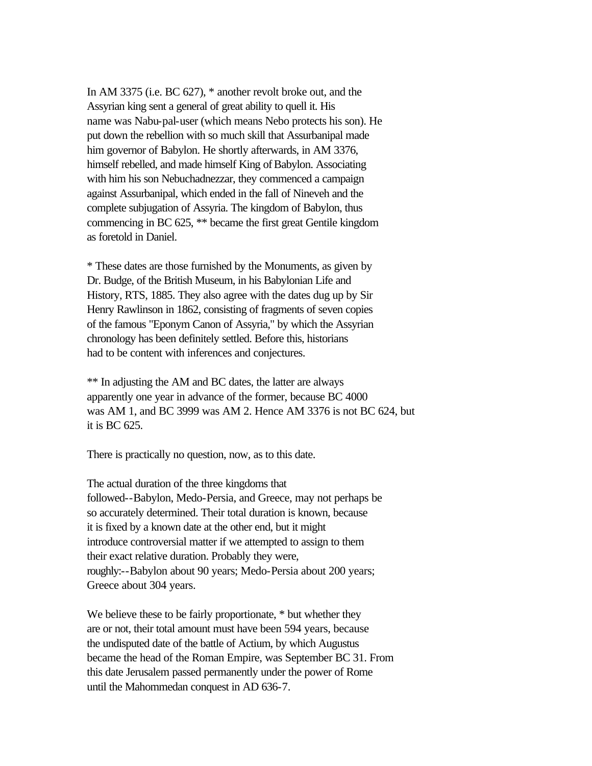In AM 3375 (i.e. BC 627), \* another revolt broke out, and the Assyrian king sent a general of great ability to quell it. His name was Nabu-pal-user (which means Nebo protects his son). He put down the rebellion with so much skill that Assurbanipal made him governor of Babylon. He shortly afterwards, in AM 3376, himself rebelled, and made himself King of Babylon. Associating with him his son Nebuchadnezzar, they commenced a campaign against Assurbanipal, which ended in the fall of Nineveh and the complete subjugation of Assyria. The kingdom of Babylon, thus commencing in BC 625, \*\* became the first great Gentile kingdom as foretold in Daniel.

\* These dates are those furnished by the Monuments, as given by Dr. Budge, of the British Museum, in his Babylonian Life and History, RTS, 1885. They also agree with the dates dug up by Sir Henry Rawlinson in 1862, consisting of fragments of seven copies of the famous "Eponym Canon of Assyria," by which the Assyrian chronology has been definitely settled. Before this, historians had to be content with inferences and conjectures.

\*\* In adjusting the AM and BC dates, the latter are always apparently one year in advance of the former, because BC 4000 was AM 1, and BC 3999 was AM 2. Hence AM 3376 is not BC 624, but it is BC 625.

There is practically no question, now, as to this date.

The actual duration of the three kingdoms that followed--Babylon, Medo-Persia, and Greece, may not perhaps be so accurately determined. Their total duration is known, because it is fixed by a known date at the other end, but it might introduce controversial matter if we attempted to assign to them their exact relative duration. Probably they were, roughly:--Babylon about 90 years; Medo-Persia about 200 years; Greece about 304 years.

We believe these to be fairly proportionate,  $*$  but whether they are or not, their total amount must have been 594 years, because the undisputed date of the battle of Actium, by which Augustus became the head of the Roman Empire, was September BC 31. From this date Jerusalem passed permanently under the power of Rome until the Mahommedan conquest in AD 636-7.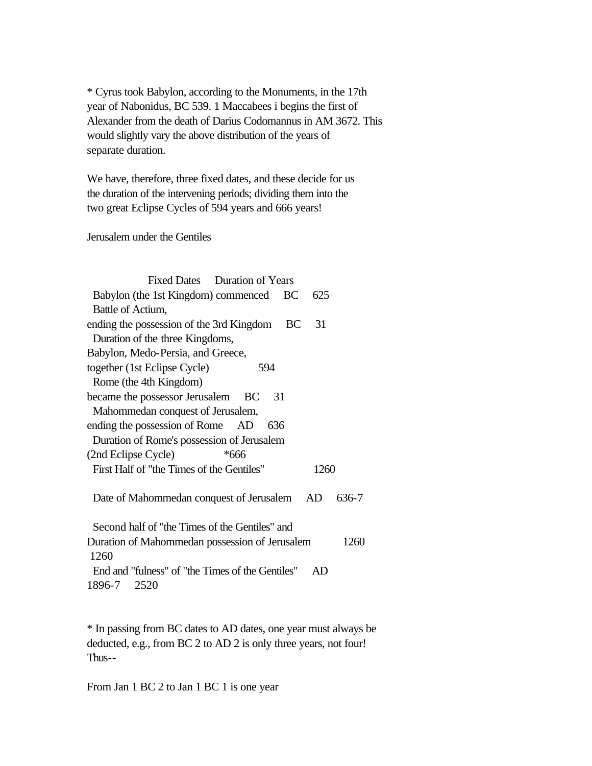\* Cyrus took Babylon, according to the Monuments, in the 17th year of Nabonidus, BC 539. 1 Maccabees i begins the first of Alexander from the death of Darius Codomannus in AM 3672. This would slightly vary the above distribution of the years of separate duration.

We have, therefore, three fixed dates, and these decide for us the duration of the intervening periods; dividing them into the two great Eclipse Cycles of 594 years and 666 years!

Jerusalem under the Gentiles

| Fixed Dates Duration of Years                               |
|-------------------------------------------------------------|
| Babylon (the 1st Kingdom) commenced<br><b>BC</b><br>625     |
| Battle of Actium,                                           |
| ending the possession of the 3rd Kingdom<br><b>BC</b><br>31 |
| Duration of the three Kingdoms,                             |
| Babylon, Medo-Persia, and Greece,                           |
| together (1st Eclipse Cycle)<br>594                         |
| Rome (the 4th Kingdom)                                      |
| became the possessor Jerusalem BC<br>31                     |
| Mahommedan conquest of Jerusalem,                           |
| ending the possession of Rome AD<br>636                     |
| Duration of Rome's possession of Jerusalem                  |
| (2nd Eclipse Cycle)<br>*666                                 |
| First Half of "the Times of the Gentiles"<br>1260           |
| Date of Mahommedan conquest of Jerusalem<br>AD<br>636-7     |
| Second half of "the Times of the Gentiles" and              |
| Duration of Mahommedan possession of Jerusalem<br>1260      |
| 1260                                                        |
| End and "fulness" of "the Times of the Gentiles"<br>AD      |
| 1896-7<br>2520                                              |

\* In passing from BC dates to AD dates, one year must always be deducted, e.g., from BC 2 to AD 2 is only three years, not four! Thus--

From Jan 1 BC 2 to Jan 1 BC 1 is one year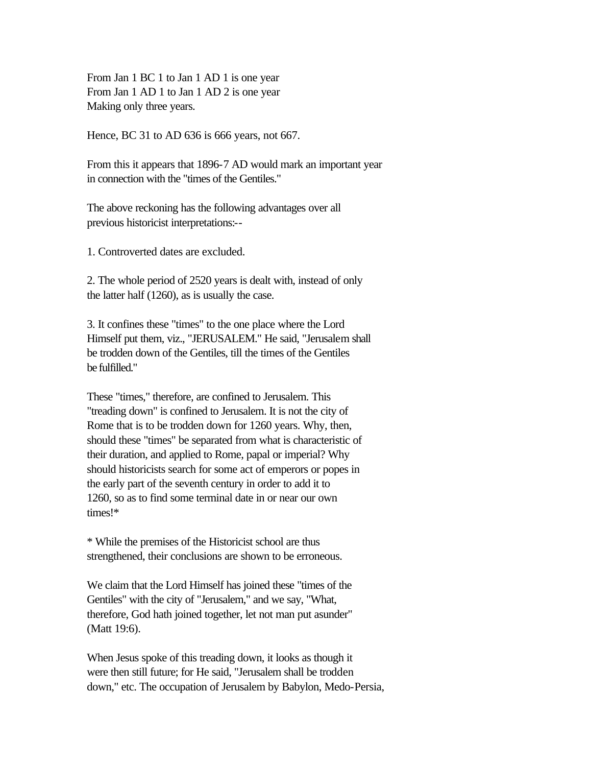From Jan 1 BC 1 to Jan 1 AD 1 is one year From Jan 1 AD 1 to Jan 1 AD 2 is one year Making only three years.

Hence, BC 31 to AD 636 is 666 years, not 667.

From this it appears that 1896-7 AD would mark an important year in connection with the "times of the Gentiles."

The above reckoning has the following advantages over all previous historicist interpretations:--

1. Controverted dates are excluded.

2. The whole period of 2520 years is dealt with, instead of only the latter half (1260), as is usually the case.

3. It confines these "times" to the one place where the Lord Himself put them, viz., "JERUSALEM." He said, "Jerusalem shall be trodden down of the Gentiles, till the times of the Gentiles be fulfilled."

These "times," therefore, are confined to Jerusalem. This "treading down" is confined to Jerusalem. It is not the city of Rome that is to be trodden down for 1260 years. Why, then, should these "times" be separated from what is characteristic of their duration, and applied to Rome, papal or imperial? Why should historicists search for some act of emperors or popes in the early part of the seventh century in order to add it to 1260, so as to find some terminal date in or near our own times!\*

\* While the premises of the Historicist school are thus strengthened, their conclusions are shown to be erroneous.

We claim that the Lord Himself has joined these "times of the Gentiles" with the city of "Jerusalem," and we say, "What, therefore, God hath joined together, let not man put asunder" (Matt 19:6).

When Jesus spoke of this treading down, it looks as though it were then still future; for He said, "Jerusalem shall be trodden down," etc. The occupation of Jerusalem by Babylon, Medo-Persia,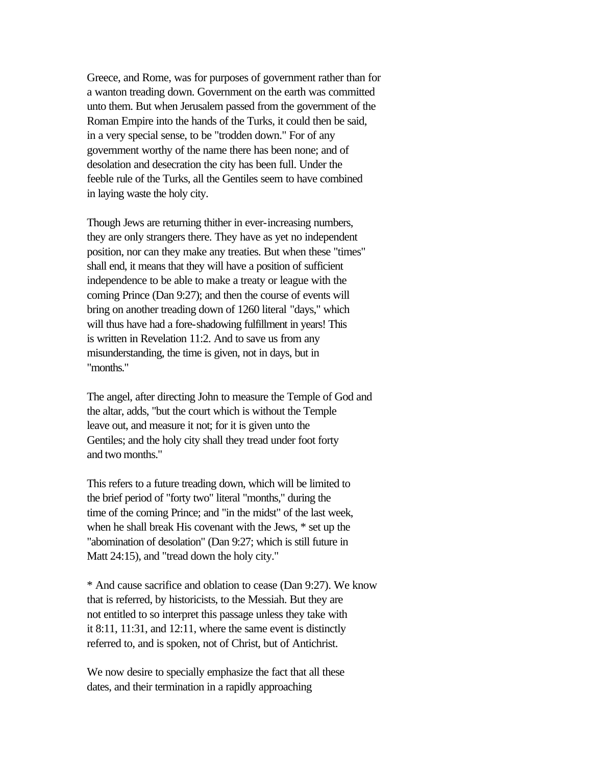Greece, and Rome, was for purposes of government rather than for a wanton treading down. Government on the earth was committed unto them. But when Jerusalem passed from the government of the Roman Empire into the hands of the Turks, it could then be said, in a very special sense, to be "trodden down." For of any government worthy of the name there has been none; and of desolation and desecration the city has been full. Under the feeble rule of the Turks, all the Gentiles seem to have combined in laying waste the holy city.

Though Jews are returning thither in ever-increasing numbers, they are only strangers there. They have as yet no independent position, nor can they make any treaties. But when these "times" shall end, it means that they will have a position of sufficient independence to be able to make a treaty or league with the coming Prince (Dan 9:27); and then the course of events will bring on another treading down of 1260 literal "days," which will thus have had a fore-shadowing fulfillment in years! This is written in Revelation 11:2. And to save us from any misunderstanding, the time is given, not in days, but in "months."

The angel, after directing John to measure the Temple of God and the altar, adds, "but the court which is without the Temple leave out, and measure it not; for it is given unto the Gentiles; and the holy city shall they tread under foot forty and two months."

This refers to a future treading down, which will be limited to the brief period of "forty two" literal "months," during the time of the coming Prince; and "in the midst" of the last week, when he shall break His covenant with the Jews, \* set up the "abomination of desolation" (Dan 9:27; which is still future in Matt 24:15), and "tread down the holy city."

\* And cause sacrifice and oblation to cease (Dan 9:27). We know that is referred, by historicists, to the Messiah. But they are not entitled to so interpret this passage unless they take with it 8:11, 11:31, and 12:11, where the same event is distinctly referred to, and is spoken, not of Christ, but of Antichrist.

We now desire to specially emphasize the fact that all these dates, and their termination in a rapidly approaching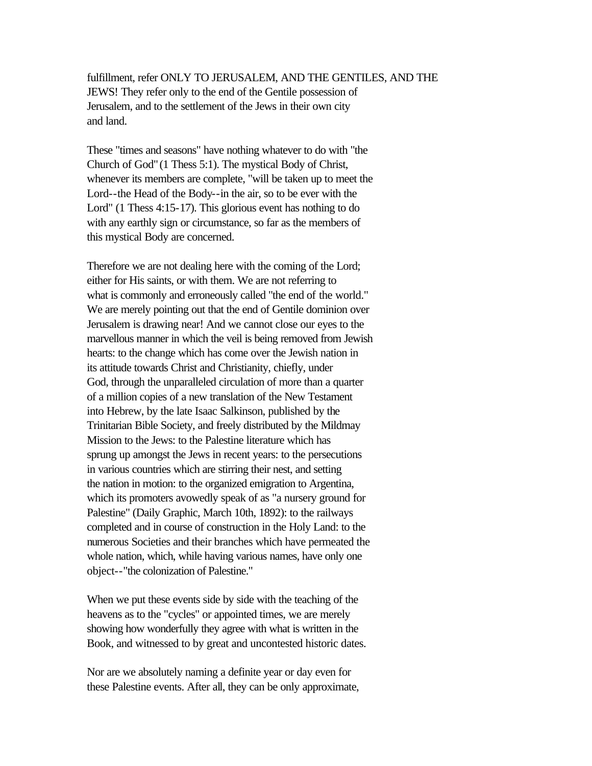fulfillment, refer ONLY TO JERUSALEM, AND THE GENTILES, AND THE JEWS! They refer only to the end of the Gentile possession of Jerusalem, and to the settlement of the Jews in their own city and land.

These "times and seasons" have nothing whatever to do with "the Church of God" (1 Thess 5:1). The mystical Body of Christ, whenever its members are complete, "will be taken up to meet the Lord--the Head of the Body--in the air, so to be ever with the Lord" (1 Thess 4:15-17). This glorious event has nothing to do with any earthly sign or circumstance, so far as the members of this mystical Body are concerned.

Therefore we are not dealing here with the coming of the Lord; either for His saints, or with them. We are not referring to what is commonly and erroneously called "the end of the world." We are merely pointing out that the end of Gentile dominion over Jerusalem is drawing near! And we cannot close our eyes to the marvellous manner in which the veil is being removed from Jewish hearts: to the change which has come over the Jewish nation in its attitude towards Christ and Christianity, chiefly, under God, through the unparalleled circulation of more than a quarter of a million copies of a new translation of the New Testament into Hebrew, by the late Isaac Salkinson, published by the Trinitarian Bible Society, and freely distributed by the Mildmay Mission to the Jews: to the Palestine literature which has sprung up amongst the Jews in recent years: to the persecutions in various countries which are stirring their nest, and setting the nation in motion: to the organized emigration to Argentina, which its promoters avowedly speak of as "a nursery ground for Palestine" (Daily Graphic, March 10th, 1892): to the railways completed and in course of construction in the Holy Land: to the numerous Societies and their branches which have permeated the whole nation, which, while having various names, have only one object--"the colonization of Palestine."

When we put these events side by side with the teaching of the heavens as to the "cycles" or appointed times, we are merely showing how wonderfully they agree with what is written in the Book, and witnessed to by great and uncontested historic dates.

Nor are we absolutely naming a definite year or day even for these Palestine events. After all, they can be only approximate,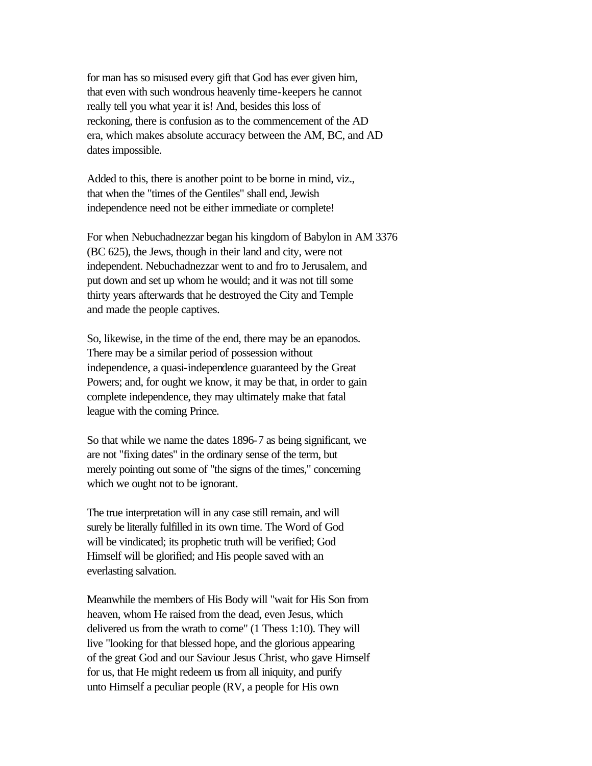for man has so misused every gift that God has ever given him, that even with such wondrous heavenly time-keepers he cannot really tell you what year it is! And, besides this loss of reckoning, there is confusion as to the commencement of the AD era, which makes absolute accuracy between the AM, BC, and AD dates impossible.

Added to this, there is another point to be borne in mind, viz., that when the "times of the Gentiles" shall end, Jewish independence need not be either immediate or complete!

For when Nebuchadnezzar began his kingdom of Babylon in AM 3376 (BC 625), the Jews, though in their land and city, were not independent. Nebuchadnezzar went to and fro to Jerusalem, and put down and set up whom he would; and it was not till some thirty years afterwards that he destroyed the City and Temple and made the people captives.

So, likewise, in the time of the end, there may be an epanodos. There may be a similar period of possession without independence, a quasi-independence guaranteed by the Great Powers; and, for ought we know, it may be that, in order to gain complete independence, they may ultimately make that fatal league with the coming Prince.

So that while we name the dates 1896-7 as being significant, we are not "fixing dates" in the ordinary sense of the term, but merely pointing out some of "the signs of the times," concerning which we ought not to be ignorant.

The true interpretation will in any case still remain, and will surely be literally fulfilled in its own time. The Word of God will be vindicated; its prophetic truth will be verified; God Himself will be glorified; and His people saved with an everlasting salvation.

Meanwhile the members of His Body will "wait for His Son from heaven, whom He raised from the dead, even Jesus, which delivered us from the wrath to come" (1 Thess 1:10). They will live "looking for that blessed hope, and the glorious appearing of the great God and our Saviour Jesus Christ, who gave Himself for us, that He might redeem us from all iniquity, and purify unto Himself a peculiar people (RV, a people for His own